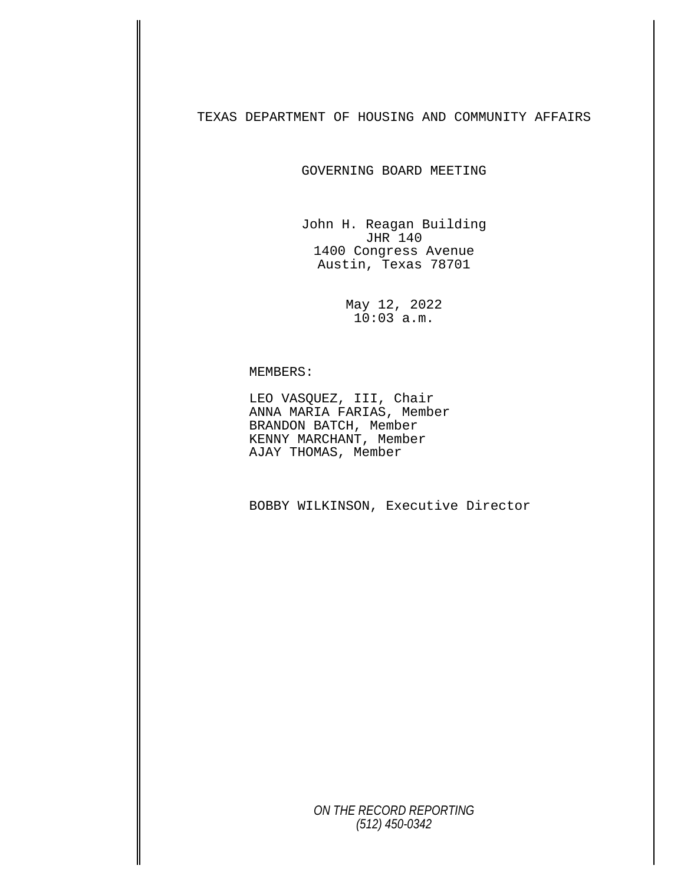## TEXAS DEPARTMENT OF HOUSING AND COMMUNITY AFFAIRS

GOVERNING BOARD MEETING

John H. Reagan Building JHR 140 1400 Congress Avenue Austin, Texas 78701

> May 12, 2022 10:03 a.m.

## MEMBERS:

LEO VASQUEZ, III, Chair ANNA MARIA FARIAS, Member BRANDON BATCH, Member KENNY MARCHANT, Member AJAY THOMAS, Member

BOBBY WILKINSON, Executive Director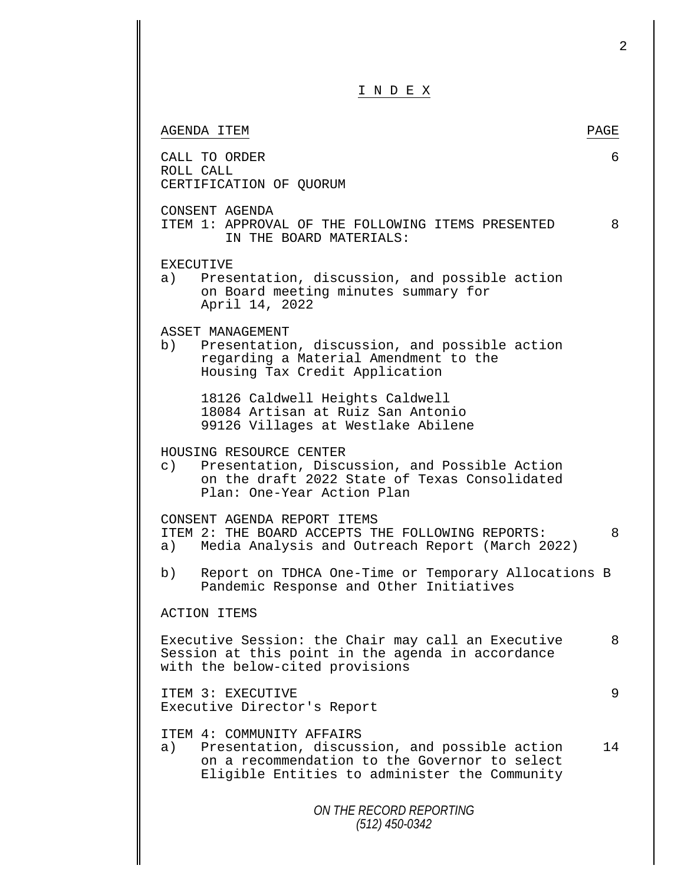|           | INDEX                                                                                                                                                                           |      |
|-----------|---------------------------------------------------------------------------------------------------------------------------------------------------------------------------------|------|
|           | AGENDA ITEM                                                                                                                                                                     | PAGE |
|           | CALL TO ORDER<br>ROLL CALL<br>CERTIFICATION OF QUORUM                                                                                                                           | 6    |
|           | CONSENT AGENDA<br>ITEM 1: APPROVAL OF THE FOLLOWING ITEMS PRESENTED<br>IN THE BOARD MATERIALS:                                                                                  | 8    |
| a)        | <b>EXECUTIVE</b><br>Presentation, discussion, and possible action<br>on Board meeting minutes summary for<br>April 14, 2022                                                     |      |
| b)        | ASSET MANAGEMENT<br>Presentation, discussion, and possible action<br>regarding a Material Amendment to the<br>Housing Tax Credit Application                                    |      |
|           | 18126 Caldwell Heights Caldwell<br>18084 Artisan at Ruiz San Antonio<br>99126 Villages at Westlake Abilene                                                                      |      |
| $\circ$ ) | HOUSING RESOURCE CENTER<br>Presentation, Discussion, and Possible Action<br>on the draft 2022 State of Texas Consolidated<br>Plan: One-Year Action Plan                         |      |
|           | CONSENT AGENDA REPORT ITEMS<br>ITEM 2: THE BOARD ACCEPTS THE FOLLOWING REPORTS:<br>a) Media Analysis and Outreach Report (March 2022)                                           | 8    |
| b)        | Report on TDHCA One-Time or Temporary Allocations B<br>Pandemic Response and Other Initiatives                                                                                  |      |
|           | <b>ACTION ITEMS</b>                                                                                                                                                             |      |
|           | Executive Session: the Chair may call an Executive<br>Session at this point in the agenda in accordance<br>with the below-cited provisions                                      | 8    |
|           | ITEM 3: EXECUTIVE<br>Executive Director's Report                                                                                                                                | 9    |
|           | ITEM 4: COMMUNITY AFFAIRS<br>a) Presentation, discussion, and possible action<br>on a recommendation to the Governor to select<br>Eligible Entities to administer the Community | 14   |
|           | ON THE RECORD REPORTING<br>$(512)$ 450-0342                                                                                                                                     |      |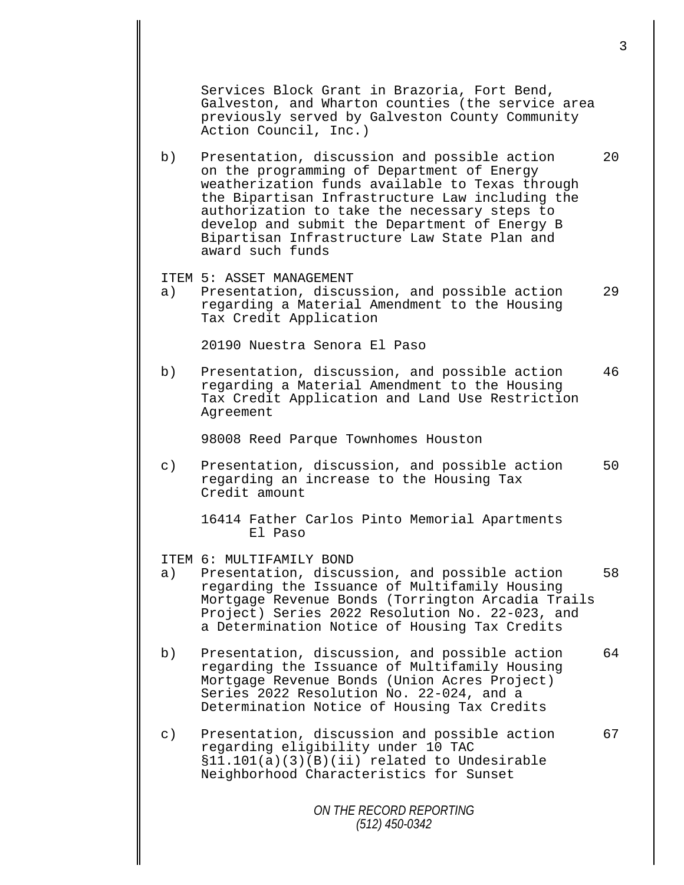Services Block Grant in Brazoria, Fort Bend, Galveston, and Wharton counties (the service area previously served by Galveston County Community Action Council, Inc.)

b) Presentation, discussion and possible action 20 on the programming of Department of Energy weatherization funds available to Texas through the Bipartisan Infrastructure Law including the authorization to take the necessary steps to develop and submit the Department of Energy B Bipartisan Infrastructure Law State Plan and award such funds

ITEM 5: ASSET MANAGEMENT<br>a) Presentation, discu

Presentation, discussion, and possible action 29 regarding a Material Amendment to the Housing Tax Credit Application

20190 Nuestra Senora El Paso

b) Presentation, discussion, and possible action 46 regarding a Material Amendment to the Housing Tax Credit Application and Land Use Restriction Agreement

98008 Reed Parque Townhomes Houston

c) Presentation, discussion, and possible action 50 regarding an increase to the Housing Tax Credit amount

16414 Father Carlos Pinto Memorial Apartments El Paso

ITEM 6: MULTIFAMILY BOND<br>a) Presentation, discus

- Presentation, discussion, and possible action 58 regarding the Issuance of Multifamily Housing Mortgage Revenue Bonds (Torrington Arcadia Trails Project) Series 2022 Resolution No. 22-023, and a Determination Notice of Housing Tax Credits
- b) Presentation, discussion, and possible action 64 regarding the Issuance of Multifamily Housing Mortgage Revenue Bonds (Union Acres Project) Series 2022 Resolution No. 22-024, and a Determination Notice of Housing Tax Credits
- c) Presentation, discussion and possible action 67 regarding eligibility under 10 TAC §11.101(a)(3)(B)(ii) related to Undesirable Neighborhood Characteristics for Sunset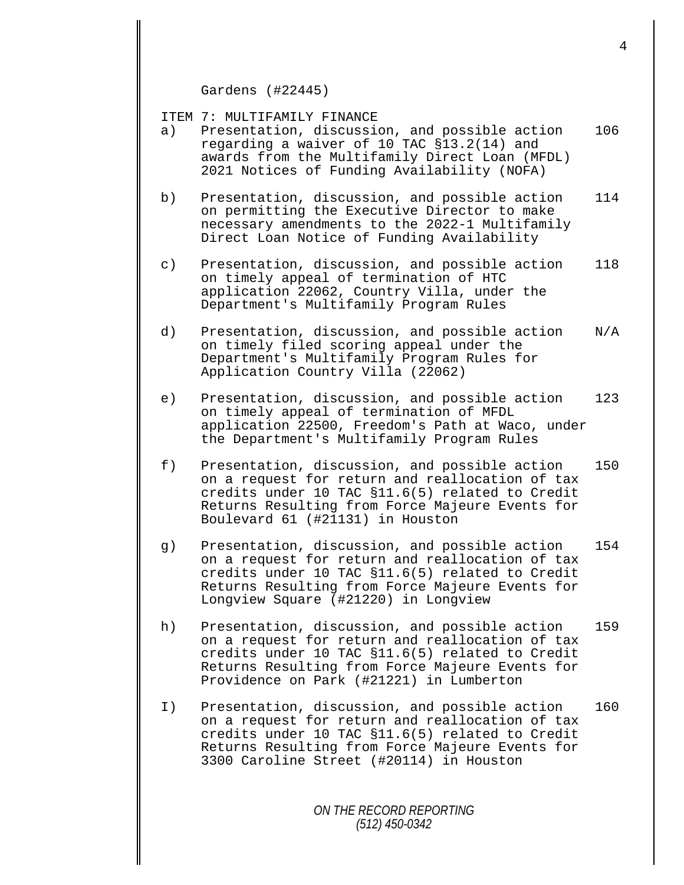Gardens (#22445)

ITEM 7: MULTIFAMILY FINANCE<br>a) Presentation, discussi

- Presentation, discussion, and possible action 106 regarding a waiver of 10 TAC §13.2(14) and awards from the Multifamily Direct Loan (MFDL) 2021 Notices of Funding Availability (NOFA)
- b) Presentation, discussion, and possible action 114 on permitting the Executive Director to make necessary amendments to the 2022-1 Multifamily Direct Loan Notice of Funding Availability
- c) Presentation, discussion, and possible action 118 on timely appeal of termination of HTC application 22062, Country Villa, under the Department's Multifamily Program Rules
- d) Presentation, discussion, and possible action N/A on timely filed scoring appeal under the Department's Multifamily Program Rules for Application Country Villa (22062)
- e) Presentation, discussion, and possible action 123 on timely appeal of termination of MFDL application 22500, Freedom's Path at Waco, under the Department's Multifamily Program Rules
- f) Presentation, discussion, and possible action 150 on a request for return and reallocation of tax credits under 10 TAC §11.6(5) related to Credit Returns Resulting from Force Majeure Events for Boulevard 61 (#21131) in Houston
- g) Presentation, discussion, and possible action 154 on a request for return and reallocation of tax credits under 10 TAC §11.6(5) related to Credit Returns Resulting from Force Majeure Events for Longview Square (#21220) in Longview
- h) Presentation, discussion, and possible action 159 on a request for return and reallocation of tax credits under 10 TAC §11.6(5) related to Credit Returns Resulting from Force Majeure Events for Providence on Park (#21221) in Lumberton
- I) Presentation, discussion, and possible action 160 on a request for return and reallocation of tax credits under 10 TAC §11.6(5) related to Credit Returns Resulting from Force Majeure Events for 3300 Caroline Street (#20114) in Houston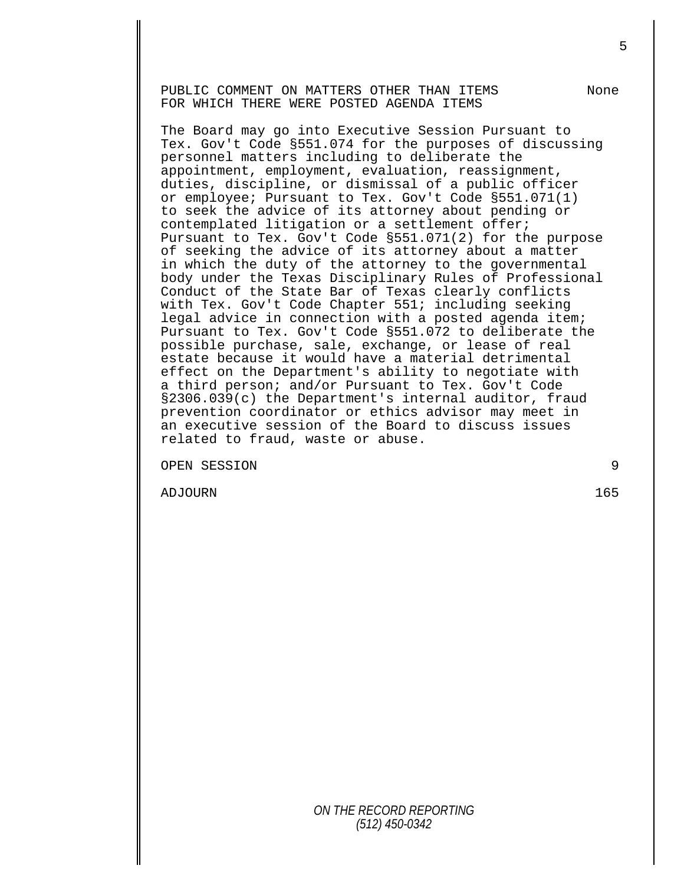PUBLIC COMMENT ON MATTERS OTHER THAN ITEMS NONE FOR WHICH THERE WERE POSTED AGENDA ITEMS

The Board may go into Executive Session Pursuant to Tex. Gov't Code §551.074 for the purposes of discussing personnel matters including to deliberate the appointment, employment, evaluation, reassignment, duties, discipline, or dismissal of a public officer or employee; Pursuant to Tex. Gov't Code §551.071(1) to seek the advice of its attorney about pending or contemplated litigation or a settlement offer; Pursuant to Tex. Gov't Code §551.071(2) for the purpose of seeking the advice of its attorney about a matter in which the duty of the attorney to the governmental body under the Texas Disciplinary Rules of Professional Conduct of the State Bar of Texas clearly conflicts with Tex. Gov't Code Chapter 551; including seeking legal advice in connection with a posted agenda item; Pursuant to Tex. Gov't Code §551.072 to deliberate the possible purchase, sale, exchange, or lease of real estate because it would have a material detrimental effect on the Department's ability to negotiate with a third person; and/or Pursuant to Tex. Gov't Code §2306.039(c) the Department's internal auditor, fraud prevention coordinator or ethics advisor may meet in an executive session of the Board to discuss issues related to fraud, waste or abuse.

OPEN SESSION 9

ADJOURN 165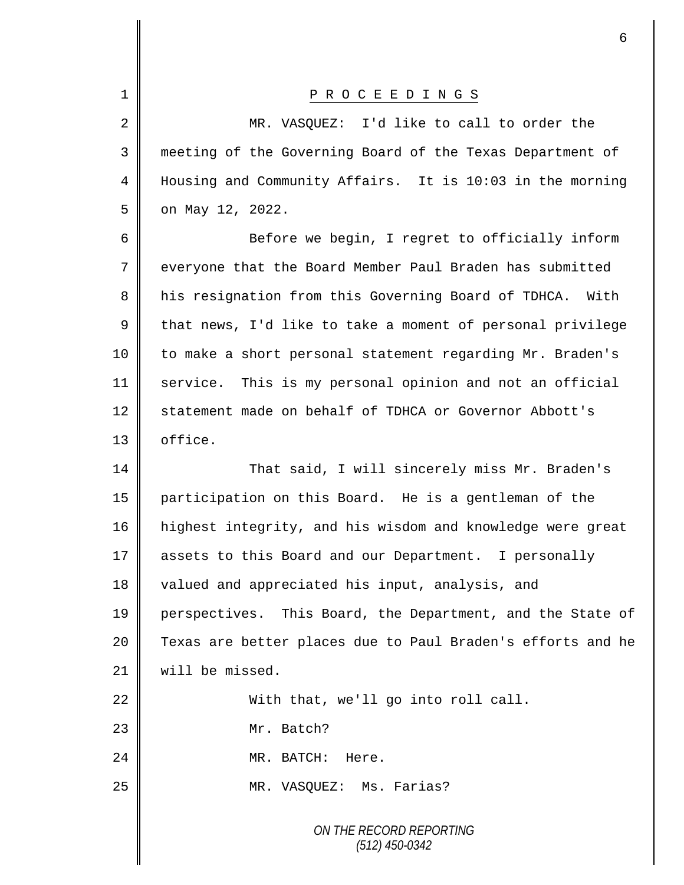| $\mathbf 1$    | P R O C E E D I N G S                                       |
|----------------|-------------------------------------------------------------|
| $\overline{2}$ | MR. VASQUEZ: I'd like to call to order the                  |
| 3              | meeting of the Governing Board of the Texas Department of   |
| 4              | Housing and Community Affairs. It is 10:03 in the morning   |
| 5              | on May 12, 2022.                                            |
| 6              | Before we begin, I regret to officially inform              |
| 7              | everyone that the Board Member Paul Braden has submitted    |
| 8              | his resignation from this Governing Board of TDHCA. With    |
| 9              | that news, I'd like to take a moment of personal privilege  |
| 10             | to make a short personal statement regarding Mr. Braden's   |
| 11             | service. This is my personal opinion and not an official    |
| 12             | statement made on behalf of TDHCA or Governor Abbott's      |
| 13             | office.                                                     |
| 14             | That said, I will sincerely miss Mr. Braden's               |
| 15             | participation on this Board. He is a gentleman of the       |
| 16             | highest integrity, and his wisdom and knowledge were great  |
| 17             | assets to this Board and our Department. I personally       |
| 18             | valued and appreciated his input, analysis, and             |
| 19             | perspectives. This Board, the Department, and the State of  |
| 20             | Texas are better places due to Paul Braden's efforts and he |
| 21             | will be missed.                                             |
| 22             | With that, we'll go into roll call.                         |
| 23             | Mr. Batch?                                                  |
| 24             | MR. BATCH: Here.                                            |
| 25             | MR. VASQUEZ: Ms. Farias?                                    |
|                | ON THE RECORD REPORTING<br>$(512)$ 450-0342                 |

Ш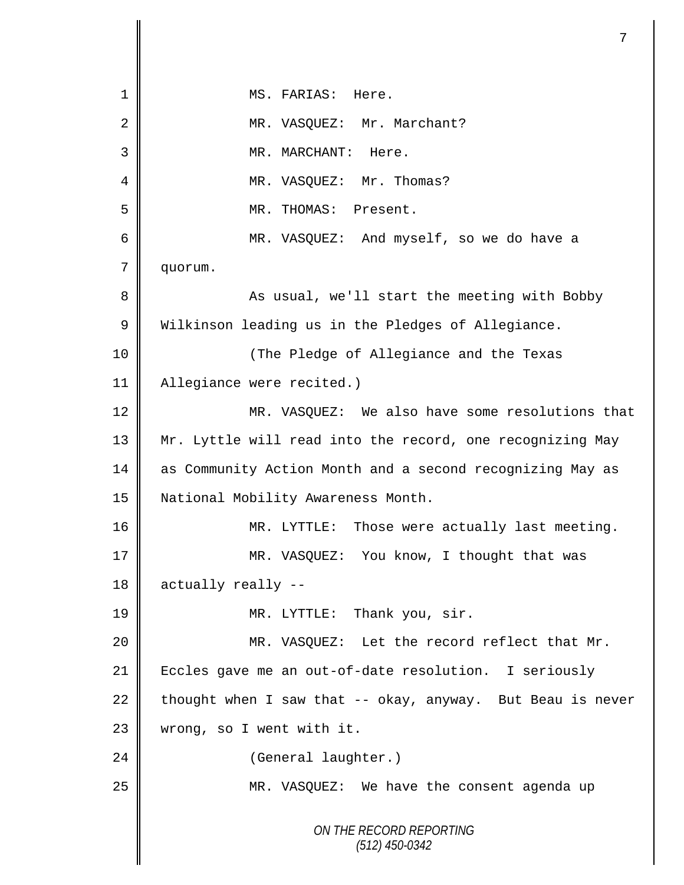*ON THE RECORD REPORTING (512) 450-0342* 1 MS. FARIAS: Here. 2 MR. VASOUEZ: Mr. Marchant? 3 || MR. MARCHANT: Here. 4 | MR. VASQUEZ: Mr. Thomas? 5 MR. THOMAS: Present. 6 MR. VASQUEZ: And myself, so we do have a 7 quorum. 8 As usual, we'll start the meeting with Bobby 9 Wilkinson leading us in the Pledges of Allegiance. 10 (The Pledge of Allegiance and the Texas 11 Allegiance were recited.) 12 MR. VASQUEZ: We also have some resolutions that 13 Mr. Lyttle will read into the record, one recognizing May 14 as Community Action Month and a second recognizing May as 15 | National Mobility Awareness Month. 16 || MR. LYTTLE: Those were actually last meeting. 17 || MR. VASQUEZ: You know, I thought that was 18 actually really --19 MR. LYTTLE: Thank you, sir. 20 MR. VASQUEZ: Let the record reflect that Mr. 21 Eccles gave me an out-of-date resolution. I seriously 22 thought when I saw that  $-$  okay, anyway. But Beau is never  $23$  | wrong, so I went with it. 24 | Ceneral laughter.) 25 MR. VASQUEZ: We have the consent agenda up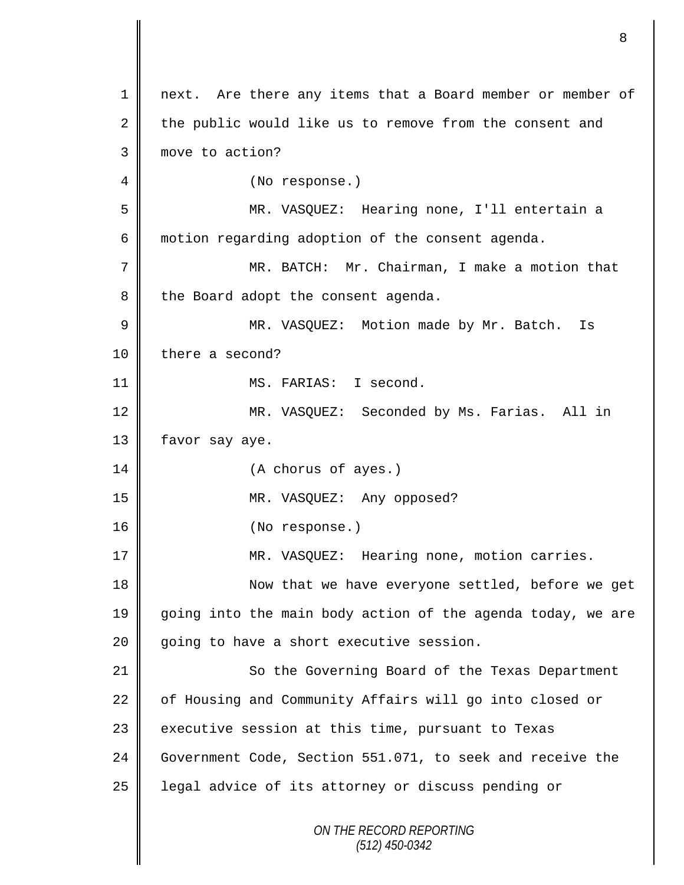| $\mathbf{1}$ | next. Are there any items that a Board member or member of  |
|--------------|-------------------------------------------------------------|
| 2            | the public would like us to remove from the consent and     |
| $\mathsf{3}$ | move to action?                                             |
| 4            | (No response.)                                              |
| 5            | MR. VASQUEZ: Hearing none, I'll entertain a                 |
| 6            | motion regarding adoption of the consent agenda.            |
| 7            | MR. BATCH: Mr. Chairman, I make a motion that               |
| 8            | the Board adopt the consent agenda.                         |
| 9            | MR. VASQUEZ: Motion made by Mr. Batch. Is                   |
| 10           | there a second?                                             |
| 11           | MS. FARIAS: I second.                                       |
| 12           | MR. VASQUEZ: Seconded by Ms. Farias. All in                 |
| 13           | favor say aye.                                              |
| 14           | (A chorus of ayes.)                                         |
| 15           | MR. VASQUEZ: Any opposed?                                   |
| 16           | (No response.)                                              |
| 17           | MR. VASQUEZ: Hearing none, motion carries.                  |
| 18           | Now that we have everyone settled, before we get            |
| 19           | going into the main body action of the agenda today, we are |
| 20           | going to have a short executive session.                    |
| 21           | So the Governing Board of the Texas Department              |
| 22           | of Housing and Community Affairs will go into closed or     |
| 23           | executive session at this time, pursuant to Texas           |
| 24           | Government Code, Section 551.071, to seek and receive the   |
| 25           | legal advice of its attorney or discuss pending or          |
|              | ON THE RECORD REPORTING<br>$(512)$ 450-0342                 |

 $\begin{array}{c} \hline \end{array}$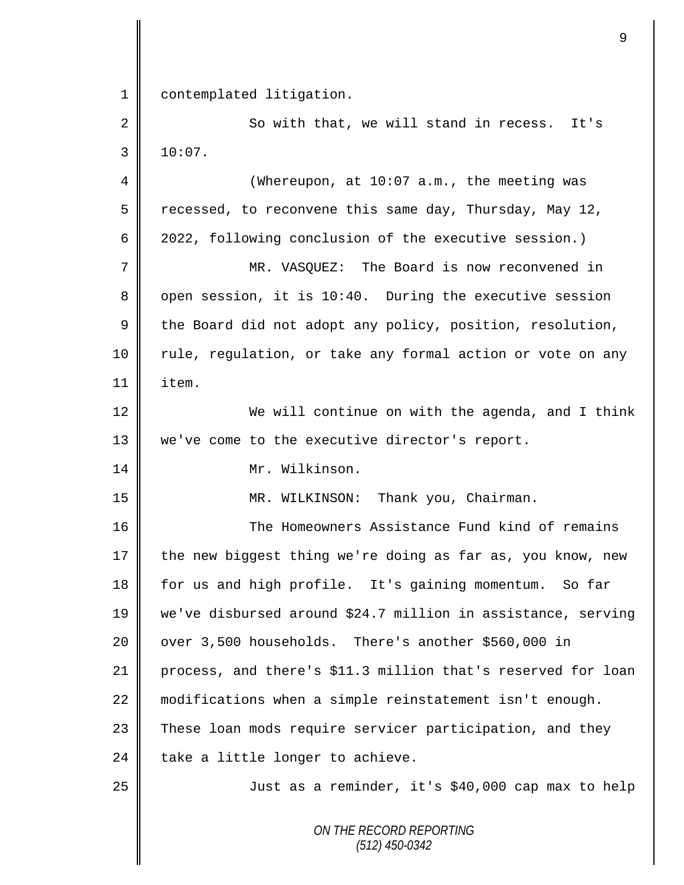1 | contemplated litigation.

2 So with that, we will stand in recess. It's  $3 \parallel 10:07$ .

4 || (Whereupon, at 10:07 a.m., the meeting was 5 Tecessed, to reconvene this same day, Thursday, May 12, 6 | 2022, following conclusion of the executive session.) 7 MR. VASQUEZ: The Board is now reconvened in 8 | open session, it is 10:40. During the executive session 9 the Board did not adopt any policy, position, resolution, 10 | rule, regulation, or take any formal action or vote on any 11 item.

12 We will continue on with the agenda, and I think 13 | we've come to the executive director's report.

14 Mr. Wilkinson.

15 || MR. WILKINSON: Thank you, Chairman.

16 || The Homeowners Assistance Fund kind of remains 17 the new biggest thing we're doing as far as, you know, new 18 for us and high profile. It's gaining momentum. So far 19 we've disbursed around \$24.7 million in assistance, serving  $20$  | over 3,500 households. There's another \$560,000 in 21 process, and there's \$11.3 million that's reserved for loan 22 modifications when a simple reinstatement isn't enough. 23 These loan mods require servicer participation, and they  $24$  take a little longer to achieve.

25 Just as a reminder, it's \$40,000 cap max to help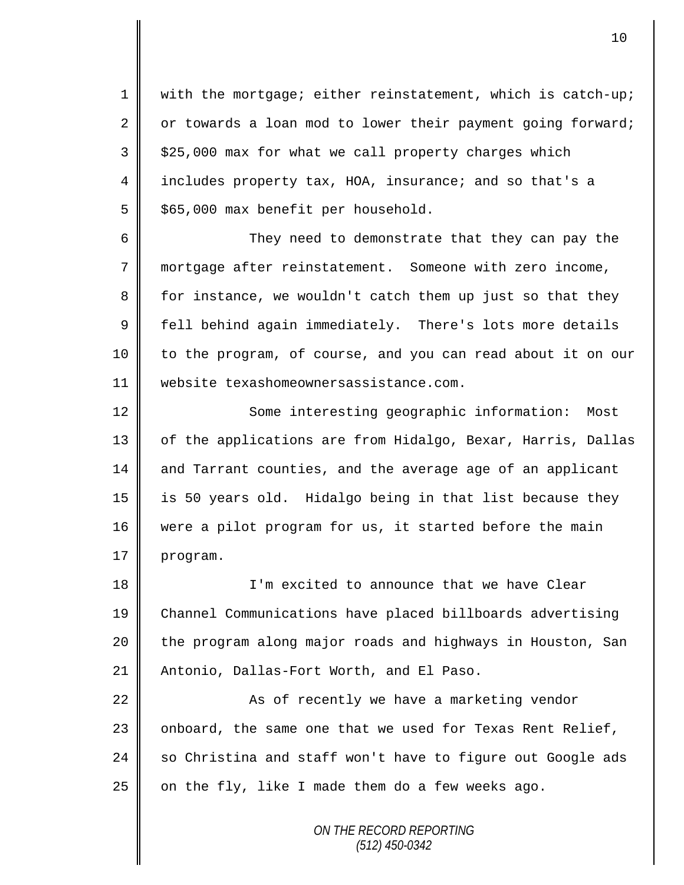1 || with the mortgage; either reinstatement, which is catch-up; 2  $\parallel$  or towards a loan mod to lower their payment going forward;  $3 \parallel$  \$25,000 max for what we call property charges which 4 includes property tax, HOA, insurance; and so that's a  $5 \parallel$  \$65,000 max benefit per household.

6 They need to demonstrate that they can pay the 7 mortgage after reinstatement. Someone with zero income, 8 for instance, we wouldn't catch them up just so that they 9 | fell behind again immediately. There's lots more details 10 || to the program, of course, and you can read about it on our 11 website texashomeownersassistance.com.

12 | Some interesting geographic information: Most 13 || of the applications are from Hidalgo, Bexar, Harris, Dallas 14 and Tarrant counties, and the average age of an applicant 15 is 50 years old. Hidalgo being in that list because they 16 were a pilot program for us, it started before the main 17  $\parallel$  program.

18 || I'm excited to announce that we have Clear 19 Channel Communications have placed billboards advertising 20 the program along major roads and highways in Houston, San 21 | Antonio, Dallas-Fort Worth, and El Paso.

22 || As of recently we have a marketing vendor 23  $\parallel$  onboard, the same one that we used for Texas Rent Relief, 24 so Christina and staff won't have to figure out Google ads 25  $\parallel$  on the fly, like I made them do a few weeks ago.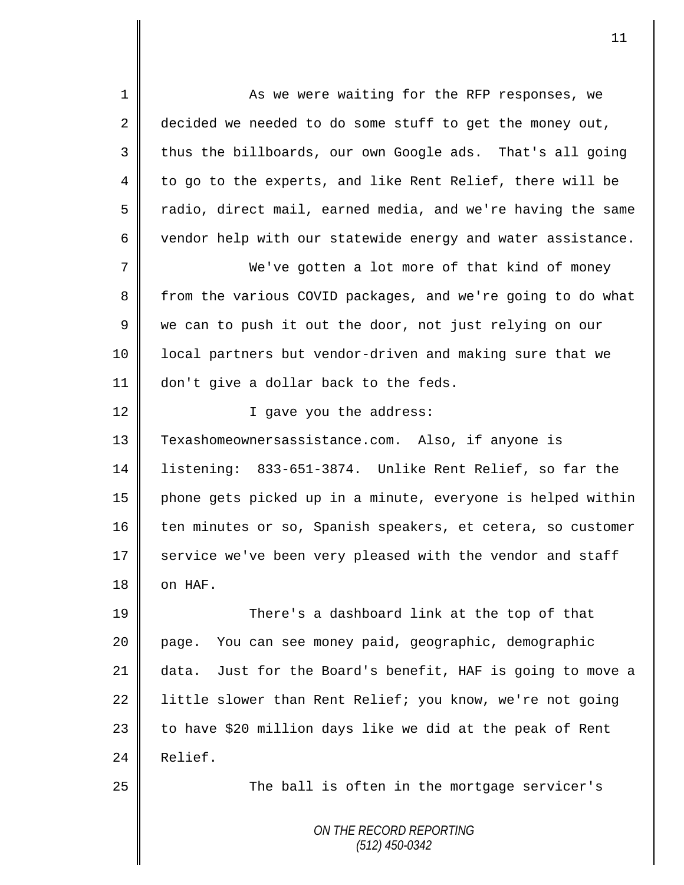*ON THE RECORD REPORTING (512) 450-0342* 1 As we were waiting for the RFP responses, we 2 decided we needed to do some stuff to get the money out, 3 thus the billboards, our own Google ads. That's all going 4 to go to the experts, and like Rent Relief, there will be 5 || radio, direct mail, earned media, and we're having the same 6 vendor help with our statewide energy and water assistance. 7 We've gotten a lot more of that kind of money 8 from the various COVID packages, and we're going to do what  $9 \parallel$  we can to push it out the door, not just relying on our 10 || local partners but vendor-driven and making sure that we 11 don't give a dollar back to the feds. 12 || I gave you the address: 13 Texashomeownersassistance.com. Also, if anyone is 14 listening: 833-651-3874. Unlike Rent Relief, so far the 15 phone gets picked up in a minute, everyone is helped within 16 ten minutes or so, Spanish speakers, et cetera, so customer 17 service we've been very pleased with the vendor and staff 18 | on HAF. 19 There's a dashboard link at the top of that 20 page. You can see money paid, geographic, demographic 21 data. Just for the Board's benefit, HAF is going to move a 22  $\parallel$  little slower than Rent Relief; you know, we're not going  $23$  | to have \$20 million days like we did at the peak of Rent 24 Relief. 25 || The ball is often in the mortgage servicer's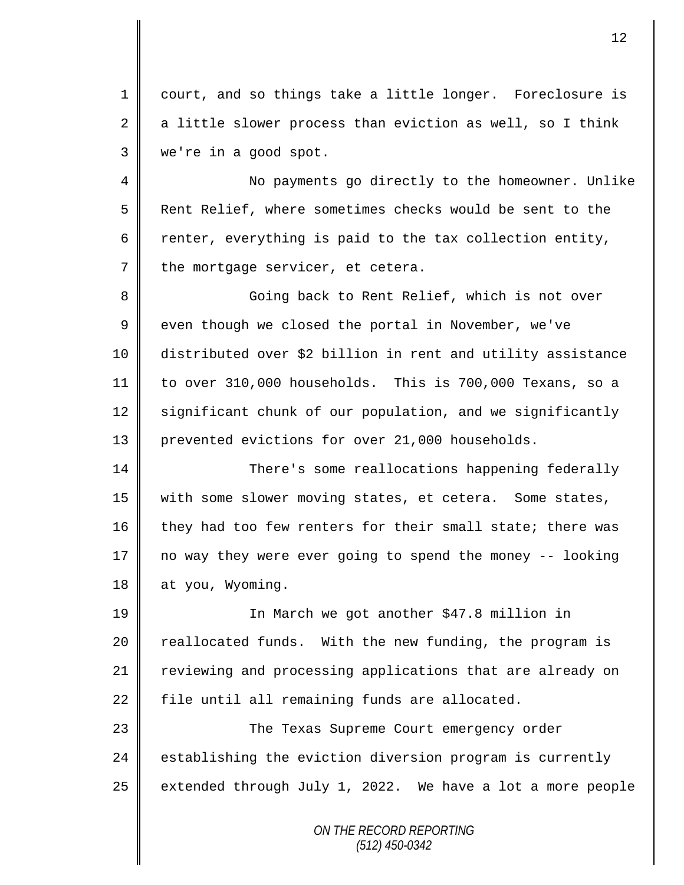1 court, and so things take a little longer. Foreclosure is 2  $\parallel$  a little slower process than eviction as well, so I think 3 we're in a good spot.

4 No payments go directly to the homeowner. Unlike 5 | Rent Relief, where sometimes checks would be sent to the 6 T renter, everything is paid to the tax collection entity,  $7$  the mortgage servicer, et cetera.

8 Going back to Rent Relief, which is not over  $9 \parallel$  even though we closed the portal in November, we've 10 distributed over \$2 billion in rent and utility assistance 11 to over 310,000 households. This is 700,000 Texans, so a 12 significant chunk of our population, and we significantly 13 prevented evictions for over 21,000 households.

14 There's some reallocations happening federally 15 with some slower moving states, et cetera. Some states, 16 they had too few renters for their small state; there was 17 no way they were ever going to spend the money -- looking 18 at you, Wyoming.

 In March we got another \$47.8 million in reallocated funds. With the new funding, the program is 21 | reviewing and processing applications that are already on file until all remaining funds are allocated.

23 The Texas Supreme Court emergency order  $24$  establishing the eviction diversion program is currently 25  $\parallel$  extended through July 1, 2022. We have a lot a more people

> *ON THE RECORD REPORTING (512) 450-0342*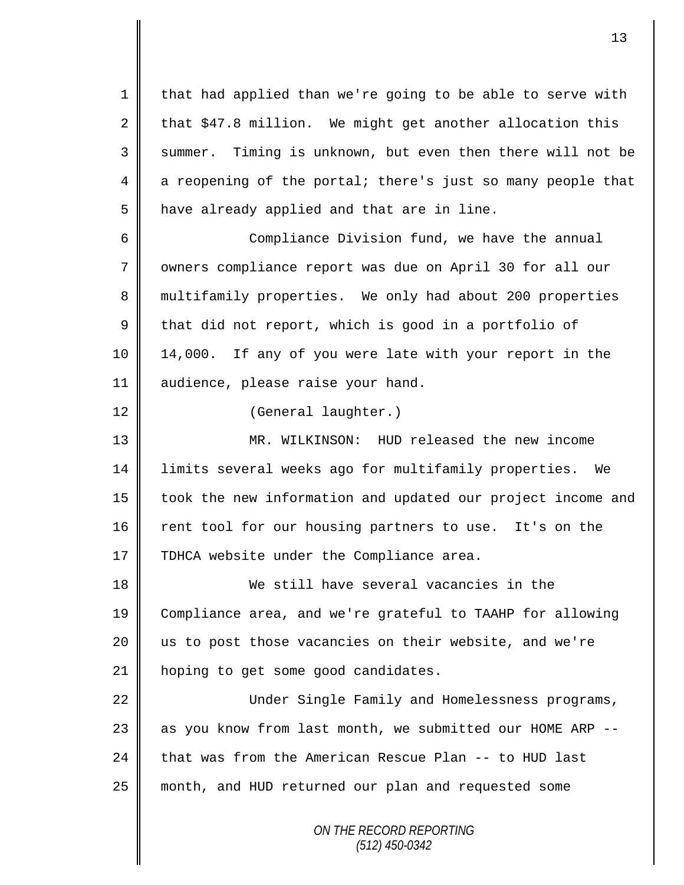*ON THE RECORD REPORTING* 1 | that had applied than we're going to be able to serve with  $2 \parallel$  that \$47.8 million. We might get another allocation this 3 Summer. Timing is unknown, but even then there will not be 4 a reopening of the portal; there's just so many people that 5 | have already applied and that are in line. 6 Compliance Division fund, we have the annual 7 | owners compliance report was due on April 30 for all our 8 multifamily properties. We only had about 200 properties  $9 \parallel$  that did not report, which is good in a portfolio of 10 14,000. If any of you were late with your report in the 11 | audience, please raise your hand. 12 | (General laughter.) 13 MR. WILKINSON: HUD released the new income 14 limits several weeks ago for multifamily properties. We 15 took the new information and updated our project income and 16 rent tool for our housing partners to use. It's on the 17 TDHCA website under the Compliance area. 18 We still have several vacancies in the 19 Compliance area, and we're grateful to TAAHP for allowing 20 || us to post those vacancies on their website, and we're 21 | hoping to get some good candidates. 22 Under Single Family and Homelessness programs,  $23$  as you know from last month, we submitted our HOME ARP  $-$ -24 that was from the American Rescue Plan -- to HUD last 25 month, and HUD returned our plan and requested some

*(512) 450-0342*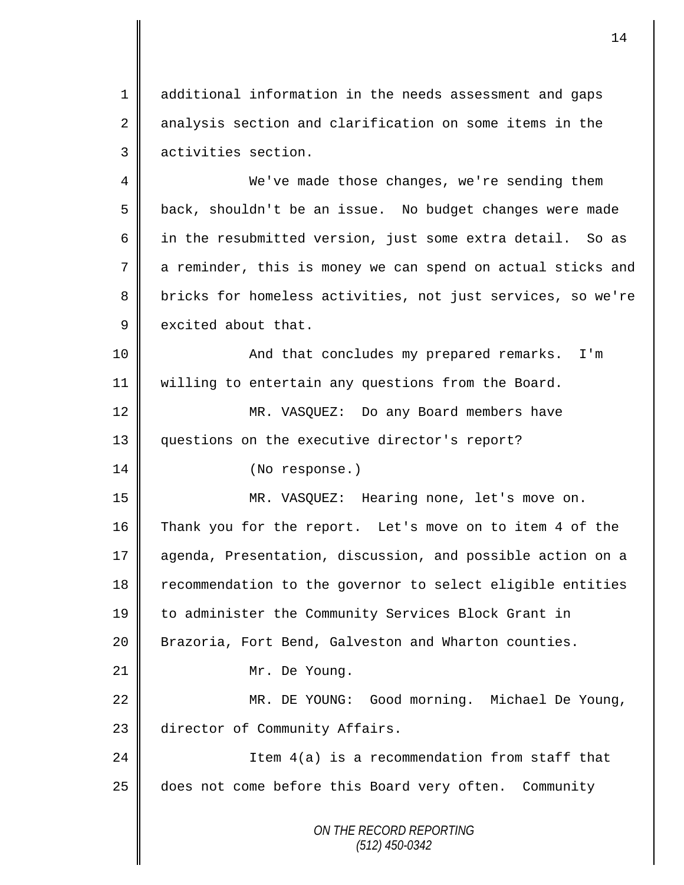1 additional information in the needs assessment and gaps 2 analysis section and clarification on some items in the 3 activities section.

4 We've made those changes, we're sending them 5 back, shouldn't be an issue. No budget changes were made 6 | in the resubmitted version, just some extra detail. So as 7 a reminder, this is money we can spend on actual sticks and 8 bricks for homeless activities, not just services, so we're  $9 \parallel$  excited about that.

10 || And that concludes my prepared remarks. I'm 11 willing to entertain any questions from the Board.

12 MR. VASQUEZ: Do any Board members have 13 questions on the executive director's report?

14 || (No response.)

15 MR. VASQUEZ: Hearing none, let's move on. 16 Thank you for the report. Let's move on to item 4 of the 17 agenda, Presentation, discussion, and possible action on a 18 Tecommendation to the governor to select eligible entities 19 to administer the Community Services Block Grant in 20 | Brazoria, Fort Bend, Galveston and Wharton counties. 21 | Mr. De Young. 22 || MR. DE YOUNG: Good morning. Michael De Young, 23 director of Community Affairs. 24 || Item 4(a) is a recommendation from staff that 25 does not come before this Board very often. Community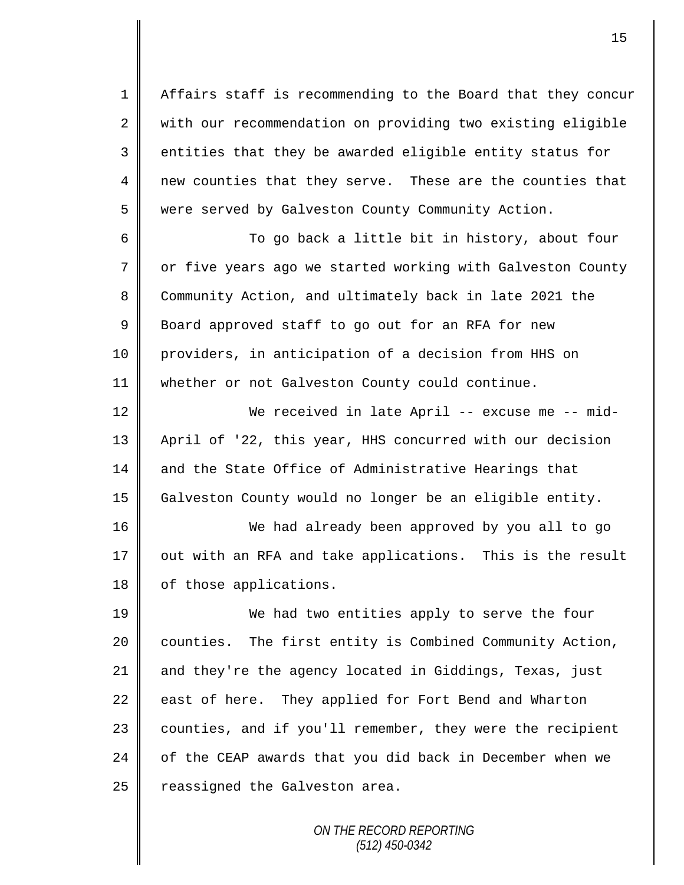1 || Affairs staff is recommending to the Board that they concur  $2 \parallel$  with our recommendation on providing two existing eligible 3 || entities that they be awarded eligible entity status for 4 new counties that they serve. These are the counties that 5 were served by Galveston County Community Action.

 To go back a little bit in history, about four 7 | or five years ago we started working with Galveston County 8 Community Action, and ultimately back in late 2021 the **Board approved staff to go out for an RFA for new**  providers, in anticipation of a decision from HHS on whether or not Galveston County could continue.

12 We received in late April -- excuse me -- mid-13 April of '22, this year, HHS concurred with our decision 14 and the State Office of Administrative Hearings that 15 Galveston County would no longer be an eligible entity.

16 We had already been approved by you all to go 17 | out with an RFA and take applications. This is the result 18 | of those applications.

19 We had two entities apply to serve the four 20 | counties. The first entity is Combined Community Action, 21 and they're the agency located in Giddings, Texas, just  $22$  east of here. They applied for Fort Bend and Wharton 23 | counties, and if you'll remember, they were the recipient  $24$  | of the CEAP awards that you did back in December when we  $25$  reassigned the Galveston area.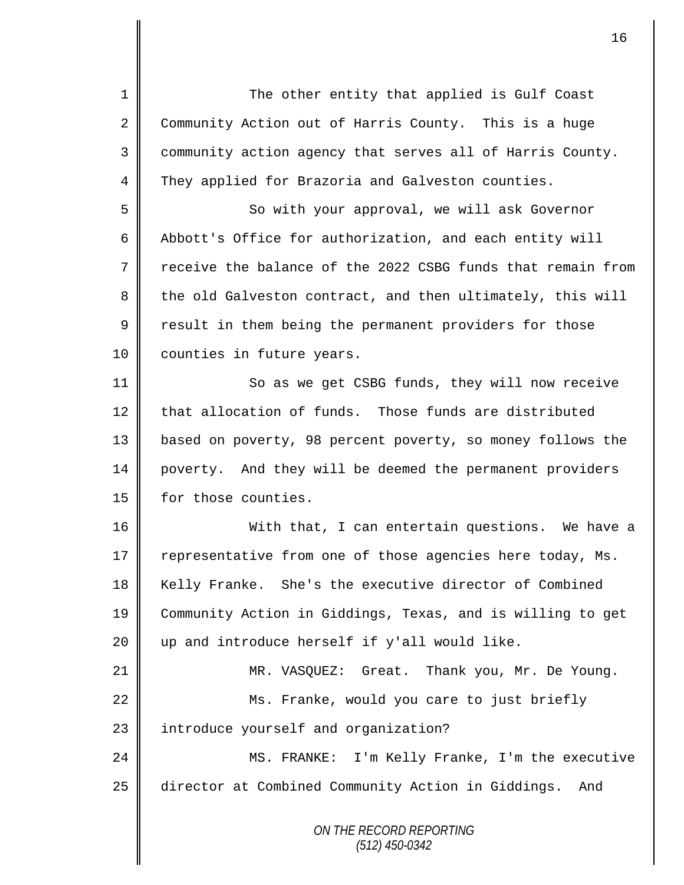*ON THE RECORD REPORTING (512) 450-0342* 1 || The other entity that applied is Gulf Coast 2 Community Action out of Harris County. This is a huge 3 community action agency that serves all of Harris County. 4 They applied for Brazoria and Galveston counties. 5 So with your approval, we will ask Governor 6 Abbott's Office for authorization, and each entity will 7 T receive the balance of the 2022 CSBG funds that remain from 8 the old Galveston contract, and then ultimately, this will  $9 \parallel$  result in them being the permanent providers for those 10 | counties in future years. 11 | So as we get CSBG funds, they will now receive 12 that allocation of funds. Those funds are distributed 13 based on poverty, 98 percent poverty, so money follows the 14 poverty. And they will be deemed the permanent providers 15 | for those counties. 16 With that, I can entertain questions. We have a 17 representative from one of those agencies here today, Ms. 18 | Kelly Franke. She's the executive director of Combined 19 Community Action in Giddings, Texas, and is willing to get 20  $\parallel$  up and introduce herself if y'all would like. 21 MR. VASQUEZ: Great. Thank you, Mr. De Young. 22 || Ms. Franke, would you care to just briefly 23 | introduce yourself and organization? 24 MS. FRANKE: I'm Kelly Franke, I'm the executive 25 director at Combined Community Action in Giddings. And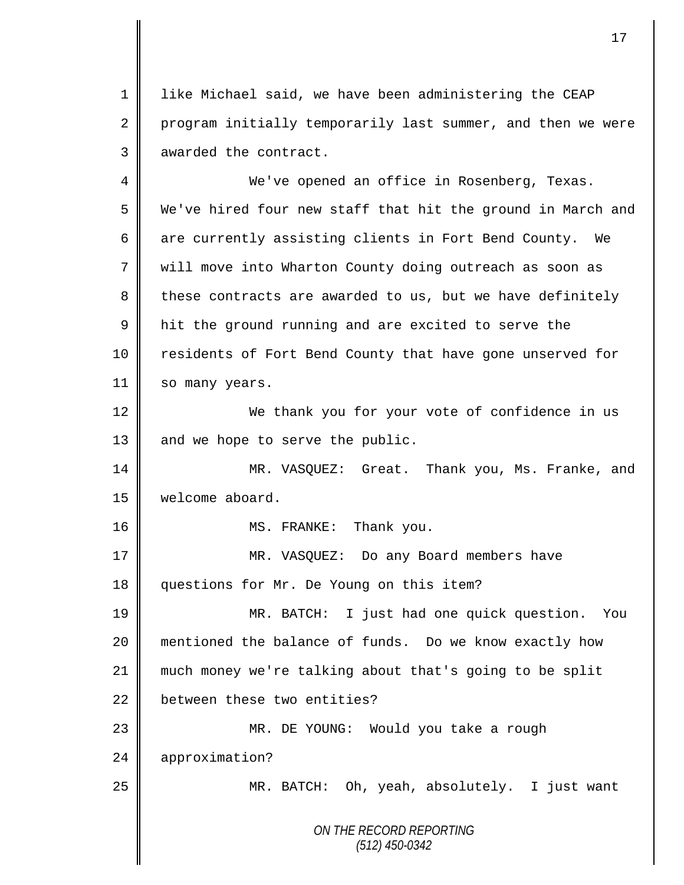1 like Michael said, we have been administering the CEAP 2 program initially temporarily last summer, and then we were 3 awarded the contract.

*ON THE RECORD REPORTING (512) 450-0342* 4 We've opened an office in Rosenberg, Texas. 5 We've hired four new staff that hit the ground in March and 6  $\parallel$  are currently assisting clients in Fort Bend County. We 7 will move into Wharton County doing outreach as soon as  $8 \parallel$  these contracts are awarded to us, but we have definitely 9 | hit the ground running and are excited to serve the 10 Tesidents of Fort Bend County that have gone unserved for 11 | so many years. 12 We thank you for your vote of confidence in us 13 and we hope to serve the public. 14 MR. VASQUEZ: Great. Thank you, Ms. Franke, and 15 | welcome aboard. 16 || MS. FRANKE: Thank you. 17 MR. VASQUEZ: Do any Board members have 18 questions for Mr. De Young on this item? 19 MR. BATCH: I just had one quick question. You 20 mentioned the balance of funds. Do we know exactly how 21 much money we're talking about that's going to be split 22 between these two entities? 23 MR. DE YOUNG: Would you take a rough 24 approximation? 25 MR. BATCH: Oh, yeah, absolutely. I just want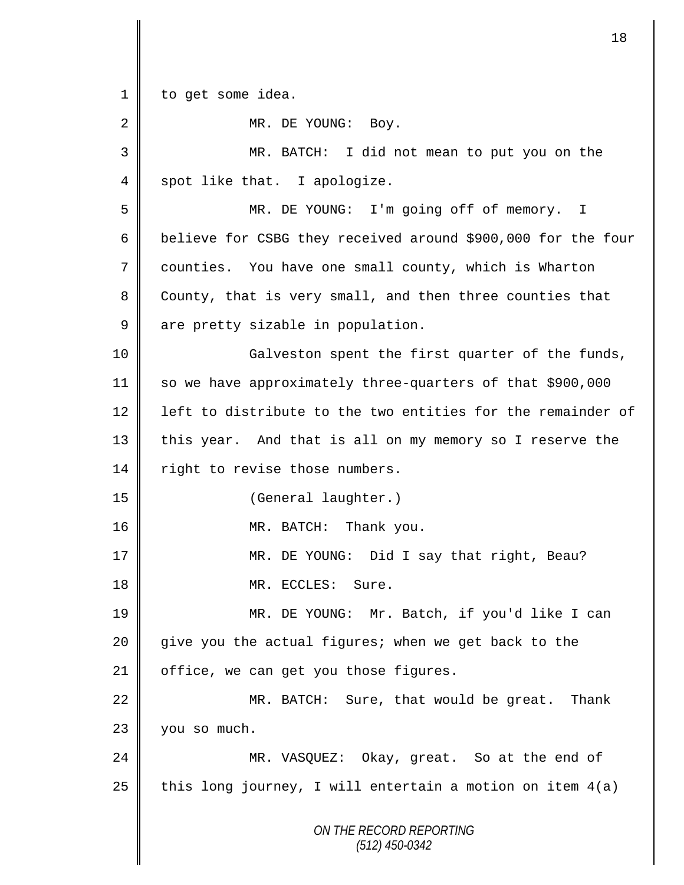*ON THE RECORD REPORTING (512) 450-0342* 1 | to get some idea. 2 MR. DE YOUNG: Boy. 3 MR. BATCH: I did not mean to put you on the  $4 \parallel$  spot like that. I apologize. 5 MR. DE YOUNG: I'm going off of memory. I 6 believe for CSBG they received around \$900,000 for the four 7 counties. You have one small county, which is Wharton 8 County, that is very small, and then three counties that  $9 \parallel$  are pretty sizable in population. 10 || Galveston spent the first quarter of the funds, 11 so we have approximately three-quarters of that \$900,000 12 I left to distribute to the two entities for the remainder of 13 this year. And that is all on my memory so I reserve the 14 | right to revise those numbers. 15 (General laughter.) 16 MR. BATCH: Thank you. 17 || MR. DE YOUNG: Did I say that right, Beau? 18 || MR. ECCLES: Sure. 19 MR. DE YOUNG: Mr. Batch, if you'd like I can 20 give you the actual figures; when we get back to the  $21$  | office, we can get you those figures. 22  $\parallel$  MR. BATCH: Sure, that would be great. Thank 23 you so much. 24 MR. VASQUEZ: Okay, great. So at the end of 25 | this long journey, I will entertain a motion on item  $4(a)$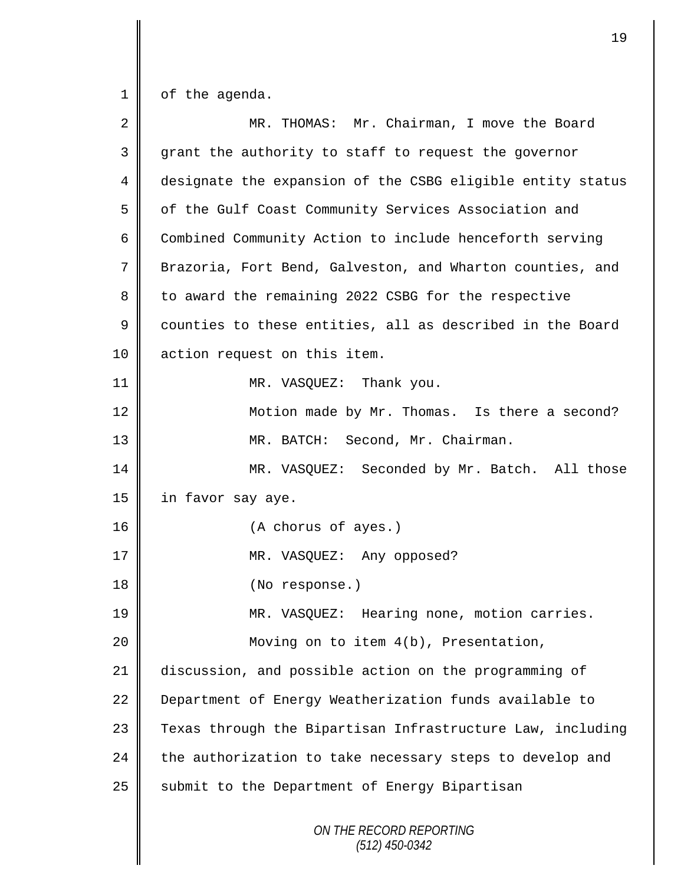$1 \parallel$  of the agenda.

| $\overline{2}$ | MR. THOMAS: Mr. Chairman, I move the Board                 |
|----------------|------------------------------------------------------------|
| 3              | grant the authority to staff to request the governor       |
| 4              | designate the expansion of the CSBG eligible entity status |
| 5              | of the Gulf Coast Community Services Association and       |
| 6              | Combined Community Action to include henceforth serving    |
| 7              | Brazoria, Fort Bend, Galveston, and Wharton counties, and  |
| 8              | to award the remaining 2022 CSBG for the respective        |
| 9              | counties to these entities, all as described in the Board  |
| 10             | action request on this item.                               |
| 11             | MR. VASQUEZ: Thank you.                                    |
| 12             | Motion made by Mr. Thomas. Is there a second?              |
| 13             | MR. BATCH: Second, Mr. Chairman.                           |
| 14             | MR. VASQUEZ: Seconded by Mr. Batch. All those              |
| 15             | in favor say aye.                                          |
| 16             | (A chorus of ayes.)                                        |
| 17             | MR. VASQUEZ: Any opposed?                                  |
| 18             | (No response.)                                             |
| 19             | MR. VASQUEZ: Hearing none, motion carries.                 |
| 20             | Moving on to item 4(b), Presentation,                      |
| 21             | discussion, and possible action on the programming of      |
| 22             | Department of Energy Weatherization funds available to     |
| 23             | Texas through the Bipartisan Infrastructure Law, including |
| 24             | the authorization to take necessary steps to develop and   |
| 25             | submit to the Department of Energy Bipartisan              |
|                | ON THE RECORD REPORTING<br>$(512)$ 450-0342                |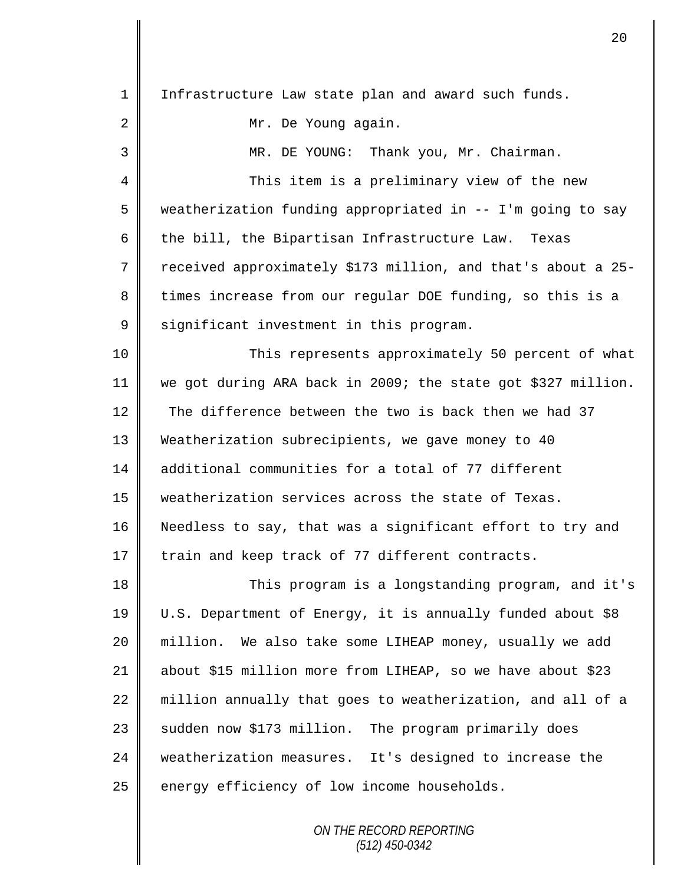| $\mathbf{1}$ | Infrastructure Law state plan and award such funds.          |
|--------------|--------------------------------------------------------------|
| 2            | Mr. De Young again.                                          |
| 3            | MR. DE YOUNG: Thank you, Mr. Chairman.                       |
| 4            | This item is a preliminary view of the new                   |
| 5            | weatherization funding appropriated in -- I'm going to say   |
| 6            | the bill, the Bipartisan Infrastructure Law. Texas           |
| 7            | received approximately \$173 million, and that's about a 25- |
| 8            | times increase from our regular DOE funding, so this is a    |
| $\mathsf 9$  | significant investment in this program.                      |
| 10           | This represents approximately 50 percent of what             |
| 11           | we got during ARA back in 2009; the state got \$327 million. |
| 12           | The difference between the two is back then we had 37        |
| 13           | Weatherization subrecipients, we gave money to 40            |
| 14           | additional communities for a total of 77 different           |
| 15           | weatherization services across the state of Texas.           |
| 16           | Needless to say, that was a significant effort to try and    |
| 17           | train and keep track of 77 different contracts.              |
| 18           | This program is a longstanding program, and it's             |
| 19           | U.S. Department of Energy, it is annually funded about \$8   |
| 20           | million. We also take some LIHEAP money, usually we add      |
| 21           | about \$15 million more from LIHEAP, so we have about \$23   |
| 22           | million annually that goes to weatherization, and all of a   |
| 23           | sudden now \$173 million. The program primarily does         |
| 24           | weatherization measures. It's designed to increase the       |
| 25           | energy efficiency of low income households.                  |
|              |                                                              |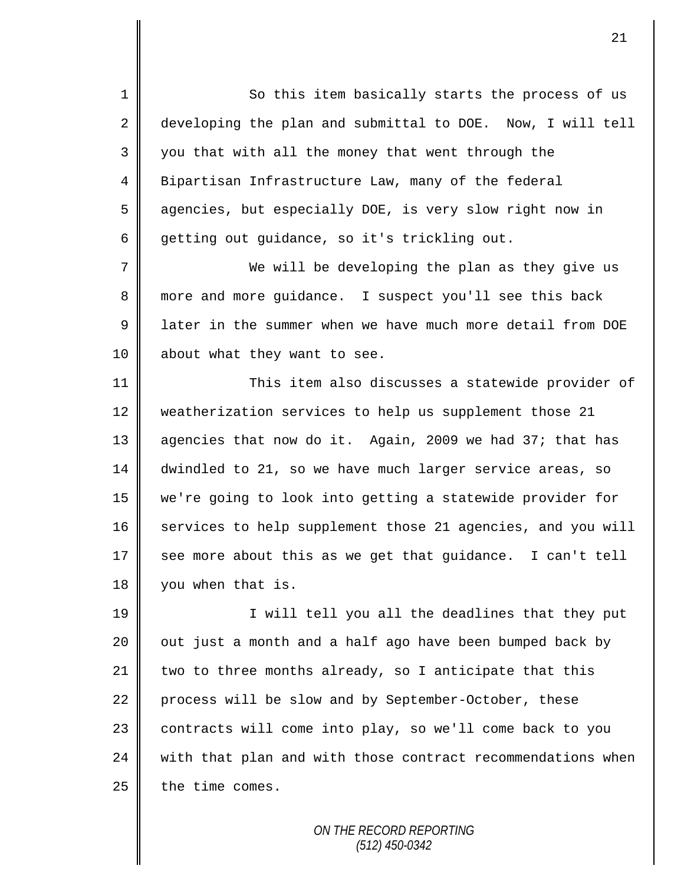1 So this item basically starts the process of us 2 developing the plan and submittal to DOE. Now, I will tell 3 || you that with all the money that went through the 4 Bipartisan Infrastructure Law, many of the federal 5 agencies, but especially DOE, is very slow right now in 6 getting out guidance, so it's trickling out.

7 || We will be developing the plan as they give us 8 more and more guidance. I suspect you'll see this back 9 later in the summer when we have much more detail from DOE 10 about what they want to see.

11 || This item also discusses a statewide provider of 12 weatherization services to help us supplement those 21 13 agencies that now do it. Again, 2009 we had 37; that has 14 dwindled to 21, so we have much larger service areas, so 15 we're going to look into getting a statewide provider for 16 services to help supplement those 21 agencies, and you will  $17$  see more about this as we get that guidance. I can't tell 18 vou when that is.

19 || I will tell you all the deadlines that they put  $20$  | out just a month and a half ago have been bumped back by  $21$  | two to three months already, so I anticipate that this 22 process will be slow and by September-October, these 23 | contracts will come into play, so we'll come back to you  $24$  with that plan and with those contract recommendations when  $25$  the time comes.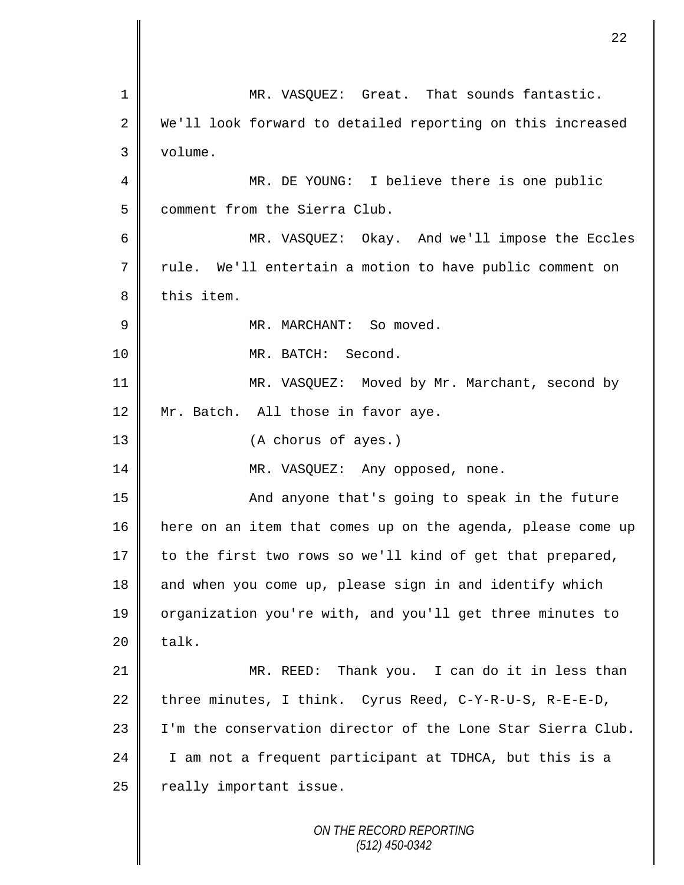*ON THE RECORD REPORTING* 1 MR. VASQUEZ: Great. That sounds fantastic. 2 We'll look forward to detailed reporting on this increased 3 volume. 4 MR. DE YOUNG: I believe there is one public 5 | comment from the Sierra Club. 6 MR. VASQUEZ: Okay. And we'll impose the Eccles  $7 \parallel$  rule. We'll entertain a motion to have public comment on  $8$  | this item. 9 | MR. MARCHANT: So moved. 10 MR. BATCH: Second. 11 | MR. VASQUEZ: Moved by Mr. Marchant, second by 12 || Mr. Batch. All those in favor aye. 13 || (A chorus of ayes.) 14 || MR. VASQUEZ: Any opposed, none. 15 || And anyone that's going to speak in the future 16 | here on an item that comes up on the agenda, please come up  $17$  to the first two rows so we'll kind of get that prepared, 18 || and when you come up, please sign in and identify which 19 | organization you're with, and you'll get three minutes to  $20$  | talk. 21 MR. REED: Thank you. I can do it in less than 22 three minutes, I think. Cyrus Reed, C-Y-R-U-S, R-E-E-D, 23 | I'm the conservation director of the Lone Star Sierra Club. 24 I am not a frequent participant at TDHCA, but this is a  $25$  really important issue.

22

*(512) 450-0342*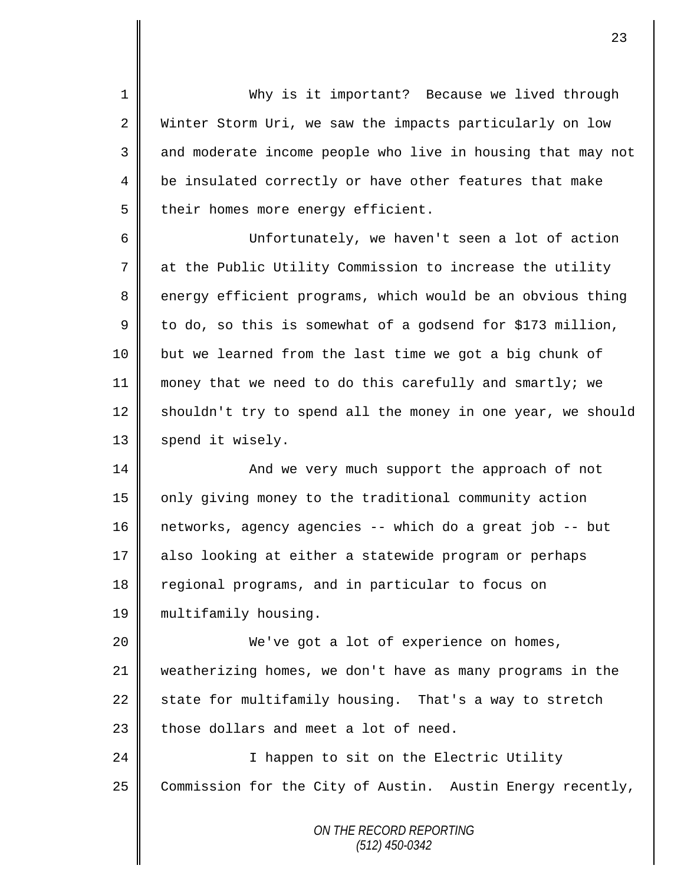1 Why is it important? Because we lived through 2 Winter Storm Uri, we saw the impacts particularly on low 3 || and moderate income people who live in housing that may not 4 be insulated correctly or have other features that make  $5$  | their homes more energy efficient.

 Unfortunately, we haven't seen a lot of action at the Public Utility Commission to increase the utility 8 energy efficient programs, which would be an obvious thing  $9 \parallel$  to do, so this is somewhat of a godsend for \$173 million, but we learned from the last time we got a big chunk of money that we need to do this carefully and smartly; we shouldn't try to spend all the money in one year, we should 13 | spend it wisely.

14 || And we very much support the approach of not 15 | only giving money to the traditional community action 16 networks, agency agencies -- which do a great job -- but 17 also looking at either a statewide program or perhaps 18 regional programs, and in particular to focus on 19 | multifamily housing.

 We've got a lot of experience on homes, weatherizing homes, we don't have as many programs in the 22 state for multifamily housing. That's a way to stretch | those dollars and meet a lot of need.

24 || I happen to sit on the Electric Utility 25 Commission for the City of Austin. Austin Energy recently,

> *ON THE RECORD REPORTING (512) 450-0342*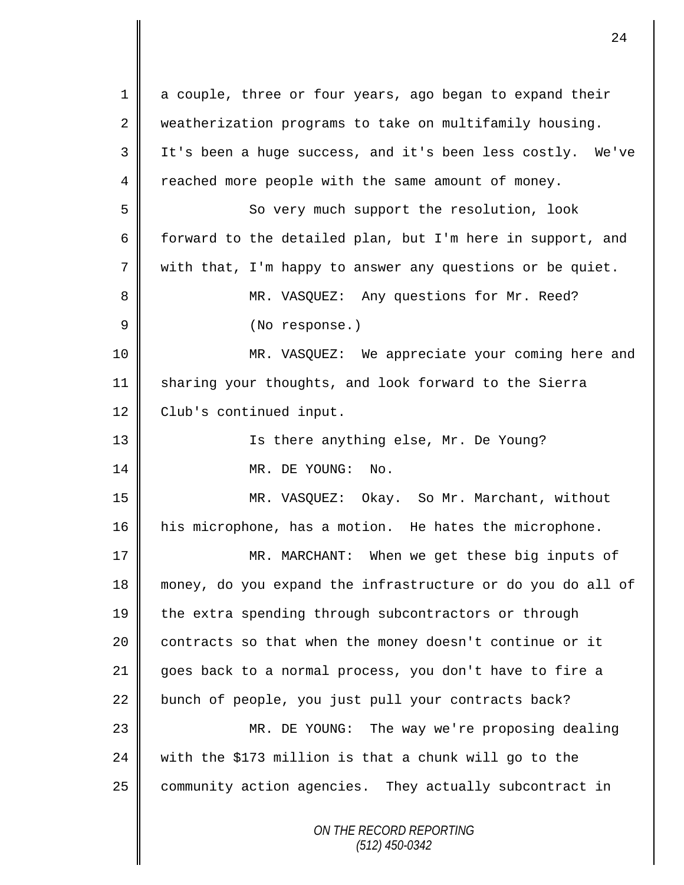*ON THE RECORD REPORTING (512) 450-0342* 1 a couple, three or four years, ago began to expand their 2 weatherization programs to take on multifamily housing. 3 It's been a huge success, and it's been less costly. We've 4 Teached more people with the same amount of money. 5 So very much support the resolution, look 6 forward to the detailed plan, but I'm here in support, and 7 with that, I'm happy to answer any questions or be quiet. 8 MR. VASQUEZ: Any questions for Mr. Reed? 9 || (No response.) 10 MR. VASQUEZ: We appreciate your coming here and 11 Sharing your thoughts, and look forward to the Sierra 12 | Club's continued input. 13 || Is there anything else, Mr. De Young? 14 MR. DE YOUNG: No. 15 MR. VASQUEZ: Okay. So Mr. Marchant, without 16 his microphone, has a motion. He hates the microphone. 17 MR. MARCHANT: When we get these big inputs of 18 money, do you expand the infrastructure or do you do all of 19 the extra spending through subcontractors or through 20 contracts so that when the money doesn't continue or it 21 goes back to a normal process, you don't have to fire a 22 bunch of people, you just pull your contracts back? 23 MR. DE YOUNG: The way we're proposing dealing 24 with the \$173 million is that a chunk will go to the 25 community action agencies. They actually subcontract in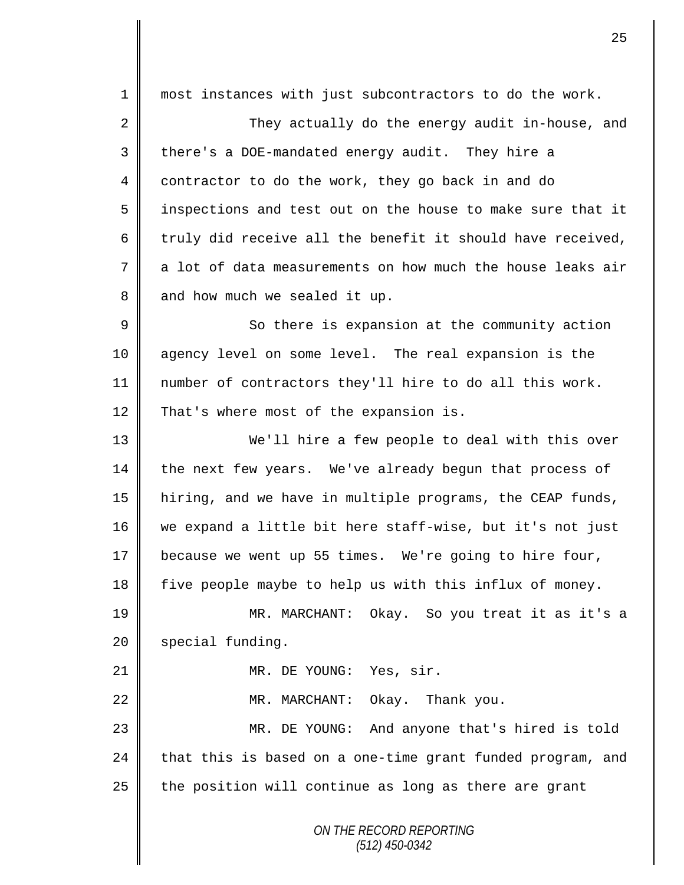*ON THE RECORD REPORTING (512) 450-0342* 1 most instances with just subcontractors to do the work. 2  $\parallel$  2 They actually do the energy audit in-house, and 3 | there's a DOE-mandated energy audit. They hire a 4 contractor to do the work, they go back in and do 5 | inspections and test out on the house to make sure that it 6  $\parallel$  truly did receive all the benefit it should have received, 7 a lot of data measurements on how much the house leaks air  $8 \parallel$  and how much we sealed it up. 9 || So there is expansion at the community action 10 agency level on some level. The real expansion is the 11 number of contractors they'll hire to do all this work. 12 That's where most of the expansion is. 13 We'll hire a few people to deal with this over 14 the next few years. We've already begun that process of 15 hiring, and we have in multiple programs, the CEAP funds, 16 we expand a little bit here staff-wise, but it's not just 17 because we went up 55 times. We're going to hire four, 18 five people maybe to help us with this influx of money. 19 MR. MARCHANT: Okay. So you treat it as it's a 20 | special funding. 21 || MR. DE YOUNG: Yes, sir. 22 | MR. MARCHANT: Okay. Thank you. 23 MR. DE YOUNG: And anyone that's hired is told 24 that this is based on a one-time grant funded program, and  $25$  the position will continue as long as there are grant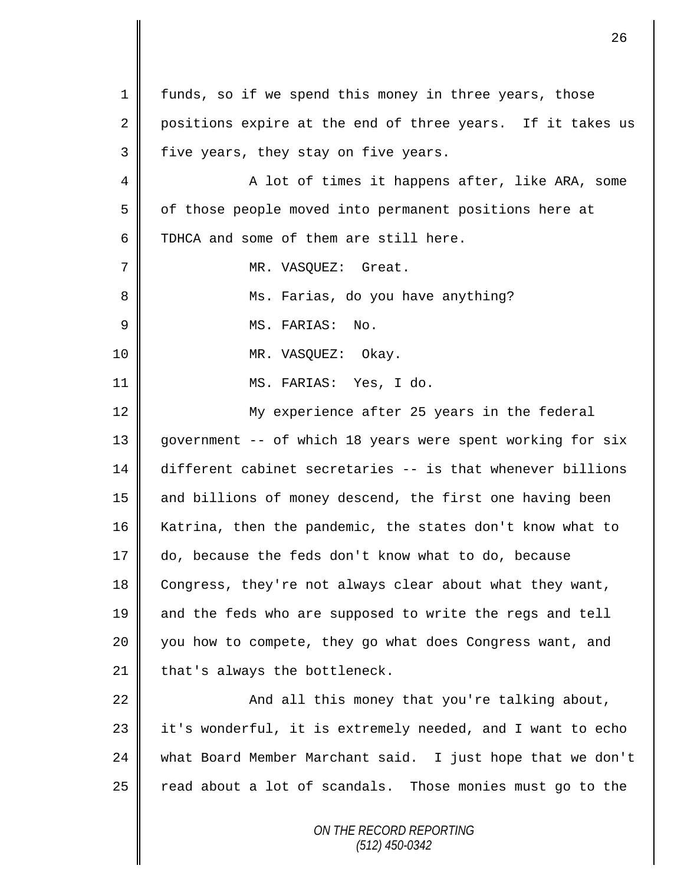*ON THE RECORD REPORTING (512) 450-0342* 1 || funds, so if we spend this money in three years, those 2 positions expire at the end of three years. If it takes us  $3 \parallel$  five years, they stay on five years. 4 A lot of times it happens after, like ARA, some 5 | of those people moved into permanent positions here at 6 TDHCA and some of them are still here. 7 || MR. VASOUEZ: Great. 8 Ms. Farias, do you have anything? 9 MS. FARIAS: No. 10 || MR. VASQUEZ: Okay. 11 MS. FARIAS: Yes, I do. 12 | My experience after 25 years in the federal 13 government -- of which 18 years were spent working for six 14 different cabinet secretaries -- is that whenever billions 15 || and billions of money descend, the first one having been 16 Katrina, then the pandemic, the states don't know what to 17 do, because the feds don't know what to do, because 18 Congress, they're not always clear about what they want, 19 and the feds who are supposed to write the regs and tell 20 || you how to compete, they go what does Congress want, and  $21$  | that's always the bottleneck. 22  $\parallel$  and all this money that you're talking about, 23 | it's wonderful, it is extremely needed, and I want to echo 24 what Board Member Marchant said. I just hope that we don't 25 | read about a lot of scandals. Those monies must go to the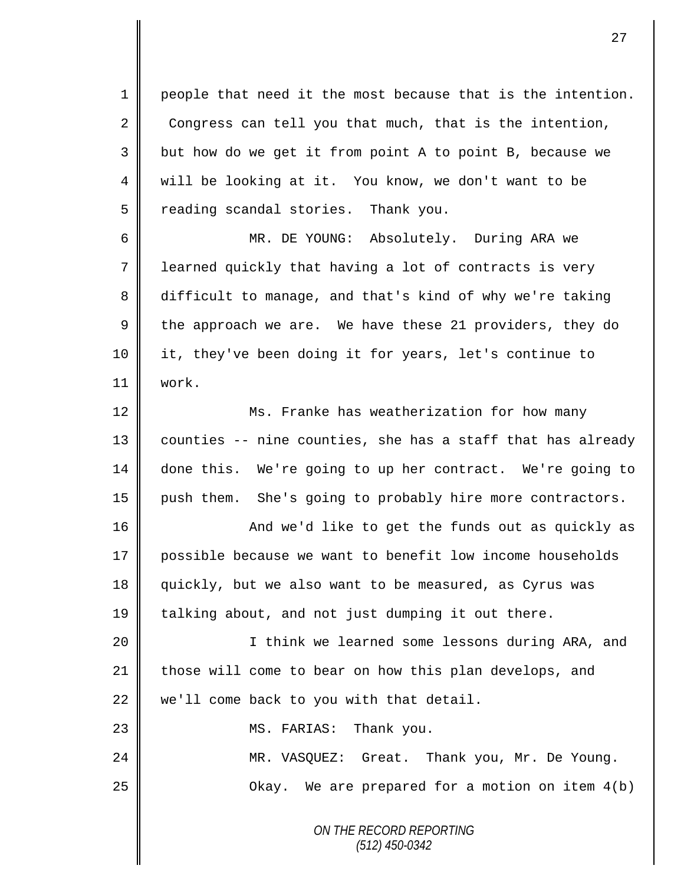1 people that need it the most because that is the intention.  $2 \parallel$  Congress can tell you that much, that is the intention, 3 || but how do we get it from point A to point B, because we 4 will be looking at it. You know, we don't want to be 5 | reading scandal stories. Thank you.

 MR. DE YOUNG: Absolutely. During ARA we learned quickly that having a lot of contracts is very difficult to manage, and that's kind of why we're taking 9 the approach we are. We have these 21 providers, they do it, they've been doing it for years, let's continue to 11 work.

12 | Ms. Franke has weatherization for how many  $13$  counties -- nine counties, she has a staff that has already 14 done this. We're going to up her contract. We're going to 15 push them. She's going to probably hire more contractors.

16 || And we'd like to get the funds out as quickly as 17 possible because we want to benefit low income households 18 quickly, but we also want to be measured, as Cyrus was 19 talking about, and not just dumping it out there.

20 I think we learned some lessons during ARA, and 21 those will come to bear on how this plan develops, and  $22$  we'll come back to you with that detail. 23 || MS. FARIAS: Thank you.

24 MR. VASQUEZ: Great. Thank you, Mr. De Young.  $25$   $\parallel$  Okay. We are prepared for a motion on item  $4(b)$ 

> *ON THE RECORD REPORTING (512) 450-0342*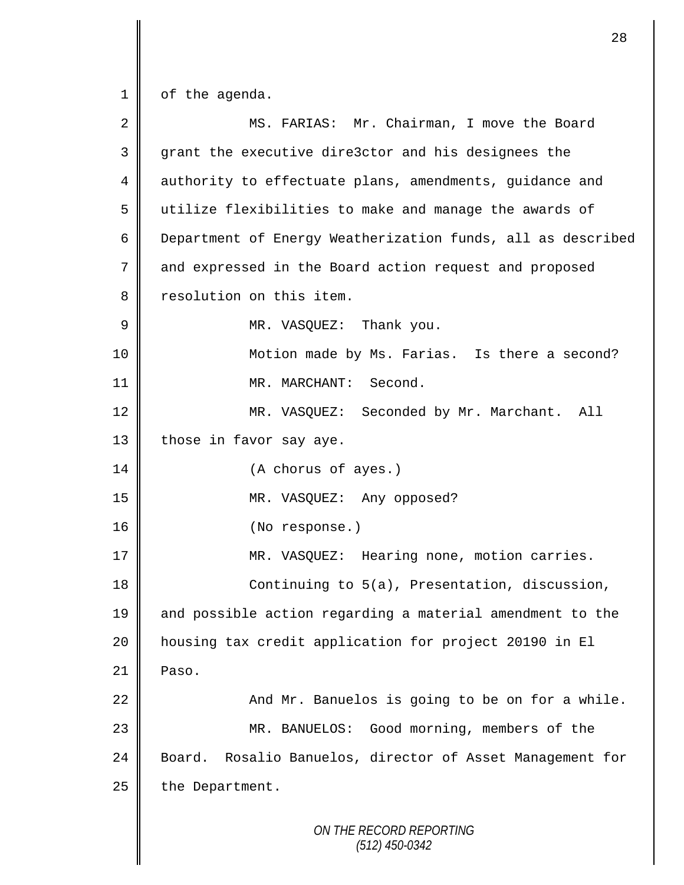$1 \parallel$  of the agenda.

| $\overline{2}$ | MS. FARIAS: Mr. Chairman, I move the Board                   |
|----------------|--------------------------------------------------------------|
| 3              | grant the executive dire3ctor and his designees the          |
| 4              | authority to effectuate plans, amendments, guidance and      |
| 5              | utilize flexibilities to make and manage the awards of       |
| 6              | Department of Energy Weatherization funds, all as described  |
| 7              | and expressed in the Board action request and proposed       |
| 8              | resolution on this item.                                     |
| $\mathsf 9$    | MR. VASQUEZ: Thank you.                                      |
| 10             | Motion made by Ms. Farias. Is there a second?                |
| 11             | MR. MARCHANT: Second.                                        |
| 12             | MR. VASQUEZ: Seconded by Mr. Marchant. All                   |
| 13             | those in favor say aye.                                      |
| 14             | (A chorus of ayes.)                                          |
| 15             | MR. VASQUEZ: Any opposed?                                    |
| 16             | (No response.)                                               |
| 17             | MR. VASQUEZ: Hearing none, motion carries.                   |
| 18             | Continuing to 5(a), Presentation, discussion,                |
| 19             | and possible action regarding a material amendment to the    |
| 20             | housing tax credit application for project 20190 in El       |
| 21             | Paso.                                                        |
| 22             | And Mr. Banuelos is going to be on for a while.              |
| 23             | MR. BANUELOS: Good morning, members of the                   |
| 24             | Rosalio Banuelos, director of Asset Management for<br>Board. |
| 25             | the Department.                                              |
|                | ON THE RECORD REPORTING<br>$(512)$ 450-0342                  |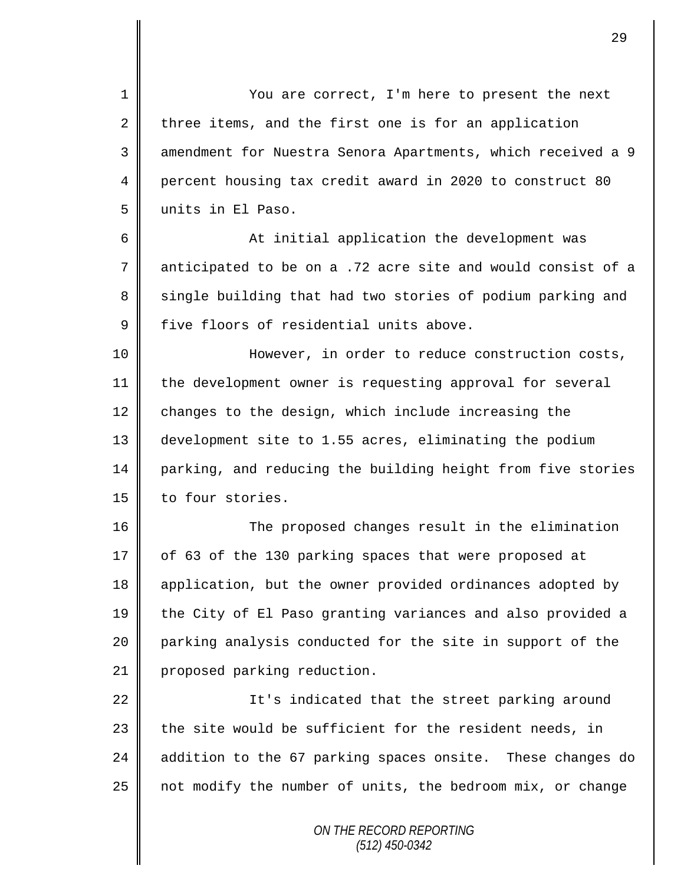You are correct, I'm here to present the next 2 three items, and the first one is for an application amendment for Nuestra Senora Apartments, which received a 9 percent housing tax credit award in 2020 to construct 80 units in El Paso.

6 || At initial application the development was 7 anticipated to be on a .72 acre site and would consist of a 8 single building that had two stories of podium parking and 9 Five floors of residential units above.

10 || However, in order to reduce construction costs, 11 the development owner is requesting approval for several 12 changes to the design, which include increasing the 13 development site to 1.55 acres, eliminating the podium 14 parking, and reducing the building height from five stories 15 | to four stories.

16 || The proposed changes result in the elimination 17 | of 63 of the 130 parking spaces that were proposed at 18 application, but the owner provided ordinances adopted by 19 the City of El Paso granting variances and also provided a 20 parking analysis conducted for the site in support of the 21 | proposed parking reduction.

22 || It's indicated that the street parking around  $\parallel$  the site would be sufficient for the resident needs, in  $\parallel$  addition to the 67 parking spaces onsite. These changes do  $\parallel$  not modify the number of units, the bedroom mix, or change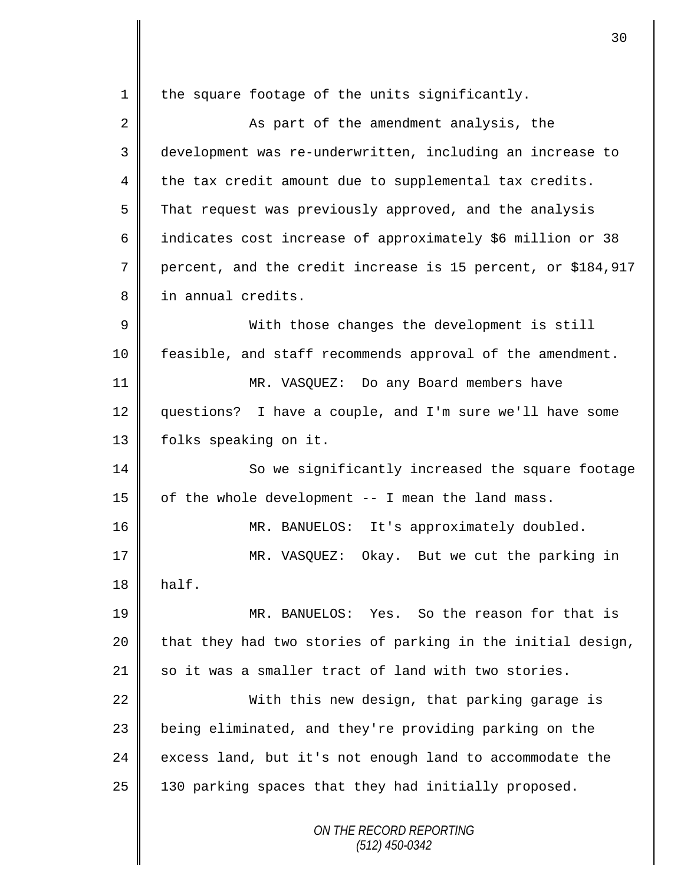*ON THE RECORD REPORTING (512) 450-0342*  $1 \parallel$  the square footage of the units significantly. 2 As part of the amendment analysis, the 3 development was re-underwritten, including an increase to  $4 \parallel$  the tax credit amount due to supplemental tax credits. 5 That request was previously approved, and the analysis 6 dindicates cost increase of approximately \$6 million or 38 7 percent, and the credit increase is 15 percent, or \$184,917 8 | in annual credits. 9 || With those changes the development is still 10 | feasible, and staff recommends approval of the amendment. 11 MR. VASQUEZ: Do any Board members have 12 questions? I have a couple, and I'm sure we'll have some 13 | folks speaking on it. 14 || So we significantly increased the square footage  $15$  | of the whole development -- I mean the land mass. 16 MR. BANUELOS: It's approximately doubled. 17 MR. VASQUEZ: Okay. But we cut the parking in  $18$  half. 19 MR. BANUELOS: Yes. So the reason for that is 20  $\parallel$  that they had two stories of parking in the initial design, 21  $\parallel$  so it was a smaller tract of land with two stories. 22 With this new design, that parking garage is 23 being eliminated, and they're providing parking on the  $24$  excess land, but it's not enough land to accommodate the 25 || 130 parking spaces that they had initially proposed.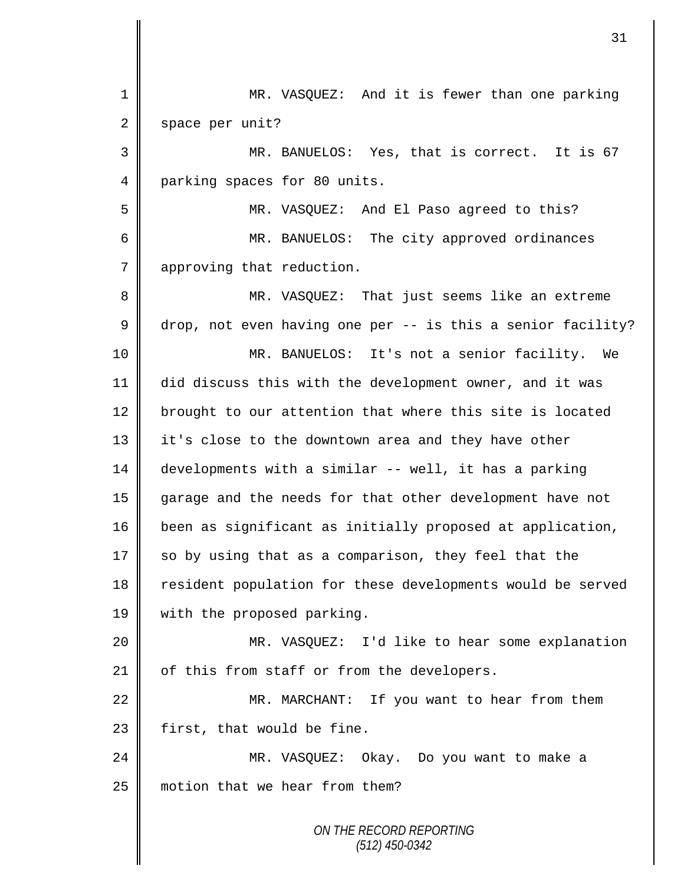*ON THE RECORD REPORTING (512) 450-0342* 1 MR. VASQUEZ: And it is fewer than one parking 2 space per unit? 3 MR. BANUELOS: Yes, that is correct. It is 67 4 parking spaces for 80 units. 5 MR. VASQUEZ: And El Paso agreed to this? 6 MR. BANUELOS: The city approved ordinances 7 | approving that reduction. 8 MR. VASQUEZ: That just seems like an extreme 9 drop, not even having one per -- is this a senior facility? 10 MR. BANUELOS: It's not a senior facility. We 11 did discuss this with the development owner, and it was 12 | brought to our attention that where this site is located 13 | it's close to the downtown area and they have other 14 developments with a similar -- well, it has a parking 15 garage and the needs for that other development have not 16 been as significant as initially proposed at application,  $17$  so by using that as a comparison, they feel that the 18 resident population for these developments would be served 19 with the proposed parking. 20 MR. VASQUEZ: I'd like to hear some explanation 21 | of this from staff or from the developers. 22 || MR. MARCHANT: If you want to hear from them 23 | first, that would be fine. 24 MR. VASQUEZ: Okay. Do you want to make a 25 motion that we hear from them?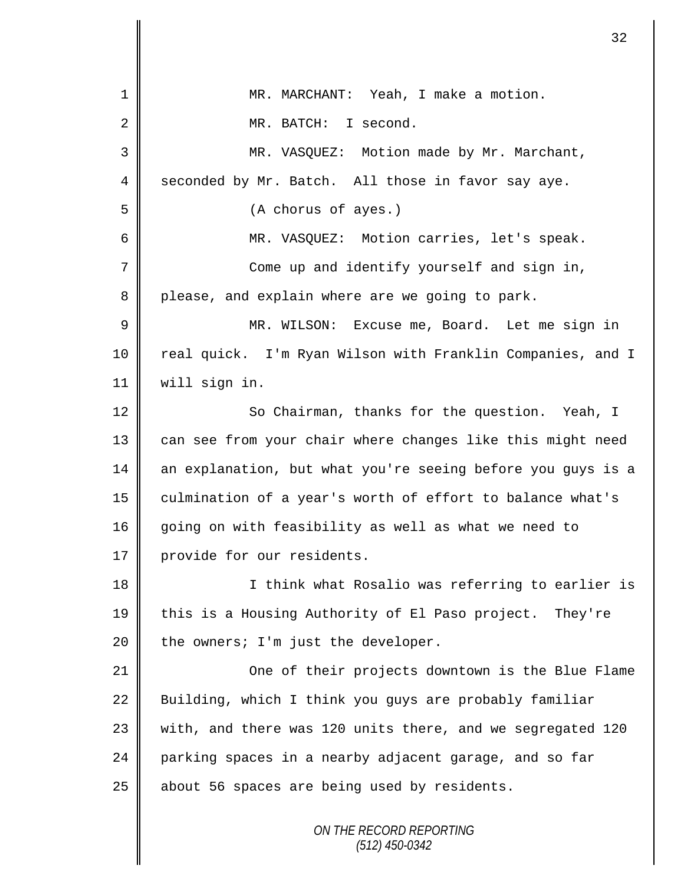|    | 32                                                          |
|----|-------------------------------------------------------------|
| 1  | MR. MARCHANT: Yeah, I make a motion.                        |
| 2  | MR. BATCH:<br>I second.                                     |
| 3  |                                                             |
| 4  | MR. VASQUEZ: Motion made by Mr. Marchant,                   |
|    | seconded by Mr. Batch. All those in favor say aye.          |
| 5  | (A chorus of ayes.)                                         |
| 6  | MR. VASQUEZ: Motion carries, let's speak.                   |
| 7  | Come up and identify yourself and sign in,                  |
| 8  | please, and explain where are we going to park.             |
| 9  | MR. WILSON:<br>Excuse me, Board. Let me sign in             |
| 10 | real quick. I'm Ryan Wilson with Franklin Companies, and I  |
| 11 | will sign in.                                               |
| 12 | So Chairman, thanks for the question. Yeah, I               |
| 13 | can see from your chair where changes like this might need  |
| 14 | an explanation, but what you're seeing before you guys is a |
| 15 | culmination of a year's worth of effort to balance what's   |
| 16 | going on with feasibility as well as what we need to        |
| 17 | provide for our residents.                                  |
| 18 | I think what Rosalio was referring to earlier is            |
| 19 | this is a Housing Authority of El Paso project. They're     |
| 20 | the owners; I'm just the developer.                         |
| 21 | One of their projects downtown is the Blue Flame            |
| 22 | Building, which I think you guys are probably familiar      |
| 23 | with, and there was 120 units there, and we segregated 120  |
| 24 | parking spaces in a nearby adjacent garage, and so far      |
| 25 | about 56 spaces are being used by residents.                |
|    | ON THE RECORD REPORTING<br>$(512)$ 450-0342                 |

 $\mathbf l$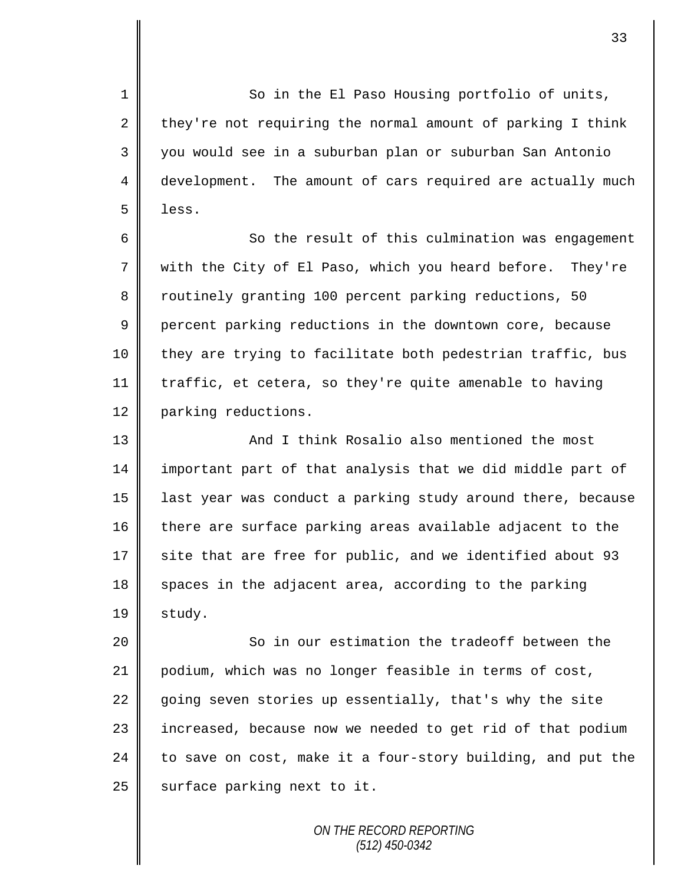1 So in the El Paso Housing portfolio of units, 2 they're not requiring the normal amount of parking I think 3 you would see in a suburban plan or suburban San Antonio 4 development. The amount of cars required are actually much  $5 \parallel$  less.

6 So the result of this culmination was engagement 7 with the City of El Paso, which you heard before. They're 8 coutinely granting 100 percent parking reductions, 50 9 percent parking reductions in the downtown core, because 10 | they are trying to facilitate both pedestrian traffic, bus 11 traffic, et cetera, so they're quite amenable to having 12 parking reductions.

13 | Chink Rosalio also mentioned the most 14 important part of that analysis that we did middle part of 15 || last year was conduct a parking study around there, because 16 there are surface parking areas available adjacent to the 17 site that are free for public, and we identified about 93 18 spaces in the adjacent area, according to the parking  $19 \parallel$  study.

20 || So in our estimation the tradeoff between the 21 podium, which was no longer feasible in terms of cost, 22 going seven stories up essentially, that's why the site 23 | increased, because now we needed to get rid of that podium 24 to save on cost, make it a four-story building, and put the  $25$  surface parking next to it.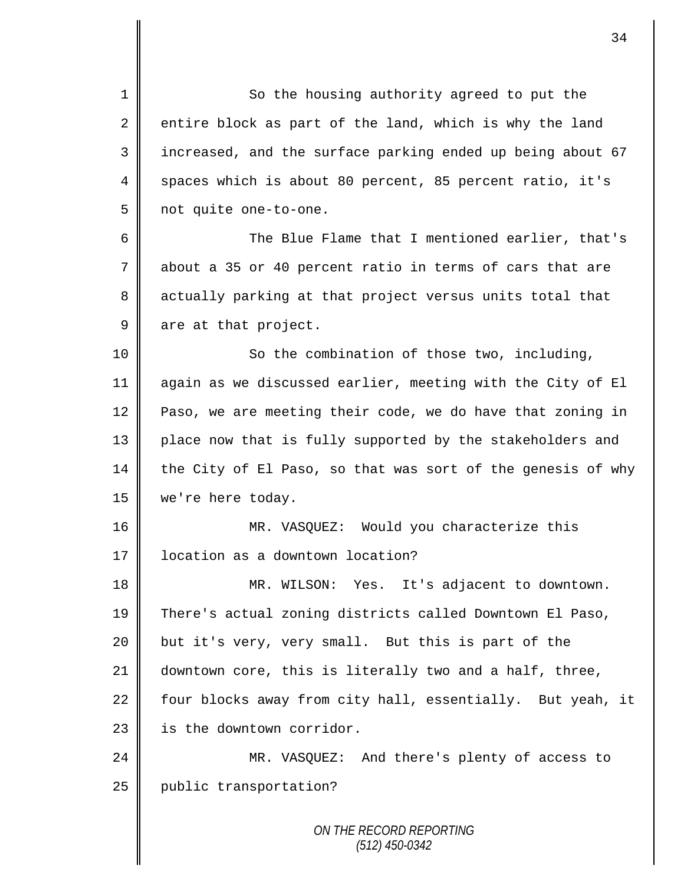*ON THE RECORD REPORTING* 1 So the housing authority agreed to put the 2 entire block as part of the land, which is why the land 3 || increased, and the surface parking ended up being about 67 4 spaces which is about 80 percent, 85 percent ratio, it's 5 not quite one-to-one. 6 The Blue Flame that I mentioned earlier, that's 7 about a 35 or 40 percent ratio in terms of cars that are 8 actually parking at that project versus units total that  $9 \parallel$  are at that project. 10 || So the combination of those two, including, 11 again as we discussed earlier, meeting with the City of El 12 Paso, we are meeting their code, we do have that zoning in 13 || place now that is fully supported by the stakeholders and 14 the City of El Paso, so that was sort of the genesis of why 15 | we're here today. 16 MR. VASQUEZ: Would you characterize this 17 | location as a downtown location? 18 MR. WILSON: Yes. It's adjacent to downtown. 19 There's actual zoning districts called Downtown El Paso, 20 but it's very, very small. But this is part of the 21 downtown core, this is literally two and a half, three, 22  $\parallel$  four blocks away from city hall, essentially. But yeah, it 23 | is the downtown corridor. 24 MR. VASQUEZ: And there's plenty of access to 25 | public transportation?

34

*(512) 450-0342*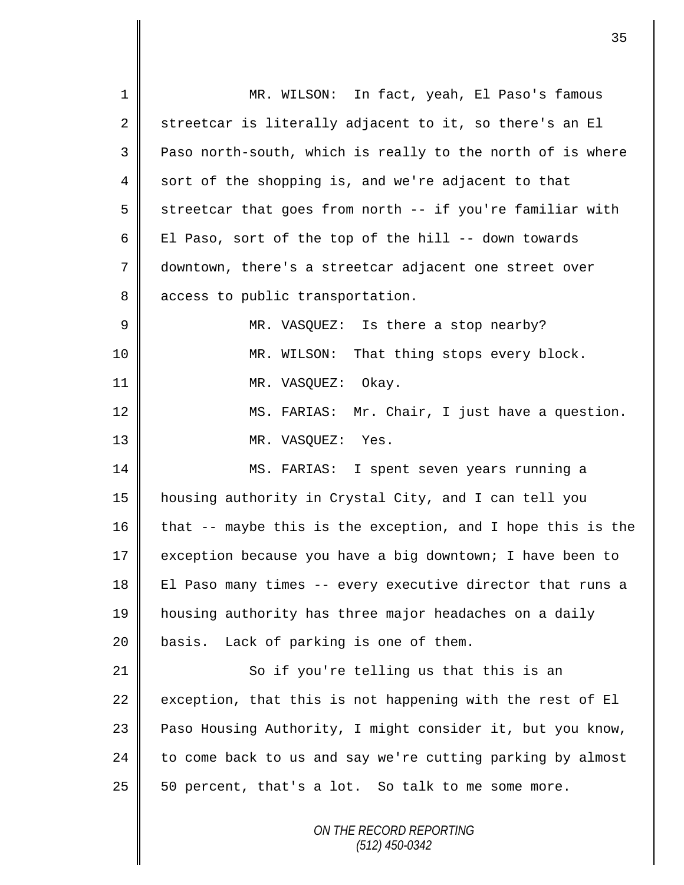| $\mathbf 1$ | MR. WILSON: In fact, yeah, El Paso's famous                 |
|-------------|-------------------------------------------------------------|
| 2           | streetcar is literally adjacent to it, so there's an El     |
| 3           | Paso north-south, which is really to the north of is where  |
| 4           | sort of the shopping is, and we're adjacent to that         |
| 5           | streetcar that goes from north -- if you're familiar with   |
| 6           | El Paso, sort of the top of the hill -- down towards        |
| 7           | downtown, there's a streetcar adjacent one street over      |
| 8           | access to public transportation.                            |
| 9           | MR. VASQUEZ: Is there a stop nearby?                        |
| 10          | That thing stops every block.<br>MR. WILSON:                |
| 11          | MR. VASQUEZ:<br>Okay.                                       |
| 12          | MS. FARIAS: Mr. Chair, I just have a question.              |
| 13          | MR. VASQUEZ:<br>Yes.                                        |
| 14          | MS. FARIAS: I spent seven years running a                   |
| 15          | housing authority in Crystal City, and I can tell you       |
| 16          | that -- maybe this is the exception, and I hope this is the |
| 17          | exception because you have a big downtown; I have been to   |
| 18          | El Paso many times -- every executive director that runs a  |
| 19          | housing authority has three major headaches on a daily      |
| 20          | basis. Lack of parking is one of them.                      |
| 21          | So if you're telling us that this is an                     |
| 22          | exception, that this is not happening with the rest of El   |
| 23          | Paso Housing Authority, I might consider it, but you know,  |
| 24          | to come back to us and say we're cutting parking by almost  |
| 25          | 50 percent, that's a lot. So talk to me some more.          |
|             | ON THE RECORD REPORTING<br>$(512)$ 450-0342                 |

 $\overline{\mathbf{I}}$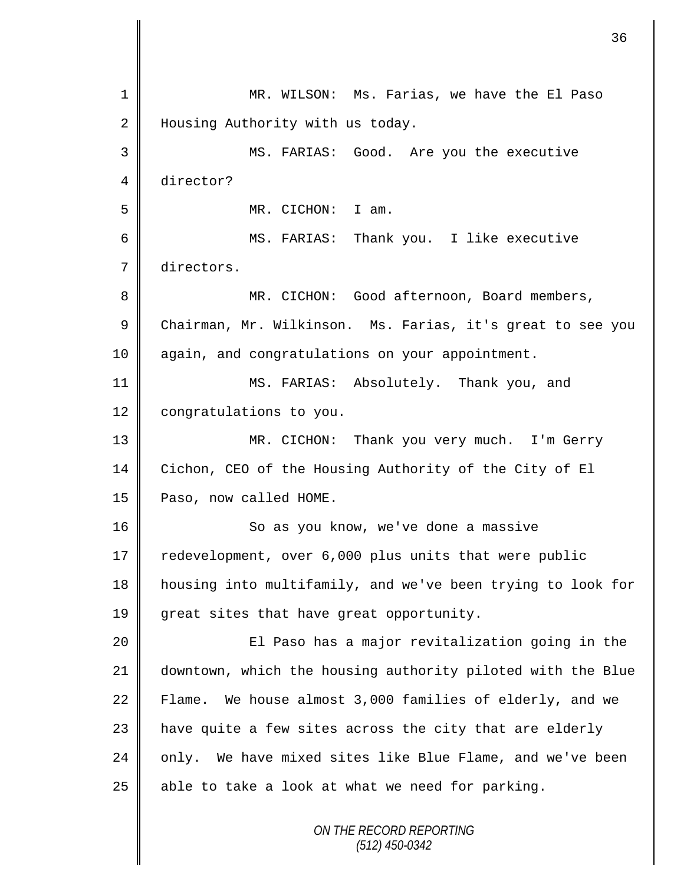*ON THE RECORD REPORTING* 1 || MR. WILSON: Ms. Farias, we have the El Paso 2 | Housing Authority with us today. 3 MS. FARIAS: Good. Are you the executive 4 director? 5 || MR. CICHON: I am. 6 MS. FARIAS: Thank you. I like executive 7 directors. 8 MR. CICHON: Good afternoon, Board members, 9 Chairman, Mr. Wilkinson. Ms. Farias, it's great to see you 10 again, and congratulations on your appointment. 11 MS. FARIAS: Absolutely. Thank you, and 12 | congratulations to you. 13 MR. CICHON: Thank you very much. I'm Gerry 14 Cichon, CEO of the Housing Authority of the City of El 15 **Paso**, now called HOME. 16 | So as you know, we've done a massive 17 | redevelopment, over 6,000 plus units that were public 18 housing into multifamily, and we've been trying to look for 19 great sites that have great opportunity. 20 El Paso has a major revitalization going in the 21 downtown, which the housing authority piloted with the Blue 22 Flame. We house almost 3,000 families of elderly, and we  $23$  | have quite a few sites across the city that are elderly  $24$  | only. We have mixed sites like Blue Flame, and we've been 25  $\parallel$  able to take a look at what we need for parking.

36

*(512) 450-0342*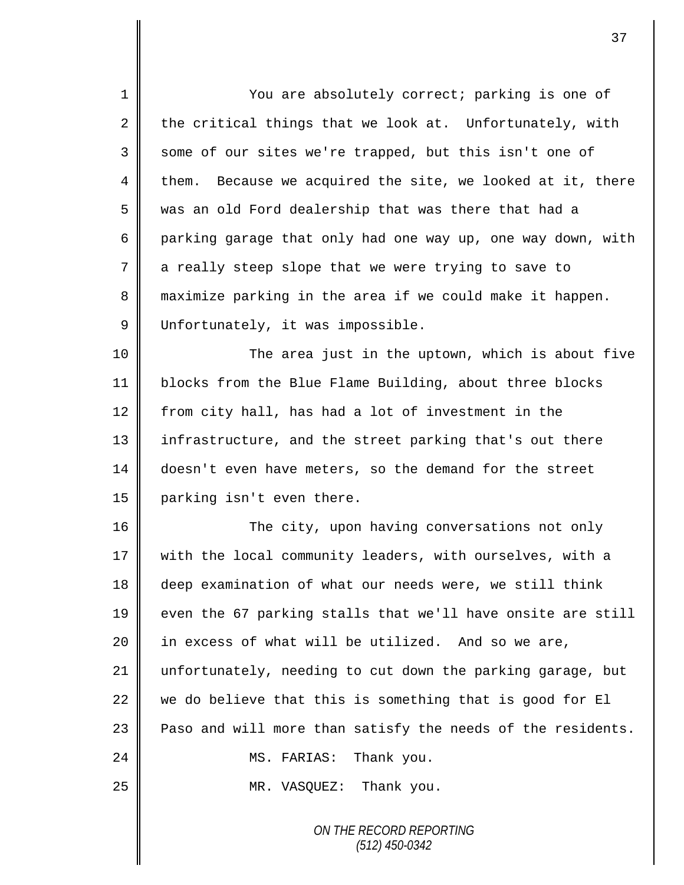*ON THE RECORD REPORTING* 1 || You are absolutely correct; parking is one of 2 the critical things that we look at. Unfortunately, with 3 some of our sites we're trapped, but this isn't one of  $4 \parallel$  them. Because we acquired the site, we looked at it, there 5 was an old Ford dealership that was there that had a 6 parking garage that only had one way up, one way down, with 7 a really steep slope that we were trying to save to 8 maximize parking in the area if we could make it happen. 9 Unfortunately, it was impossible. 10 The area just in the uptown, which is about five 11 blocks from the Blue Flame Building, about three blocks  $12$  from city hall, has had a lot of investment in the 13 || infrastructure, and the street parking that's out there 14 doesn't even have meters, so the demand for the street 15 || parking isn't even there. 16 | The city, upon having conversations not only 17 || with the local community leaders, with ourselves, with a 18 deep examination of what our needs were, we still think 19  $\parallel$  even the 67 parking stalls that we'll have onsite are still 20  $\parallel$  in excess of what will be utilized. And so we are, 21 unfortunately, needing to cut down the parking garage, but 22 we do believe that this is something that is good for El 23  $\parallel$  Paso and will more than satisfy the needs of the residents. 24 MS. FARIAS: Thank you. 25 || MR. VASQUEZ: Thank you.

*(512) 450-0342*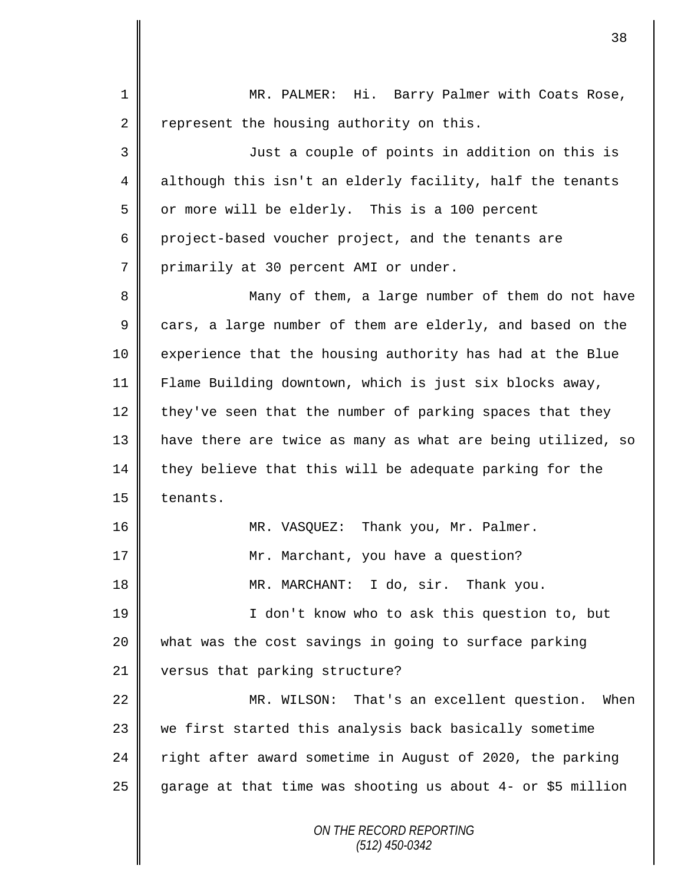| $\mathbf 1$ | MR. PALMER: Hi. Barry Palmer with Coats Rose,               |
|-------------|-------------------------------------------------------------|
| 2           | represent the housing authority on this.                    |
| 3           | Just a couple of points in addition on this is              |
| 4           | although this isn't an elderly facility, half the tenants   |
| 5           | or more will be elderly. This is a 100 percent              |
| 6           | project-based voucher project, and the tenants are          |
| 7           | primarily at 30 percent AMI or under.                       |
| 8           | Many of them, a large number of them do not have            |
| 9           | cars, a large number of them are elderly, and based on the  |
| 10          | experience that the housing authority has had at the Blue   |
| 11          | Flame Building downtown, which is just six blocks away,     |
| 12          | they've seen that the number of parking spaces that they    |
| 13          | have there are twice as many as what are being utilized, so |
| 14          | they believe that this will be adequate parking for the     |
| 15          | tenants.                                                    |
| 16          | MR. VASQUEZ: Thank you, Mr. Palmer.                         |
| 17          | Mr. Marchant, you have a question?                          |
| 18          | MR. MARCHANT: I do, sir. Thank you.                         |
| 19          | I don't know who to ask this question to, but               |
| 20          | what was the cost savings in going to surface parking       |
| 21          | versus that parking structure?                              |
| 22          | MR. WILSON: That's an excellent question. When              |
| 23          | we first started this analysis back basically sometime      |
| 24          | right after award sometime in August of 2020, the parking   |
| 25          | garage at that time was shooting us about 4- or \$5 million |
|             | ON THE RECORD REPORTING<br>$(512)$ 450-0342                 |

 $\mathsf{I}$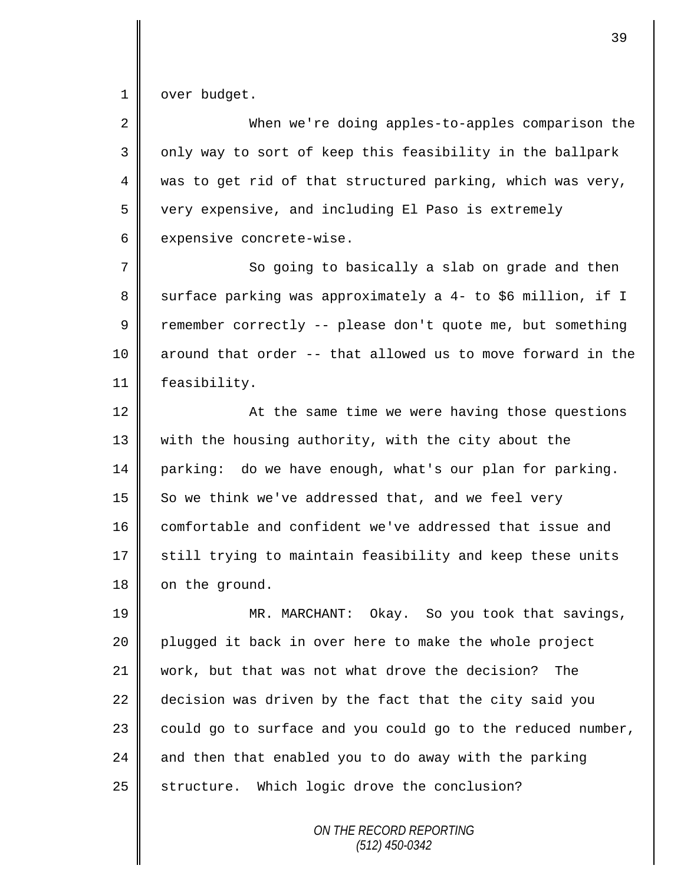1 | over budget.

2 When we're doing apples-to-apples comparison the 3 || only way to sort of keep this feasibility in the ballpark  $4 \parallel$  was to get rid of that structured parking, which was very,  $5 \parallel$  very expensive, and including El Paso is extremely  $6 \parallel$  expensive concrete-wise.

7 So going to basically a slab on grade and then 8 surface parking was approximately a 4- to \$6 million, if I 9 Temember correctly -- please don't quote me, but something 10  $\parallel$  around that order -- that allowed us to move forward in the 11 feasibility.

12 | At the same time we were having those questions 13 | with the housing authority, with the city about the 14 parking: do we have enough, what's our plan for parking. 15  $\parallel$  So we think we've addressed that, and we feel very 16 comfortable and confident we've addressed that issue and 17 still trying to maintain feasibility and keep these units 18 on the ground.

 MR. MARCHANT: Okay. So you took that savings, 20 plugged it back in over here to make the whole project work, but that was not what drove the decision? The 22 decision was driven by the fact that the city said you  $\parallel$  could go to surface and you could go to the reduced number,  $\parallel$  and then that enabled you to do away with the parking structure. Which logic drove the conclusion?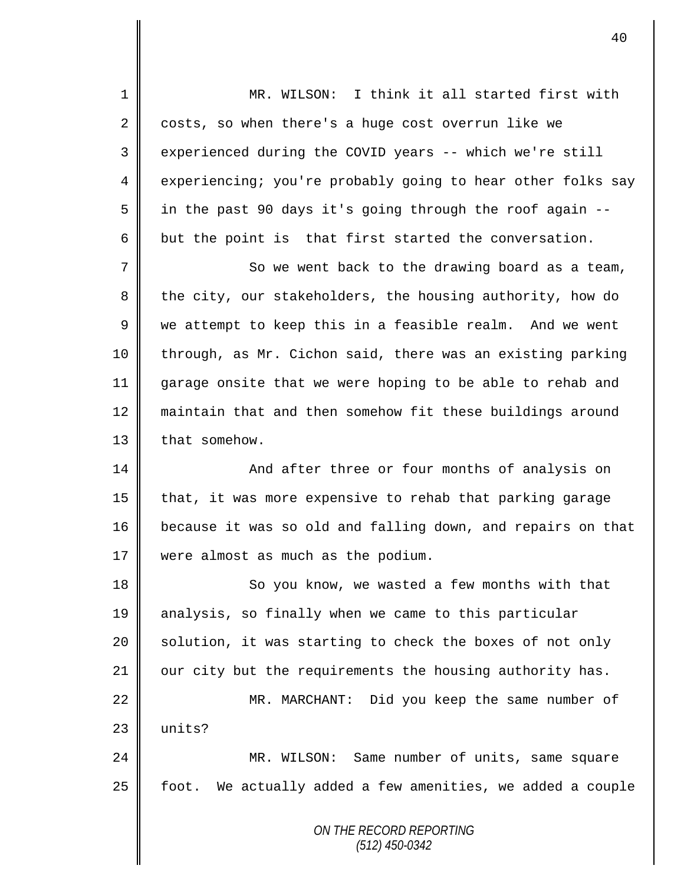*ON THE RECORD REPORTING (512) 450-0342* 1 MR. WILSON: I think it all started first with 2 costs, so when there's a huge cost overrun like we 3 || experienced during the COVID years -- which we're still 4 experiencing; you're probably going to hear other folks say 5 | in the past 90 days it's going through the roof again  $-$ - $6 \parallel$  but the point is that first started the conversation.  $7 \parallel$  So we went back to the drawing board as a team, 8 the city, our stakeholders, the housing authority, how do  $9 \parallel$  we attempt to keep this in a feasible realm. And we went 10 through, as Mr. Cichon said, there was an existing parking 11 garage onsite that we were hoping to be able to rehab and 12 maintain that and then somehow fit these buildings around 13 | that somehow. 14 || And after three or four months of analysis on 15  $\parallel$  that, it was more expensive to rehab that parking garage 16 because it was so old and falling down, and repairs on that 17 were almost as much as the podium. 18 || So you know, we wasted a few months with that 19 analysis, so finally when we came to this particular  $20$  solution, it was starting to check the boxes of not only  $21$  | our city but the requirements the housing authority has. 22 MR. MARCHANT: Did you keep the same number of  $23$   $\parallel$  units? 24 MR. WILSON: Same number of units, same square  $25$   $\parallel$  foot. We actually added a few amenities, we added a couple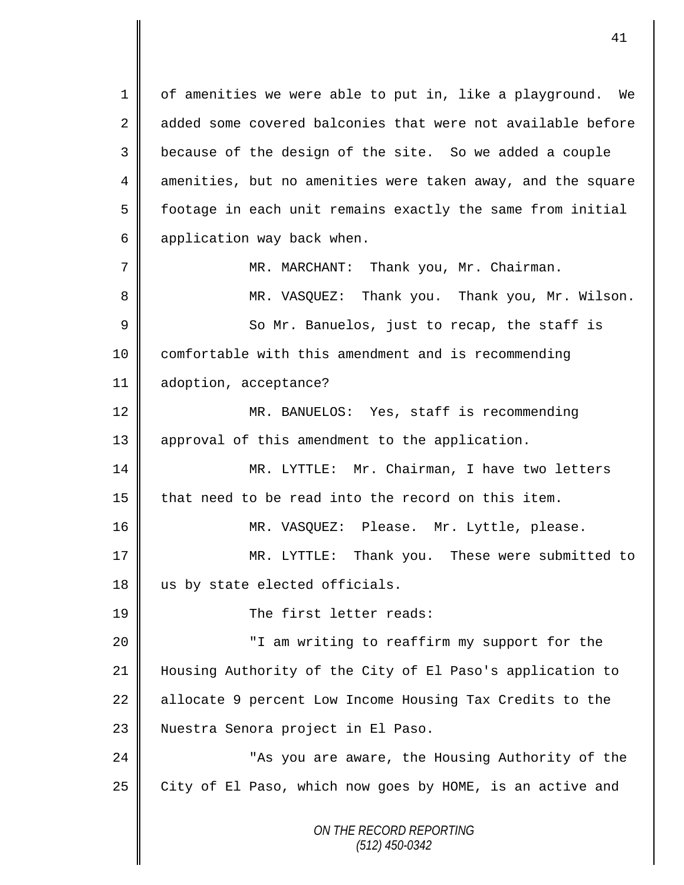*ON THE RECORD REPORTING (512) 450-0342* 1 | of amenities we were able to put in, like a playground. We 2 d added some covered balconies that were not available before 3 | because of the design of the site. So we added a couple 4 amenities, but no amenities were taken away, and the square  $5 \parallel$  footage in each unit remains exactly the same from initial 6  $\parallel$  application way back when. 7 MR. MARCHANT: Thank you, Mr. Chairman. 8 MR. VASQUEZ: Thank you. Thank you, Mr. Wilson. 9 || So Mr. Banuelos, just to recap, the staff is 10 comfortable with this amendment and is recommending 11 adoption, acceptance? 12 || MR. BANUELOS: Yes, staff is recommending 13 | approval of this amendment to the application. 14 MR. LYTTLE: Mr. Chairman, I have two letters  $15$  | that need to be read into the record on this item. 16 || MR. VASQUEZ: Please. Mr. Lyttle, please. 17 || MR. LYTTLE: Thank you. These were submitted to 18 us by state elected officials. 19 || The first letter reads: 20 "I am writing to reaffirm my support for the 21 Housing Authority of the City of El Paso's application to  $22$  allocate 9 percent Low Income Housing Tax Credits to the 23 | Nuestra Senora project in El Paso. 24 **||** This you are aware, the Housing Authority of the 25 City of El Paso, which now goes by HOME, is an active and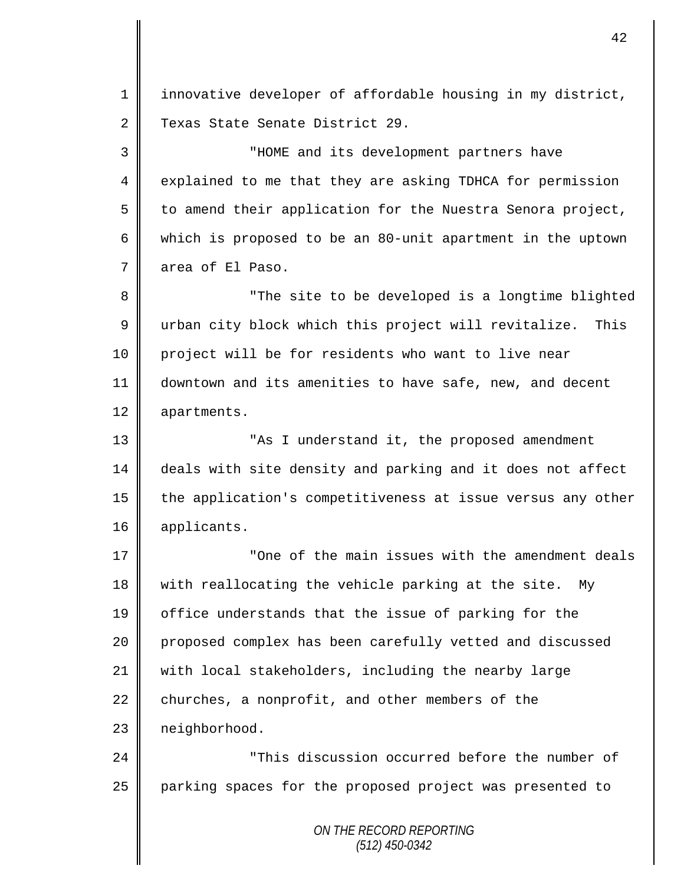*ON THE RECORD REPORTING* 1 | innovative developer of affordable housing in my district, 2 Texas State Senate District 29. 3 "HOME and its development partners have 4 explained to me that they are asking TDHCA for permission  $5 \parallel$  to amend their application for the Nuestra Senora project, 6 which is proposed to be an 80-unit apartment in the uptown 7 area of El Paso. 8 || "The site to be developed is a longtime blighted 9 || urban city block which this project will revitalize. This 10 project will be for residents who want to live near 11 downtown and its amenities to have safe, new, and decent 12 apartments. 13 "As I understand it, the proposed amendment 14 deals with site density and parking and it does not affect 15 the application's competitiveness at issue versus any other 16 | applicants. 17  $\parallel$  extempt of the main issues with the amendment deals 18 with reallocating the vehicle parking at the site. My 19 office understands that the issue of parking for the 20 proposed complex has been carefully vetted and discussed 21 with local stakeholders, including the nearby large  $22$  churches, a nonprofit, and other members of the 23 | neighborhood. 24 "This discussion occurred before the number of 25 | parking spaces for the proposed project was presented to

*(512) 450-0342*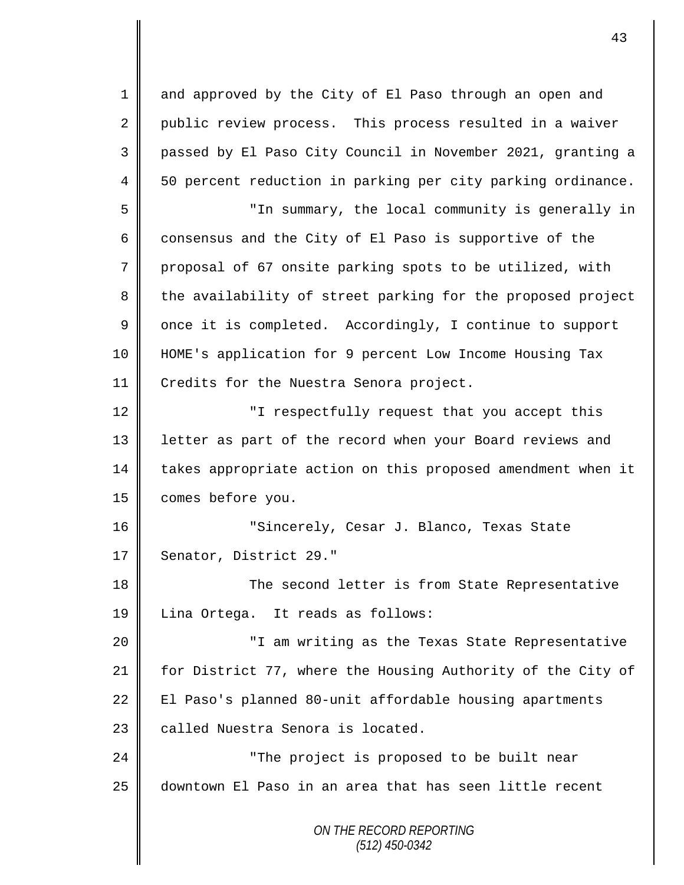*ON THE RECORD REPORTING (512) 450-0342* 1 and approved by the City of El Paso through an open and 2 public review process. This process resulted in a waiver 3 passed by El Paso City Council in November 2021, granting a 4 50 percent reduction in parking per city parking ordinance. 5 "In summary, the local community is generally in 6 consensus and the City of El Paso is supportive of the 7 proposal of 67 onsite parking spots to be utilized, with 8 the availability of street parking for the proposed project  $9 \parallel$  once it is completed. Accordingly, I continue to support 10 HOME's application for 9 percent Low Income Housing Tax 11 | Credits for the Nuestra Senora project. 12 **||** The spectfully request that you accept this 13 || letter as part of the record when your Board reviews and 14 takes appropriate action on this proposed amendment when it 15 | comes before you. 16 | The Sincerely, Cesar J. Blanco, Texas State 17 | Senator, District 29." 18 The second letter is from State Representative 19 | Lina Ortega. It reads as follows: 20 "I am writing as the Texas State Representative 21 for District 77, where the Housing Authority of the City of 22 | El Paso's planned 80-unit affordable housing apartments 23 called Nuestra Senora is located. 24 **||** The project is proposed to be built near 25 downtown El Paso in an area that has seen little recent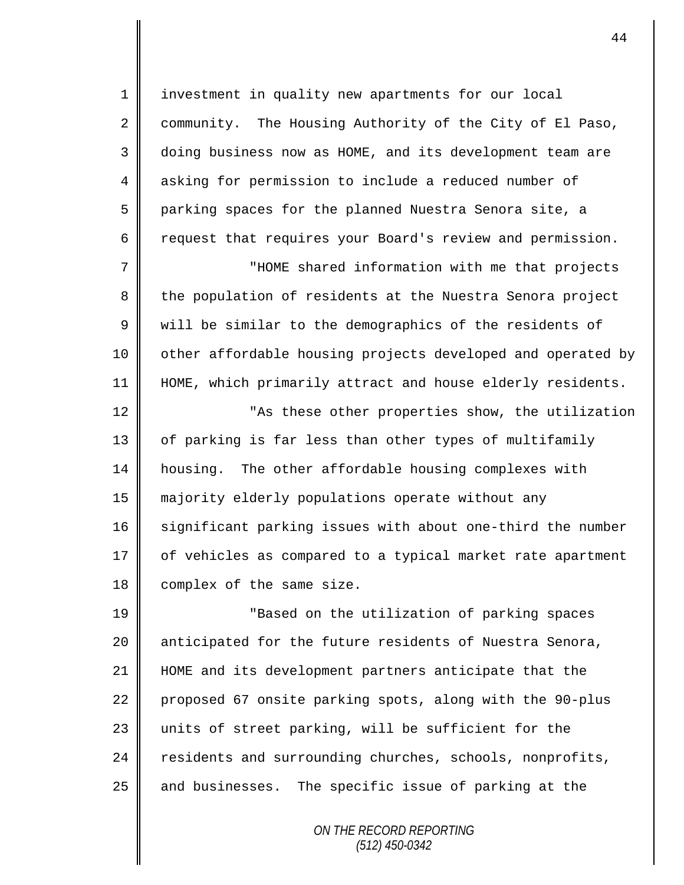1 | investment in quality new apartments for our local  $2 \parallel$  community. The Housing Authority of the City of El Paso, 3 doing business now as HOME, and its development team are 4 asking for permission to include a reduced number of 5 parking spaces for the planned Nuestra Senora site, a 6 cequest that requires your Board's review and permission. 7 || "HOME shared information with me that projects 8 the population of residents at the Nuestra Senora project 9 We will be similar to the demographics of the residents of 10 | other affordable housing projects developed and operated by 11 HOME, which primarily attract and house elderly residents. 12 ||<br>
"As these other properties show, the utilization 13 | of parking is far less than other types of multifamily 14 housing. The other affordable housing complexes with

15 majority elderly populations operate without any 16 significant parking issues with about one-third the number 17 | of vehicles as compared to a typical market rate apartment 18 | complex of the same size.

19 "Based on the utilization of parking spaces 20 || anticipated for the future residents of Nuestra Senora, 21 HOME and its development partners anticipate that the 22 proposed 67 onsite parking spots, along with the 90-plus 23 units of street parking, will be sufficient for the 24 residents and surrounding churches, schools, nonprofits,  $25$  and businesses. The specific issue of parking at the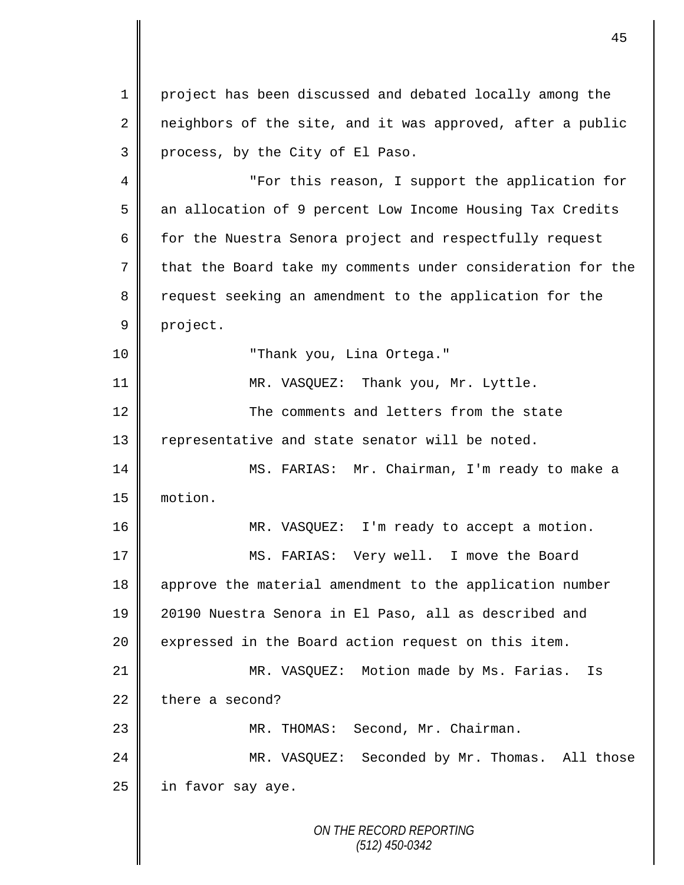*ON THE RECORD REPORTING (512) 450-0342* 1 | project has been discussed and debated locally among the 2 | neighbors of the site, and it was approved, after a public 3 | process, by the City of El Paso. 4 "For this reason, I support the application for 5 an allocation of 9 percent Low Income Housing Tax Credits 6  $\parallel$  for the Nuestra Senora project and respectfully request 7 that the Board take my comments under consideration for the 8 Tequest seeking an amendment to the application for the 9 project. 10 "Thank you, Lina Ortega." 11 || MR. VASQUEZ: Thank you, Mr. Lyttle. 12 The comments and letters from the state 13 | representative and state senator will be noted. 14 MS. FARIAS: Mr. Chairman, I'm ready to make a 15 motion. 16 MR. VASQUEZ: I'm ready to accept a motion. 17 MS. FARIAS: Very well. I move the Board 18 | approve the material amendment to the application number 19 20190 Nuestra Senora in El Paso, all as described and 20 expressed in the Board action request on this item. 21 MR. VASQUEZ: Motion made by Ms. Farias. Is  $22$  there a second? 23 | MR. THOMAS: Second, Mr. Chairman. 24 MR. VASQUEZ: Seconded by Mr. Thomas. All those  $25$  | in favor say aye.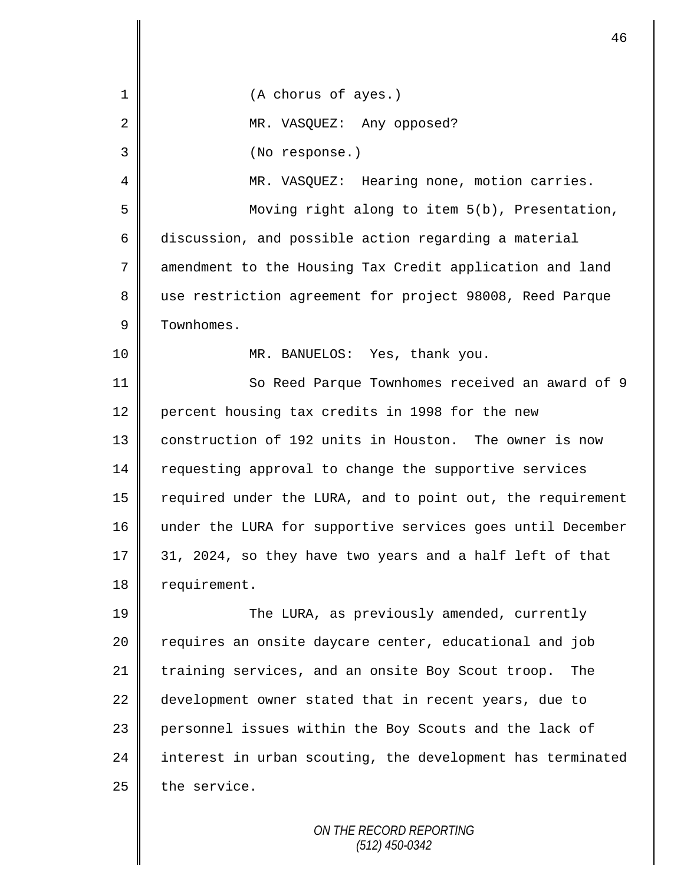| 1  | (A chorus of ayes.)                                        |
|----|------------------------------------------------------------|
| 2  | MR. VASQUEZ: Any opposed?                                  |
| 3  | (No response.)                                             |
| 4  | MR. VASQUEZ: Hearing none, motion carries.                 |
| 5  | Moving right along to item 5(b), Presentation,             |
| 6  | discussion, and possible action regarding a material       |
| 7  | amendment to the Housing Tax Credit application and land   |
| 8  | use restriction agreement for project 98008, Reed Parque   |
| 9  | Townhomes.                                                 |
| 10 | MR. BANUELOS: Yes, thank you.                              |
| 11 | So Reed Parque Townhomes received an award of 9            |
| 12 | percent housing tax credits in 1998 for the new            |
| 13 | construction of 192 units in Houston. The owner is now     |
| 14 | requesting approval to change the supportive services      |
| 15 | required under the LURA, and to point out, the requirement |
| 16 | under the LURA for supportive services goes until December |
| 17 | 31, 2024, so they have two years and a half left of that   |
| 18 | requirement.                                               |
| 19 | The LURA, as previously amended, currently                 |
| 20 | requires an onsite daycare center, educational and job     |
| 21 | training services, and an onsite Boy Scout troop.<br>The   |
| 22 | development owner stated that in recent years, due to      |
| 23 | personnel issues within the Boy Scouts and the lack of     |
| 24 | interest in urban scouting, the development has terminated |
| 25 | the service.                                               |
|    | ON TUE DECODO DEDODTING                                    |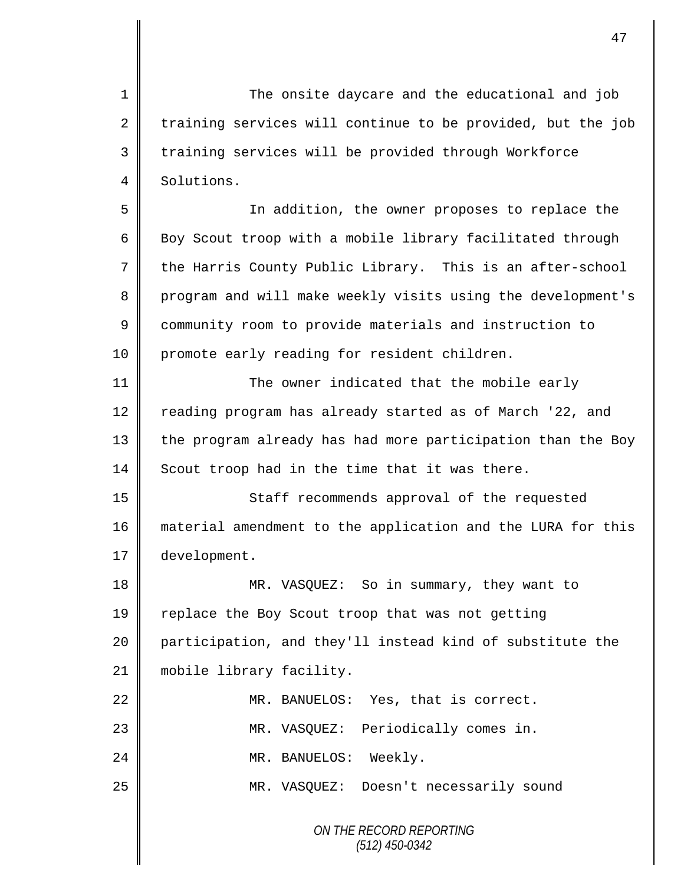1 The onsite daycare and the educational and job 2 training services will continue to be provided, but the job 3 || training services will be provided through Workforce 4 Solutions. 5 In addition, the owner proposes to replace the 6  $\parallel$  Boy Scout troop with a mobile library facilitated through 7 the Harris County Public Library. This is an after-school 8 program and will make weekly visits using the development's 9 community room to provide materials and instruction to 10 | promote early reading for resident children. 11 || The owner indicated that the mobile early 12 reading program has already started as of March '22, and 13 | the program already has had more participation than the Boy  $14 \parallel$  Scout troop had in the time that it was there. 15 || Staff recommends approval of the requested 16 material amendment to the application and the LURA for this 17 development. 18 MR. VASQUEZ: So in summary, they want to 19 replace the Boy Scout troop that was not getting 20 participation, and they'll instead kind of substitute the 21 || mobile library facility. 22 MR. BANUELOS: Yes, that is correct. 23 MR. VASQUEZ: Periodically comes in. 24 | MR. BANUELOS: Weekly. 25 MR. VASQUEZ: Doesn't necessarily sound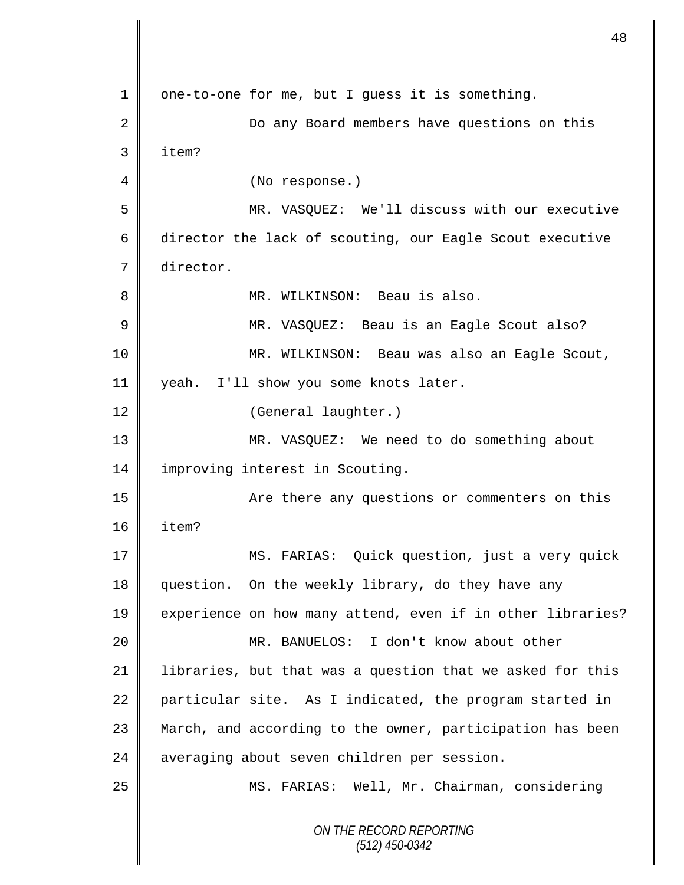*ON THE RECORD REPORTING (512) 450-0342* 1 | one-to-one for me, but I guess it is something. 2 || Do any Board members have questions on this 3 item? 4 || (No response.) 5 MR. VASQUEZ: We'll discuss with our executive 6 director the lack of scouting, our Eagle Scout executive 7 director. 8 MR. WILKINSON: Beau is also. 9 MR. VASQUEZ: Beau is an Eagle Scout also? 10 MR. WILKINSON: Beau was also an Eagle Scout, 11 | yeah. I'll show you some knots later. 12 | (General laughter.) 13 MR. VASQUEZ: We need to do something about 14 | improving interest in Scouting. 15 Are there any questions or commenters on this 16 item? 17 MS. FARIAS: Quick question, just a very quick 18 question. On the weekly library, do they have any 19 experience on how many attend, even if in other libraries? 20 MR. BANUELOS: I don't know about other 21 | libraries, but that was a question that we asked for this 22 particular site. As I indicated, the program started in 23 || March, and according to the owner, participation has been 24 | averaging about seven children per session. 25 | MS. FARIAS: Well, Mr. Chairman, considering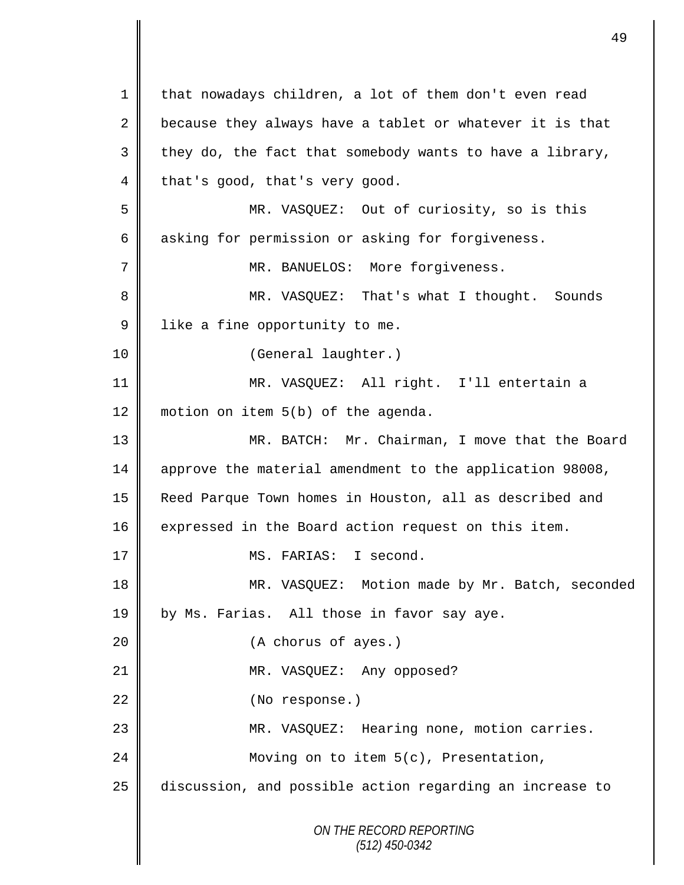*ON THE RECORD REPORTING (512) 450-0342* 1 | that nowadays children, a lot of them don't even read 2 because they always have a tablet or whatever it is that  $3 \parallel$  they do, the fact that somebody wants to have a library,  $4 \parallel$  that's good, that's very good. 5 MR. VASQUEZ: Out of curiosity, so is this 6 asking for permission or asking for forgiveness. 7 || MR. BANUELOS: More forgiveness. 8 || MR. VASQUEZ: That's what I thought. Sounds  $9$  like a fine opportunity to me. 10 | (General laughter.) 11 MR. VASQUEZ: All right. I'll entertain a 12 motion on item 5(b) of the agenda. 13 MR. BATCH: Mr. Chairman, I move that the Board 14 approve the material amendment to the application 98008, 15 Reed Parque Town homes in Houston, all as described and 16 expressed in the Board action request on this item. 17 | MS. FARIAS: I second. 18 WR. VASQUEZ: Motion made by Mr. Batch, seconded 19 by Ms. Farias. All those in favor say aye. 20 || (A chorus of ayes.) 21 || MR. VASQUEZ: Any opposed? 22 | (No response.) 23 MR. VASQUEZ: Hearing none, motion carries. 24 | Moving on to item 5(c), Presentation, 25 discussion, and possible action regarding an increase to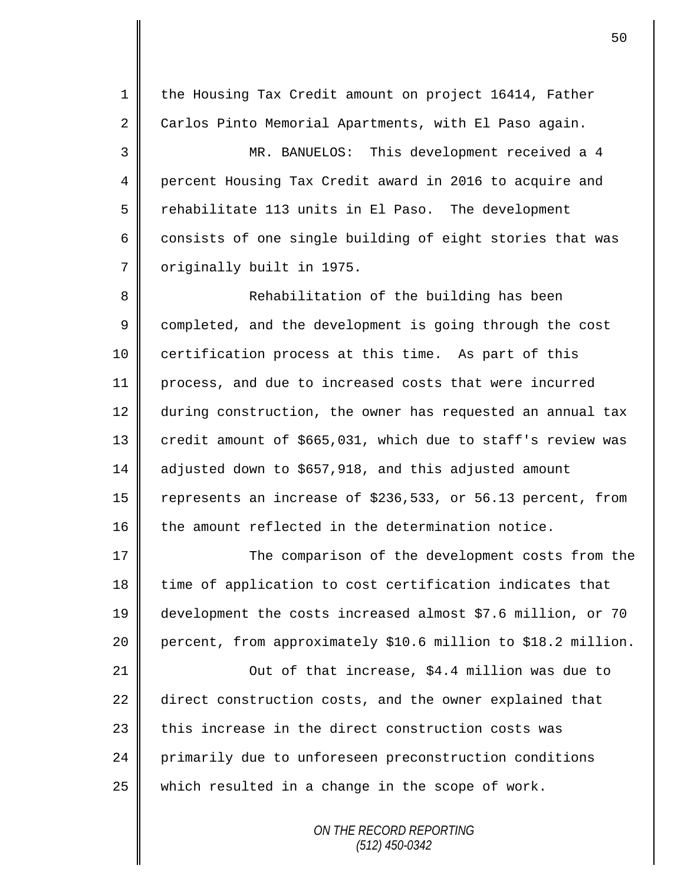*ON THE RECORD REPORTING (512) 450-0342* 1 the Housing Tax Credit amount on project 16414, Father 2 Carlos Pinto Memorial Apartments, with El Paso again. 3 MR. BANUELOS: This development received a 4 4 percent Housing Tax Credit award in 2016 to acquire and  $5 \parallel$  rehabilitate 113 units in El Paso. The development 6 consists of one single building of eight stories that was 7 | originally built in 1975. 8 **8** Rehabilitation of the building has been 9 completed, and the development is going through the cost 10 certification process at this time. As part of this 11 process, and due to increased costs that were incurred 12 during construction, the owner has requested an annual tax 13 | credit amount of \$665,031, which due to staff's review was 14 adjusted down to \$657,918, and this adjusted amount 15 Tepresents an increase of \$236,533, or 56.13 percent, from 16 the amount reflected in the determination notice. 17 || The comparison of the development costs from the 18 time of application to cost certification indicates that 19 development the costs increased almost \$7.6 million, or 70 20 percent, from approximately \$10.6 million to \$18.2 million. 21 | Cut of that increase, \$4.4 million was due to 22 direct construction costs, and the owner explained that  $23$  this increase in the direct construction costs was 24 primarily due to unforeseen preconstruction conditions  $25$  which resulted in a change in the scope of work.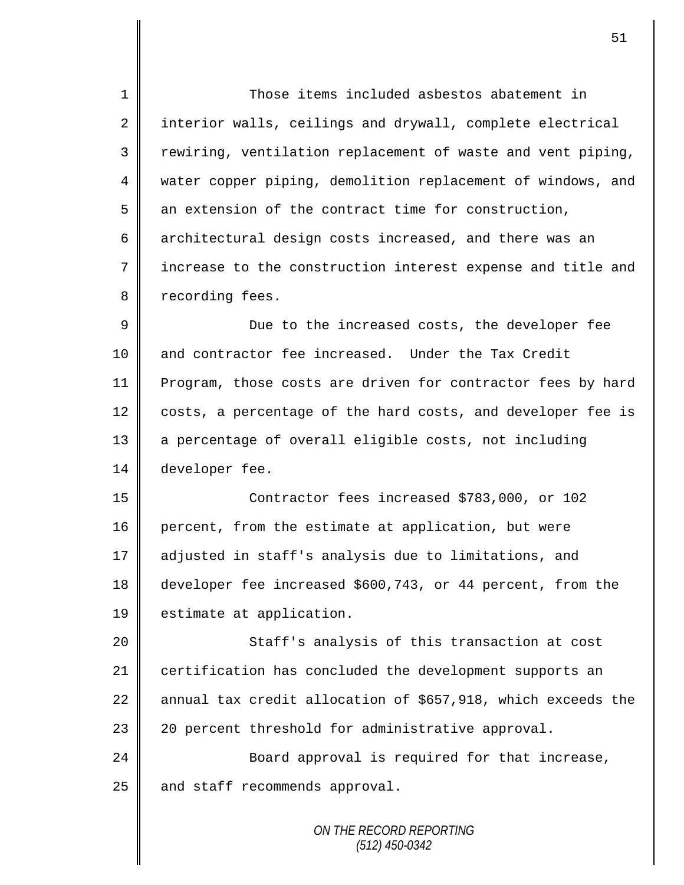1 Those items included asbestos abatement in 2 interior walls, ceilings and drywall, complete electrical 3 Tewiring, ventilation replacement of waste and vent piping, 4 water copper piping, demolition replacement of windows, and  $5 \parallel$  an extension of the contract time for construction, 6 architectural design costs increased, and there was an 7 || increase to the construction interest expense and title and 8 | recording fees. 9 || Due to the increased costs, the developer fee 10 and contractor fee increased. Under the Tax Credit 11 Program, those costs are driven for contractor fees by hard  $12$  costs, a percentage of the hard costs, and developer fee is 13 || a percentage of overall eligible costs, not including 14 developer fee. 15 Contractor fees increased \$783,000, or 102 16 percent, from the estimate at application, but were 17 adjusted in staff's analysis due to limitations, and 18 developer fee increased \$600,743, or 44 percent, from the 19 | estimate at application. 20 || Staff's analysis of this transaction at cost 21 certification has concluded the development supports an 22  $\parallel$  annual tax credit allocation of \$657,918, which exceeds the 23 || 20 percent threshold for administrative approval. 24 || Board approval is required for that increase,  $25$  | and staff recommends approval.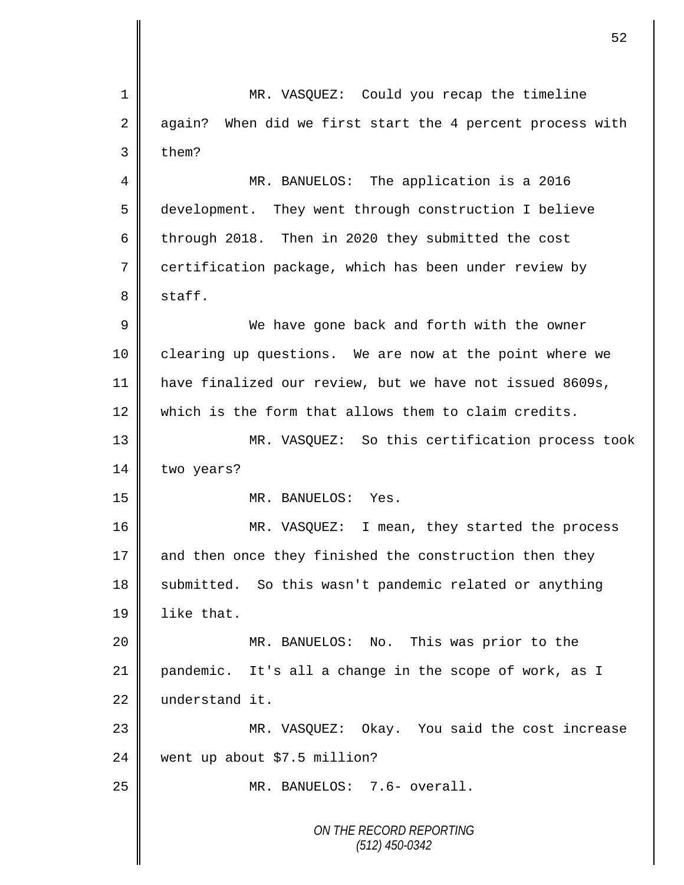*ON THE RECORD REPORTING (512) 450-0342* 1 MR. VASQUEZ: Could you recap the timeline 2 again? When did we first start the 4 percent process with  $3 \parallel$  them? 4 || MR. BANUELOS: The application is a 2016 5 development. They went through construction I believe 6 through 2018. Then in 2020 they submitted the cost 7 certification package, which has been under review by 8 staff. 9 We have gone back and forth with the owner 10 | clearing up questions. We are now at the point where we 11 have finalized our review, but we have not issued 8609s, 12 which is the form that allows them to claim credits. 13 MR. VASQUEZ: So this certification process took 14 | two years? 15 MR. BANUELOS: Yes. 16 MR. VASQUEZ: I mean, they started the process 17 and then once they finished the construction then they 18 submitted. So this wasn't pandemic related or anything 19 **l** like that. 20 MR. BANUELOS: No. This was prior to the 21 pandemic. It's all a change in the scope of work, as I 22 understand it. 23 MR. VASQUEZ: Okay. You said the cost increase 24 went up about \$7.5 million? 25 || MR. BANUELOS: 7.6- overall.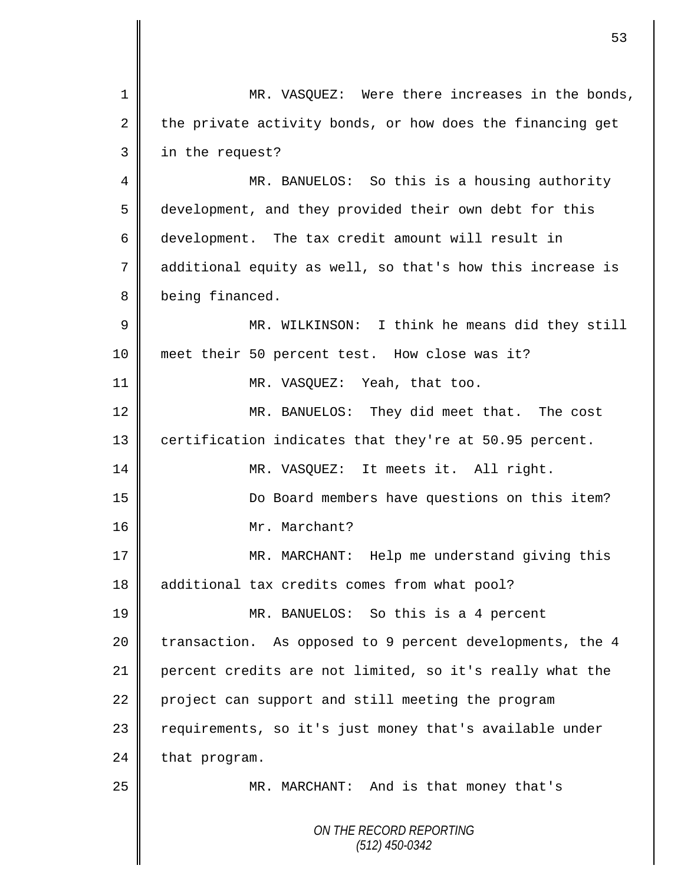| $\mathbf{1}$ | MR. VASQUEZ: Were there increases in the bonds,           |
|--------------|-----------------------------------------------------------|
| 2            | the private activity bonds, or how does the financing get |
| 3            | in the request?                                           |
| 4            | MR. BANUELOS: So this is a housing authority              |
| 5            | development, and they provided their own debt for this    |
| 6            | development. The tax credit amount will result in         |
| 7            | additional equity as well, so that's how this increase is |
| 8            | being financed.                                           |
| $\mathsf 9$  | MR. WILKINSON: I think he means did they still            |
| 10           | meet their 50 percent test. How close was it?             |
| 11           | MR. VASQUEZ: Yeah, that too.                              |
| 12           | MR. BANUELOS: They did meet that. The cost                |
| 13           | certification indicates that they're at 50.95 percent.    |
| 14           | MR. VASQUEZ: It meets it. All right.                      |
| 15           | Do Board members have questions on this item?             |
| 16           | Mr. Marchant?                                             |
| 17           | MR. MARCHANT: Help me understand giving this              |
| 18           | additional tax credits comes from what pool?              |
| 19           | MR. BANUELOS: So this is a 4 percent                      |
| 20           | transaction. As opposed to 9 percent developments, the 4  |
| 21           | percent credits are not limited, so it's really what the  |
| 22           | project can support and still meeting the program         |
| 23           | requirements, so it's just money that's available under   |
| 24           | that program.                                             |
| 25           | MR. MARCHANT: And is that money that's                    |
|              | ON THE RECORD REPORTING<br>$(512)$ 450-0342               |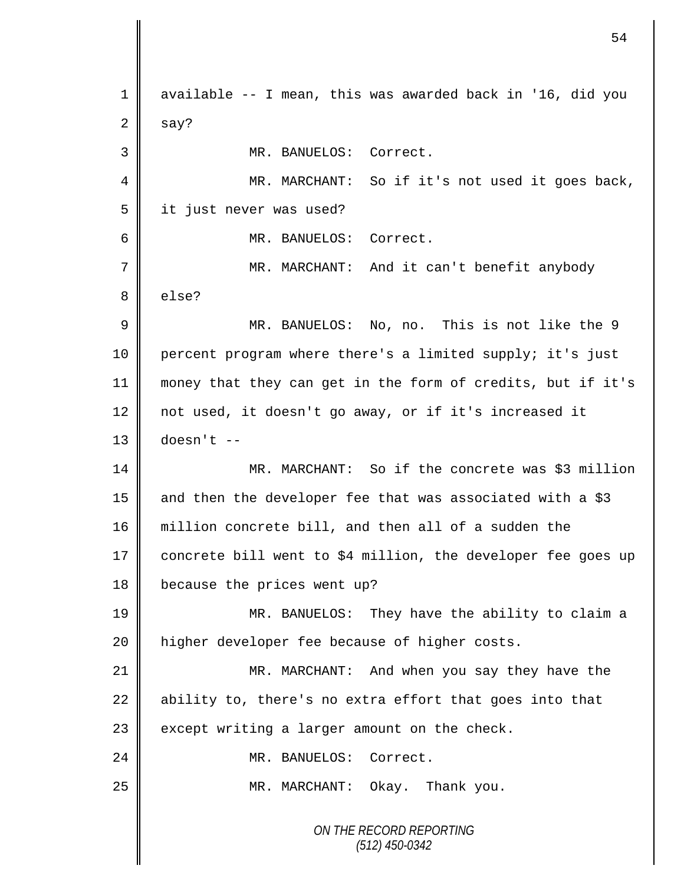*ON THE RECORD REPORTING (512) 450-0342* 1 available -- I mean, this was awarded back in '16, did you  $2 \parallel$  say? 3 || MR. BANUELOS: Correct. 4 || MR. MARCHANT: So if it's not used it goes back, 5 it just never was used? 6 MR. BANUELOS: Correct. 7 MR. MARCHANT: And it can't benefit anybody 8 else? 9 MR. BANUELOS: No, no. This is not like the 9 10 || percent program where there's a limited supply; it's just 11 money that they can get in the form of credits, but if it's 12 not used, it doesn't go away, or if it's increased it  $13 \parallel$  doesn't --14 WR. MARCHANT: So if the concrete was \$3 million 15  $\parallel$  and then the developer fee that was associated with a \$3 16 million concrete bill, and then all of a sudden the 17 concrete bill went to \$4 million, the developer fee goes up 18 because the prices went up? 19 MR. BANUELOS: They have the ability to claim a 20 || higher developer fee because of higher costs. 21 | MR. MARCHANT: And when you say they have the 22 ability to, there's no extra effort that goes into that 23  $\parallel$  except writing a larger amount on the check. 24 MR. BANUELOS: Correct. 25 MR. MARCHANT: Okay. Thank you.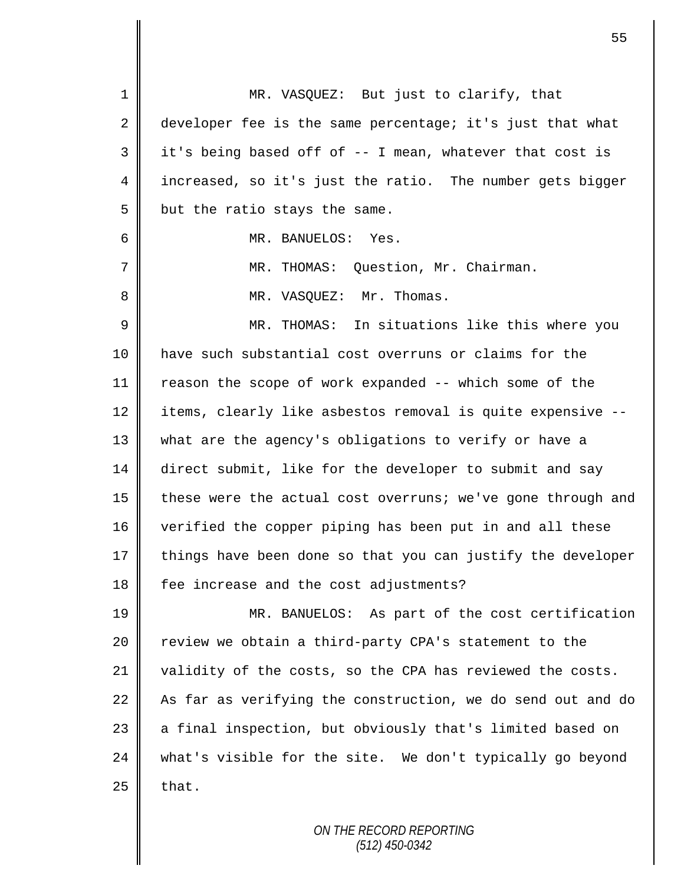| $\mathbf 1$ | MR. VASQUEZ: But just to clarify, that                      |
|-------------|-------------------------------------------------------------|
| 2           | developer fee is the same percentage; it's just that what   |
| 3           | it's being based off of -- I mean, whatever that cost is    |
| 4           | increased, so it's just the ratio. The number gets bigger   |
| 5           | but the ratio stays the same.                               |
| 6           | MR. BANUELOS: Yes.                                          |
| 7           | MR. THOMAS: Question, Mr. Chairman.                         |
| 8           | MR. VASQUEZ: Mr. Thomas.                                    |
| $\mathsf 9$ | MR. THOMAS: In situations like this where you               |
| 10          | have such substantial cost overruns or claims for the       |
| 11          | reason the scope of work expanded -- which some of the      |
| 12          | items, clearly like asbestos removal is quite expensive --  |
| 13          | what are the agency's obligations to verify or have a       |
| 14          | direct submit, like for the developer to submit and say     |
| 15          | these were the actual cost overruns; we've gone through and |
| 16          | verified the copper piping has been put in and all these    |
| 17          | things have been done so that you can justify the developer |
| 18          | fee increase and the cost adjustments?                      |
| 19          | MR. BANUELOS: As part of the cost certification             |
| 20          | review we obtain a third-party CPA's statement to the       |
| 21          | validity of the costs, so the CPA has reviewed the costs.   |
| 22          | As far as verifying the construction, we do send out and do |
| 23          | a final inspection, but obviously that's limited based on   |
| 24          | what's visible for the site. We don't typically go beyond   |
| 25          | that.                                                       |
|             |                                                             |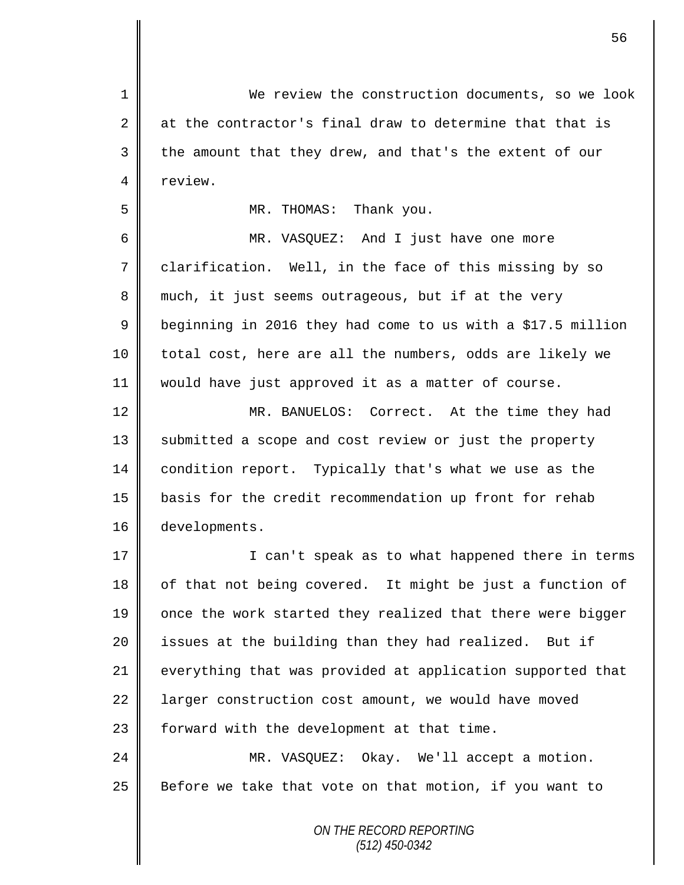*ON THE RECORD REPORTING* 1 We review the construction documents, so we look 2 at the contractor's final draw to determine that that is  $3 \parallel$  the amount that they drew, and that's the extent of our 4 review. 5 | MR. THOMAS: Thank you. 6 MR. VASQUEZ: And I just have one more 7 clarification. Well, in the face of this missing by so 8 much, it just seems outrageous, but if at the very 9 Beginning in 2016 they had come to us with a \$17.5 million 10 || total cost, here are all the numbers, odds are likely we 11 would have just approved it as a matter of course. 12 || MR. BANUELOS: Correct. At the time they had 13 | submitted a scope and cost review or just the property 14 condition report. Typically that's what we use as the 15 basis for the credit recommendation up front for rehab 16 developments. 17 || I can't speak as to what happened there in terms 18 of that not being covered. It might be just a function of 19 | once the work started they realized that there were bigger 20 | issues at the building than they had realized. But if 21 everything that was provided at application supported that 22 | larger construction cost amount, we would have moved  $23$  | forward with the development at that time. 24 MR. VASQUEZ: Okay. We'll accept a motion. 25  $\parallel$  Before we take that vote on that motion, if you want to

*(512) 450-0342*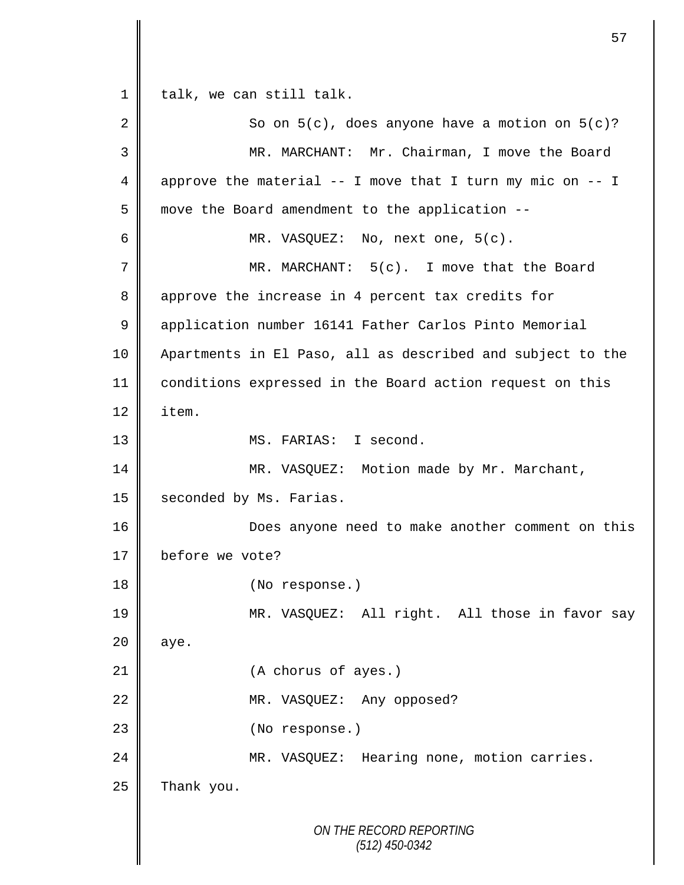*ON THE RECORD REPORTING (512) 450-0342* 1 | talk, we can still talk. 2  $\parallel$  So on 5(c), does anyone have a motion on 5(c)? 3 MR. MARCHANT: Mr. Chairman, I move the Board 4 | approve the material -- I move that I turn my mic on -- I 5 | move the Board amendment to the application --6 MR. VASQUEZ: No, next one, 5(c). 7 MR. MARCHANT: 5(c). I move that the Board 8 approve the increase in 4 percent tax credits for 9 | application number 16141 Father Carlos Pinto Memorial 10 Apartments in El Paso, all as described and subject to the 11 conditions expressed in the Board action request on this  $12 \parallel$  item. 13 MS. FARIAS: I second. 14 || MR. VASQUEZ: Motion made by Mr. Marchant, 15 | seconded by Ms. Farias. 16 | Does anyone need to make another comment on this 17 before we vote? 18 || (No response.) 19 MR. VASQUEZ: All right. All those in favor say  $20$  | aye. 21 (A chorus of ayes.) 22 MR. VASQUEZ: Any opposed? 23 || (No response.) 24 MR. VASQUEZ: Hearing none, motion carries.  $25$  Thank you.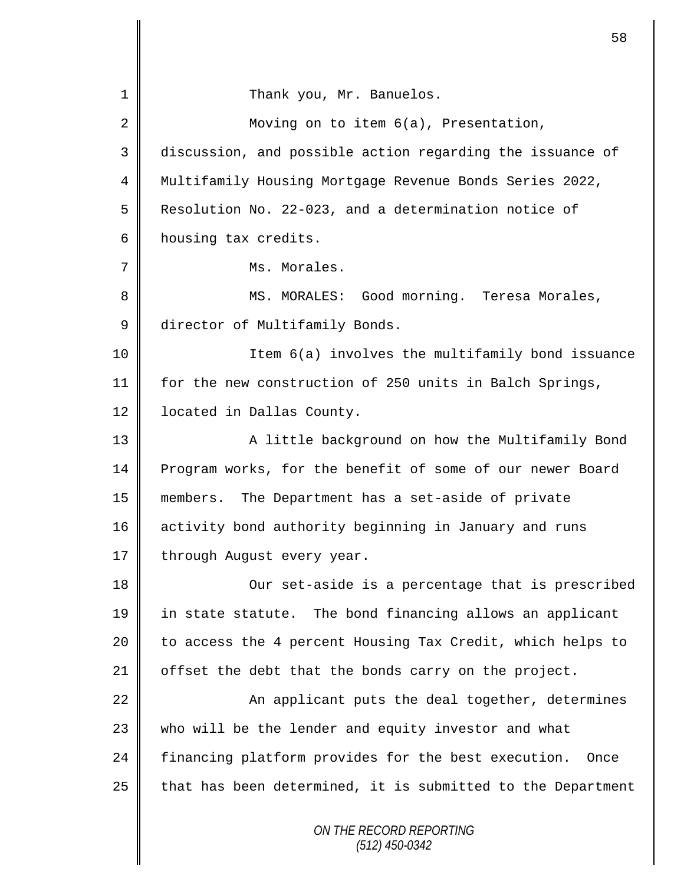*ON THE RECORD REPORTING (512) 450-0342* 1 | Thank you, Mr. Banuelos. 2 || Moving on to item 6(a), Presentation, 3 discussion, and possible action regarding the issuance of 4 Multifamily Housing Mortgage Revenue Bonds Series 2022, 5 Resolution No. 22-023, and a determination notice of 6 | housing tax credits. 7 | Ms. Morales. 8 || MS. MORALES: Good morning. Teresa Morales, 9 director of Multifamily Bonds. 10 || Item 6(a) involves the multifamily bond issuance 11 for the new construction of 250 units in Balch Springs, 12 | located in Dallas County. 13 || A little background on how the Multifamily Bond 14 Program works, for the benefit of some of our newer Board 15 members. The Department has a set-aside of private 16 activity bond authority beginning in January and runs  $17$  through August every year. 18 || Our set-aside is a percentage that is prescribed 19 in state statute. The bond financing allows an applicant 20 | to access the 4 percent Housing Tax Credit, which helps to 21  $\parallel$  offset the debt that the bonds carry on the project. 22 | An applicant puts the deal together, determines 23 | who will be the lender and equity investor and what 24 financing platform provides for the best execution. Once 25  $\parallel$  that has been determined, it is submitted to the Department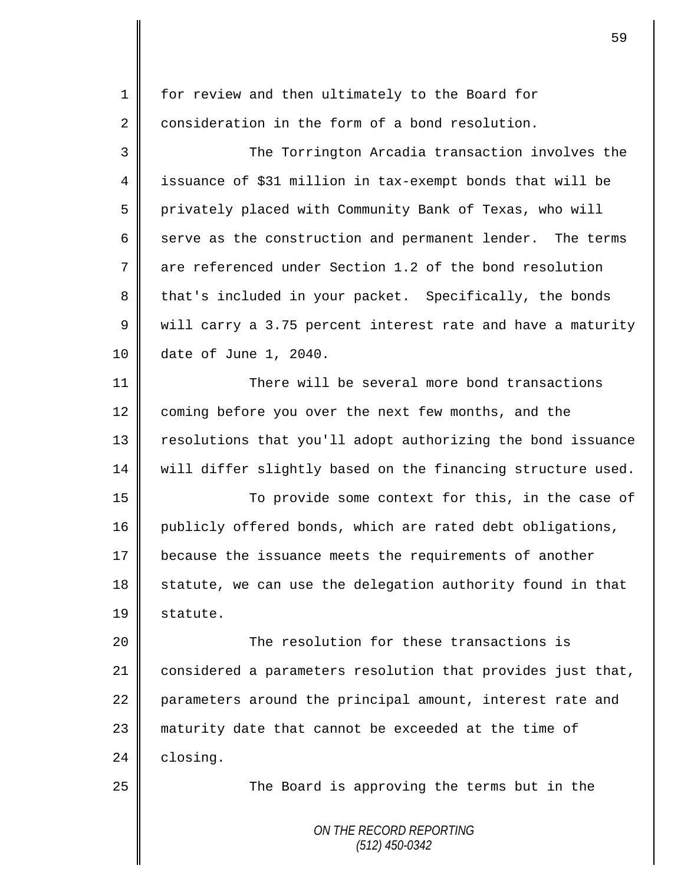| 1  | for review and then ultimately to the Board for             |
|----|-------------------------------------------------------------|
| 2  | consideration in the form of a bond resolution.             |
| 3  | The Torrington Arcadia transaction involves the             |
| 4  | issuance of \$31 million in tax-exempt bonds that will be   |
| 5  | privately placed with Community Bank of Texas, who will     |
| 6  | serve as the construction and permanent lender. The terms   |
| 7  | are referenced under Section 1.2 of the bond resolution     |
| 8  | that's included in your packet. Specifically, the bonds     |
| 9  | will carry a 3.75 percent interest rate and have a maturity |
| 10 | date of June 1, 2040.                                       |
| 11 | There will be several more bond transactions                |
| 12 | coming before you over the next few months, and the         |
| 13 | resolutions that you'll adopt authorizing the bond issuance |
| 14 | will differ slightly based on the financing structure used. |
| 15 | To provide some context for this, in the case of            |
| 16 | publicly offered bonds, which are rated debt obligations,   |
| 17 | because the issuance meets the requirements of another      |
| 18 | statute, we can use the delegation authority found in that  |
| 19 | statute.                                                    |
| 20 | The resolution for these transactions is                    |
| 21 | considered a parameters resolution that provides just that, |
| 22 | parameters around the principal amount, interest rate and   |
| 23 | maturity date that cannot be exceeded at the time of        |
| 24 | closing.                                                    |
| 25 | The Board is approving the terms but in the                 |
|    |                                                             |
|    | ON THE RECORD REPORTING<br>$(512)$ 450-0342                 |
|    |                                                             |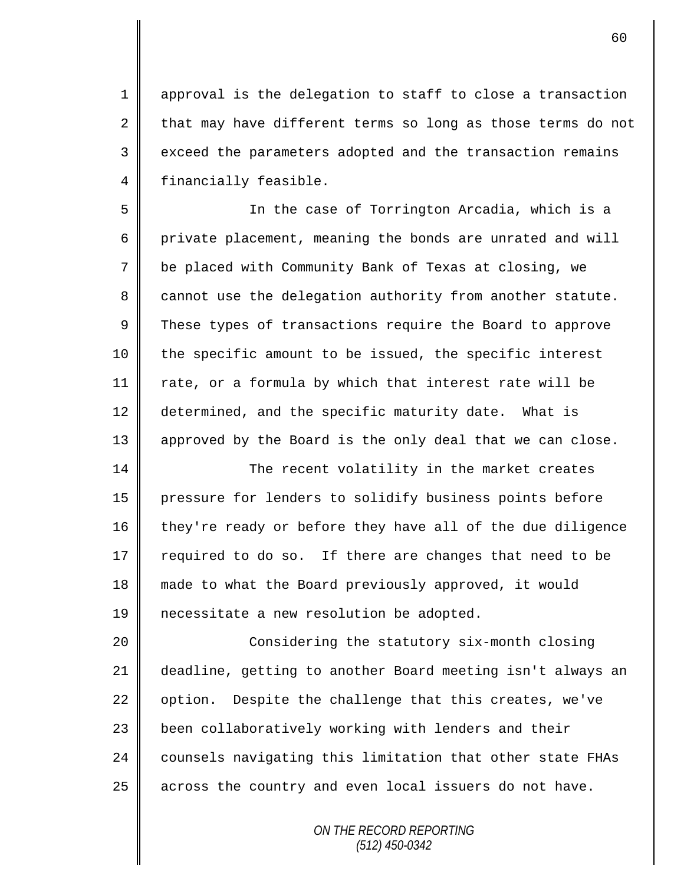1 approval is the delegation to staff to close a transaction  $2 \parallel$  that may have different terms so long as those terms do not 3 || exceed the parameters adopted and the transaction remains 4 financially feasible.

5 In the case of Torrington Arcadia, which is a 6 private placement, meaning the bonds are unrated and will 7 be placed with Community Bank of Texas at closing, we  $8 \parallel$  cannot use the delegation authority from another statute. 9 These types of transactions require the Board to approve 10 | the specific amount to be issued, the specific interest 11  $\parallel$  rate, or a formula by which that interest rate will be 12 determined, and the specific maturity date. What is 13 | approved by the Board is the only deal that we can close.

14 The recent volatility in the market creates 15 pressure for lenders to solidify business points before 16 they're ready or before they have all of the due diligence 17 || required to do so. If there are changes that need to be 18 made to what the Board previously approved, it would 19 | necessitate a new resolution be adopted.

20 || Considering the statutory six-month closing 21 deadline, getting to another Board meeting isn't always an 22 | option. Despite the challenge that this creates, we've 23 been collaboratively working with lenders and their 24 counsels navigating this limitation that other state FHAs 25 across the country and even local issuers do not have.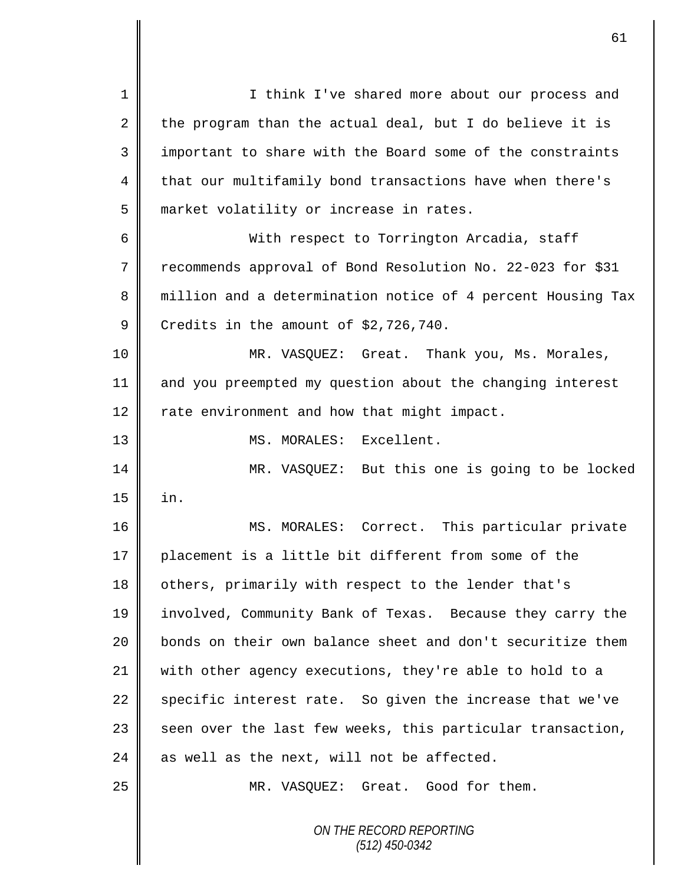| $\mathbf 1$ | I think I've shared more about our process and              |
|-------------|-------------------------------------------------------------|
| 2           | the program than the actual deal, but I do believe it is    |
| 3           | important to share with the Board some of the constraints   |
| 4           | that our multifamily bond transactions have when there's    |
| 5           | market volatility or increase in rates.                     |
| 6           | With respect to Torrington Arcadia, staff                   |
| 7           | recommends approval of Bond Resolution No. 22-023 for \$31  |
| 8           | million and a determination notice of 4 percent Housing Tax |
| 9           | Credits in the amount of \$2,726,740.                       |
| 10          | MR. VASQUEZ: Great. Thank you, Ms. Morales,                 |
| 11          | and you preempted my question about the changing interest   |
| 12          | rate environment and how that might impact.                 |
| 13          | MS. MORALES: Excellent.                                     |
| 14          | MR. VASQUEZ: But this one is going to be locked             |
| 15          | in.                                                         |
| 16          | MS. MORALES: Correct. This particular private               |
| 17          | placement is a little bit different from some of the        |
| 18          | others, primarily with respect to the lender that's         |
| 19          | involved, Community Bank of Texas. Because they carry the   |
| 20          | bonds on their own balance sheet and don't securitize them  |
| 21          | with other agency executions, they're able to hold to a     |
| 22          | specific interest rate. So given the increase that we've    |
| 23          | seen over the last few weeks, this particular transaction,  |
| 24          | as well as the next, will not be affected.                  |
| 25          | MR. VASQUEZ: Great. Good for them.                          |
|             | ON THE RECORD REPORTING<br>$(512)$ 450-0342                 |

 $\overline{\mathsf{I}}$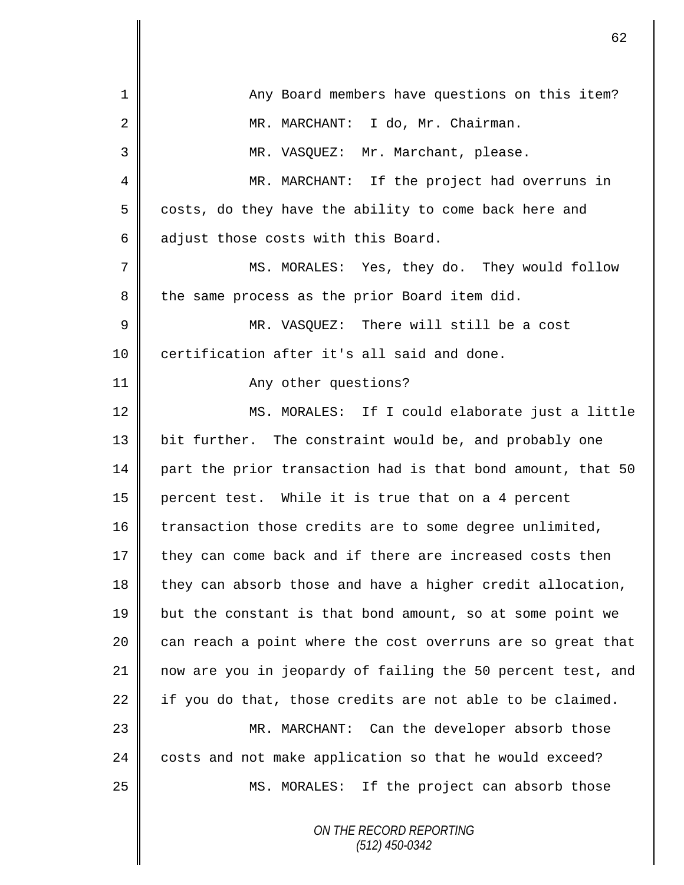| $\mathbf 1$    | Any Board members have questions on this item?              |
|----------------|-------------------------------------------------------------|
| 2              | MR. MARCHANT: I do, Mr. Chairman.                           |
| 3              | MR. VASQUEZ: Mr. Marchant, please.                          |
| 4              | MR. MARCHANT: If the project had overruns in                |
| 5              | costs, do they have the ability to come back here and       |
| 6              | adjust those costs with this Board.                         |
| $\overline{7}$ | MS. MORALES: Yes, they do. They would follow                |
| 8              | the same process as the prior Board item did.               |
| $\mathsf 9$    | MR. VASQUEZ: There will still be a cost                     |
| 10             | certification after it's all said and done.                 |
| 11             | Any other questions?                                        |
| 12             | MS. MORALES: If I could elaborate just a little             |
| 13             | bit further. The constraint would be, and probably one      |
| 14             | part the prior transaction had is that bond amount, that 50 |
| 15             | percent test. While it is true that on a 4 percent          |
| 16             | transaction those credits are to some degree unlimited,     |
| 17             | they can come back and if there are increased costs then    |
| 18             | they can absorb those and have a higher credit allocation,  |
| 19             | but the constant is that bond amount, so at some point we   |
| 20             | can reach a point where the cost overruns are so great that |
| 21             | now are you in jeopardy of failing the 50 percent test, and |
| 22             | if you do that, those credits are not able to be claimed.   |
| 23             | MR. MARCHANT: Can the developer absorb those                |
| 24             | costs and not make application so that he would exceed?     |
| 25             | MS. MORALES: If the project can absorb those                |
|                | ON THE RECORD REPORTING                                     |

*(512) 450-0342*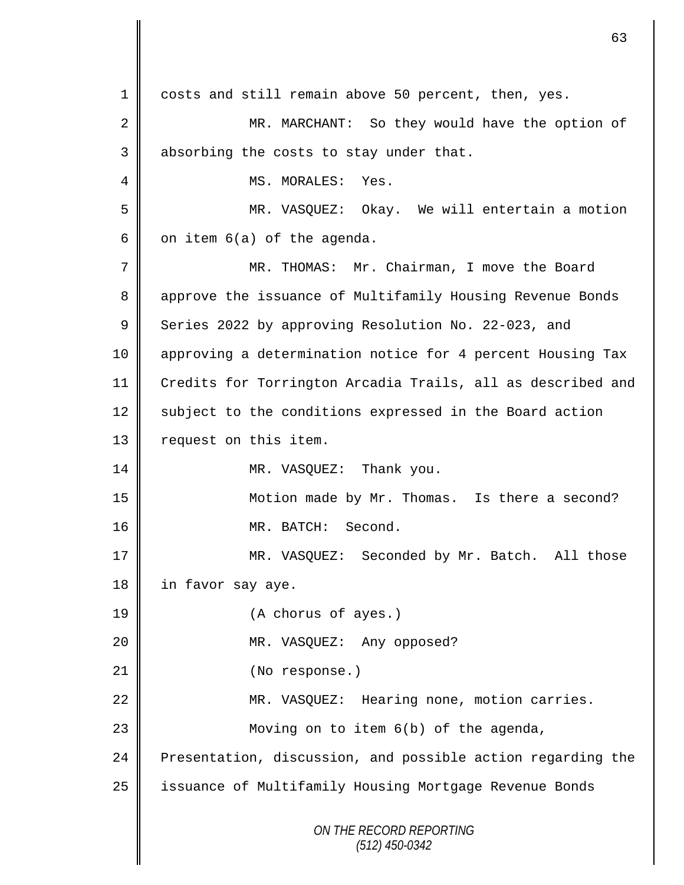*ON THE RECORD REPORTING (512) 450-0342* 1 costs and still remain above 50 percent, then, yes. 2 || MR. MARCHANT: So they would have the option of  $3 \parallel$  absorbing the costs to stay under that. 4 || MS. MORALES: Yes. 5 MR. VASQUEZ: Okay. We will entertain a motion 6  $\parallel$  on item 6(a) of the agenda. 7 MR. THOMAS: Mr. Chairman, I move the Board 8 approve the issuance of Multifamily Housing Revenue Bonds 9 Series 2022 by approving Resolution No. 22-023, and 10 approving a determination notice for 4 percent Housing Tax 11 Credits for Torrington Arcadia Trails, all as described and 12 subject to the conditions expressed in the Board action 13 | request on this item. 14 MR. VASQUEZ: Thank you. 15 Motion made by Mr. Thomas. Is there a second? 16 MR. BATCH: Second. 17 || MR. VASQUEZ: Seconded by Mr. Batch. All those 18 | in favor say aye. 19 (A chorus of ayes.) 20 MR. VASQUEZ: Any opposed? 21 || (No response.) 22 | MR. VASQUEZ: Hearing none, motion carries. 23 Moving on to item 6(b) of the agenda, 24 Presentation, discussion, and possible action regarding the 25 | issuance of Multifamily Housing Mortgage Revenue Bonds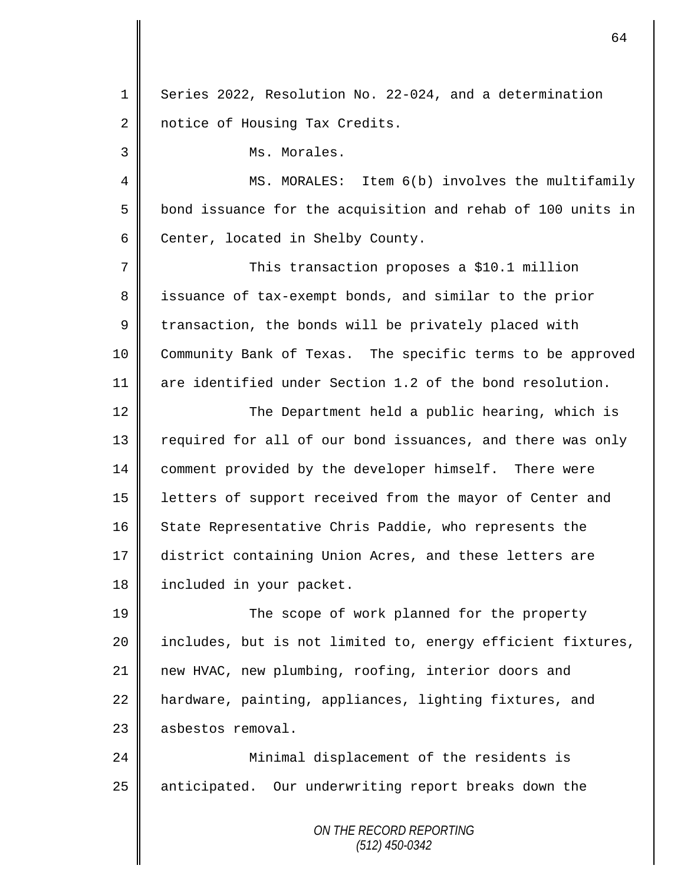*ON THE RECORD REPORTING (512) 450-0342* 1 Series 2022, Resolution No. 22-024, and a determination 2 notice of Housing Tax Credits. 3 | Ms. Morales. 4 || MS. MORALES: Item 6(b) involves the multifamily 5 bond issuance for the acquisition and rehab of 100 units in  $6 \parallel$  Center, located in Shelby County. 7 This transaction proposes a \$10.1 million 8 issuance of tax-exempt bonds, and similar to the prior  $9 \parallel$  transaction, the bonds will be privately placed with 10 Community Bank of Texas. The specific terms to be approved 11 are identified under Section 1.2 of the bond resolution. 12 | The Department held a public hearing, which is 13 | required for all of our bond issuances, and there was only 14 comment provided by the developer himself. There were 15 | letters of support received from the mayor of Center and 16 State Representative Chris Paddie, who represents the 17 district containing Union Acres, and these letters are 18 | included in your packet. 19 The scope of work planned for the property 20 || includes, but is not limited to, energy efficient fixtures, 21 new HVAC, new plumbing, roofing, interior doors and 22 hardware, painting, appliances, lighting fixtures, and 23 | asbestos removal. 24 Minimal displacement of the residents is 25 || anticipated. Our underwriting report breaks down the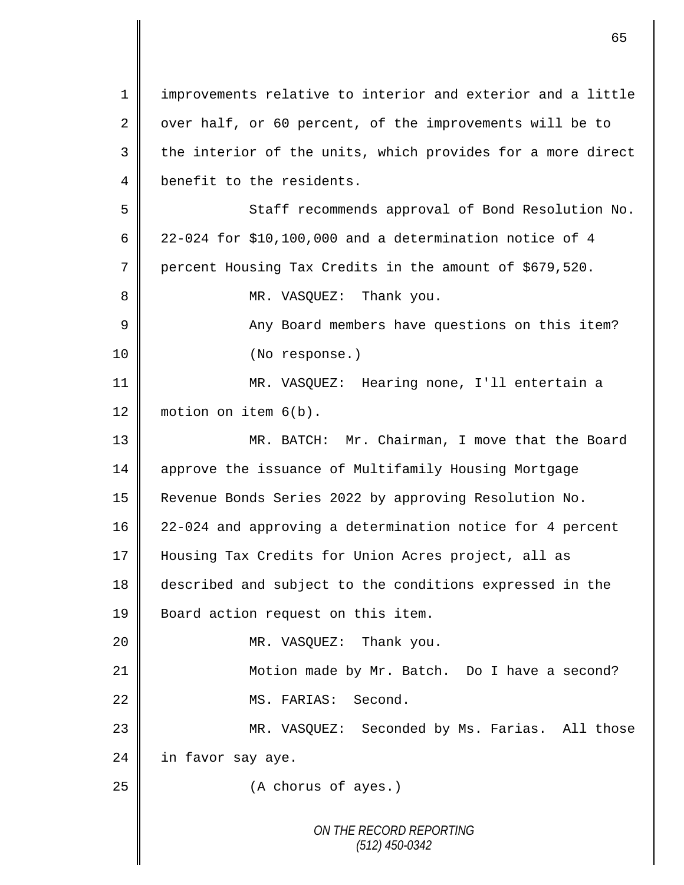*ON THE RECORD REPORTING (512) 450-0342* 1 improvements relative to interior and exterior and a little  $2 \parallel$  over half, or 60 percent, of the improvements will be to  $3$   $\parallel$  the interior of the units, which provides for a more direct 4 benefit to the residents. 5 Staff recommends approval of Bond Resolution No. 6  $\parallel$  22-024 for \$10,100,000 and a determination notice of 4 7 percent Housing Tax Credits in the amount of \$679,520. 8 MR. VASQUEZ: Thank you. 9 || Any Board members have questions on this item? 10 || (No response.) 11 MR. VASQUEZ: Hearing none, I'll entertain a 12 motion on item  $6(b)$ . 13 MR. BATCH: Mr. Chairman, I move that the Board 14 approve the issuance of Multifamily Housing Mortgage 15 Revenue Bonds Series 2022 by approving Resolution No. 16 22-024 and approving a determination notice for 4 percent 17 Housing Tax Credits for Union Acres project, all as 18 described and subject to the conditions expressed in the 19 **Board action request on this item.** 20 MR. VASQUEZ: Thank you. 21 | Motion made by Mr. Batch. Do I have a second? 22 MS. FARIAS: Second. 23 MR. VASQUEZ: Seconded by Ms. Farias. All those  $24$  in favor say aye. 25 **(A** chorus of ayes.)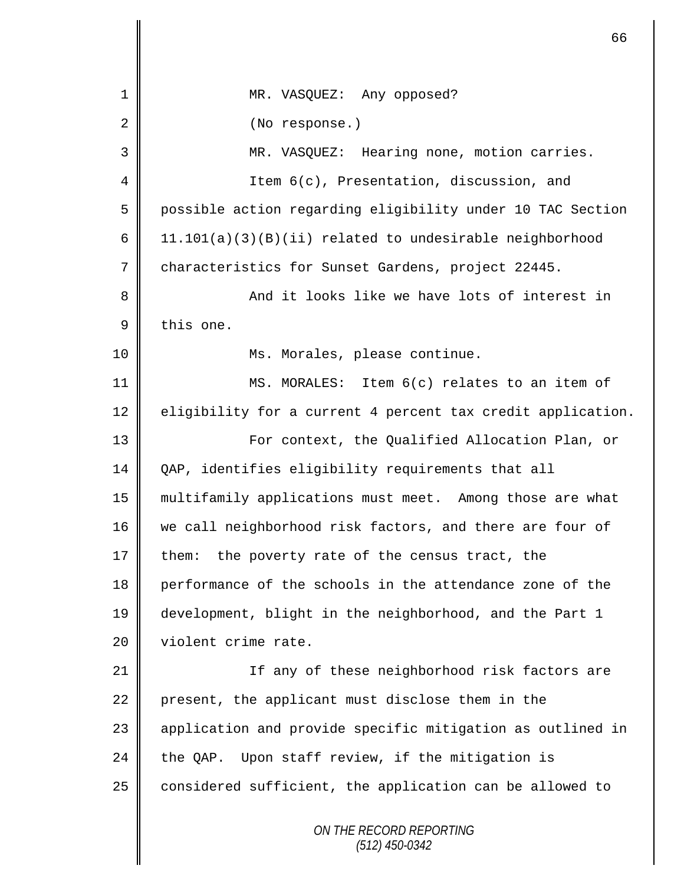| 1  | MR. VASQUEZ: Any opposed?                                   |
|----|-------------------------------------------------------------|
| 2  | (No response.)                                              |
| 3  | MR. VASQUEZ: Hearing none, motion carries.                  |
| 4  | Item 6(c), Presentation, discussion, and                    |
| 5  | possible action regarding eligibility under 10 TAC Section  |
| 6  | 11.101(a)(3)(B)(ii) related to undesirable neighborhood     |
| 7  | characteristics for Sunset Gardens, project 22445.          |
| 8  | And it looks like we have lots of interest in               |
| 9  | this one.                                                   |
| 10 | Ms. Morales, please continue.                               |
| 11 | MS. MORALES: Item 6(c) relates to an item of                |
| 12 | eligibility for a current 4 percent tax credit application. |
| 13 | For context, the Qualified Allocation Plan, or              |
| 14 | QAP, identifies eligibility requirements that all           |
| 15 | multifamily applications must meet. Among those are what    |
| 16 | we call neighborhood risk factors, and there are four of    |
| 17 | them: the poverty rate of the census tract, the             |
| 18 | performance of the schools in the attendance zone of the    |
| 19 | development, blight in the neighborhood, and the Part 1     |
| 20 | violent crime rate.                                         |
| 21 | If any of these neighborhood risk factors are               |
| 22 | present, the applicant must disclose them in the            |
| 23 | application and provide specific mitigation as outlined in  |
| 24 | the QAP. Upon staff review, if the mitigation is            |
| 25 | considered sufficient, the application can be allowed to    |
|    | ON THE RECORD REPORTING<br>$(512)$ 450-0342                 |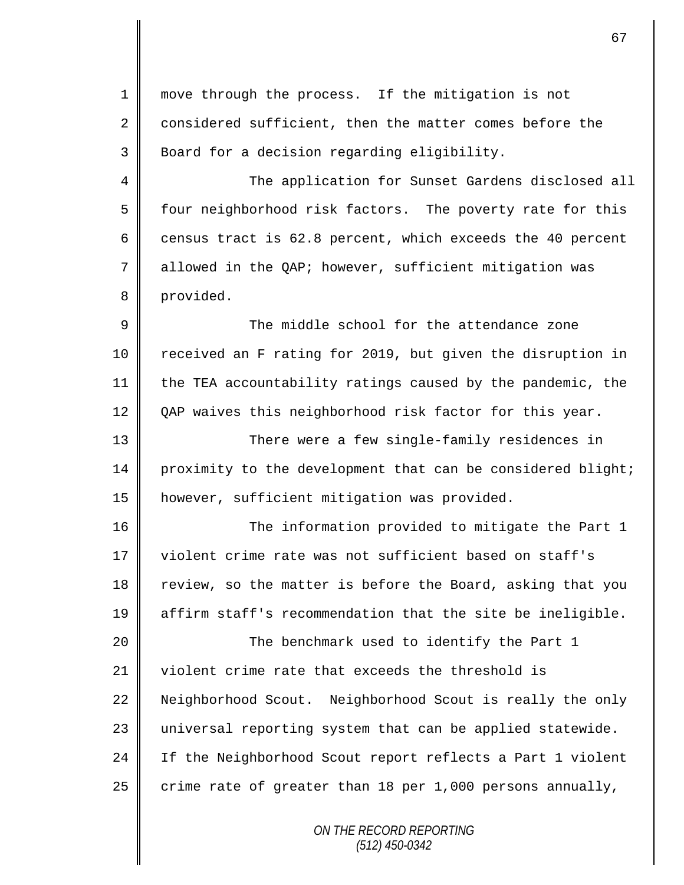*ON THE RECORD REPORTING* 1 move through the process. If the mitigation is not 2 considered sufficient, then the matter comes before the 3 Board for a decision regarding eligibility. 4 The application for Sunset Gardens disclosed all 5 four neighborhood risk factors. The poverty rate for this 6 census tract is 62.8 percent, which exceeds the 40 percent 7 allowed in the QAP; however, sufficient mitigation was 8 provided. 9  $\parallel$  9 The middle school for the attendance zone 10 Teceived an F rating for 2019, but given the disruption in 11 the TEA accountability ratings caused by the pandemic, the 12 | QAP waives this neighborhood risk factor for this year. 13 There were a few single-family residences in 14 proximity to the development that can be considered blight; 15 however, sufficient mitigation was provided. 16 || The information provided to mitigate the Part 1 17 violent crime rate was not sufficient based on staff's 18 review, so the matter is before the Board, asking that you 19 affirm staff's recommendation that the site be ineligible. 20 || The benchmark used to identify the Part 1 21  $\parallel$  violent crime rate that exceeds the threshold is 22 Neighborhood Scout. Neighborhood Scout is really the only 23 || universal reporting system that can be applied statewide. 24 If the Neighborhood Scout report reflects a Part 1 violent 25 crime rate of greater than 18 per 1,000 persons annually,

*(512) 450-0342*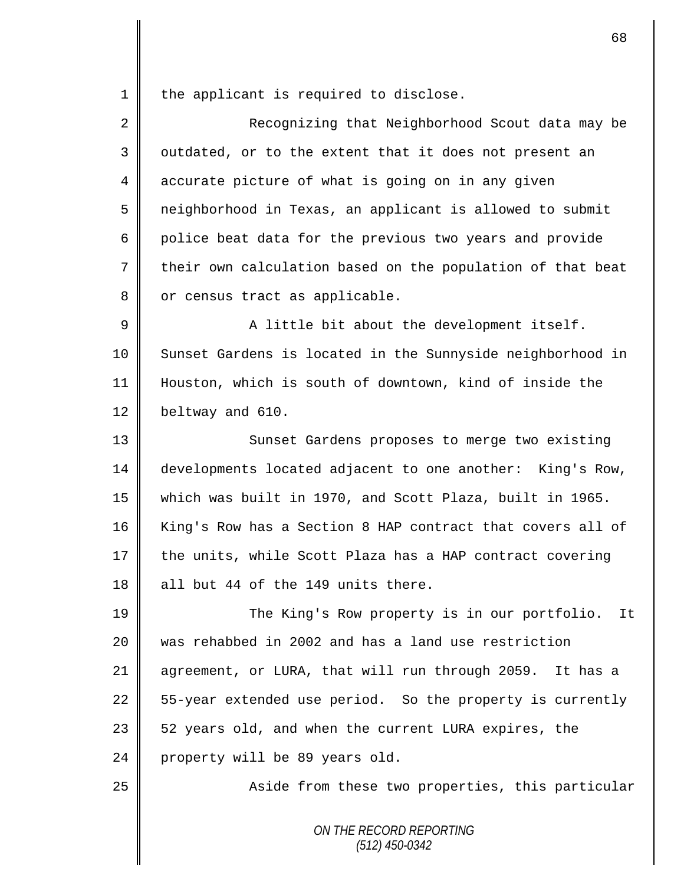1 the applicant is required to disclose.

| 2  | Recognizing that Neighborhood Scout data may be            |
|----|------------------------------------------------------------|
| 3  | outdated, or to the extent that it does not present an     |
| 4  | accurate picture of what is going on in any given          |
| 5  | neighborhood in Texas, an applicant is allowed to submit   |
| 6  | police beat data for the previous two years and provide    |
| 7  | their own calculation based on the population of that beat |
| 8  | or census tract as applicable.                             |
| 9  | A little bit about the development itself.                 |
| 10 | Sunset Gardens is located in the Sunnyside neighborhood in |
| 11 | Houston, which is south of downtown, kind of inside the    |
| 12 | beltway and 610.                                           |
| 13 | Sunset Gardens proposes to merge two existing              |
| 14 | developments located adjacent to one another: King's Row,  |
| 15 | which was built in 1970, and Scott Plaza, built in 1965.   |
| 16 | King's Row has a Section 8 HAP contract that covers all of |
| 17 | the units, while Scott Plaza has a HAP contract covering   |
| 18 | all but 44 of the 149 units there.                         |
| 19 | The King's Row property is in our portfolio.<br>It         |
| 20 | was rehabbed in 2002 and has a land use restriction        |
| 21 | agreement, or LURA, that will run through 2059. It has a   |
| 22 | 55-year extended use period. So the property is currently  |
| 23 | 52 years old, and when the current LURA expires, the       |
| 24 | property will be 89 years old.                             |
| 25 | Aside from these two properties, this particular           |
|    | ON THE RECORD REPORTING<br>$(512)$ 450-0342                |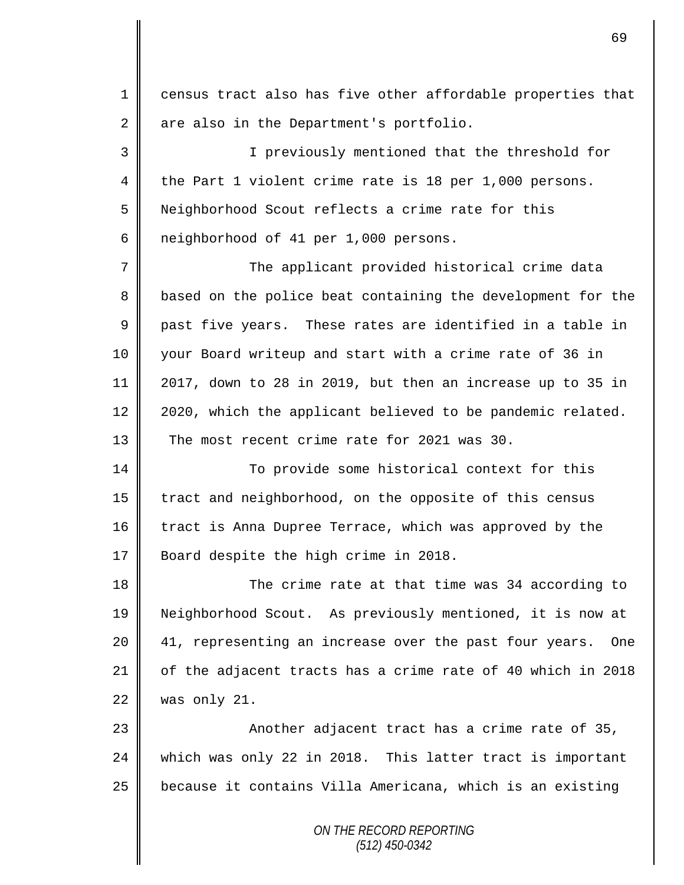*ON THE RECORD REPORTING (512) 450-0342* 1 census tract also has five other affordable properties that 2 are also in the Department's portfolio. 3 I previously mentioned that the threshold for 4 the Part 1 violent crime rate is 18 per 1,000 persons. 5 Neighborhood Scout reflects a crime rate for this 6 neighborhood of 41 per 1,000 persons. 7  $\parallel$  The applicant provided historical crime data 8 based on the police beat containing the development for the 9 past five years. These rates are identified in a table in 10 your Board writeup and start with a crime rate of 36 in 11 2017, down to 28 in 2019, but then an increase up to 35 in 12  $\parallel$  2020, which the applicant believed to be pandemic related. 13 The most recent crime rate for 2021 was 30. 14 To provide some historical context for this 15 tract and neighborhood, on the opposite of this census 16 tract is Anna Dupree Terrace, which was approved by the 17 | Board despite the high crime in 2018. 18 The crime rate at that time was 34 according to 19 Neighborhood Scout. As previously mentioned, it is now at 20 41, representing an increase over the past four years. One 21 | of the adjacent tracts has a crime rate of 40 which in 2018 22 was only 21. 23 || Another adjacent tract has a crime rate of 35, 24 which was only 22 in 2018. This latter tract is important  $25$  because it contains Villa Americana, which is an existing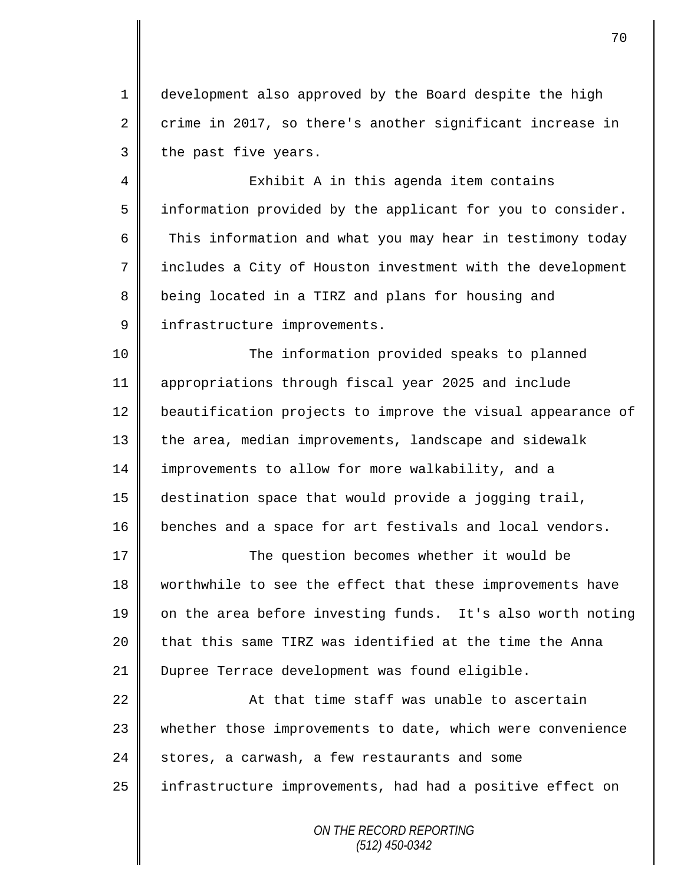1 development also approved by the Board despite the high  $2 \parallel$  crime in 2017, so there's another significant increase in  $3$  the past five years.

4 | Exhibit A in this agenda item contains 5 || information provided by the applicant for you to consider. 6 This information and what you may hear in testimony today 7 includes a City of Houston investment with the development 8 being located in a TIRZ and plans for housing and 9 | infrastructure improvements.

 The information provided speaks to planned appropriations through fiscal year 2025 and include **beautification projects to improve the visual appearance of** 13 || the area, median improvements, landscape and sidewalk improvements to allow for more walkability, and a destination space that would provide a jogging trail, 16 benches and a space for art festivals and local vendors.

17 The question becomes whether it would be 18 worthwhile to see the effect that these improvements have 19 || on the area before investing funds. It's also worth noting 20  $\parallel$  that this same TIRZ was identified at the time the Anna 21 Dupree Terrace development was found eligible.

22  $\parallel$  22  $\parallel$  22  $\parallel$  22  $\parallel$  25  $\parallel$  25  $\parallel$  25  $\parallel$  25  $\parallel$  25  $\parallel$  25  $\parallel$  25  $\parallel$  25  $\parallel$  25  $\parallel$  25  $\parallel$  25  $\parallel$  25  $\parallel$  25  $\parallel$  25  $\parallel$  25  $\parallel$  25  $\parallel$  25  $\parallel$  25  $\parallel$  25  $\parallel$  25  $\parallel$  25  $\parallel$  25  $\parallel$  25  $\parallel$  25  $\$ 23 | whether those improvements to date, which were convenience  $24$  stores, a carwash, a few restaurants and some 25 | infrastructure improvements, had had a positive effect on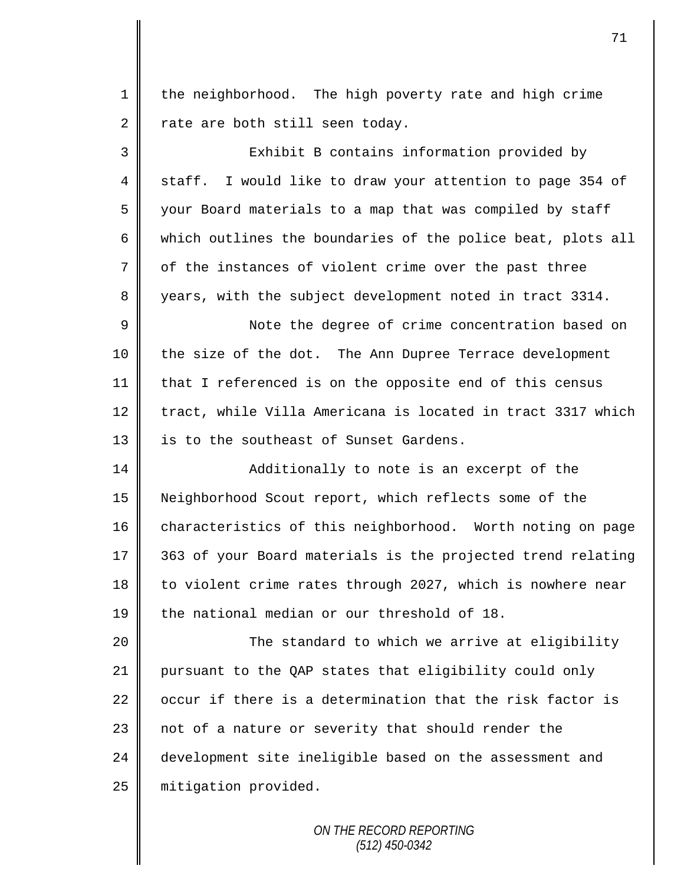1 || the neighborhood. The high poverty rate and high crime  $2 \parallel$  rate are both still seen today. 3 || Exhibit B contains information provided by 4 || staff. I would like to draw your attention to page 354 of 5 your Board materials to a map that was compiled by staff 6 which outlines the boundaries of the police beat, plots all  $7 \parallel$  of the instances of violent crime over the past three 8 years, with the subject development noted in tract 3314. 9 || Note the degree of crime concentration based on 10 || the size of the dot. The Ann Dupree Terrace development 11 that I referenced is on the opposite end of this census 12 tract, while Villa Americana is located in tract 3317 which 13 | is to the southeast of Sunset Gardens. 14 || Additionally to note is an excerpt of the 15 Neighborhood Scout report, which reflects some of the 16 characteristics of this neighborhood. Worth noting on page 17 || 363 of your Board materials is the projected trend relating 18 to violent crime rates through 2027, which is nowhere near 19  $\parallel$  the national median or our threshold of 18. 20 The standard to which we arrive at eligibility 21 pursuant to the QAP states that eligibility could only 22  $\parallel$  occur if there is a determination that the risk factor is  $23$  || not of a nature or severity that should render the 24 development site ineligible based on the assessment and 25 | mitigation provided.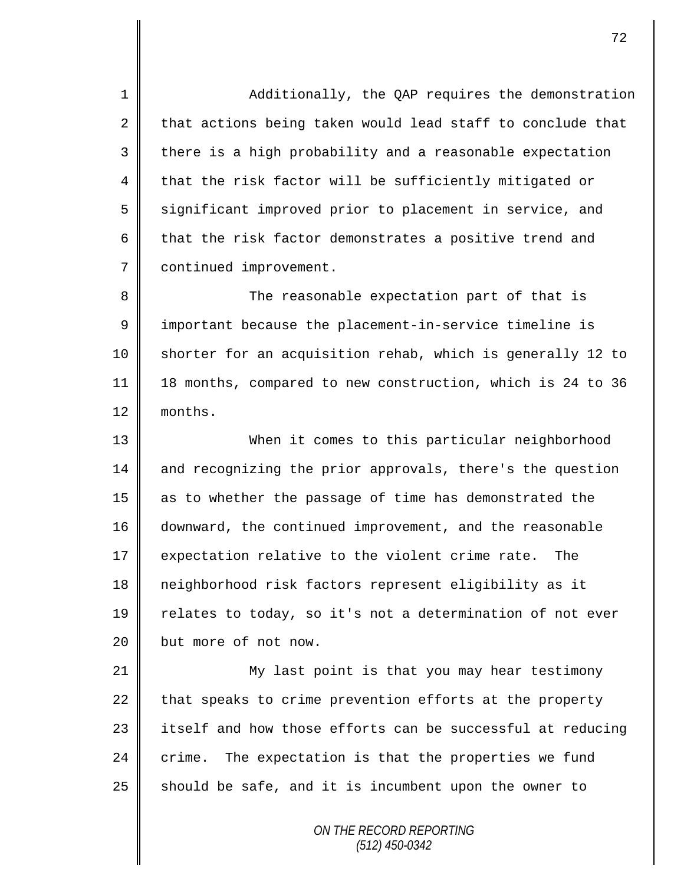1 || Additionally, the QAP requires the demonstration 2 that actions being taken would lead staff to conclude that 3 | there is a high probability and a reasonable expectation  $4 \parallel$  that the risk factor will be sufficiently mitigated or 5 significant improved prior to placement in service, and 6  $\parallel$  that the risk factor demonstrates a positive trend and 7 | continued improvement.

8 The reasonable expectation part of that is 9 | important because the placement-in-service timeline is 10 Shorter for an acquisition rehab, which is generally 12 to 11 18 months, compared to new construction, which is 24 to 36 12 months.

 When it comes to this particular neighborhood 14 and recognizing the prior approvals, there's the question as to whether the passage of time has demonstrated the downward, the continued improvement, and the reasonable 17 expectation relative to the violent crime rate. The neighborhood risk factors represent eligibility as it 19 relates to today, so it's not a determination of not ever **but** more of not now.

21 | My last point is that you may hear testimony 22 that speaks to crime prevention efforts at the property 23 | itself and how those efforts can be successful at reducing 24 crime. The expectation is that the properties we fund  $25$  should be safe, and it is incumbent upon the owner to

> *ON THE RECORD REPORTING (512) 450-0342*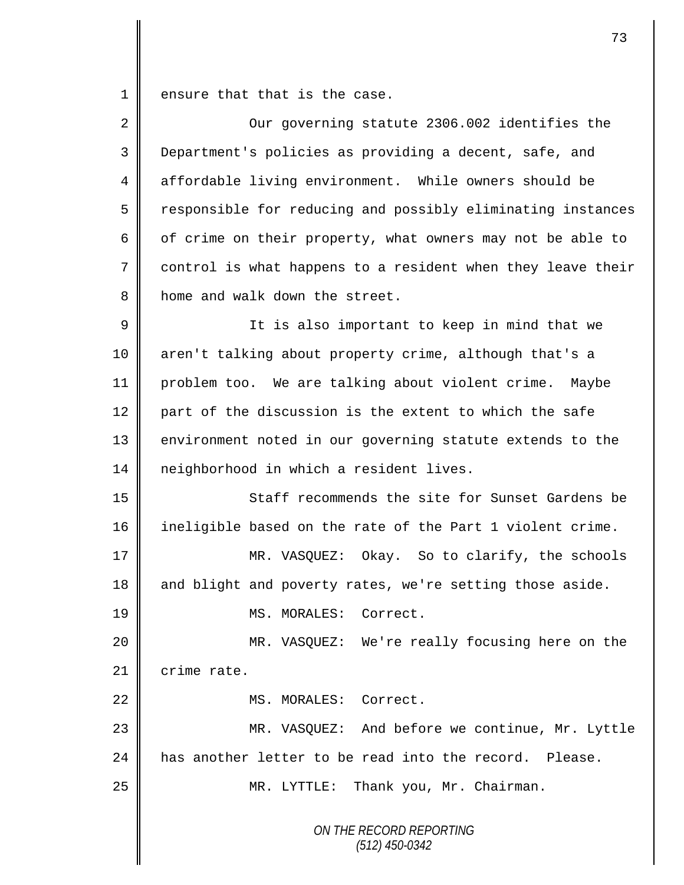ensure that that is the case.

| $\overline{2}$ | Our governing statute 2306.002 identifies the               |
|----------------|-------------------------------------------------------------|
| 3              | Department's policies as providing a decent, safe, and      |
| 4              | affordable living environment. While owners should be       |
| 5              | responsible for reducing and possibly eliminating instances |
| 6              | of crime on their property, what owners may not be able to  |
| 7              | control is what happens to a resident when they leave their |
| 8              | home and walk down the street.                              |
| 9              | It is also important to keep in mind that we                |
| 10             | aren't talking about property crime, although that's a      |
| 11             | problem too. We are talking about violent crime. Maybe      |
| 12             | part of the discussion is the extent to which the safe      |
| 13             | environment noted in our governing statute extends to the   |
| 14             | neighborhood in which a resident lives.                     |
| 15             | Staff recommends the site for Sunset Gardens be             |
| 16             | ineligible based on the rate of the Part 1 violent crime.   |
| 17             | MR. VASQUEZ: Okay. So to clarify, the schools               |
| 18             | and blight and poverty rates, we're setting those aside.    |
| 19             | MS. MORALES: Correct.                                       |
| 20             | MR. VASQUEZ: We're really focusing here on the              |
| 21             | crime rate.                                                 |
| 22             | MS. MORALES: Correct.                                       |
| 23             | MR. VASQUEZ: And before we continue, Mr. Lyttle             |
| 24             | has another letter to be read into the record. Please.      |
| 25             | MR. LYTTLE: Thank you, Mr. Chairman.                        |
|                | ON THE RECORD REPORTING<br>$(512)$ 450-0342                 |
|                |                                                             |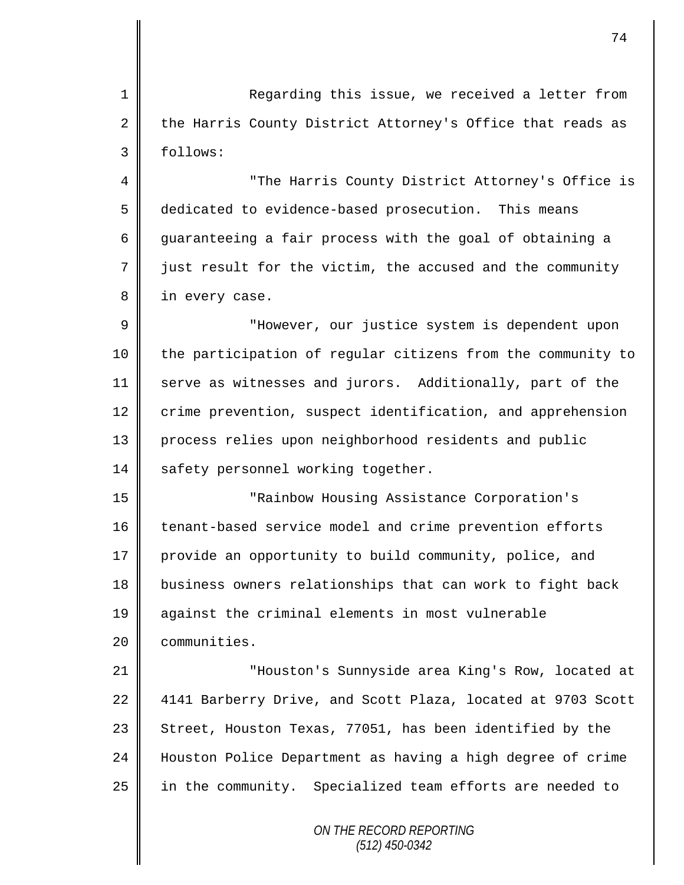1 Reqarding this issue, we received a letter from 2 the Harris County District Attorney's Office that reads as 3 follows:

4 "The Harris County District Attorney's Office is 5 dedicated to evidence-based prosecution. This means 6 guaranteeing a fair process with the goal of obtaining a  $7 \parallel$  just result for the victim, the accused and the community 8 | in every case.

9 || "However, our justice system is dependent upon 10 || the participation of regular citizens from the community to 11 serve as witnesses and jurors. Additionally, part of the 12 crime prevention, suspect identification, and apprehension 13 || process relies upon neighborhood residents and public 14 safety personnel working together.

15 "Rainbow Housing Assistance Corporation's 16 tenant-based service model and crime prevention efforts 17 provide an opportunity to build community, police, and 18 business owners relationships that can work to fight back 19 against the criminal elements in most vulnerable 20 **communities.** 

21 "Houston's Sunnyside area King's Row, located at 22 4141 Barberry Drive, and Scott Plaza, located at 9703 Scott  $23$  Street, Houston Texas, 77051, has been identified by the 24 Houston Police Department as having a high degree of crime 25 | in the community. Specialized team efforts are needed to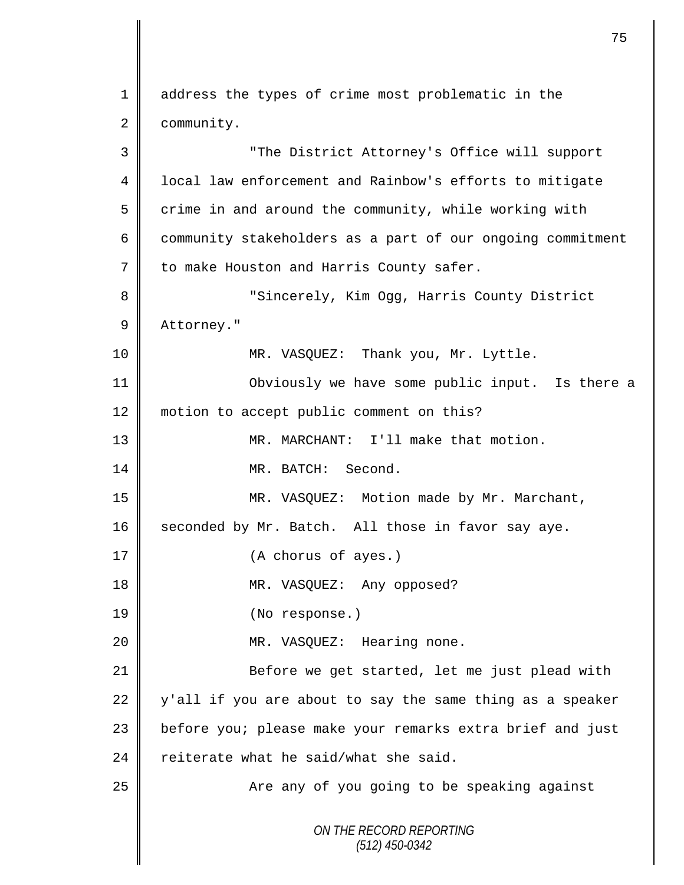*ON THE RECORD REPORTING (512) 450-0342* 1 address the types of crime most problematic in the 2 | community. 3 "The District Attorney's Office will support 4 | local law enforcement and Rainbow's efforts to mitigate  $5 \parallel$  crime in and around the community, while working with  $6 \parallel$  community stakeholders as a part of our ongoing commitment 7 | to make Houston and Harris County safer. 8 || "Sincerely, Kim Ogg, Harris County District 9 Attorney." 10 MR. VASQUEZ: Thank you, Mr. Lyttle. 11 Obviously we have some public input. Is there a 12 | motion to accept public comment on this? 13 MR. MARCHANT: I'll make that motion. 14 MR. BATCH: Second. 15 MR. VASQUEZ: Motion made by Mr. Marchant, 16 seconded by Mr. Batch. All those in favor say aye. 17 || (A chorus of ayes.) 18 || MR. VASQUEZ: Any opposed? 19 (No response.) 20 || MR. VASQUEZ: Hearing none. 21 || Before we get started, let me just plead with 22 y'all if you are about to say the same thing as a speaker 23 | before you; please make your remarks extra brief and just 24  $\parallel$  reiterate what he said/what she said. 25 | Kare any of you going to be speaking against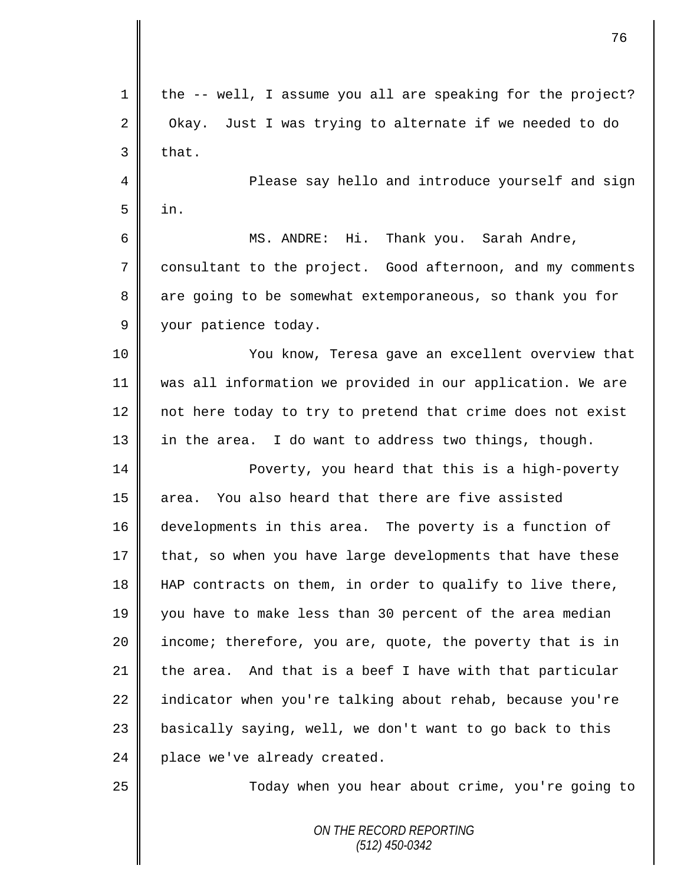| $\mathbf{1}$ | the -- well, I assume you all are speaking for the project? |
|--------------|-------------------------------------------------------------|
| 2            | Okay. Just I was trying to alternate if we needed to do     |
| 3            | that.                                                       |
| 4            | Please say hello and introduce yourself and sign            |
| 5            | in.                                                         |
| 6            | MS. ANDRE: Hi. Thank you. Sarah Andre,                      |
| 7            | consultant to the project. Good afternoon, and my comments  |
| 8            | are going to be somewhat extemporaneous, so thank you for   |
| $\mathsf 9$  | your patience today.                                        |
| 10           | You know, Teresa gave an excellent overview that            |
| 11           | was all information we provided in our application. We are  |
| 12           | not here today to try to pretend that crime does not exist  |
| 13           | in the area. I do want to address two things, though.       |
| 14           | Poverty, you heard that this is a high-poverty              |
| 15           | You also heard that there are five assisted<br>area.        |
| 16           | developments in this area. The poverty is a function of     |
| 17           | that, so when you have large developments that have these   |
| 18           | HAP contracts on them, in order to qualify to live there,   |
| 19           | you have to make less than 30 percent of the area median    |
| 20           | income; therefore, you are, quote, the poverty that is in   |
| 21           | the area. And that is a beef I have with that particular    |
| 22           | indicator when you're talking about rehab, because you're   |
| 23           | basically saying, well, we don't want to go back to this    |
| 24           | place we've already created.                                |
| 25           | Today when you hear about crime, you're going to            |
|              | ON THE RECORD REPORTING                                     |

 $\mathsf{I}$ 

 $\mathsf{I}$ 

*(512) 450-0342*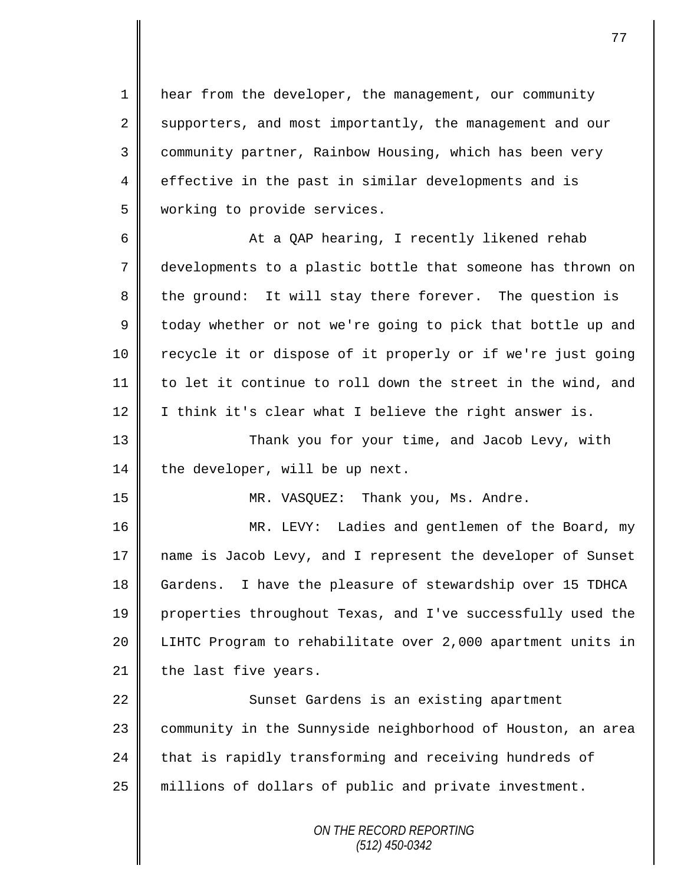1 hear from the developer, the management, our community 2 supporters, and most importantly, the management and our 3 Community partner, Rainbow Housing, which has been very 4 || effective in the past in similar developments and is 5 working to provide services.

6 || At a QAP hearing, I recently likened rehab 7 developments to a plastic bottle that someone has thrown on 8 the ground: It will stay there forever. The question is 9 d today whether or not we're going to pick that bottle up and 10 || recycle it or dispose of it properly or if we're just going 11 to let it continue to roll down the street in the wind, and 12  $\parallel$  I think it's clear what I believe the right answer is.

13 Thank you for your time, and Jacob Levy, with 14 the developer, will be up next.

15 MR. VASQUEZ: Thank you, Ms. Andre.

 MR. LEVY: Ladies and gentlemen of the Board, my 17 name is Jacob Levy, and I represent the developer of Sunset 18 Gardens. I have the pleasure of stewardship over 15 TDHCA properties throughout Texas, and I've successfully used the LIHTC Program to rehabilitate over 2,000 apartment units in | the last five years.

22 || Sunset Gardens is an existing apartment 23 | community in the Sunnyside neighborhood of Houston, an area 24 that is rapidly transforming and receiving hundreds of 25 millions of dollars of public and private investment.

> *ON THE RECORD REPORTING (512) 450-0342*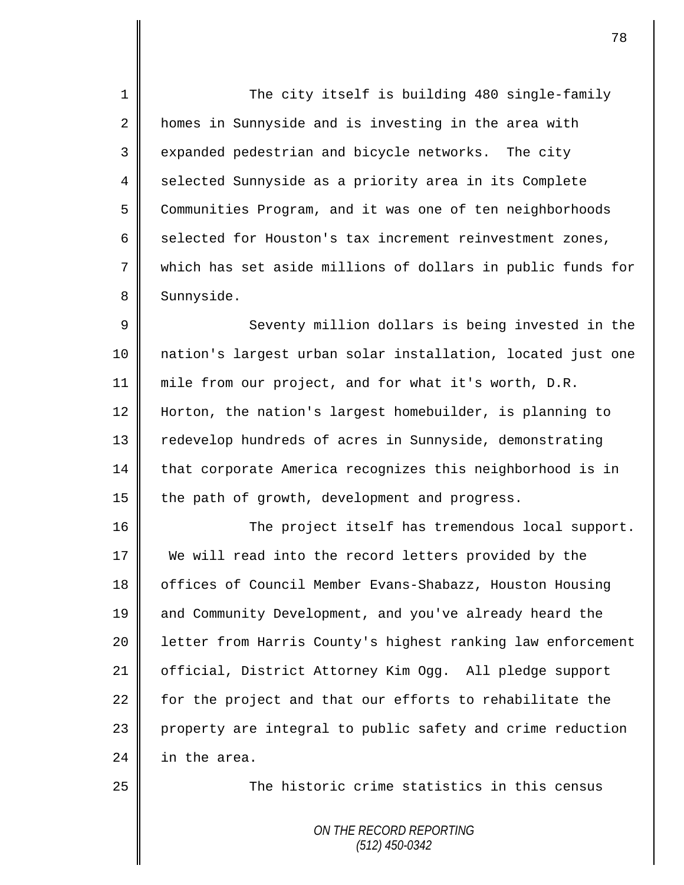1 The city itself is building 480 single-family 2 | homes in Sunnyside and is investing in the area with 3 expanded pedestrian and bicycle networks. The city 4 Selected Sunnyside as a priority area in its Complete 5 Communities Program, and it was one of ten neighborhoods 6 selected for Houston's tax increment reinvestment zones, 7 which has set aside millions of dollars in public funds for 8 | Sunnyside.

9 || Seventy million dollars is being invested in the 10 nation's largest urban solar installation, located just one 11 mile from our project, and for what it's worth, D.R. 12 Horton, the nation's largest homebuilder, is planning to 13 Tedevelop hundreds of acres in Sunnyside, demonstrating 14 that corporate America recognizes this neighborhood is in  $15$  the path of growth, development and progress.

16 The project itself has tremendous local support. 17 We will read into the record letters provided by the 18 | offices of Council Member Evans-Shabazz, Houston Housing 19 and Community Development, and you've already heard the 20 | letter from Harris County's highest ranking law enforcement 21 official, District Attorney Kim Ogg. All pledge support  $22$  for the project and that our efforts to rehabilitate the 23 property are integral to public safety and crime reduction 24 | in the area.

25 || The historic crime statistics in this census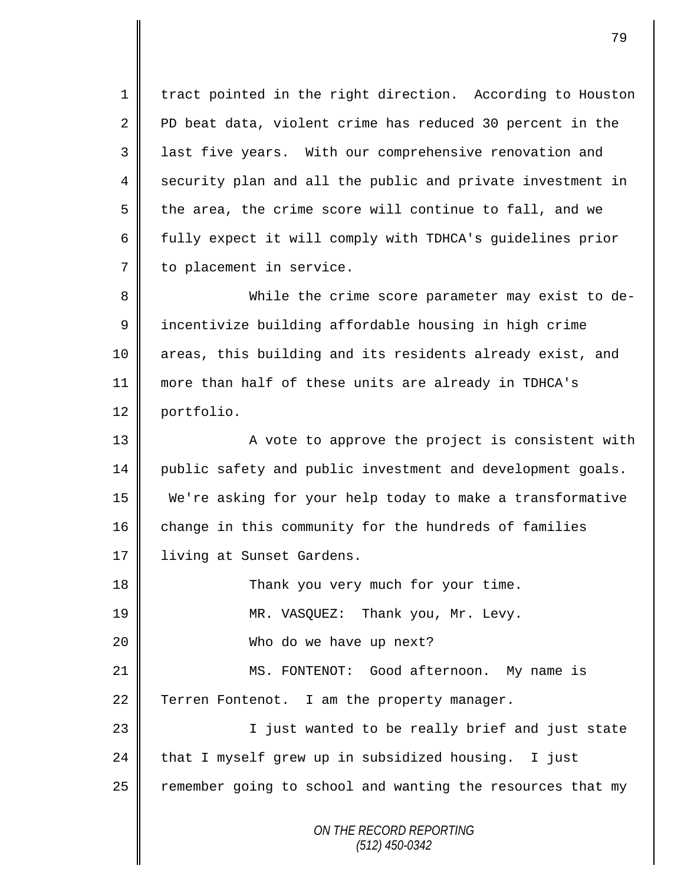1 | tract pointed in the right direction. According to Houston 2 PD beat data, violent crime has reduced 30 percent in the 3 || last five years. With our comprehensive renovation and 4 security plan and all the public and private investment in 5  $\parallel$  the area, the crime score will continue to fall, and we 6 | fully expect it will comply with TDHCA's guidelines prior 7 | to placement in service.

8 While the crime score parameter may exist to de-9 | incentivize building affordable housing in high crime 10 || areas, this building and its residents already exist, and 11 more than half of these units are already in TDHCA's 12 portfolio.

13 || A vote to approve the project is consistent with 14 public safety and public investment and development goals. 15 We're asking for your help today to make a transformative  $16$  change in this community for the hundreds of families 17 | living at Sunset Gardens.

18 || Thank you very much for your time. 19 MR. VASQUEZ: Thank you, Mr. Levy. 20 Who do we have up next?

21 || MS. FONTENOT: Good afternoon. My name is  $22$  Terren Fontenot. I am the property manager.

23 || I just wanted to be really brief and just state 24 that I myself grew up in subsidized housing. I just 25 | remember going to school and wanting the resources that my

> *ON THE RECORD REPORTING (512) 450-0342*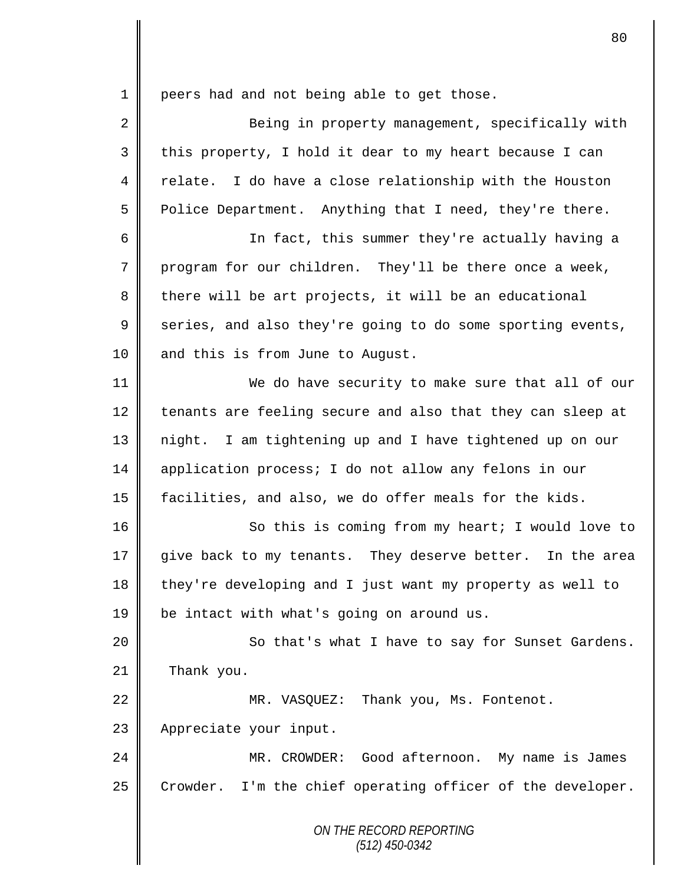1 peers had and not being able to get those.

Ш

| 2              | Being in property management, specifically with            |
|----------------|------------------------------------------------------------|
| 3              | this property, I hold it dear to my heart because I can    |
| 4              | relate. I do have a close relationship with the Houston    |
| 5              | Police Department. Anything that I need, they're there.    |
| 6              | In fact, this summer they're actually having a             |
| $\overline{7}$ | program for our children. They'll be there once a week,    |
| 8              | there will be art projects, it will be an educational      |
| 9              | series, and also they're going to do some sporting events, |
| 10             | and this is from June to August.                           |
| 11             | We do have security to make sure that all of our           |
| 12             | tenants are feeling secure and also that they can sleep at |
| 13             | night. I am tightening up and I have tightened up on our   |
| 14             | application process; I do not allow any felons in our      |
| 15             | facilities, and also, we do offer meals for the kids.      |
| 16             | So this is coming from my heart; I would love to           |
| 17             | give back to my tenants. They deserve better. In the area  |
| 18             | they're developing and I just want my property as well to  |
| 19             | be intact with what's going on around us.                  |
| 20             | So that's what I have to say for Sunset Gardens.           |
| 21             | Thank you.                                                 |
| 22             | MR. VASQUEZ: Thank you, Ms. Fontenot.                      |
| 23             | Appreciate your input.                                     |
| 24             | MR. CROWDER: Good afternoon. My name is James              |
| 25             | Crowder. I'm the chief operating officer of the developer. |
|                | ON THE RECORD REPORTING<br>(512) 450-0342                  |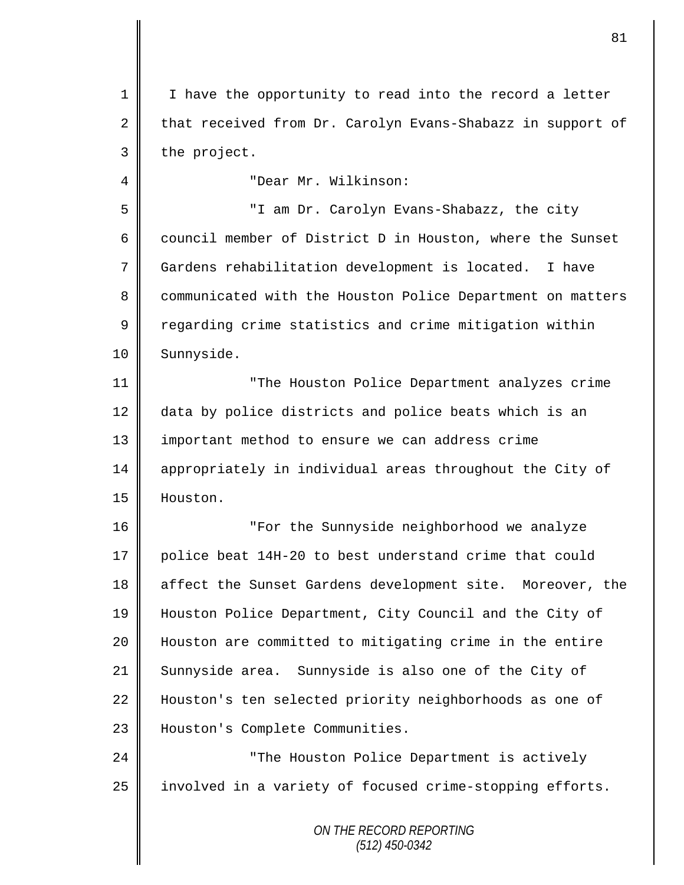1 | I have the opportunity to read into the record a letter 2 that received from Dr. Carolyn Evans-Shabazz in support of  $3$  the project.

4 "Dear Mr. Wilkinson:

5 "I am Dr. Carolyn Evans-Shabazz, the city 6 council member of District D in Houston, where the Sunset 7 Gardens rehabilitation development is located. I have 8 communicated with the Houston Police Department on matters 9 Tegarding crime statistics and crime mitigation within 10 | Sunnyside.

11 "The Houston Police Department analyzes crime 12 data by police districts and police beats which is an 13 || important method to ensure we can address crime 14 appropriately in individual areas throughout the City of 15 Houston.

16 "For the Sunnyside neighborhood we analyze 17 police beat 14H-20 to best understand crime that could 18 affect the Sunset Gardens development site. Moreover, the 19 Houston Police Department, City Council and the City of 20 Houston are committed to mitigating crime in the entire 21 Sunnyside area. Sunnyside is also one of the City of 22 | Houston's ten selected priority neighborhoods as one of 23 | Houston's Complete Communities.

24 **||** The Houston Police Department is actively  $25$  involved in a variety of focused crime-stopping efforts.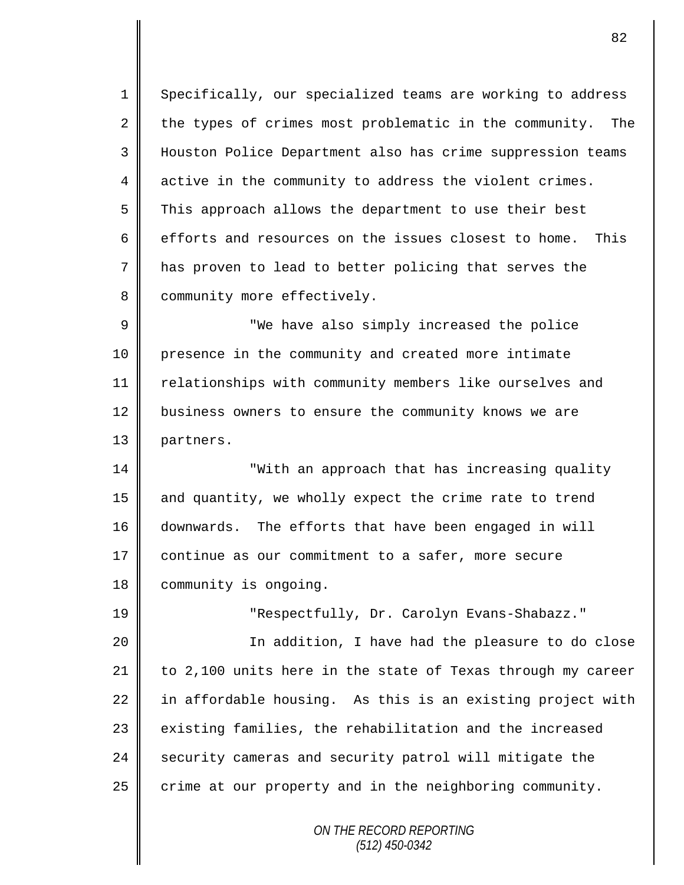1 Specifically, our specialized teams are working to address  $2 \parallel$  the types of crimes most problematic in the community. The 3 || Houston Police Department also has crime suppression teams 4 || active in the community to address the violent crimes. 5 This approach allows the department to use their best 6  $\parallel$  efforts and resources on the issues closest to home. This 7 has proven to lead to better policing that serves the 8 | community more effectively.

9 "We have also simply increased the police 10 presence in the community and created more intimate 11 | relationships with community members like ourselves and 12 business owners to ensure the community knows we are 13 | partners.

14 || "With an approach that has increasing quality 15 and quantity, we wholly expect the crime rate to trend 16 downwards. The efforts that have been engaged in will 17 | continue as our commitment to a safer, more secure 18 | community is ongoing.

19 "Respectfully, Dr. Carolyn Evans-Shabazz." 20 In addition, I have had the pleasure to do close 21 to 2,100 units here in the state of Texas through my career 22 in affordable housing. As this is an existing project with 23 existing families, the rehabilitation and the increased 24 security cameras and security patrol will mitigate the  $25$   $\parallel$  crime at our property and in the neighboring community.

> *ON THE RECORD REPORTING (512) 450-0342*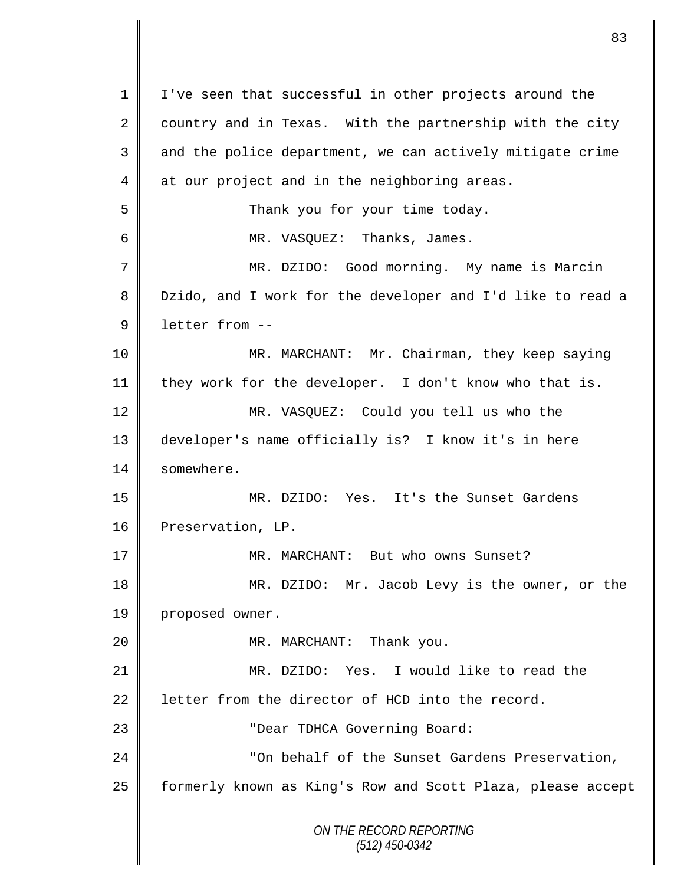*ON THE RECORD REPORTING (512) 450-0342* 1 | I've seen that successful in other projects around the 2 | country and in Texas. With the partnership with the city 3 || and the police department, we can actively mitigate crime  $4 \parallel$  at our project and in the neighboring areas. 5 || Thank you for your time today. 6 MR. VASQUEZ: Thanks, James. 7 MR. DZIDO: Good morning. My name is Marcin 8 Dzido, and I work for the developer and I'd like to read a 9 **l** letter from --10 MR. MARCHANT: Mr. Chairman, they keep saying 11 | they work for the developer. I don't know who that is. 12 || MR. VASQUEZ: Could you tell us who the 13 developer's name officially is? I know it's in here 14 somewhere. 15 MR. DZIDO: Yes. It's the Sunset Gardens 16 Preservation, LP. 17 MR. MARCHANT: But who owns Sunset? 18 MR. DZIDO: Mr. Jacob Levy is the owner, or the 19 | proposed owner. 20 **||** MR. MARCHANT: Thank you. 21 MR. DZIDO: Yes. I would like to read the 22 | letter from the director of HCD into the record. 23 "Dear TDHCA Governing Board: 24 **Definition** Tom behalf of the Sunset Gardens Preservation, 25 | formerly known as King's Row and Scott Plaza, please accept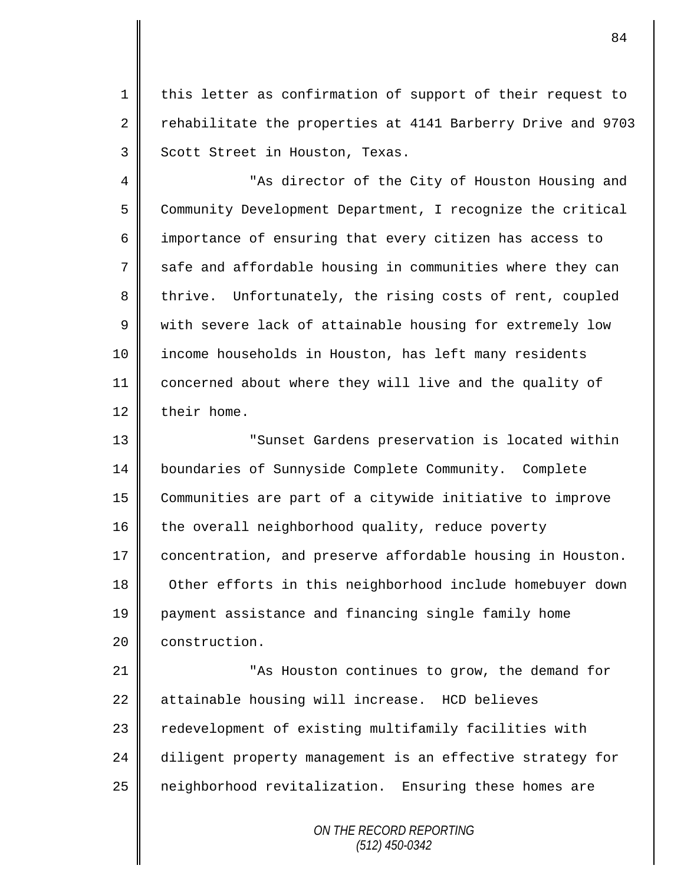1 | this letter as confirmation of support of their request to 2 Tehabilitate the properties at 4141 Barberry Drive and 9703 3 | Scott Street in Houston, Texas.

4 || "As director of the City of Houston Housing and 5 Community Development Department, I recognize the critical 6 importance of ensuring that every citizen has access to  $7 \parallel$  safe and affordable housing in communities where they can 8 thrive. Unfortunately, the rising costs of rent, coupled 9 We with severe lack of attainable housing for extremely low 10 || income households in Houston, has left many residents 11 concerned about where they will live and the quality of 12 their home.

 "Sunset Gardens preservation is located within boundaries of Sunnyside Complete Community. Complete Communities are part of a citywide initiative to improve 16 the overall neighborhood quality, reduce poverty 17 | concentration, and preserve affordable housing in Houston. 18 Other efforts in this neighborhood include homebuyer down payment assistance and financing single family home **construction.** 

21 **||** This Houston continues to grow, the demand for 22 attainable housing will increase. HCD believes 23 | redevelopment of existing multifamily facilities with 24 diligent property management is an effective strategy for 25 neighborhood revitalization. Ensuring these homes are

> *ON THE RECORD REPORTING (512) 450-0342*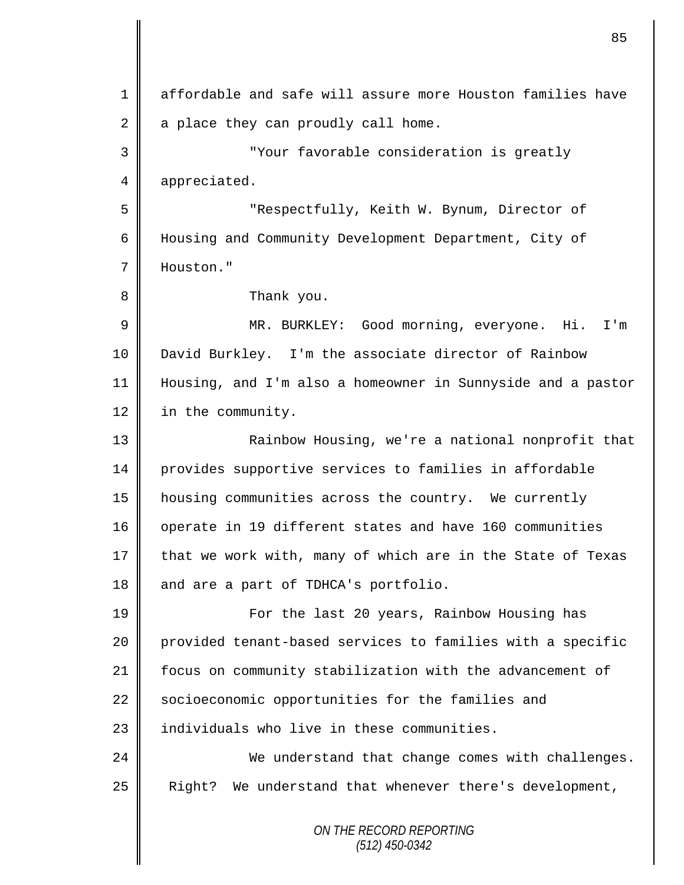*ON THE RECORD REPORTING* 1 affordable and safe will assure more Houston families have  $2 \parallel$  a place they can proudly call home. 3 "Your favorable consideration is greatly 4 | appreciated. 5 "Respectfully, Keith W. Bynum, Director of 6 Housing and Community Development Department, City of 7 Houston." 8 **B** Thank you. 9 MR. BURKLEY: Good morning, everyone. Hi. I'm 10 | David Burkley. I'm the associate director of Rainbow 11 Housing, and I'm also a homeowner in Sunnyside and a pastor 12 in the community. 13 || Rainbow Housing, we're a national nonprofit that 14 provides supportive services to families in affordable 15 housing communities across the country. We currently 16 operate in 19 different states and have 160 communities 17 that we work with, many of which are in the State of Texas 18 || and are a part of TDHCA's portfolio. 19 For the last 20 years, Rainbow Housing has 20 provided tenant-based services to families with a specific 21 | focus on community stabilization with the advancement of 22 Socioeconomic opportunities for the families and  $23$   $\parallel$  individuals who live in these communities. 24 We understand that change comes with challenges. 25 | Right? We understand that whenever there's development,

*(512) 450-0342*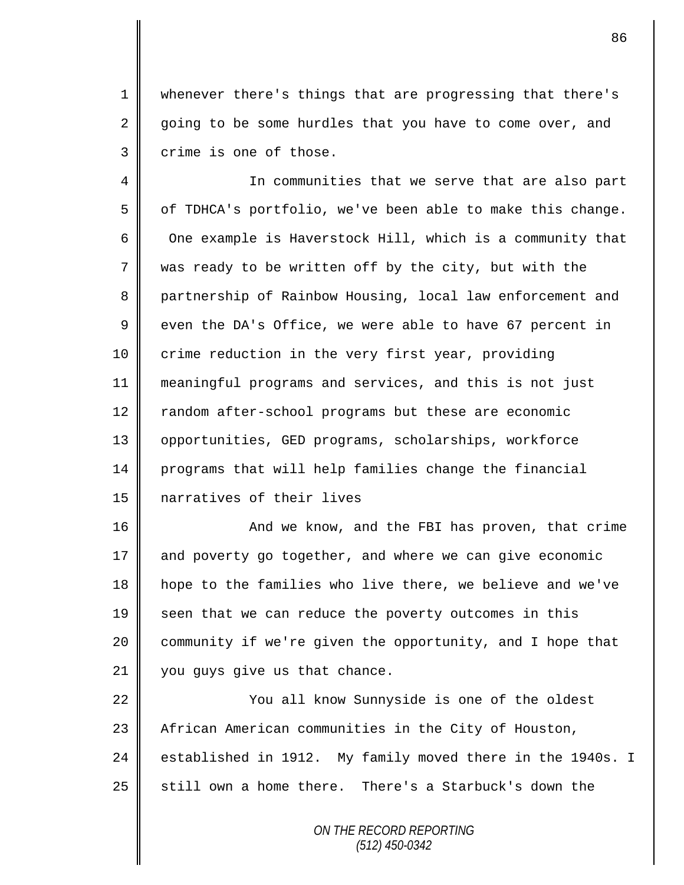1 whenever there's things that are progressing that there's  $2 \parallel$  going to be some hurdles that you have to come over, and 3 crime is one of those.

4 || In communities that we serve that are also part  $5 \parallel$  of TDHCA's portfolio, we've been able to make this change. 6 One example is Haverstock Hill, which is a community that  $7 \parallel$  was ready to be written off by the city, but with the 8 partnership of Rainbow Housing, local law enforcement and  $9 \parallel$  even the DA's Office, we were able to have 67 percent in 10 crime reduction in the very first year, providing 11 meaningful programs and services, and this is not just 12 Trandom after-school programs but these are economic 13 || opportunities, GED programs, scholarships, workforce 14 programs that will help families change the financial 15 narratives of their lives

16 | And we know, and the FBI has proven, that crime 17 and poverty go together, and where we can give economic 18 hope to the families who live there, we believe and we've  $19 \parallel$  seen that we can reduce the poverty outcomes in this 20 community if we're given the opportunity, and I hope that 21 | you quys give us that chance.

22 | You all know Sunnyside is one of the oldest 23 | African American communities in the City of Houston, 24 established in 1912. My family moved there in the 1940s. I 25 still own a home there. There's a Starbuck's down the

> *ON THE RECORD REPORTING (512) 450-0342*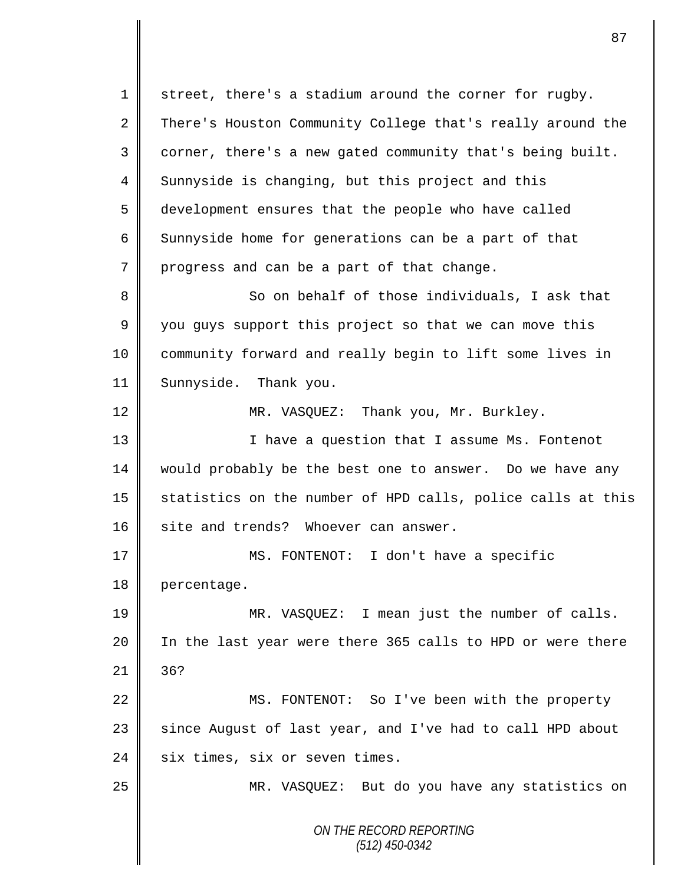*ON THE RECORD REPORTING (512) 450-0342*  $1 \parallel$  street, there's a stadium around the corner for rugby. 2 There's Houston Community College that's really around the  $3 \parallel$  corner, there's a new gated community that's being built. 4 Sunnyside is changing, but this project and this 5 development ensures that the people who have called 6 Sunnyside home for generations can be a part of that  $7$  progress and can be a part of that change. 8 So on behalf of those individuals, I ask that  $9 \parallel$  you guys support this project so that we can move this 10 community forward and really begin to lift some lives in 11 Sunnyside. Thank you. 12 | MR. VASQUEZ: Thank you, Mr. Burkley. 13 || I have a question that I assume Ms. Fontenot 14 would probably be the best one to answer. Do we have any 15  $\parallel$  statistics on the number of HPD calls, police calls at this 16 site and trends? Whoever can answer. 17 MS. FONTENOT: I don't have a specific 18 percentage. 19 MR. VASQUEZ: I mean just the number of calls. 20 || In the last year were there 365 calls to HPD or were there  $21$  36? 22 | MS. FONTENOT: So I've been with the property 23 | since August of last year, and I've had to call HPD about 24 six times, six or seven times. 25 | MR. VASQUEZ: But do you have any statistics on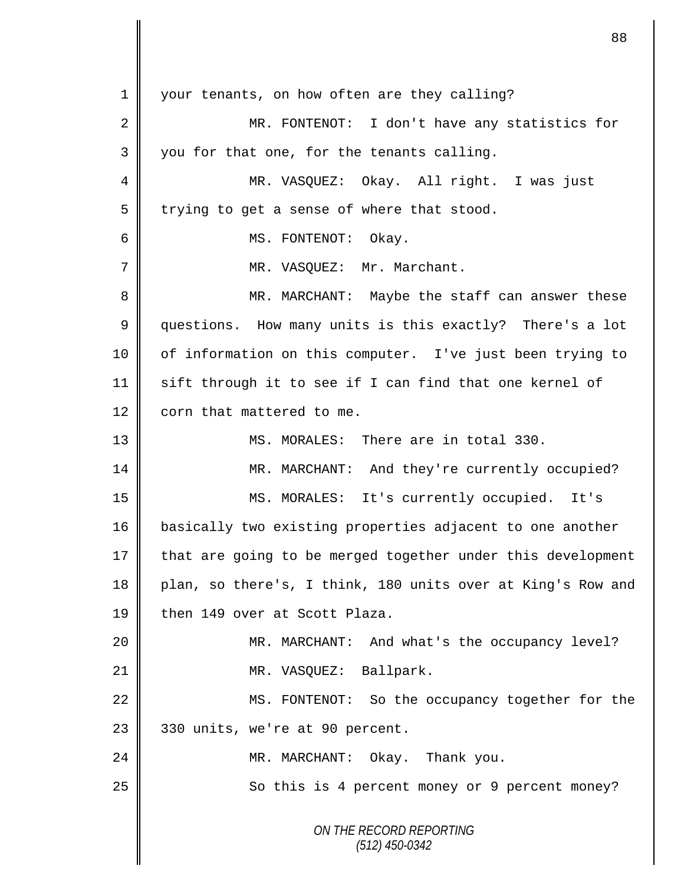*ON THE RECORD REPORTING (512) 450-0342* 1 your tenants, on how often are they calling? 2 || MR. FONTENOT: I don't have any statistics for 3 you for that one, for the tenants calling. 4 MR. VASQUEZ: Okay. All right. I was just  $5$  | trying to get a sense of where that stood. 6 MS. FONTENOT: Okay. 7 | MR. VASOUEZ: Mr. Marchant. 8 MR. MARCHANT: Maybe the staff can answer these 9 guestions. How many units is this exactly? There's a lot 10 | of information on this computer. I've just been trying to 11 sift through it to see if I can find that one kernel of 12 corn that mattered to me. 13 MS. MORALES: There are in total 330. 14 MR. MARCHANT: And they're currently occupied? 15 MS. MORALES: It's currently occupied. It's 16 basically two existing properties adjacent to one another 17 that are going to be merged together under this development 18 plan, so there's, I think, 180 units over at King's Row and 19 then 149 over at Scott Plaza. 20 | MR. MARCHANT: And what's the occupancy level? 21 | MR. VASQUEZ: Ballpark. 22 MS. FONTENOT: So the occupancy together for the  $23$  | 330 units, we're at 90 percent. 24 MR. MARCHANT: Okay. Thank you. 25 | So this is 4 percent money or 9 percent money?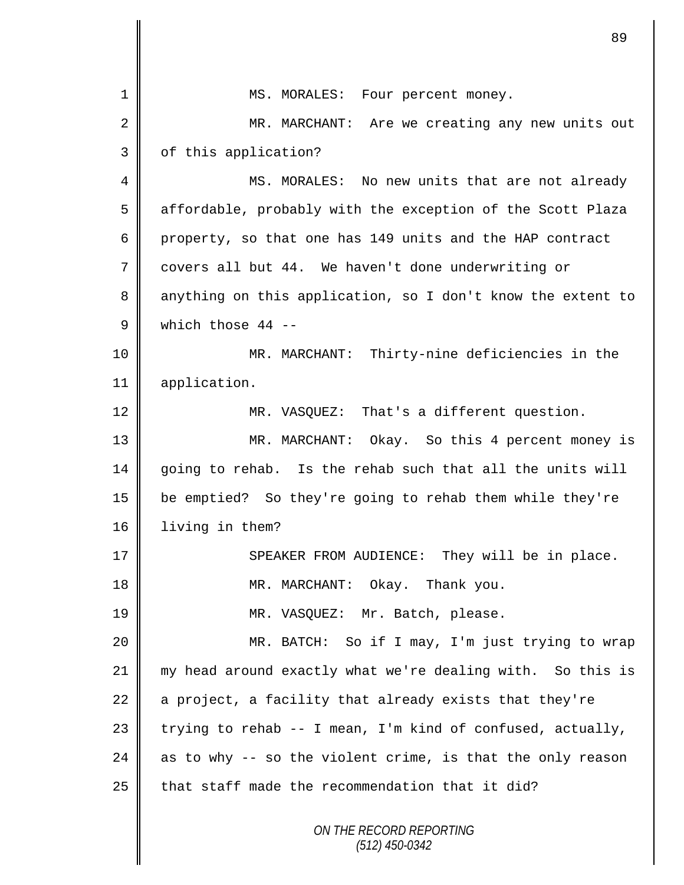*ON THE RECORD REPORTING (512) 450-0342* 1 || MS. MORALES: Four percent money. 2 || MR. MARCHANT: Are we creating any new units out 3 | of this application? 4 || MS. MORALES: No new units that are not already 5 | affordable, probably with the exception of the Scott Plaza 6 property, so that one has 149 units and the HAP contract 7 covers all but 44. We haven't done underwriting or 8 anything on this application, so I don't know the extent to 9 which those 44 -- 10 || MR. MARCHANT: Thirty-nine deficiencies in the 11 | application. 12 | MR. VASQUEZ: That's a different question. 13 MR. MARCHANT: Okay. So this 4 percent money is  $14$  going to rehab. Is the rehab such that all the units will 15 be emptied? So they're going to rehab them while they're 16 living in them? 17 SPEAKER FROM AUDIENCE: They will be in place. 18 || MR. MARCHANT: Okay. Thank you. 19 || MR. VASQUEZ: Mr. Batch, please. 20 MR. BATCH: So if I may, I'm just trying to wrap 21 my head around exactly what we're dealing with. So this is 22  $\parallel$  a project, a facility that already exists that they're 23  $\parallel$  trying to rehab -- I mean, I'm kind of confused, actually, 24 as to why  $-$  so the violent crime, is that the only reason 25  $\parallel$  that staff made the recommendation that it did?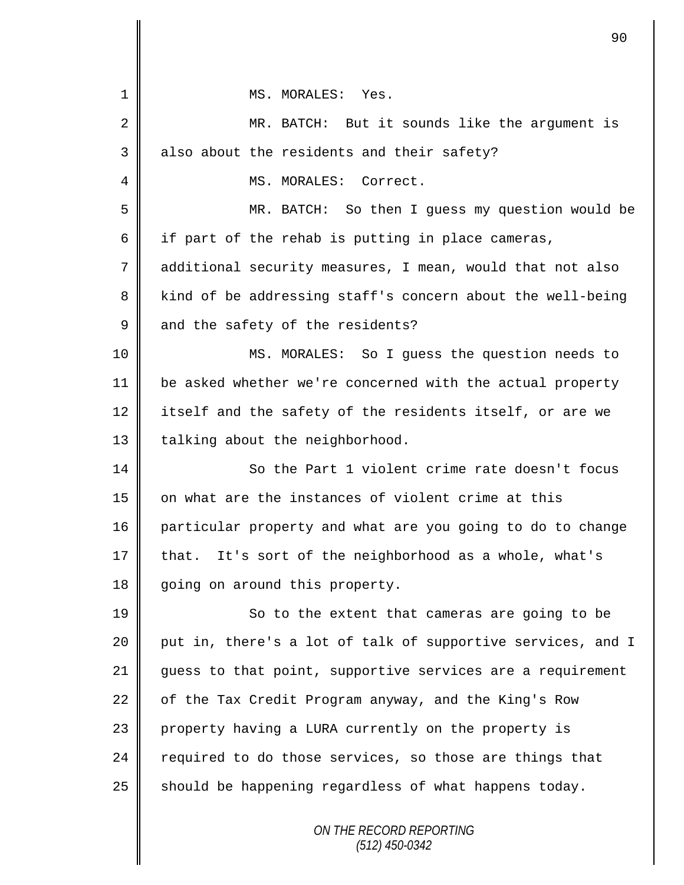| 1  | MS. MORALES: Yes.                                           |
|----|-------------------------------------------------------------|
| 2  | MR. BATCH: But it sounds like the argument is               |
| 3  | also about the residents and their safety?                  |
| 4  | MS. MORALES: Correct.                                       |
| 5  | MR. BATCH: So then I guess my question would be             |
| 6  | if part of the rehab is putting in place cameras,           |
| 7  | additional security measures, I mean, would that not also   |
| 8  | kind of be addressing staff's concern about the well-being  |
| 9  | and the safety of the residents?                            |
| 10 | MS. MORALES: So I guess the question needs to               |
| 11 | be asked whether we're concerned with the actual property   |
| 12 | itself and the safety of the residents itself, or are we    |
| 13 | talking about the neighborhood.                             |
| 14 | So the Part 1 violent crime rate doesn't focus              |
| 15 | on what are the instances of violent crime at this          |
| 16 | particular property and what are you going to do to change  |
| 17 | that. It's sort of the neighborhood as a whole, what's      |
| 18 | going on around this property.                              |
| 19 | So to the extent that cameras are going to be               |
| 20 | put in, there's a lot of talk of supportive services, and I |
| 21 | guess to that point, supportive services are a requirement  |
| 22 | of the Tax Credit Program anyway, and the King's Row        |
| 23 | property having a LURA currently on the property is         |
| 24 | required to do those services, so those are things that     |
| 25 | should be happening regardless of what happens today.       |
|    | ON THE RECORD REPORTING                                     |

 $\mathbf l$ II

 $\mathsf{I}$ 

*(512) 450-0342*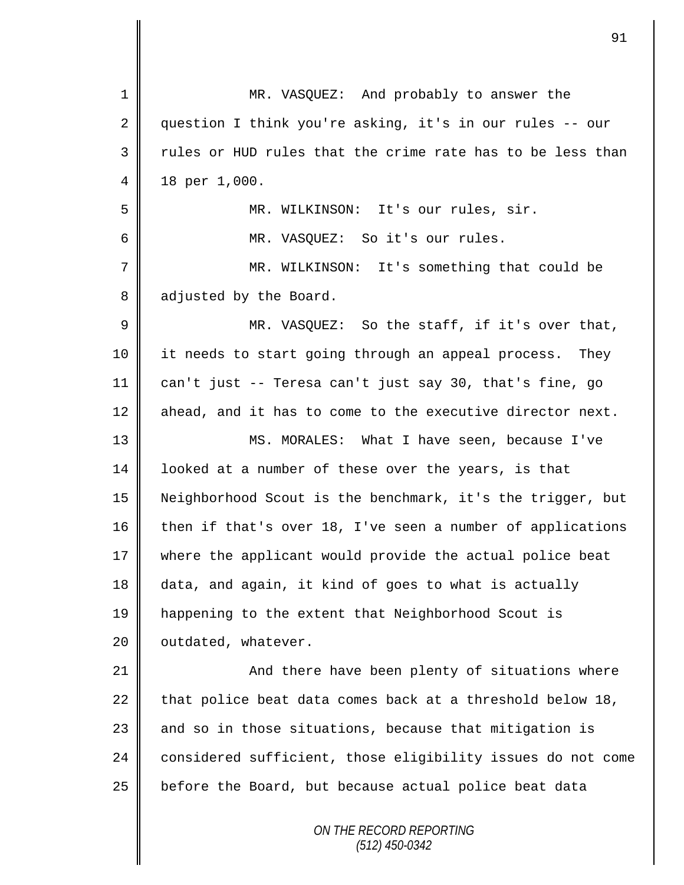| $\mathbf 1$ | MR. VASQUEZ: And probably to answer the                     |
|-------------|-------------------------------------------------------------|
| 2           | question I think you're asking, it's in our rules -- our    |
| 3           | rules or HUD rules that the crime rate has to be less than  |
| 4           | 18 per 1,000.                                               |
| 5           | MR. WILKINSON: It's our rules, sir.                         |
| 6           | MR. VASQUEZ: So it's our rules.                             |
| 7           | MR. WILKINSON: It's something that could be                 |
| 8           | adjusted by the Board.                                      |
| 9           | MR. VASQUEZ: So the staff, if it's over that,               |
| 10          | it needs to start going through an appeal process. They     |
| 11          | can't just -- Teresa can't just say 30, that's fine, go     |
| 12          | ahead, and it has to come to the executive director next.   |
| 13          | MS. MORALES: What I have seen, because I've                 |
| 14          | looked at a number of these over the years, is that         |
| 15          | Neighborhood Scout is the benchmark, it's the trigger, but  |
| 16          | then if that's over 18, I've seen a number of applications  |
| 17          | where the applicant would provide the actual police beat    |
| 18          | data, and again, it kind of goes to what is actually        |
| 19          | happening to the extent that Neighborhood Scout is          |
| 20          | outdated, whatever.                                         |
| 21          | And there have been plenty of situations where              |
| 22          | that police beat data comes back at a threshold below 18,   |
| 23          | and so in those situations, because that mitigation is      |
| 24          | considered sufficient, those eligibility issues do not come |
| 25          | before the Board, but because actual police beat data       |
|             | ON THE RECORD REPORTING<br>$(512)$ 450-0342                 |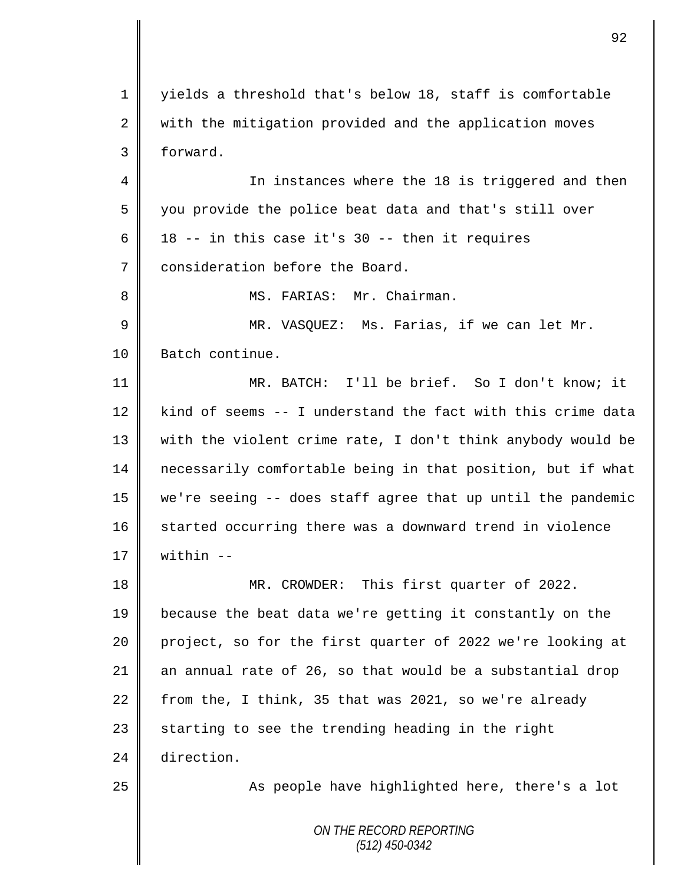*ON THE RECORD REPORTING (512) 450-0342* 1 yields a threshold that's below 18, staff is comfortable 2 || with the mitigation provided and the application moves 3 forward. 4 || In instances where the 18 is triggered and then 5 || you provide the police beat data and that's still over 6  $\parallel$  18 -- in this case it's 30 -- then it requires 7 consideration before the Board. 8 || MS. FARIAS: Mr. Chairman. 9 || MR. VASQUEZ: Ms. Farias, if we can let Mr. 10 | Batch continue. 11 MR. BATCH: I'll be brief. So I don't know; it  $12$  kind of seems -- I understand the fact with this crime data 13 || with the violent crime rate, I don't think anybody would be 14 necessarily comfortable being in that position, but if what 15 we're seeing -- does staff agree that up until the pandemic 16 started occurring there was a downward trend in violence 17  $\parallel$  within  $-$ 18 MR. CROWDER: This first quarter of 2022. 19 because the beat data we're getting it constantly on the 20 project, so for the first quarter of 2022 we're looking at 21 an annual rate of 26, so that would be a substantial drop 22 from the, I think, 35 that was 2021, so we're already  $23$  starting to see the trending heading in the right 24 direction. 25 | As people have highlighted here, there's a lot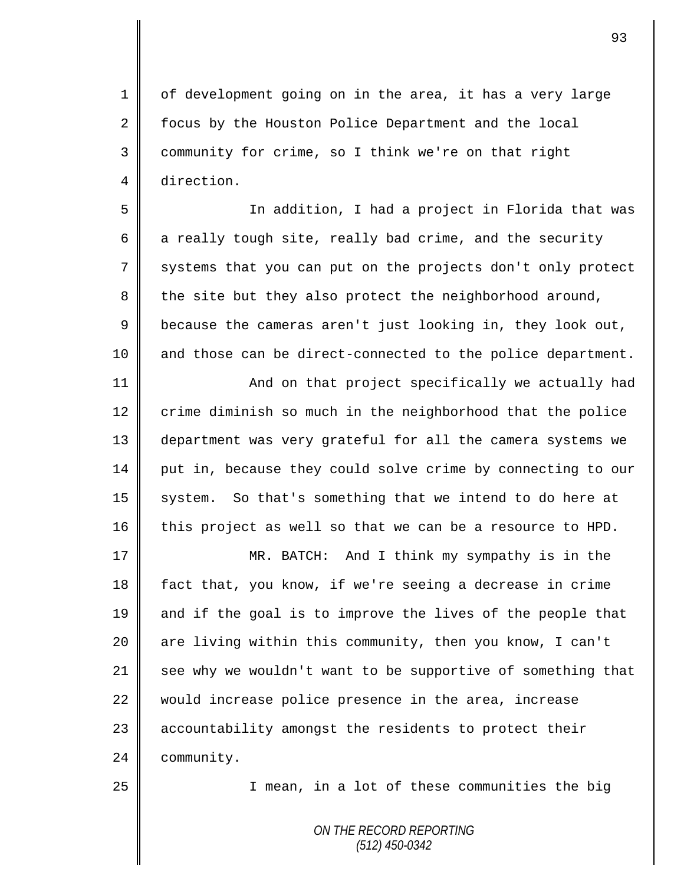1 | of development going on in the area, it has a very large 2 | focus by the Houston Police Department and the local 3 community for crime, so I think we're on that right 4 direction.

5 In addition, I had a project in Florida that was 6  $\parallel$  a really tough site, really bad crime, and the security 7 systems that you can put on the projects don't only protect 8 the site but they also protect the neighborhood around,  $9 \parallel$  because the cameras aren't just looking in, they look out, 10 || and those can be direct-connected to the police department.

11 || And on that project specifically we actually had  $12$  crime diminish so much in the neighborhood that the police 13 department was very grateful for all the camera systems we 14 put in, because they could solve crime by connecting to our 15 system. So that's something that we intend to do here at  $16$  this project as well so that we can be a resource to HPD.

 MR. BATCH: And I think my sympathy is in the 18 fact that, you know, if we're seeing a decrease in crime and if the goal is to improve the lives of the people that  $\parallel$  are living within this community, then you know, I can't  $\parallel$  see why we wouldn't want to be supportive of something that 22 would increase police presence in the area, increase 23 | accountability amongst the residents to protect their **Community.** 

25 || I mean, in a lot of these communities the big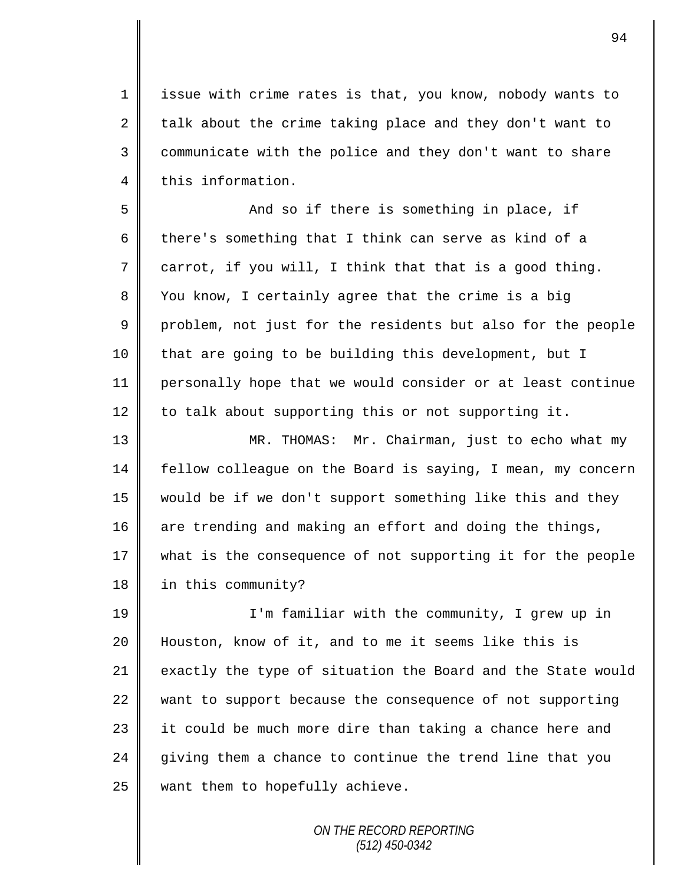1 issue with crime rates is that, you know, nobody wants to 2 talk about the crime taking place and they don't want to 3 | communicate with the police and they don't want to share 4 this information.

5 And so if there is something in place, if 6 there's something that I think can serve as kind of a  $7 \parallel$  carrot, if you will, I think that that is a good thing. 8 You know, I certainly agree that the crime is a big 9 problem, not just for the residents but also for the people 10 || that are going to be building this development, but I 11 personally hope that we would consider or at least continue 12 to talk about supporting this or not supporting it.

13 MR. THOMAS: Mr. Chairman, just to echo what my 14 fellow colleague on the Board is saying, I mean, my concern 15 would be if we don't support something like this and they 16 are trending and making an effort and doing the things, 17 what is the consequence of not supporting it for the people 18 | in this community?

19 || I'm familiar with the community, I grew up in Houston, know of it, and to me it seems like this is  $\parallel$  exactly the type of situation the Board and the State would 22 want to support because the consequence of not supporting  $\parallel$  it could be much more dire than taking a chance here and giving them a chance to continue the trend line that you want them to hopefully achieve.

> *ON THE RECORD REPORTING (512) 450-0342*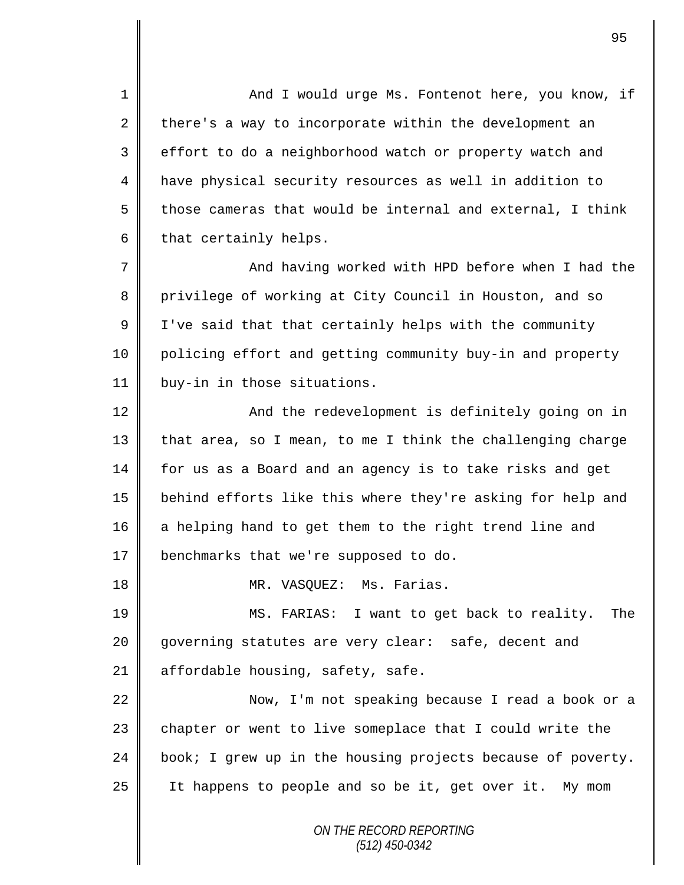1 And I would urge Ms. Fontenot here, you know, if 2 there's a way to incorporate within the development an 3 effort to do a neighborhood watch or property watch and 4 have physical security resources as well in addition to  $5 \parallel$  those cameras that would be internal and external, I think  $6 \parallel$  that certainly helps.

7 || And having worked with HPD before when I had the 8 privilege of working at City Council in Houston, and so  $9 \parallel$  I've said that that certainly helps with the community 10 policing effort and getting community buy-in and property 11 | buy-in in those situations.

12 | And the redevelopment is definitely going on in 13 that area, so I mean, to me I think the challenging charge 14 for us as a Board and an agency is to take risks and get 15 behind efforts like this where they're asking for help and 16 a helping hand to get them to the right trend line and 17 | benchmarks that we're supposed to do.

18 MR. VASQUEZ: Ms. Farias.

19 MS. FARIAS: I want to get back to reality. The 20 || governing statutes are very clear: safe, decent and 21 | affordable housing, safety, safe.

22 | Now, I'm not speaking because I read a book or a  $23$  chapter or went to live someplace that I could write the 24  $\parallel$  book; I grew up in the housing projects because of poverty. 25 | It happens to people and so be it, get over it. My mom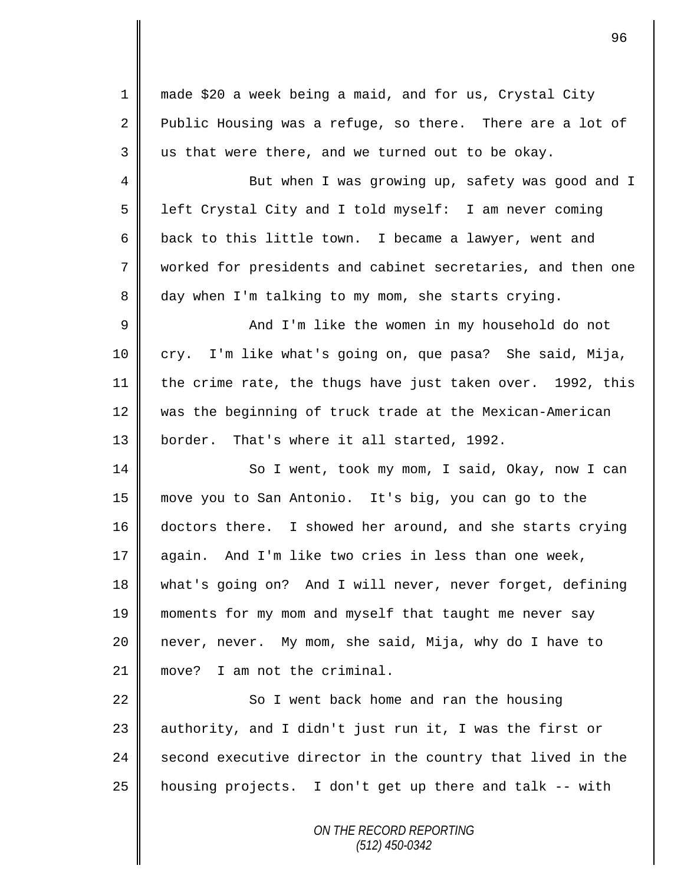1 made \$20 a week being a maid, and for us, Crystal City 2 Public Housing was a refuge, so there. There are a lot of  $3 \parallel$  us that were there, and we turned out to be okay. 4 || But when I was growing up, safety was good and I 5 | left Crystal City and I told myself: I am never coming 6 back to this little town. I became a lawyer, went and 7 worked for presidents and cabinet secretaries, and then one 8 day when I'm talking to my mom, she starts crying. 9 And I'm like the women in my household do not 10 cry. I'm like what's going on, que pasa? She said, Mija, 11 | the crime rate, the thugs have just taken over. 1992, this 12 was the beginning of truck trade at the Mexican-American 13 border. That's where it all started, 1992. 14 So I went, took my mom, I said, Okay, now I can 15 move you to San Antonio. It's big, you can go to the 16 doctors there. I showed her around, and she starts crying 17  $\parallel$  again. And I'm like two cries in less than one week, 18 what's going on? And I will never, never forget, defining 19 moments for my mom and myself that taught me never say 20 never, never. My mom, she said, Mija, why do I have to 21 move? I am not the criminal. 22 So I went back home and ran the housing 23  $\parallel$  authority, and I didn't just run it, I was the first or  $24$  second executive director in the country that lived in the 25 housing projects. I don't get up there and talk -- with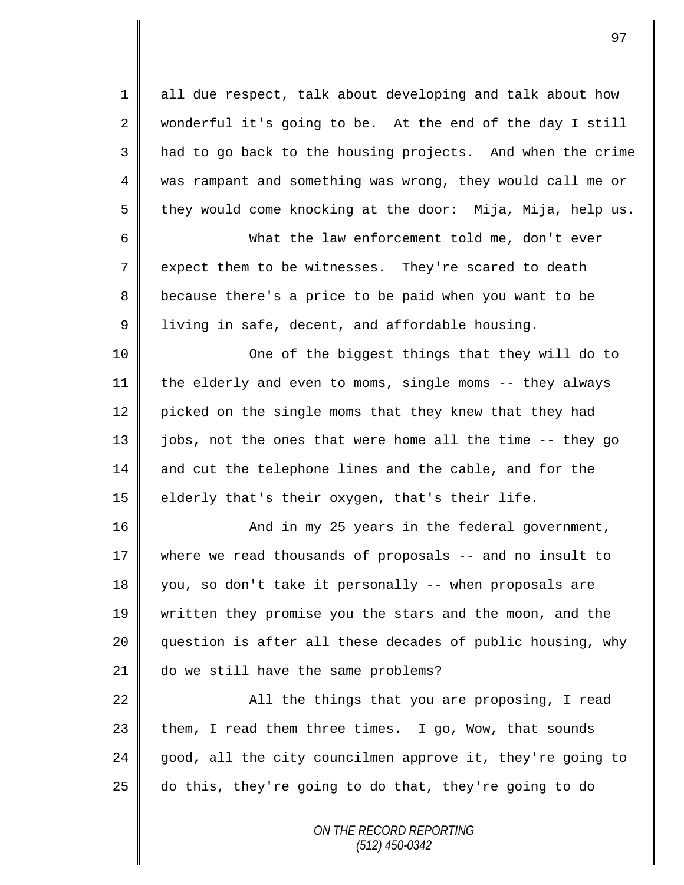1 all due respect, talk about developing and talk about how  $2 \parallel$  wonderful it's going to be. At the end of the day I still 3 || had to go back to the housing projects. And when the crime 4 was rampant and something was wrong, they would call me or  $5 \parallel$  they would come knocking at the door: Mija, Mija, help us. 6 What the law enforcement told me, don't ever 7 expect them to be witnesses. They're scared to death 8 because there's a price to be paid when you want to be  $9 \parallel$  living in safe, decent, and affordable housing. 10 || One of the biggest things that they will do to 11 the elderly and even to moms, single moms -- they always 12 picked on the single moms that they knew that they had 13 jobs, not the ones that were home all the time -- they go 14 and cut the telephone lines and the cable, and for the  $15$  elderly that's their oxygen, that's their life. 16 || And in my 25 years in the federal government, 17 where we read thousands of proposals -- and no insult to

 you, so don't take it personally -- when proposals are written they promise you the stars and the moon, and the question is after all these decades of public housing, why 21 do we still have the same problems?

 $\parallel$  All the things that you are proposing, I read them, I read them three times. I go, Wow, that sounds  $\parallel$  good, all the city councilmen approve it, they're going to do this, they're going to do that, they're going to do

> *ON THE RECORD REPORTING (512) 450-0342*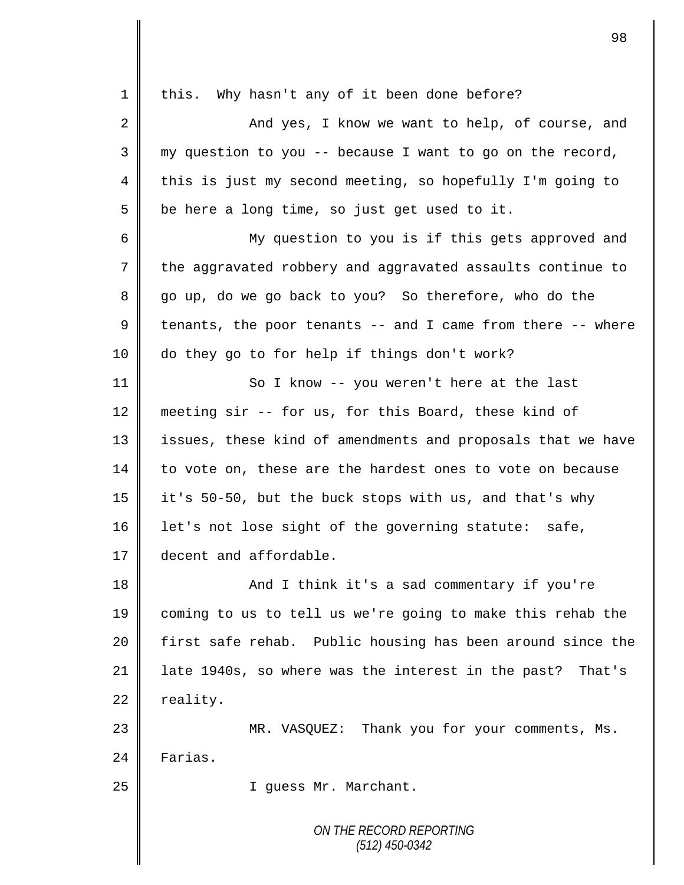*ON THE RECORD REPORTING (512) 450-0342* 1 | this. Why hasn't any of it been done before? 2 And yes, I know we want to help, of course, and 3 my question to you -- because I want to go on the record, 4 this is just my second meeting, so hopefully I'm going to  $5 \parallel$  be here a long time, so just get used to it. 6 || My question to you is if this gets approved and 7 the aggravated robbery and aggravated assaults continue to 8 go up, do we go back to you? So therefore, who do the 9  $\parallel$  tenants, the poor tenants -- and I came from there -- where 10 do they go to for help if things don't work? 11 || So I know -- you weren't here at the last 12 meeting sir -- for us, for this Board, these kind of 13 || issues, these kind of amendments and proposals that we have  $14$  to vote on, these are the hardest ones to vote on because 15 it's 50-50, but the buck stops with us, and that's why 16 det's not lose sight of the governing statute: safe, 17 decent and affordable. 18 || And I think it's a sad commentary if you're 19 coming to us to tell us we're going to make this rehab the 20 first safe rehab. Public housing has been around since the 21 late 1940s, so where was the interest in the past? That's  $22$  reality. 23 MR. VASQUEZ: Thank you for your comments, Ms. 24 | Farias. 25 || I guess Mr. Marchant.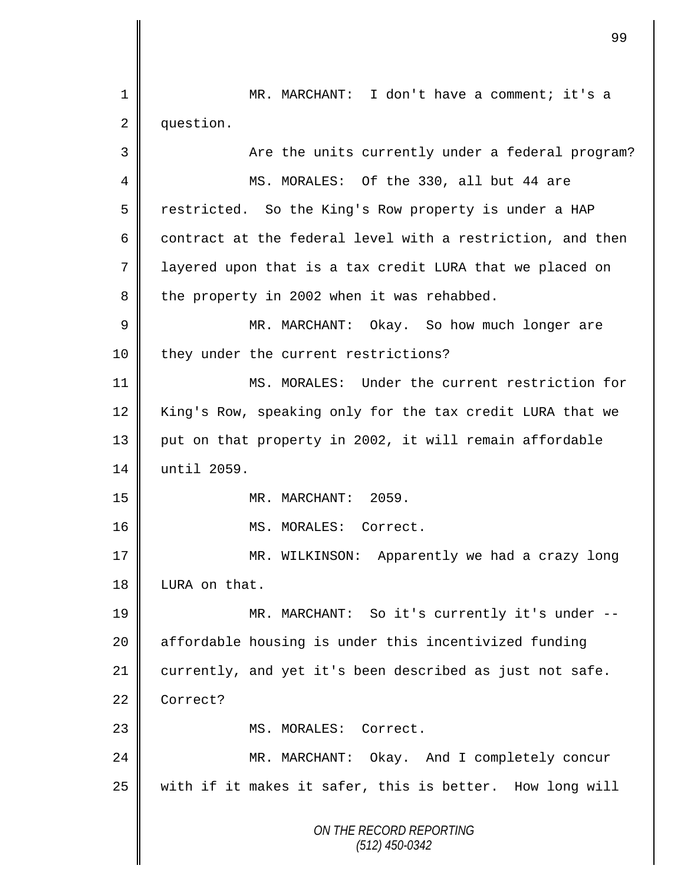*ON THE RECORD REPORTING (512) 450-0342* 1 MR. MARCHANT: I don't have a comment; it's a 2 question. 3 Are the units currently under a federal program? 4 || MS. MORALES: Of the 330, all but 44 are 5 Testricted. So the King's Row property is under a HAP 6 contract at the federal level with a restriction, and then 7 layered upon that is a tax credit LURA that we placed on 8 the property in 2002 when it was rehabbed. 9 || MR. MARCHANT: Okay. So how much longer are 10 || they under the current restrictions? 11 MS. MORALES: Under the current restriction for 12 King's Row, speaking only for the tax credit LURA that we 13 || put on that property in 2002, it will remain affordable 14 until 2059. 15 MR. MARCHANT: 2059. 16 | MS. MORALES: Correct. 17 || MR. WILKINSON: Apparently we had a crazy long 18 | LURA on that. 19 MR. MARCHANT: So it's currently it's under --20 || affordable housing is under this incentivized funding 21 currently, and yet it's been described as just not safe. 22 Correct? 23 | MS. MORALES: Correct. 24 MR. MARCHANT: Okay. And I completely concur  $25$  with if it makes it safer, this is better. How long will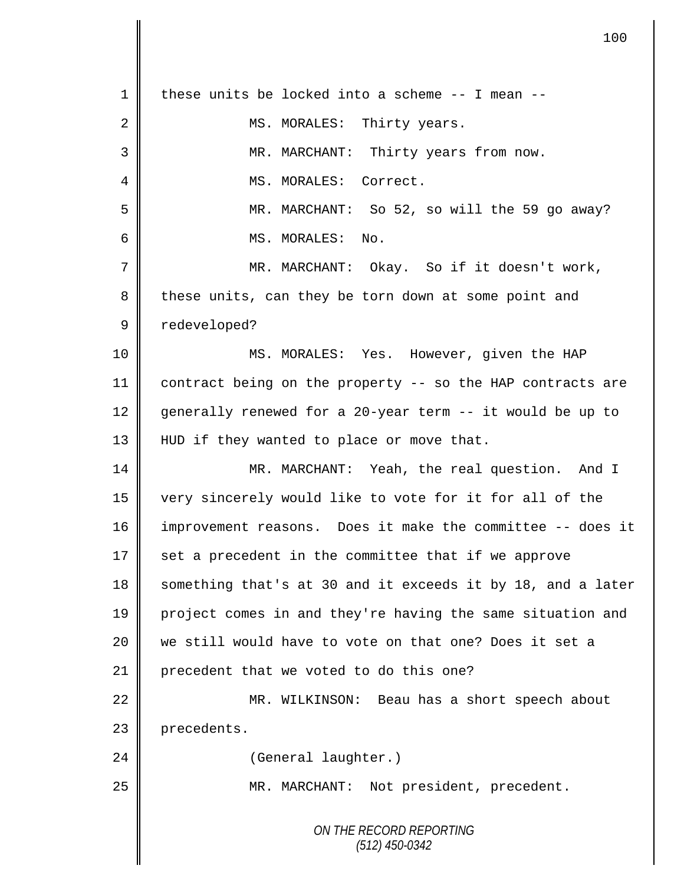*ON THE RECORD REPORTING (512) 450-0342* 1 these units be locked into a scheme -- I mean -- 2 MS. MORALES: Thirty years. 3 MR. MARCHANT: Thirty years from now. 4 || MS. MORALES: Correct. 5 MR. MARCHANT: So 52, so will the 59 go away? 6 MS. MORALES: No. 7 MR. MARCHANT: Okay. So if it doesn't work, 8 these units, can they be torn down at some point and 9 | redeveloped? 10 MS. MORALES: Yes. However, given the HAP 11 contract being on the property -- so the HAP contracts are 12 generally renewed for a 20-year term -- it would be up to 13 || HUD if they wanted to place or move that. 14 MR. MARCHANT: Yeah, the real question. And I 15 very sincerely would like to vote for it for all of the 16 improvement reasons. Does it make the committee -- does it 17 set a precedent in the committee that if we approve 18  $\parallel$  something that's at 30 and it exceeds it by 18, and a later 19 project comes in and they're having the same situation and 20 we still would have to vote on that one? Does it set a 21 | precedent that we voted to do this one? 22 MR. WILKINSON: Beau has a short speech about 23 precedents. 24 | Ceneral laughter.) 25 | MR. MARCHANT: Not president, precedent.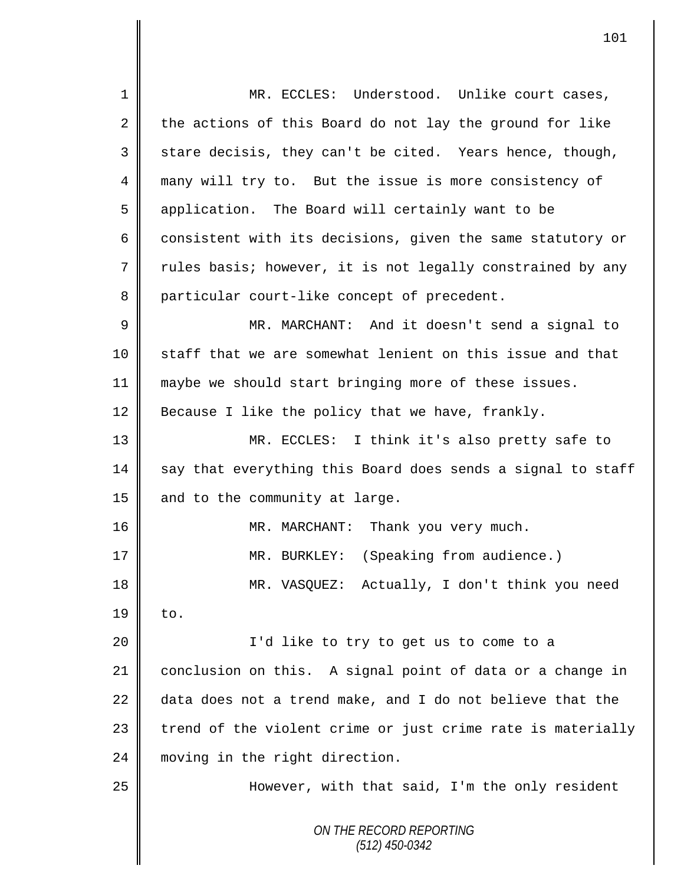*ON THE RECORD REPORTING (512) 450-0342* 1 MR. ECCLES: Understood. Unlike court cases,  $2 \parallel$  the actions of this Board do not lay the ground for like 3 || stare decisis, they can't be cited. Years hence, though, 4 many will try to. But the issue is more consistency of 5 application. The Board will certainly want to be 6 consistent with its decisions, given the same statutory or 7 Trules basis; however, it is not legally constrained by any 8 particular court-like concept of precedent. 9 MR. MARCHANT: And it doesn't send a signal to 10 staff that we are somewhat lenient on this issue and that 11 maybe we should start bringing more of these issues. 12 Because I like the policy that we have, frankly. 13 MR. ECCLES: I think it's also pretty safe to  $14$  say that everything this Board does sends a signal to staff 15  $\parallel$  and to the community at large. 16 MR. MARCHANT: Thank you very much. 17 | MR. BURKLEY: (Speaking from audience.) 18 MR. VASQUEZ: Actually, I don't think you need  $19 \parallel$  to. 20 I'd like to try to get us to come to a 21 conclusion on this. A signal point of data or a change in 22  $\parallel$  data does not a trend make, and I do not believe that the  $23$  | trend of the violent crime or just crime rate is materially 24 moving in the right direction. 25 However, with that said, I'm the only resident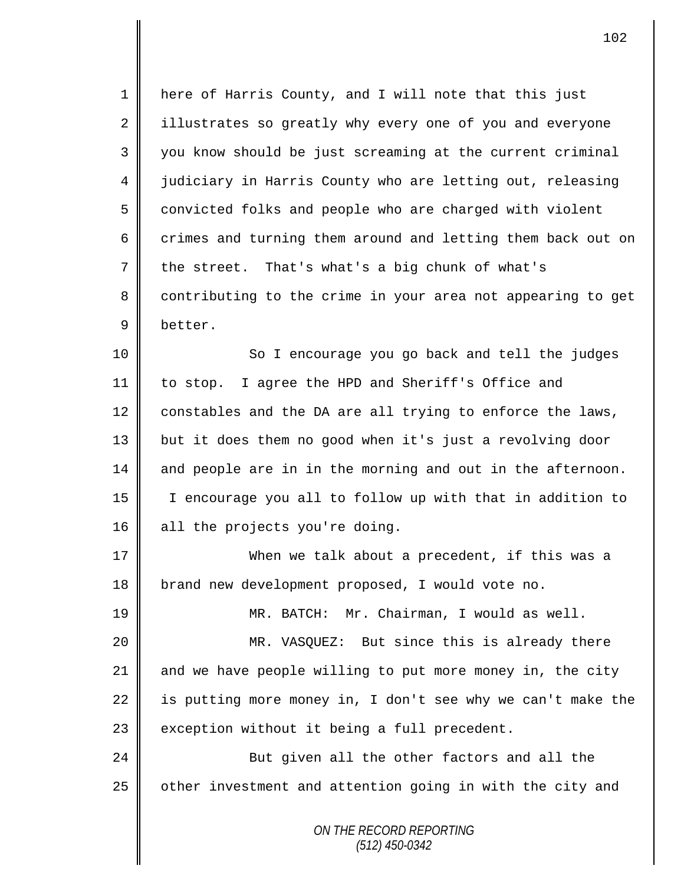1 here of Harris County, and I will note that this just 2 illustrates so greatly why every one of you and everyone 3 || you know should be just screaming at the current criminal 4 judiciary in Harris County who are letting out, releasing  $5 \parallel$  convicted folks and people who are charged with violent  $6$   $\parallel$  crimes and turning them around and letting them back out on  $7 \parallel$  the street. That's what's a big chunk of what's 8 | contributing to the crime in your area not appearing to get 9 better.

10 || So I encourage you go back and tell the judges 11 to stop. I agree the HPD and Sheriff's Office and 12 constables and the DA are all trying to enforce the laws, 13 || but it does them no good when it's just a revolving door  $14$  and people are in in the morning and out in the afternoon. 15 I encourage you all to follow up with that in addition to 16 all the projects you're doing.

17 When we talk about a precedent, if this was a 18 brand new development proposed, I would vote no.

19 MR. BATCH: Mr. Chairman, I would as well.

 MR. VASQUEZ: But since this is already there  $\parallel$  and we have people willing to put more money in, the city 22 is putting more money in, I don't see why we can't make the exception without it being a full precedent.

24 But given all the other factors and all the  $25$  | other investment and attention going in with the city and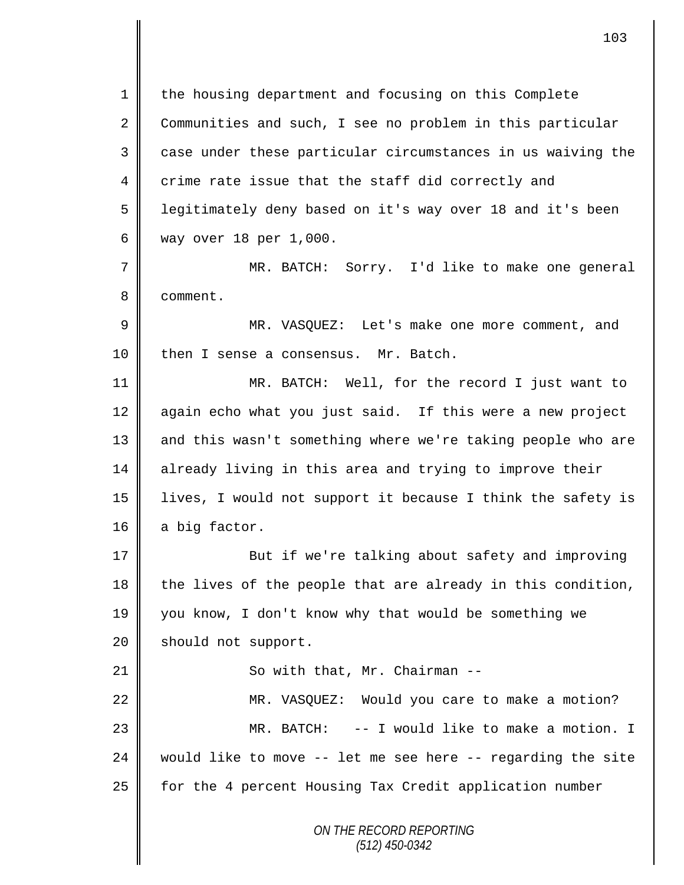*ON THE RECORD REPORTING (512) 450-0342* 1 || the housing department and focusing on this Complete 2 Communities and such, I see no problem in this particular 3 case under these particular circumstances in us waiving the 4 crime rate issue that the staff did correctly and 5 || legitimately deny based on it's way over 18 and it's been 6 way over 18 per 1,000. 7 MR. BATCH: Sorry. I'd like to make one general 8 **Comment.** 9 MR. VASQUEZ: Let's make one more comment, and 10 | then I sense a consensus. Mr. Batch. 11 MR. BATCH: Well, for the record I just want to 12 again echo what you just said. If this were a new project 13 || and this wasn't something where we're taking people who are 14 already living in this area and trying to improve their 15 || lives, I would not support it because I think the safety is 16 a big factor. 17 But if we're talking about safety and improving  $18$  | the lives of the people that are already in this condition, 19 you know, I don't know why that would be something we 20 | should not support. 21 | So with that, Mr. Chairman --22 | MR. VASQUEZ: Would you care to make a motion? 23 MR. BATCH: -- I would like to make a motion. I 24  $\parallel$  would like to move -- let me see here -- regarding the site 25 | for the 4 percent Housing Tax Credit application number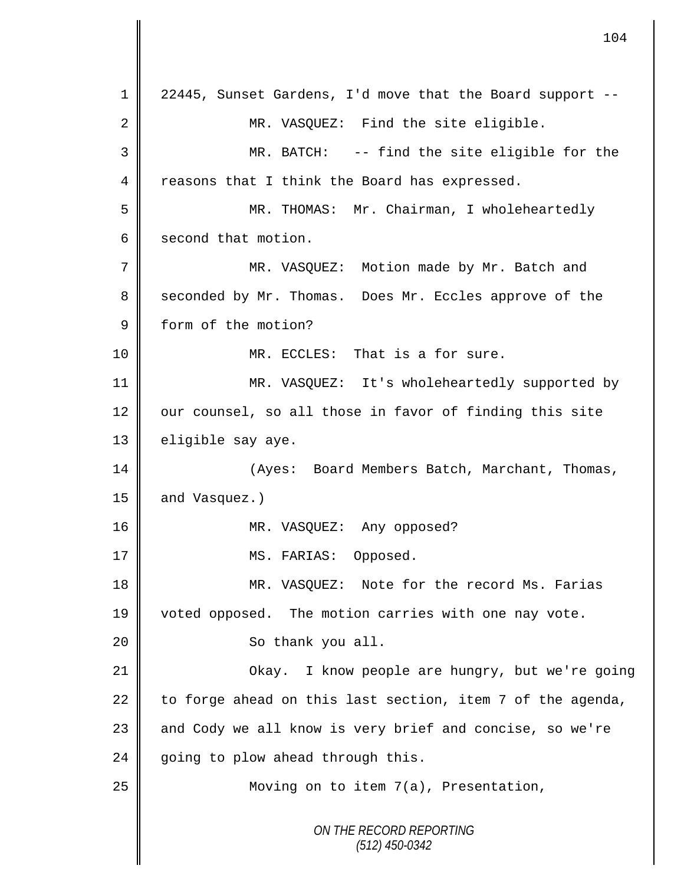| $\mathbf 1$ | 22445, Sunset Gardens, I'd move that the Board support --  |
|-------------|------------------------------------------------------------|
| 2           | MR. VASQUEZ: Find the site eligible.                       |
| 3           | MR. BATCH: -- find the site eligible for the               |
| 4           | reasons that I think the Board has expressed.              |
| 5           | MR. THOMAS: Mr. Chairman, I wholeheartedly                 |
| 6           | second that motion.                                        |
| 7           | MR. VASQUEZ: Motion made by Mr. Batch and                  |
| 8           | seconded by Mr. Thomas. Does Mr. Eccles approve of the     |
| 9           | form of the motion?                                        |
| 10          | MR. ECCLES: That is a for sure.                            |
| 11          | MR. VASQUEZ: It's wholeheartedly supported by              |
| 12          | our counsel, so all those in favor of finding this site    |
| 13          | eligible say aye.                                          |
| 14          | (Ayes: Board Members Batch, Marchant, Thomas,              |
| 15          | and Vasquez.)                                              |
| 16          | MR. VASQUEZ: Any opposed?                                  |
| 17          | MS. FARIAS: Opposed.                                       |
| 18          | MR. VASQUEZ: Note for the record Ms. Farias                |
| 19          | voted opposed. The motion carries with one nay vote.       |
| 20          | So thank you all.                                          |
| 21          | Okay. I know people are hungry, but we're going            |
| 22          | to forge ahead on this last section, item 7 of the agenda, |
| 23          | and Cody we all know is very brief and concise, so we're   |
| 24          | going to plow ahead through this.                          |
| 25          | Moving on to item 7(a), Presentation,                      |
|             | ON THE RECORD REPORTING<br>$(512)$ 450-0342                |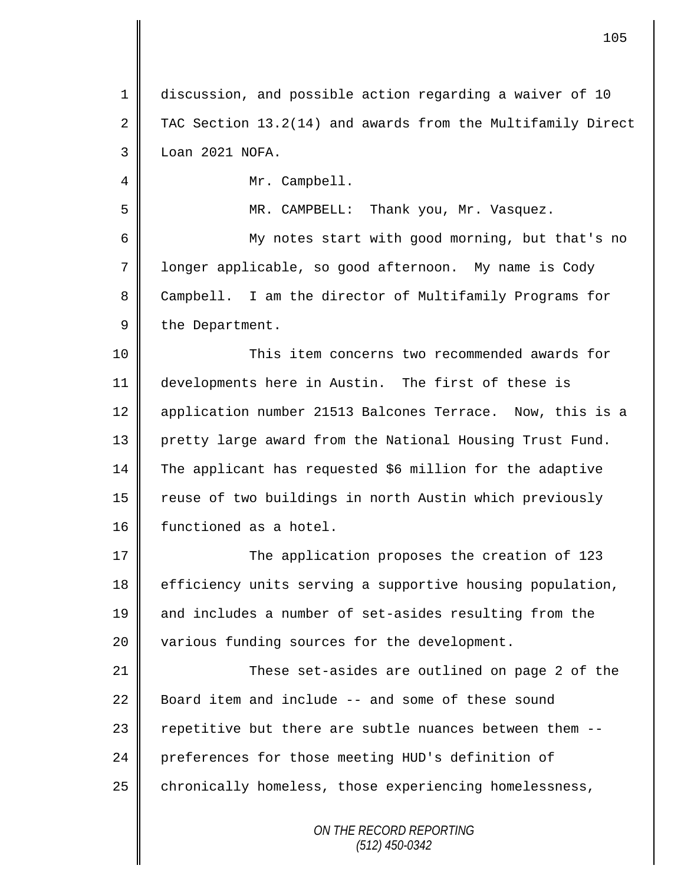*ON THE RECORD REPORTING (512) 450-0342* 1 discussion, and possible action regarding a waiver of 10 2 TAC Section 13.2(14) and awards from the Multifamily Direct 3 Loan 2021 NOFA. 4 || Mr. Campbell. 5 MR. CAMPBELL: Thank you, Mr. Vasquez. 6 My notes start with good morning, but that's no 7 longer applicable, so good afternoon. My name is Cody 8 Campbell. I am the director of Multifamily Programs for  $9 \parallel$  the Department. 10 This item concerns two recommended awards for 11 developments here in Austin. The first of these is 12 application number 21513 Balcones Terrace. Now, this is a 13 pretty large award from the National Housing Trust Fund. 14 The applicant has requested \$6 million for the adaptive 15 | reuse of two buildings in north Austin which previously 16 **functioned** as a hotel. 17 The application proposes the creation of 123 18 | efficiency units serving a supportive housing population, 19 and includes a number of set-asides resulting from the 20 various funding sources for the development. 21 **These set-asides are outlined on page 2 of the** 22 Board item and include  $-$  and some of these sound  $23$   $\parallel$  repetitive but there are subtle nuances between them  $-$ -24 preferences for those meeting HUD's definition of 25 chronically homeless, those experiencing homelessness,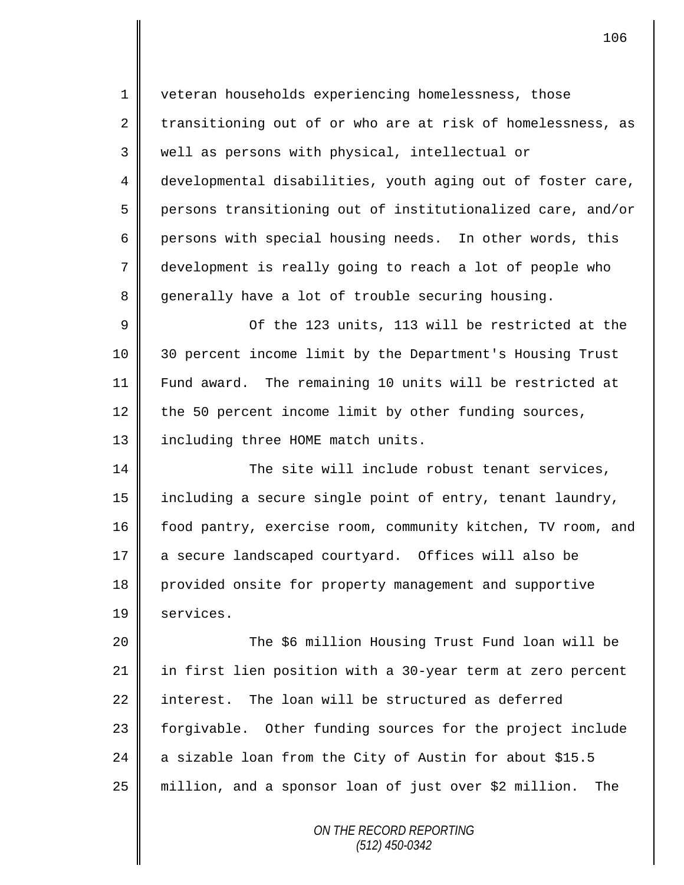1 | veteran households experiencing homelessness, those  $2 \parallel$  transitioning out of or who are at risk of homelessness, as 3 || well as persons with physical, intellectual or 4 developmental disabilities, youth aging out of foster care, 5 persons transitioning out of institutionalized care, and/or 6 persons with special housing needs. In other words, this 7 development is really going to reach a lot of people who 8 generally have a lot of trouble securing housing.  $9 \parallel$  0f the 123 units, 113 will be restricted at the 10 30 percent income limit by the Department's Housing Trust 11 Fund award. The remaining 10 units will be restricted at 12 the 50 percent income limit by other funding sources, 13 | including three HOME match units. 14 The site will include robust tenant services, 15 including a secure single point of entry, tenant laundry, 16 | food pantry, exercise room, community kitchen, TV room, and 17 a secure landscaped courtyard. Offices will also be 18 | provided onsite for property management and supportive 19 | services. 20 The \$6 million Housing Trust Fund loan will be 21 in first lien position with a 30-year term at zero percent 22 interest. The loan will be structured as deferred 23 | forgivable. Other funding sources for the project include 24  $\parallel$  a sizable loan from the City of Austin for about \$15.5 25 million, and a sponsor loan of just over \$2 million. The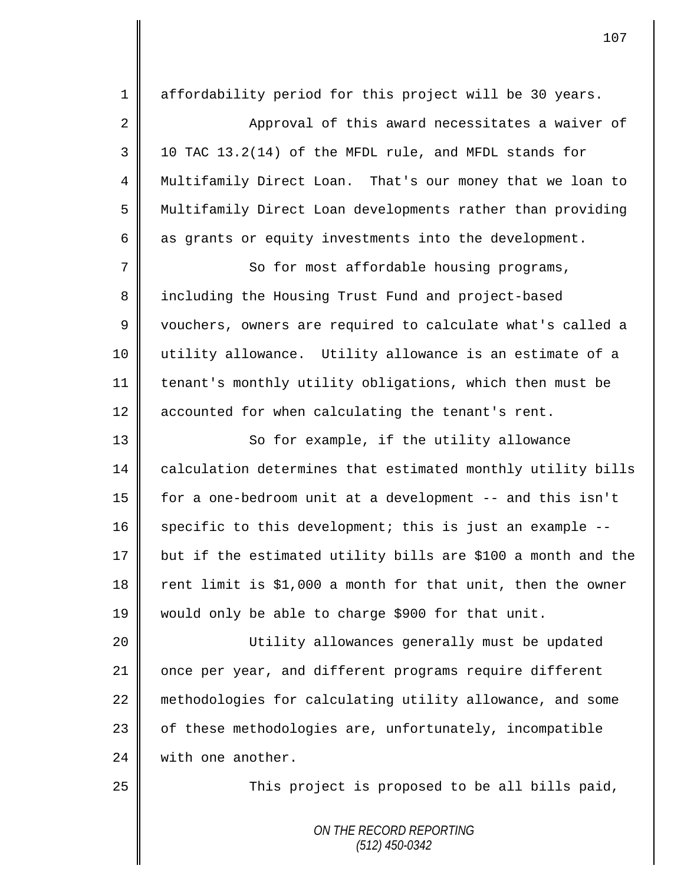*ON THE RECORD REPORTING* 1 affordability period for this project will be 30 years. 2 || Approval of this award necessitates a waiver of  $3 \parallel$  10 TAC 13.2(14) of the MFDL rule, and MFDL stands for 4 Multifamily Direct Loan. That's our money that we loan to 5 Multifamily Direct Loan developments rather than providing 6 as grants or equity investments into the development. 7 || So for most affordable housing programs, 8 including the Housing Trust Fund and project-based 9 | vouchers, owners are required to calculate what's called a 10 utility allowance. Utility allowance is an estimate of a 11 tenant's monthly utility obligations, which then must be 12 accounted for when calculating the tenant's rent. 13 || So for example, if the utility allowance 14 calculation determines that estimated monthly utility bills 15 for a one-bedroom unit at a development -- and this isn't 16 specific to this development; this is just an example  $-$ -17  $\parallel$  but if the estimated utility bills are \$100 a month and the 18 T rent limit is \$1,000 a month for that unit, then the owner 19 would only be able to charge \$900 for that unit. 20 || Utility allowances generally must be updated 21 once per year, and different programs require different 22 methodologies for calculating utility allowance, and some 23 | of these methodologies are, unfortunately, incompatible 24 with one another. 25 | This project is proposed to be all bills paid,

*(512) 450-0342*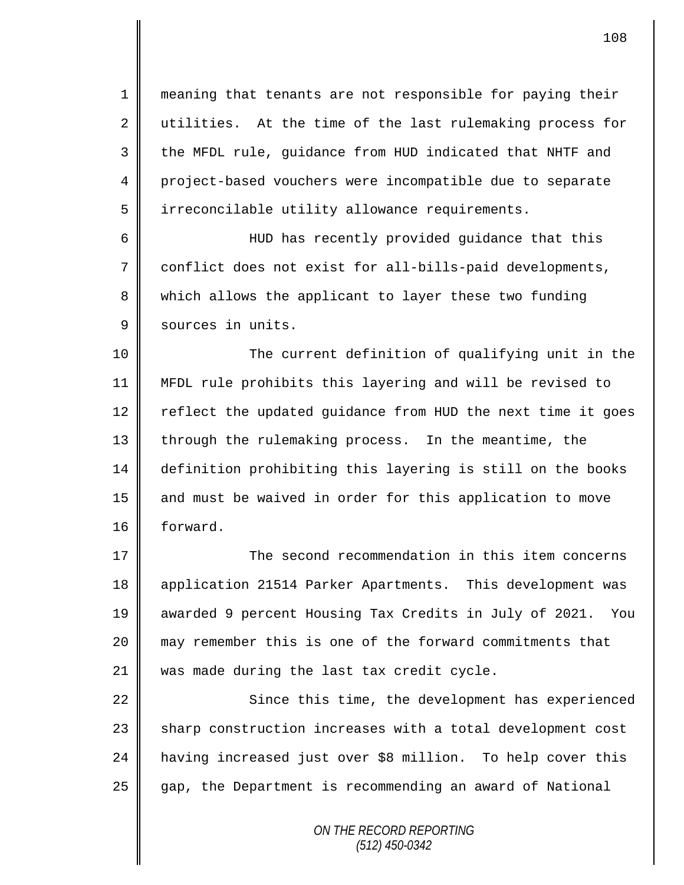1 meaning that tenants are not responsible for paying their 2 utilities. At the time of the last rulemaking process for 3 the MFDL rule, guidance from HUD indicated that NHTF and 4 project-based vouchers were incompatible due to separate 5 | irreconcilable utility allowance requirements.

6 HUD has recently provided guidance that this 7 conflict does not exist for all-bills-paid developments, 8 || which allows the applicant to layer these two funding 9 Sources in units.

10 The current definition of qualifying unit in the 11 MFDL rule prohibits this layering and will be revised to  $12$  reflect the updated guidance from HUD the next time it goes 13 | through the rulemaking process. In the meantime, the 14 definition prohibiting this layering is still on the books 15 || and must be waived in order for this application to move 16 forward.

17 The second recommendation in this item concerns 18 application 21514 Parker Apartments. This development was 19 awarded 9 percent Housing Tax Credits in July of 2021. You 20 may remember this is one of the forward commitments that 21 | was made during the last tax credit cycle.

22 || Since this time, the development has experienced 23 sharp construction increases with a total development cost 24 having increased just over \$8 million. To help cover this 25 gap, the Department is recommending an award of National

> *ON THE RECORD REPORTING (512) 450-0342*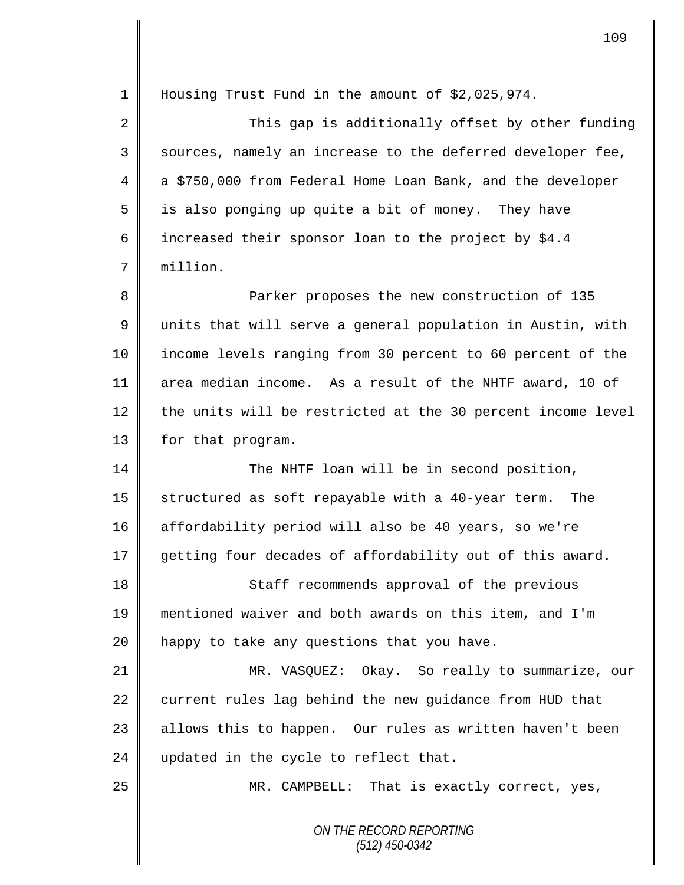*ON THE RECORD REPORTING (512) 450-0342* 1 Housing Trust Fund in the amount of \$2,025,974. 2 This gap is additionally offset by other funding  $3 \parallel$  sources, namely an increase to the deferred developer fee, 4 a \$750,000 from Federal Home Loan Bank, and the developer  $5 \parallel$  is also ponging up quite a bit of money. They have 6 | increased their sponsor loan to the project by \$4.4 7 million. 8 **Parker proposes the new construction of 135** 9 || units that will serve a general population in Austin, with 10 income levels ranging from 30 percent to 60 percent of the 11 area median income. As a result of the NHTF award, 10 of  $12$  the units will be restricted at the 30 percent income level 13 | for that program. 14 The NHTF loan will be in second position, 15 structured as soft repayable with a 40-year term. The 16 affordability period will also be 40 years, so we're 17 getting four decades of affordability out of this award. 18 || Staff recommends approval of the previous 19 mentioned waiver and both awards on this item, and I'm  $20$  || happy to take any questions that you have. 21 MR. VASQUEZ: Okay. So really to summarize, our 22  $\parallel$  current rules lag behind the new guidance from HUD that  $23$  | allows this to happen. Our rules as written haven't been  $24$   $\parallel$  updated in the cycle to reflect that. 25 || MR. CAMPBELL: That is exactly correct, yes,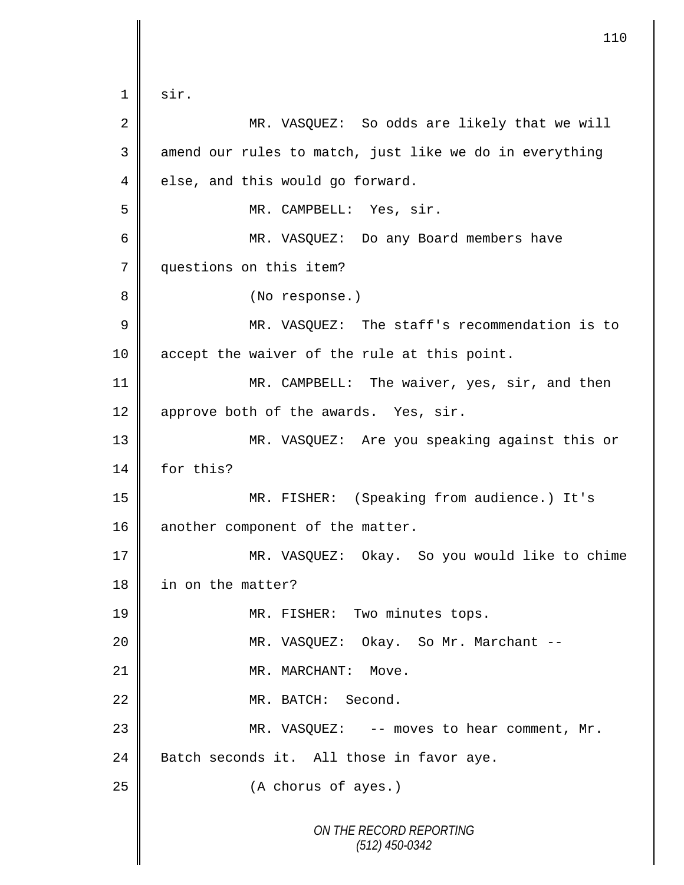```
ON THE RECORD REPORTING
                         (512) 450-0342
1 sir.
2 MR. VASQUEZ: So odds are likely that we will 
3 | amend our rules to match, just like we do in everything
4 else, and this would go forward.
5 MR. CAMPBELL: Yes, sir.
6 MR. VASQUEZ: Do any Board members have 
7 questions on this item?
8 || (No response.)
9 MR. VASQUEZ: The staff's recommendation is to
10 accept the waiver of the rule at this point.
11 || MR. CAMPBELL: The waiver, yes, sir, and then
12 || approve both of the awards. Yes, sir.
13 MR. VASQUEZ: Are you speaking against this or 
14 for this?
15 MR. FISHER: (Speaking from audience.) It's 
16 another component of the matter.
17 || MR. VASQUEZ: Okay. So you would like to chime
18 | in on the matter?
19 || MR. FISHER: Two minutes tops.
20 MR. VASQUEZ: Okay. So Mr. Marchant --
21 || MR. MARCHANT: Move.
22 NR. BATCH: Second.
23 || MR. VASQUEZ: -- moves to hear comment, Mr.
24 Batch seconds it. All those in favor aye.
25 (A chorus of ayes.)
```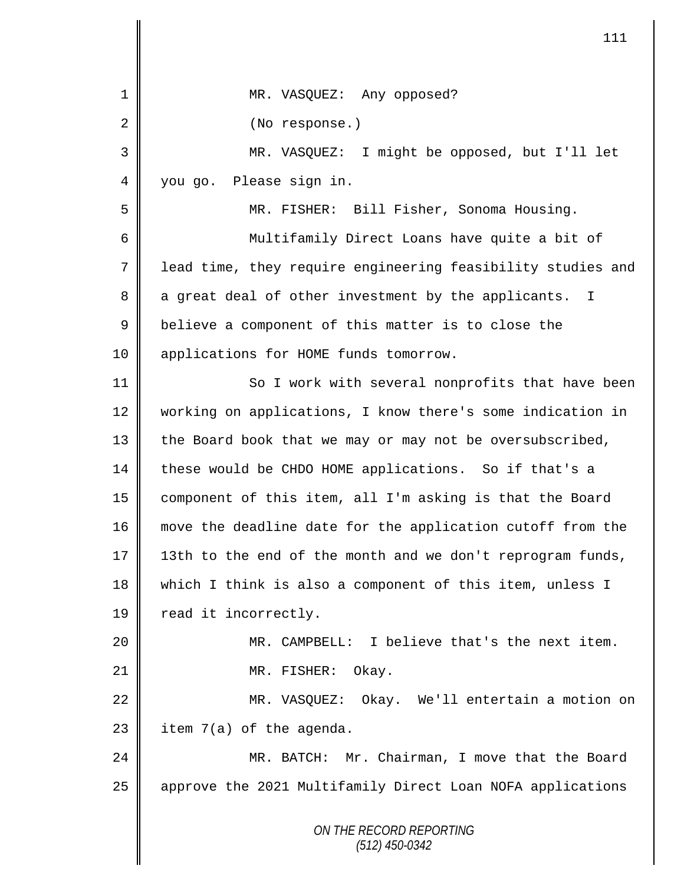|                | 111                                                         |
|----------------|-------------------------------------------------------------|
| 1              | MR. VASQUEZ: Any opposed?                                   |
| $\overline{2}$ | (No response.)                                              |
| 3              | MR. VASQUEZ: I might be opposed, but I'll let               |
| 4              | you go. Please sign in.                                     |
| 5              | MR. FISHER: Bill Fisher, Sonoma Housing.                    |
| 6              | Multifamily Direct Loans have quite a bit of                |
| $\overline{7}$ | lead time, they require engineering feasibility studies and |
| 8              | a great deal of other investment by the applicants.<br>I.   |
| $\mathsf 9$    | believe a component of this matter is to close the          |
| 10             | applications for HOME funds tomorrow.                       |
| 11             | So I work with several nonprofits that have been            |
| 12             | working on applications, I know there's some indication in  |
| 13             | the Board book that we may or may not be oversubscribed,    |
| 14             | these would be CHDO HOME applications. So if that's a       |
| 15             | component of this item, all I'm asking is that the Board    |
| 16             | move the deadline date for the application cutoff from the  |
| 17             | 13th to the end of the month and we don't reprogram funds,  |
| 18             | which I think is also a component of this item, unless I    |
| 19             | read it incorrectly.                                        |
| 20             | MR. CAMPBELL: I believe that's the next item.               |
| 21             | MR. FISHER:<br>Okay.                                        |
| 22             | MR. VASQUEZ: Okay. We'll entertain a motion on              |
| 23             | item 7(a) of the agenda.                                    |
| 24             | MR. BATCH: Mr. Chairman, I move that the Board              |
| 25             | approve the 2021 Multifamily Direct Loan NOFA applications  |
|                | ON THE RECORD REPORTING<br>$(512)$ 450-0342                 |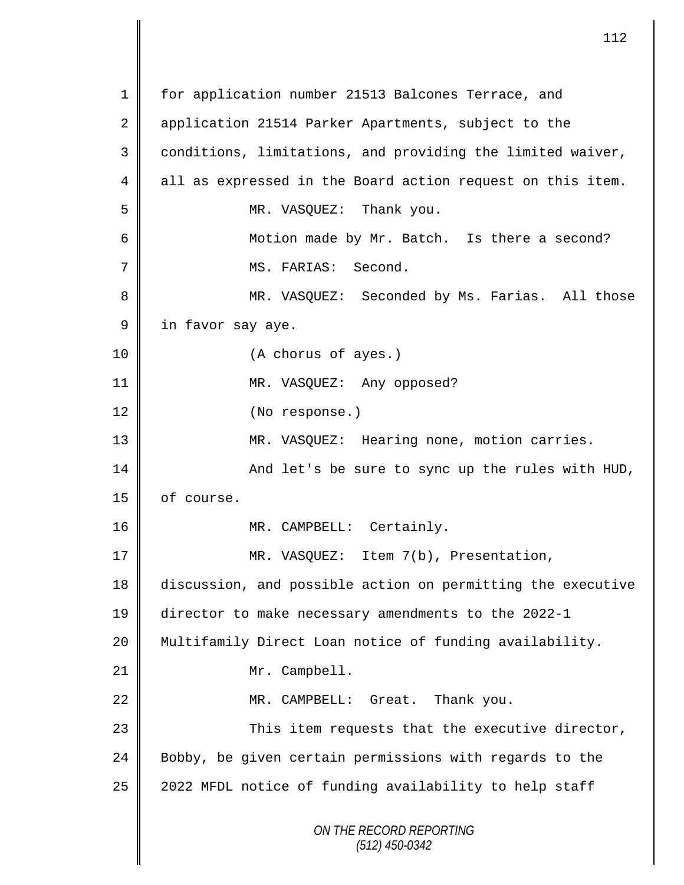| 1  | for application number 21513 Balcones Terrace, and          |
|----|-------------------------------------------------------------|
| 2  | application 21514 Parker Apartments, subject to the         |
| 3  | conditions, limitations, and providing the limited waiver,  |
| 4  | all as expressed in the Board action request on this item.  |
| 5  | MR. VASQUEZ: Thank you.                                     |
| 6  | Motion made by Mr. Batch. Is there a second?                |
| 7  | MS. FARIAS: Second.                                         |
| 8  | MR. VASQUEZ: Seconded by Ms. Farias. All those              |
| 9  | in favor say aye.                                           |
| 10 | (A chorus of ayes.)                                         |
| 11 | MR. VASQUEZ: Any opposed?                                   |
| 12 | (No response.)                                              |
| 13 | MR. VASQUEZ: Hearing none, motion carries.                  |
| 14 | And let's be sure to sync up the rules with HUD,            |
| 15 | of course.                                                  |
| 16 | MR. CAMPBELL: Certainly.                                    |
| 17 | MR. VASQUEZ: Item 7(b), Presentation,                       |
| 18 | discussion, and possible action on permitting the executive |
| 19 | director to make necessary amendments to the 2022-1         |
| 20 | Multifamily Direct Loan notice of funding availability.     |
| 21 | Mr. Campbell.                                               |
| 22 | MR. CAMPBELL: Great. Thank you.                             |
| 23 | This item requests that the executive director,             |
| 24 | Bobby, be given certain permissions with regards to the     |
| 25 | 2022 MFDL notice of funding availability to help staff      |
|    | ON THE RECORD REPORTING<br>$(512)$ 450-0342                 |

 $\overline{\mathbf{I}}$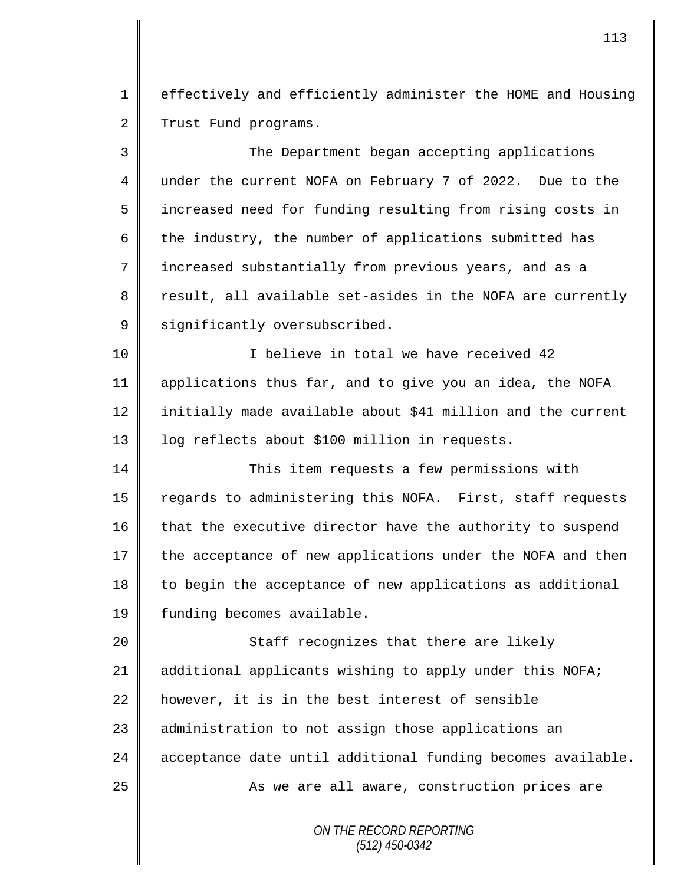1 effectively and efficiently administer the HOME and Housing 2 Trust Fund programs.

3 The Department began accepting applications 4 under the current NOFA on February 7 of 2022. Due to the 5 | increased need for funding resulting from rising costs in 6 the industry, the number of applications submitted has 7 || increased substantially from previous years, and as a  $8 \parallel$  result, all available set-asides in the NOFA are currently 9 significantly oversubscribed. 10 || Thelieve in total we have received 42 11 applications thus far, and to give you an idea, the NOFA 12 initially made available about \$41 million and the current 13 | log reflects about \$100 million in requests. 14 This item requests a few permissions with 15 Tegards to administering this NOFA. First, staff requests  $16$  that the executive director have the authority to suspend 17 the acceptance of new applications under the NOFA and then 18 | to begin the acceptance of new applications as additional 19 | funding becomes available. 20 || Staff recognizes that there are likely 21 | additional applicants wishing to apply under this NOFA;  $22$  | however, it is in the best interest of sensible 23 || administration to not assign those applications an 24  $\parallel$  acceptance date until additional funding becomes available. 25 | Kas we are all aware, construction prices are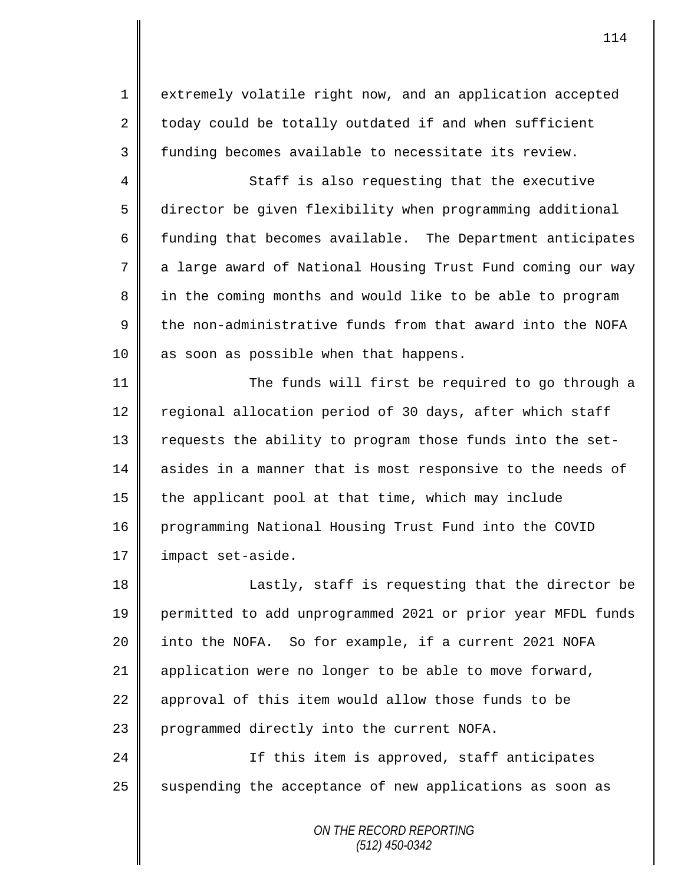1 extremely volatile right now, and an application accepted  $2 \parallel$  today could be totally outdated if and when sufficient 3 funding becomes available to necessitate its review.

4 Staff is also requesting that the executive 5 director be given flexibility when programming additional 6  $\parallel$  funding that becomes available. The Department anticipates 7 a large award of National Housing Trust Fund coming our way 8 in the coming months and would like to be able to program  $9 \parallel$  the non-administrative funds from that award into the NOFA 10 || as soon as possible when that happens.

11 || The funds will first be required to go through a 12 regional allocation period of 30 days, after which staff 13 | requests the ability to program those funds into the set-14 asides in a manner that is most responsive to the needs of  $15$  | the applicant pool at that time, which may include 16 programming National Housing Trust Fund into the COVID 17 | impact set-aside.

18 || Lastly, staff is requesting that the director be 19 permitted to add unprogrammed 2021 or prior year MFDL funds 20 into the NOFA. So for example, if a current 2021 NOFA 21 application were no longer to be able to move forward, 22 approval of this item would allow those funds to be 23 | programmed directly into the current NOFA.

24 | This item is approved, staff anticipates 25 || suspending the acceptance of new applications as soon as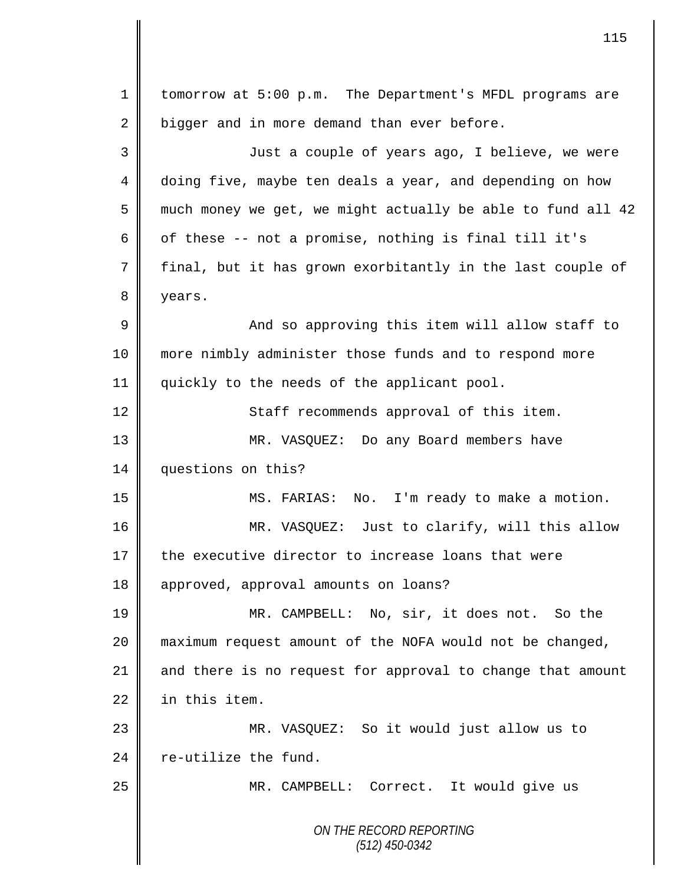*ON THE RECORD REPORTING (512) 450-0342* 1 tomorrow at 5:00 p.m. The Department's MFDL programs are 2 bigger and in more demand than ever before. 3 || Just a couple of years ago, I believe, we were 4 doing five, maybe ten deals a year, and depending on how 5 much money we get, we might actually be able to fund all 42 6 | of these -- not a promise, nothing is final till it's 7 final, but it has grown exorbitantly in the last couple of 8 | years. 9 And so approving this item will allow staff to 10 more nimbly administer those funds and to respond more 11 quickly to the needs of the applicant pool. 12 | Staff recommends approval of this item. 13 MR. VASQUEZ: Do any Board members have 14 | questions on this? 15 MS. FARIAS: No. I'm ready to make a motion. 16 || MR. VASQUEZ: Just to clarify, will this allow  $17$  the executive director to increase loans that were 18 | approved, approval amounts on loans? 19 MR. CAMPBELL: No, sir, it does not. So the 20 maximum request amount of the NOFA would not be changed, 21 and there is no request for approval to change that amount 22 in this item. 23 MR. VASQUEZ: So it would just allow us to  $24$   $\parallel$  re-utilize the fund. 25 || MR. CAMPBELL: Correct. It would give us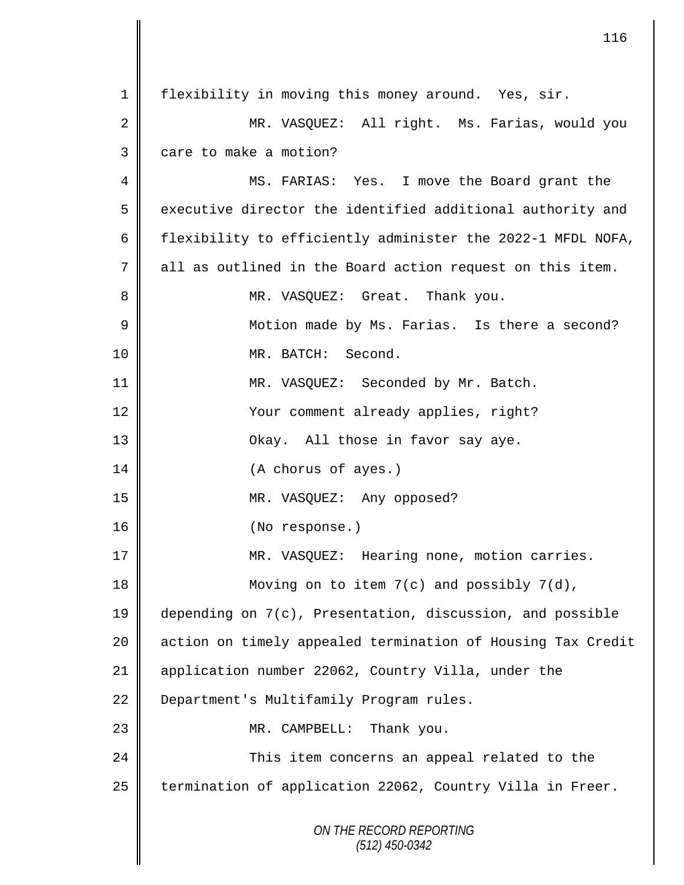*ON THE RECORD REPORTING (512) 450-0342* 1 || flexibility in moving this money around. Yes, sir. 2 MR. VASQUEZ: All right. Ms. Farias, would you 3 care to make a motion? 4 MS. FARIAS: Yes. I move the Board grant the  $5 \parallel$  executive director the identified additional authority and 6  $\parallel$  flexibility to efficiently administer the 2022-1 MFDL NOFA, 7 all as outlined in the Board action request on this item. 8 MR. VASQUEZ: Great. Thank you. 9 || Motion made by Ms. Farias. Is there a second? 10 MR. BATCH: Second. 11 || MR. VASQUEZ: Seconded by Mr. Batch. 12 | Your comment already applies, right? 13 || Ckay. All those in favor say aye. 14 || (A chorus of ayes.) 15 MR. VASQUEZ: Any opposed? 16 || (No response.) 17 | MR. VASQUEZ: Hearing none, motion carries. 18 || Moving on to item 7(c) and possibly 7(d), 19 depending on 7(c), Presentation, discussion, and possible 20 || action on timely appealed termination of Housing Tax Credit 21 | application number 22062, Country Villa, under the 22 **Department's Multifamily Program rules.** 23 || MR. CAMPBELL: Thank you. 24 | This item concerns an appeal related to the 25 | termination of application 22062, Country Villa in Freer.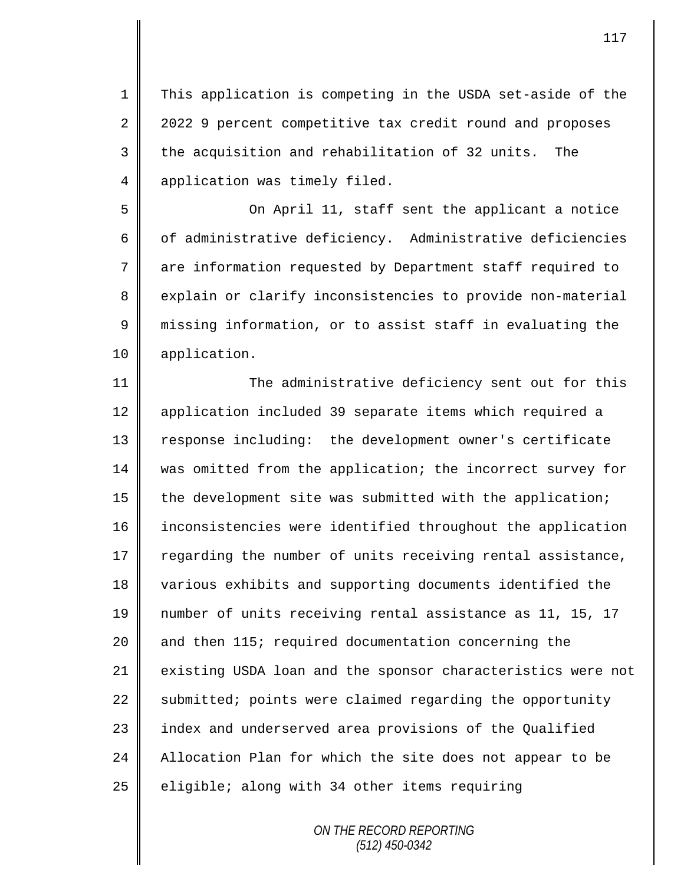1 This application is competing in the USDA set-aside of the 2 2022 9 percent competitive tax credit round and proposes  $3 \parallel$  the acquisition and rehabilitation of 32 units. The 4 | application was timely filed.

5 || On April 11, staff sent the applicant a notice 6  $\parallel$  of administrative deficiency. Administrative deficiencies 7 are information requested by Department staff required to 8 explain or clarify inconsistencies to provide non-material 9 missing information, or to assist staff in evaluating the 10 | application.

11 The administrative deficiency sent out for this 12 application included 39 separate items which required a 13 | response including: the development owner's certificate 14 was omitted from the application; the incorrect survey for 15  $\parallel$  the development site was submitted with the application; 16 inconsistencies were identified throughout the application 17 Tegarding the number of units receiving rental assistance, 18 various exhibits and supporting documents identified the 19 number of units receiving rental assistance as 11, 15, 17 20 and then 115; required documentation concerning the 21 existing USDA loan and the sponsor characteristics were not 22 Submitted; points were claimed regarding the opportunity 23 || index and underserved area provisions of the Qualified 24 Allocation Plan for which the site does not appear to be  $25$  eligible; along with 34 other items requiring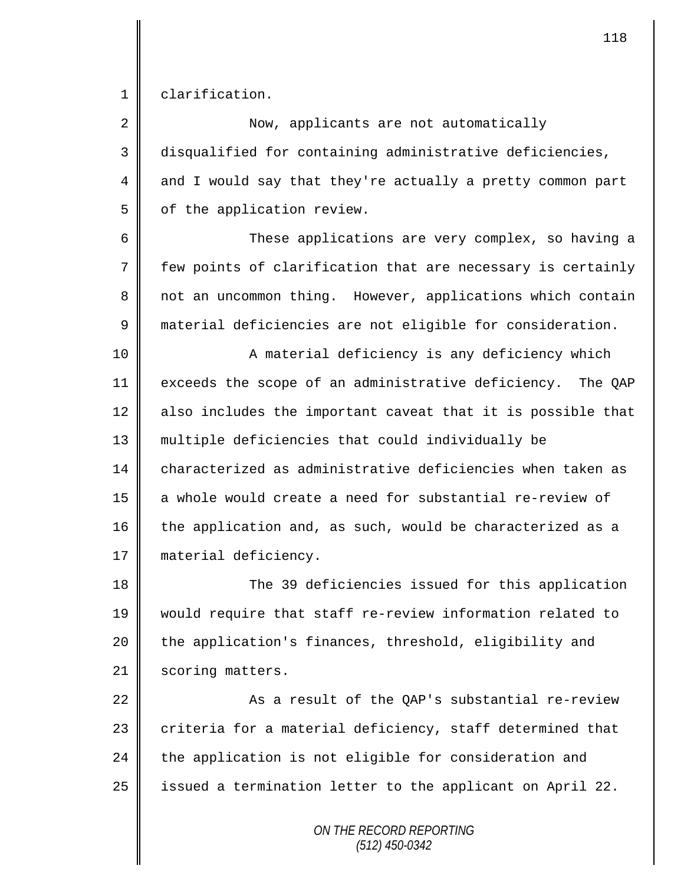1 clarification.

2 Now, applicants are not automatically 3 || disqualified for containing administrative deficiencies, 4 and I would say that they're actually a pretty common part  $5 \parallel$  of the application review.

6 These applications are very complex, so having a  $7 \parallel$  few points of clarification that are necessary is certainly 8 not an uncommon thing. However, applications which contain 9 | material deficiencies are not eligible for consideration.

10 || A material deficiency is any deficiency which 11 exceeds the scope of an administrative deficiency. The QAP  $12$  also includes the important caveat that it is possible that 13 multiple deficiencies that could individually be 14 characterized as administrative deficiencies when taken as 15 a whole would create a need for substantial re-review of 16 the application and, as such, would be characterized as a 17 | material deficiency.

18 The 39 deficiencies issued for this application 19 would require that staff re-review information related to 20 the application's finances, threshold, eligibility and 21 | scoring matters.

22 | Kas a result of the OAP's substantial re-review 23 criteria for a material deficiency, staff determined that  $24$  the application is not eligible for consideration and 25 issued a termination letter to the applicant on April 22.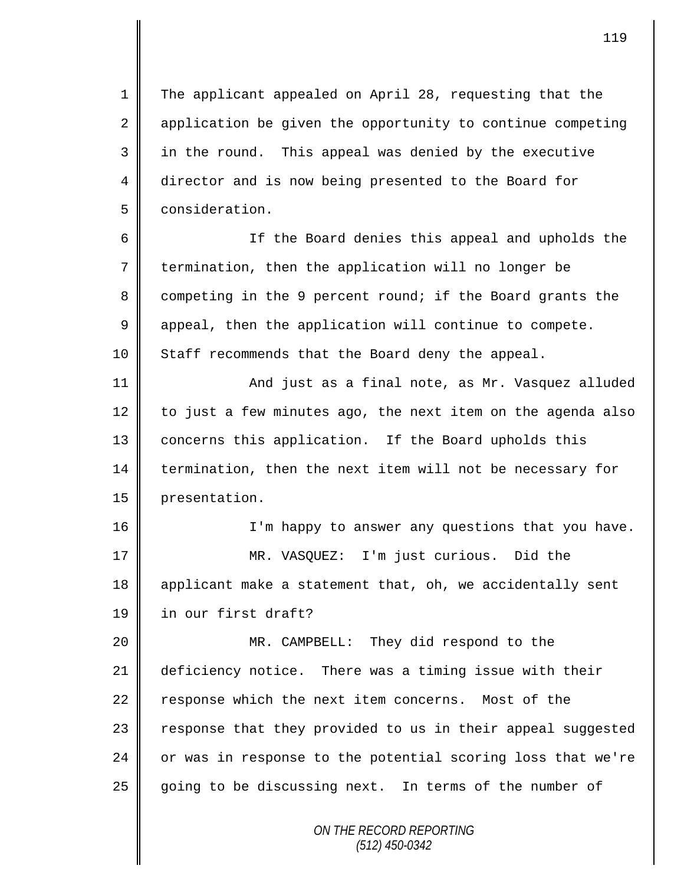1 The applicant appealed on April 28, requesting that the  $2 \parallel$  application be given the opportunity to continue competing 3 || in the round. This appeal was denied by the executive 4 director and is now being presented to the Board for 5 | consideration.

6 || If the Board denies this appeal and upholds the 7 termination, then the application will no longer be 8 competing in the 9 percent round; if the Board grants the  $9 \parallel$  appeal, then the application will continue to compete. 10 Staff recommends that the Board deny the appeal.

11 | And just as a final note, as Mr. Vasquez alluded  $12$  to just a few minutes ago, the next item on the agenda also 13 | concerns this application. If the Board upholds this 14 termination, then the next item will not be necessary for 15 presentation.

16 || I'm happy to answer any questions that you have. 17 MR. VASQUEZ: I'm just curious. Did the 18 applicant make a statement that, oh, we accidentally sent 19 in our first draft?

20 MR. CAMPBELL: They did respond to the 21 deficiency notice. There was a timing issue with their 22 response which the next item concerns. Most of the 23 | response that they provided to us in their appeal suggested  $24$  | or was in response to the potential scoring loss that we're 25 going to be discussing next. In terms of the number of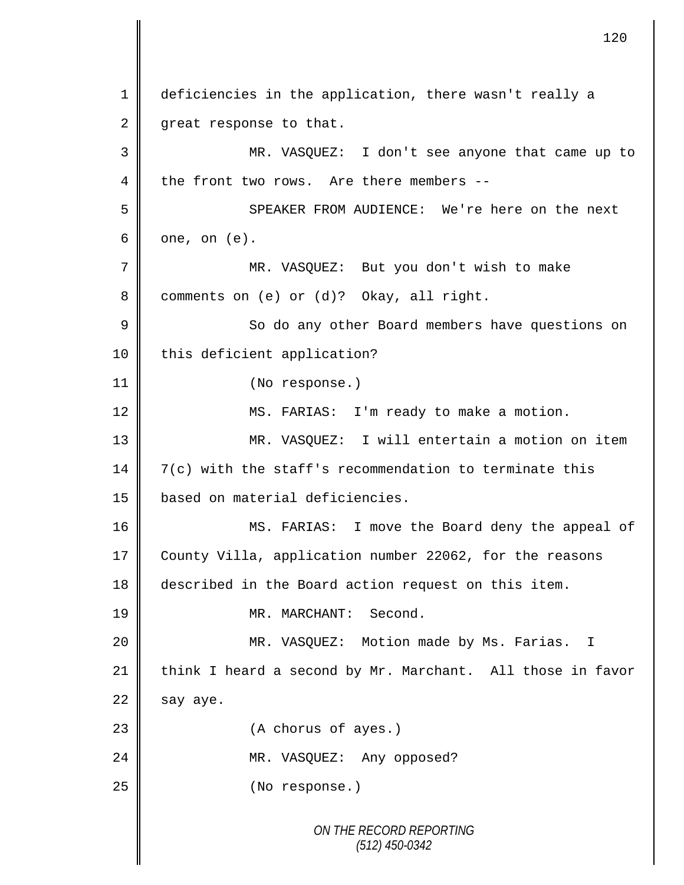*ON THE RECORD REPORTING (512) 450-0342* 1 deficiencies in the application, there wasn't really a  $2 \parallel$  great response to that. 3 MR. VASQUEZ: I don't see anyone that came up to 4 the front two rows. Are there members --5 SPEAKER FROM AUDIENCE: We're here on the next  $6 \parallel$  one, on (e). 7 MR. VASQUEZ: But you don't wish to make 8 comments on (e) or (d)? Okay, all right. 9 || So do any other Board members have questions on 10 this deficient application? 11 || (No response.) 12 | MS. FARIAS: I'm ready to make a motion. 13 MR. VASQUEZ: I will entertain a motion on item 14  $\parallel$  7(c) with the staff's recommendation to terminate this 15 | based on material deficiencies. 16 MS. FARIAS: I move the Board deny the appeal of 17 County Villa, application number 22062, for the reasons 18 described in the Board action request on this item. 19 MR. MARCHANT: Second. 20 || MR. VASQUEZ: Motion made by Ms. Farias. I 21 think I heard a second by Mr. Marchant. All those in favor  $22$  say aye. 23 || (A chorus of ayes.) 24 || MR. VASQUEZ: Any opposed? 25 No response.)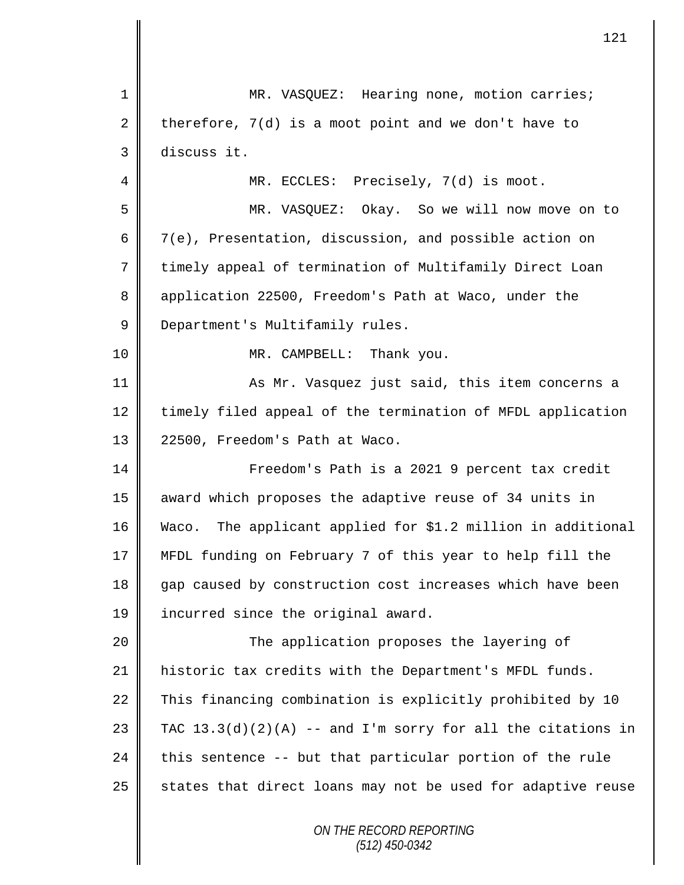|             | 121                                                            |
|-------------|----------------------------------------------------------------|
| 1           | MR. VASQUEZ: Hearing none, motion carries;                     |
| 2           | therefore, $7(d)$ is a moot point and we don't have to         |
| 3           | discuss it.                                                    |
| 4           | MR. ECCLES: Precisely, 7(d) is moot.                           |
| 5           | MR. VASQUEZ: Okay. So we will now move on to                   |
| 6           | 7(e), Presentation, discussion, and possible action on         |
| 7           | timely appeal of termination of Multifamily Direct Loan        |
| 8           | application 22500, Freedom's Path at Waco, under the           |
| $\mathsf 9$ | Department's Multifamily rules.                                |
| $10 \,$     | MR. CAMPBELL: Thank you.                                       |
| 11          | As Mr. Vasquez just said, this item concerns a                 |
| 12          | timely filed appeal of the termination of MFDL application     |
| 13          | 22500, Freedom's Path at Waco.                                 |
| 14          | Freedom's Path is a 2021 9 percent tax credit                  |
| 15          | award which proposes the adaptive reuse of 34 units in         |
| 16          | The applicant applied for \$1.2 million in additional<br>Waco. |
| 17          | MFDL funding on February 7 of this year to help fill the       |
| 18          | gap caused by construction cost increases which have been      |
| 19          | incurred since the original award.                             |
| 20          | The application proposes the layering of                       |
| 21          | historic tax credits with the Department's MFDL funds.         |
| 22          | This financing combination is explicitly prohibited by 10      |
| 23          | TAC $13.3(d)(2)(A)$ -- and I'm sorry for all the citations in  |
| 24          | this sentence -- but that particular portion of the rule       |
| 25          | states that direct loans may not be used for adaptive reuse    |
|             | ON THE RECORD REPORTING<br>$(512)$ 450-0342                    |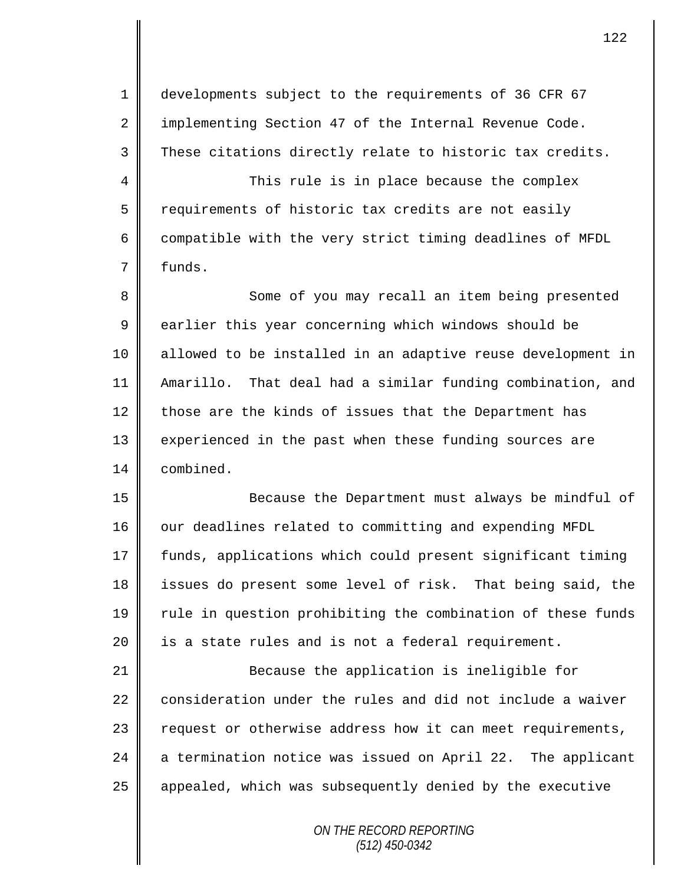1 developments subject to the requirements of 36 CFR 67 2 | implementing Section 47 of the Internal Revenue Code. 3 These citations directly relate to historic tax credits.

4 This rule is in place because the complex  $5 \parallel$  requirements of historic tax credits are not easily 6  $\parallel$  compatible with the very strict timing deadlines of MFDL 7 funds.

8 || Some of you may recall an item being presented 9 earlier this year concerning which windows should be 10 allowed to be installed in an adaptive reuse development in 11 Amarillo. That deal had a similar funding combination, and 12  $\parallel$  those are the kinds of issues that the Department has 13 experienced in the past when these funding sources are 14 combined.

15 || Because the Department must always be mindful of 16 our deadlines related to committing and expending MFDL 17 funds, applications which could present significant timing 18 issues do present some level of risk. That being said, the  $19$  rule in question prohibiting the combination of these funds  $20$  | is a state rules and is not a federal requirement.

21 || Because the application is ineligible for 22 consideration under the rules and did not include a waiver 23 | request or otherwise address how it can meet requirements,  $24$  a termination notice was issued on April 22. The applicant 25 || appealed, which was subsequently denied by the executive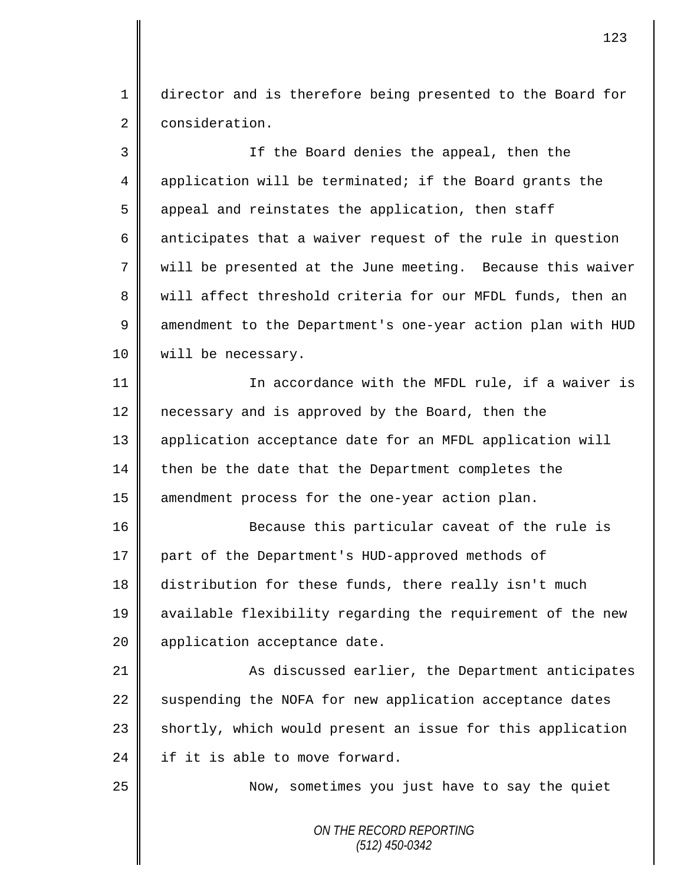1 director and is therefore being presented to the Board for 2 consideration.

*ON THE RECORD REPORTING (512) 450-0342* 3 If the Board denies the appeal, then the 4 application will be terminated; if the Board grants the 5 | appeal and reinstates the application, then staff 6 anticipates that a waiver request of the rule in question 7 will be presented at the June meeting. Because this waiver 8 will affect threshold criteria for our MFDL funds, then an 9 amendment to the Department's one-year action plan with HUD 10 | will be necessary. 11 In accordance with the MFDL rule, if a waiver is 12 necessary and is approved by the Board, then the 13 application acceptance date for an MFDL application will  $14$  then be the date that the Department completes the 15 amendment process for the one-year action plan. 16 || Because this particular caveat of the rule is 17 part of the Department's HUD-approved methods of 18 distribution for these funds, there really isn't much 19 available flexibility regarding the requirement of the new 20 | application acceptance date. 21 | As discussed earlier, the Department anticipates  $22$  suspending the NOFA for new application acceptance dates  $23$  shortly, which would present an issue for this application 24  $\parallel$  if it is able to move forward. 25 || Now, sometimes you just have to say the quiet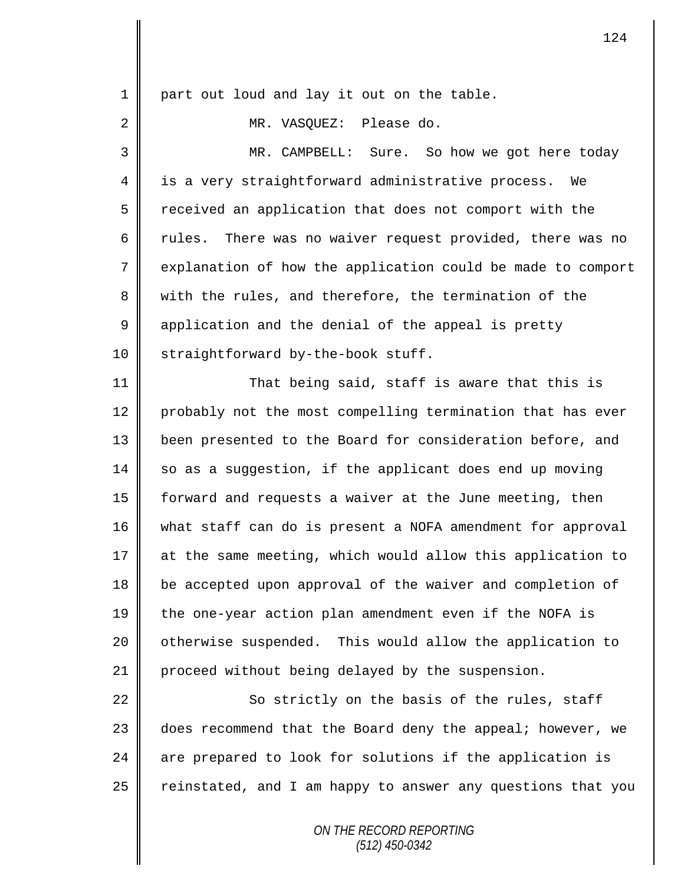| $\mathbf 1$ | part out loud and lay it out on the table.                   |
|-------------|--------------------------------------------------------------|
| 2           | Please do.<br>MR. VASQUEZ:                                   |
| 3           | MR. CAMPBELL: Sure. So how we got here today                 |
| 4           | is a very straightforward administrative process.<br>We      |
| 5           | received an application that does not comport with the       |
| 6           | There was no waiver request provided, there was no<br>rules. |
| 7           | explanation of how the application could be made to comport  |
| 8           | with the rules, and therefore, the termination of the        |
| $\mathsf 9$ | application and the denial of the appeal is pretty           |
| 10          | straightforward by-the-book stuff.                           |
| 11          | That being said, staff is aware that this is                 |
| 12          | probably not the most compelling termination that has ever   |
| 13          | been presented to the Board for consideration before, and    |
| 14          | so as a suggestion, if the applicant does end up moving      |
| 15          | forward and requests a waiver at the June meeting, then      |
| 16          | what staff can do is present a NOFA amendment for approval   |
| 17          | at the same meeting, which would allow this application to   |
| 18          | be accepted upon approval of the waiver and completion of    |
| 19          | the one-year action plan amendment even if the NOFA is       |
| 20          | otherwise suspended. This would allow the application to     |
| 21          | proceed without being delayed by the suspension.             |
| 22          | So strictly on the basis of the rules, staff                 |
| 23          | does recommend that the Board deny the appeal; however, we   |
| 24          | are prepared to look for solutions if the application is     |
| 25          | reinstated, and I am happy to answer any questions that you  |
|             | ON THE RECORD REPORTING                                      |

*(512) 450-0342*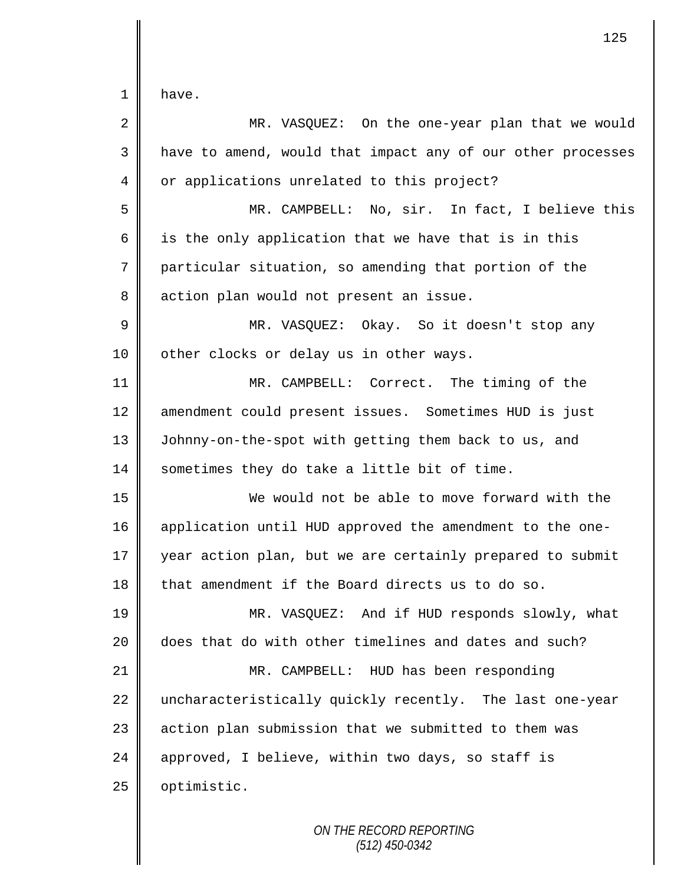$1 \parallel \text{have.}$ 

| $\overline{2}$ | MR. VASQUEZ: On the one-year plan that we would             |
|----------------|-------------------------------------------------------------|
| 3              | have to amend, would that impact any of our other processes |
| 4              | or applications unrelated to this project?                  |
| 5              | MR. CAMPBELL: No, sir. In fact, I believe this              |
| 6              | is the only application that we have that is in this        |
| 7              | particular situation, so amending that portion of the       |
| 8              | action plan would not present an issue.                     |
| 9              | MR. VASQUEZ: Okay. So it doesn't stop any                   |
| 10             | other clocks or delay us in other ways.                     |
| 11             | MR. CAMPBELL: Correct. The timing of the                    |
| 12             | amendment could present issues. Sometimes HUD is just       |
| 13             | Johnny-on-the-spot with getting them back to us, and        |
| 14             | sometimes they do take a little bit of time.                |
| 15             | We would not be able to move forward with the               |
| 16             | application until HUD approved the amendment to the one-    |
| 17             | year action plan, but we are certainly prepared to submit   |
| 18             | that amendment if the Board directs us to do so.            |
| 19             | MR. VASQUEZ: And if HUD responds slowly, what               |
| 20             | does that do with other timelines and dates and such?       |
| 21             | MR. CAMPBELL: HUD has been responding                       |
| 22             | uncharacteristically quickly recently. The last one-year    |
| 23             | action plan submission that we submitted to them was        |
| 24             | approved, I believe, within two days, so staff is           |
| 25             | optimistic.                                                 |
|                |                                                             |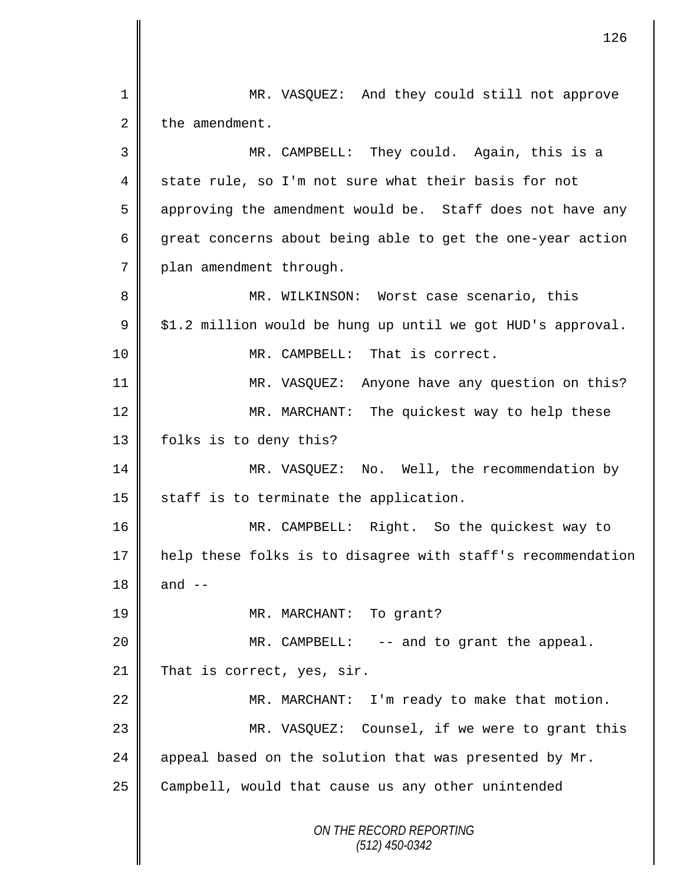*ON THE RECORD REPORTING (512) 450-0342* 1 MR. VASQUEZ: And they could still not approve  $2 \parallel$  the amendment. 3 MR. CAMPBELL: They could. Again, this is a 4 state rule, so I'm not sure what their basis for not 5 approving the amendment would be. Staff does not have any 6 great concerns about being able to get the one-year action 7 | plan amendment through. 8 || MR. WILKINSON: Worst case scenario, this  $9 \parallel$  \$1.2 million would be hung up until we got HUD's approval. 10 **MR.** CAMPBELL: That is correct. 11 | MR. VASQUEZ: Anyone have any question on this? 12 || MR. MARCHANT: The quickest way to help these 13 | folks is to deny this? 14 | MR. VASQUEZ: No. Well, the recommendation by 15  $\parallel$  staff is to terminate the application. 16 MR. CAMPBELL: Right. So the quickest way to 17 help these folks is to disagree with staff's recommendation  $18 \parallel$  and  $-$ 19 || MR. MARCHANT: To grant? 20 MR. CAMPBELL: -- and to grant the appeal. 21 That is correct, yes, sir. 22 | MR. MARCHANT: I'm ready to make that motion. 23 MR. VASQUEZ: Counsel, if we were to grant this 24 appeal based on the solution that was presented by  $Mr$ .  $25$  Campbell, would that cause us any other unintended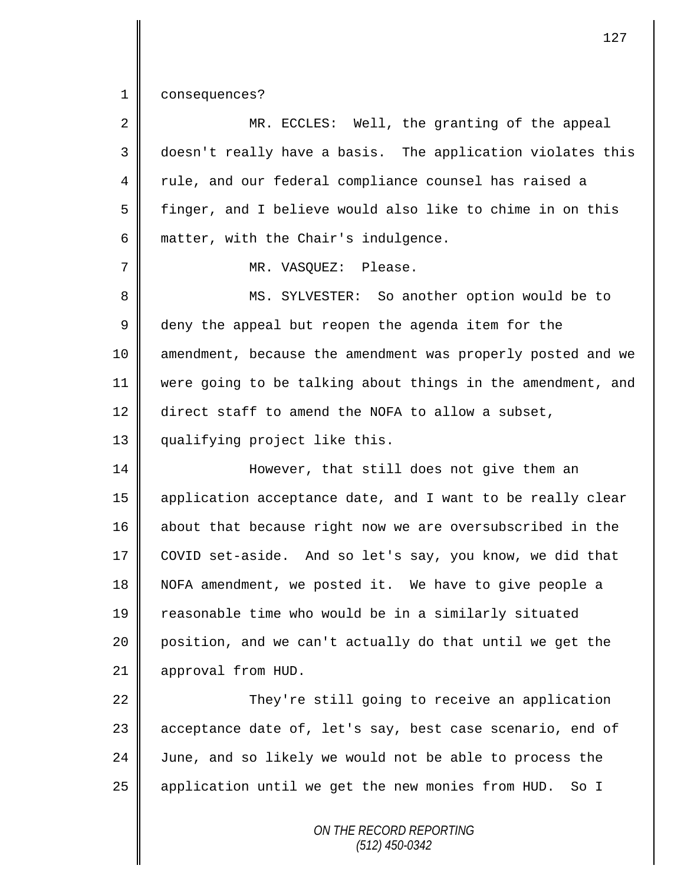1 consequences?

| $\overline{2}$ | MR. ECCLES: Well, the granting of the appeal                |
|----------------|-------------------------------------------------------------|
| 3              | doesn't really have a basis. The application violates this  |
| 4              | rule, and our federal compliance counsel has raised a       |
| 5              | finger, and I believe would also like to chime in on this   |
| 6              | matter, with the Chair's indulgence.                        |
| 7              | MR. VASQUEZ: Please.                                        |
| 8              | MS. SYLVESTER: So another option would be to                |
| $\mathsf 9$    | deny the appeal but reopen the agenda item for the          |
| 10             | amendment, because the amendment was properly posted and we |
| 11             | were going to be talking about things in the amendment, and |
| 12             | direct staff to amend the NOFA to allow a subset,           |
| 13             | qualifying project like this.                               |
| 14             | However, that still does not give them an                   |
| 15             | application acceptance date, and I want to be really clear  |
| 16             | about that because right now we are oversubscribed in the   |
| 17             | COVID set-aside. And so let's say, you know, we did that    |
| 18             | NOFA amendment, we posted it. We have to give people a      |
| 19             | reasonable time who would be in a similarly situated        |
| 20             | position, and we can't actually do that until we get the    |
| 21             | approval from HUD.                                          |
| 22             | They're still going to receive an application               |
| 23             | acceptance date of, let's say, best case scenario, end of   |
| 24             | June, and so likely we would not be able to process the     |
| 25             | application until we get the new monies from HUD.<br>So I   |
|                | ON THE RECORD REPORTING                                     |

*(512) 450-0342*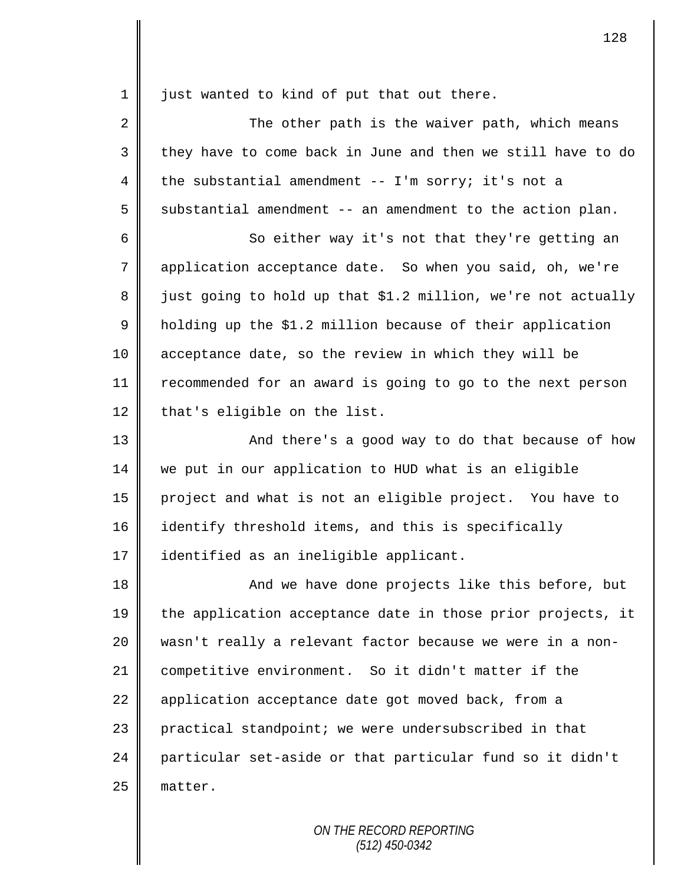1 just wanted to kind of put that out there.

 $2 \parallel$  The other path is the waiver path, which means 3 they have to come back in June and then we still have to do 4 the substantial amendment -- I'm sorry; it's not a  $5 \parallel$  substantial amendment -- an amendment to the action plan.

6 || So either way it's not that they're getting an 7 || application acceptance date. So when you said, oh, we're  $8 \parallel$  just going to hold up that \$1.2 million, we're not actually 9 | holding up the \$1.2 million because of their application 10 acceptance date, so the review in which they will be 11 | recommended for an award is going to go to the next person  $12$  | that's eligible on the list.

13 || And there's a good way to do that because of how 14 we put in our application to HUD what is an eligible 15 project and what is not an eligible project. You have to 16 identify threshold items, and this is specifically 17 | identified as an ineligible applicant.

18 || And we have done projects like this before, but 19 the application acceptance date in those prior projects, it 20 wasn't really a relevant factor because we were in a non-21 competitive environment. So it didn't matter if the 22 || application acceptance date got moved back, from a 23 practical standpoint; we were undersubscribed in that 24 particular set-aside or that particular fund so it didn't  $25$  matter.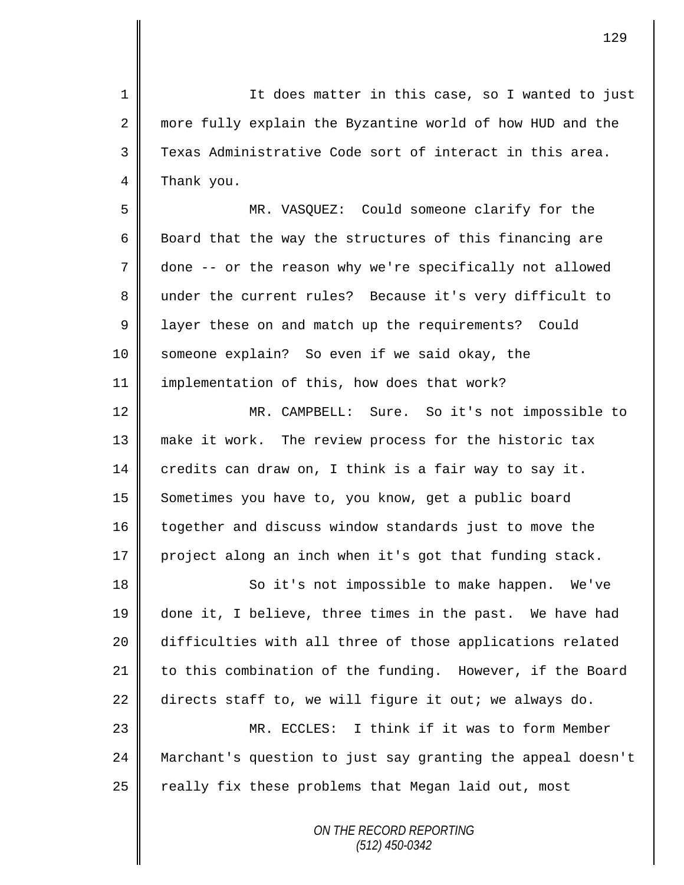1 || It does matter in this case, so I wanted to just 2 more fully explain the Byzantine world of how HUD and the  $3 \parallel$  Texas Administrative Code sort of interact in this area. 4 Thank you.

5 MR. VASQUEZ: Could someone clarify for the 6 Board that the way the structures of this financing are 7 | done -- or the reason why we're specifically not allowed 8 under the current rules? Because it's very difficult to 9 | layer these on and match up the requirements? Could 10 Someone explain? So even if we said okay, the 11 implementation of this, how does that work?

12 || MR. CAMPBELL: Sure. So it's not impossible to 13 make it work. The review process for the historic tax 14 credits can draw on, I think is a fair way to say it. 15 Sometimes you have to, you know, get a public board 16 together and discuss window standards just to move the  $17$  project along an inch when it's got that funding stack.

18 || So it's not impossible to make happen. We've 19 done it, I believe, three times in the past. We have had 20 difficulties with all three of those applications related 21 to this combination of the funding. However, if the Board 22 directs staff to, we will figure it out; we always do.

23 MR. ECCLES: I think if it was to form Member 24 Marchant's question to just say granting the appeal doesn't 25 | really fix these problems that Megan laid out, most

> *ON THE RECORD REPORTING (512) 450-0342*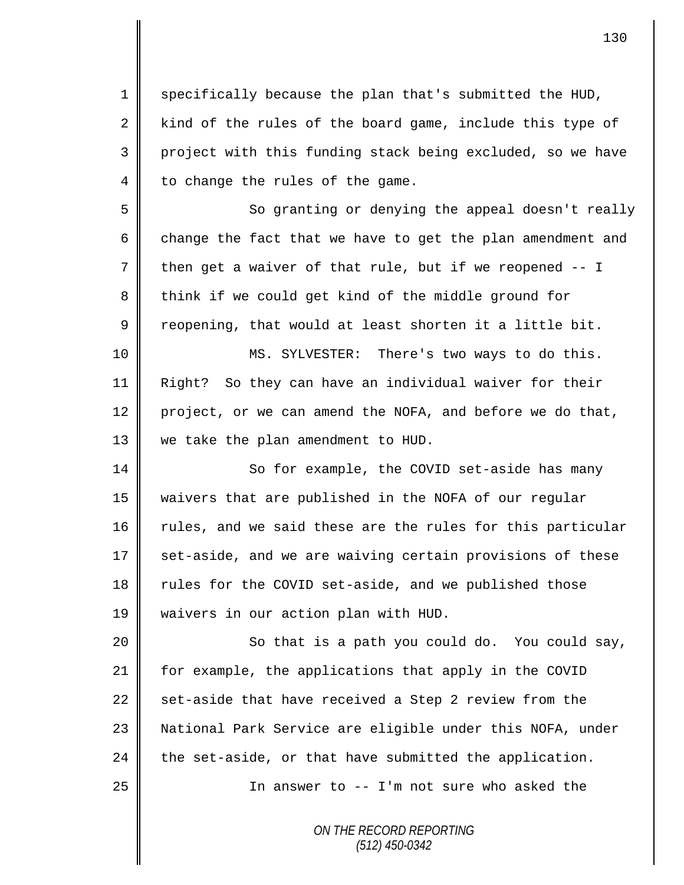1 specifically because the plan that's submitted the HUD, 2 kind of the rules of the board game, include this type of 3 || project with this funding stack being excluded, so we have 4 to change the rules of the game.

5 So granting or denying the appeal doesn't really 6 change the fact that we have to get the plan amendment and  $7 \parallel$  then get a waiver of that rule, but if we reopened -- I 8 think if we could get kind of the middle ground for  $9 \parallel$  reopening, that would at least shorten it a little bit.

10 || MS. SYLVESTER: There's two ways to do this. 11 Right? So they can have an individual waiver for their 12 project, or we can amend the NOFA, and before we do that, 13 we take the plan amendment to HUD.

14 So for example, the COVID set-aside has many waivers that are published in the NOFA of our regular rules, and we said these are the rules for this particular set-aside, and we are waiving certain provisions of these 18 Tules for the COVID set-aside, and we published those waivers in our action plan with HUD.

20 || So that is a path you could do. You could say, 21 for example, the applications that apply in the COVID 22  $\parallel$  set-aside that have received a Step 2 review from the 23 || National Park Service are eligible under this NOFA, under 24 the set-aside, or that have submitted the application.

25 || In answer to -- I'm not sure who asked the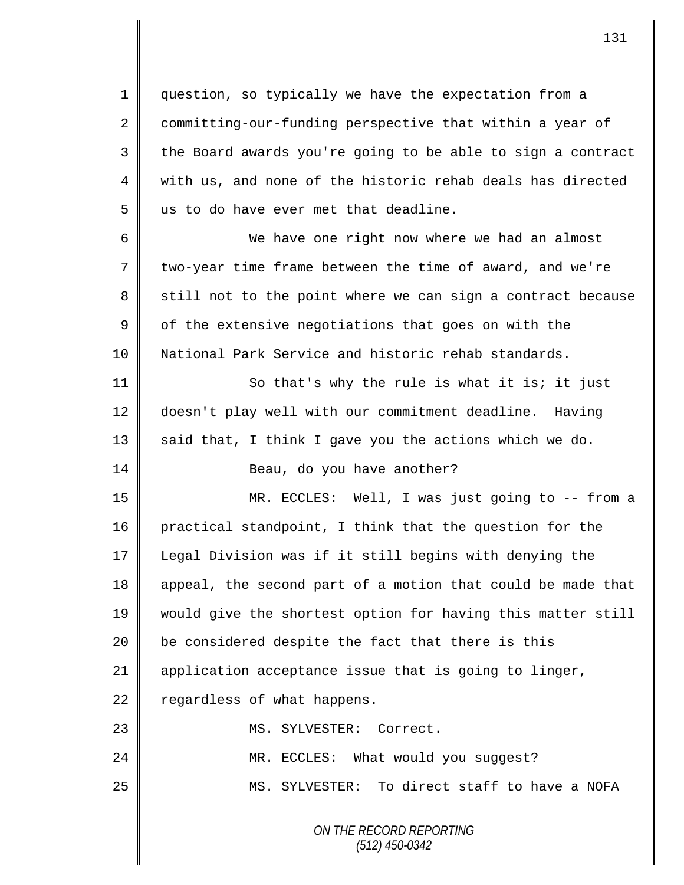1 question, so typically we have the expectation from a 2 committing-our-funding perspective that within a year of  $3 \parallel$  the Board awards you're going to be able to sign a contract 4 with us, and none of the historic rehab deals has directed  $5$  | us to do have ever met that deadline.

6 We have one right now where we had an almost  $7 \parallel$  two-year time frame between the time of award, and we're 8 still not to the point where we can sign a contract because  $9 \parallel$  of the extensive negotiations that goes on with the 10 National Park Service and historic rehab standards.

11 || So that's why the rule is what it is; it just 12 doesn't play well with our commitment deadline. Having  $13$  said that, I think I gave you the actions which we do. 14 || Beau, do you have another?

15 MR. ECCLES: Well, I was just going to -- from a 16 practical standpoint, I think that the question for the 17 Legal Division was if it still begins with denying the 18 appeal, the second part of a motion that could be made that 19 would give the shortest option for having this matter still  $20$  | be considered despite the fact that there is this 21 | application acceptance issue that is going to linger,  $22$  regardless of what happens. 23 || MS. SYLVESTER: Correct. 24 MR. ECCLES: What would you suggest? 25 || MS. SYLVESTER: To direct staff to have a NOFA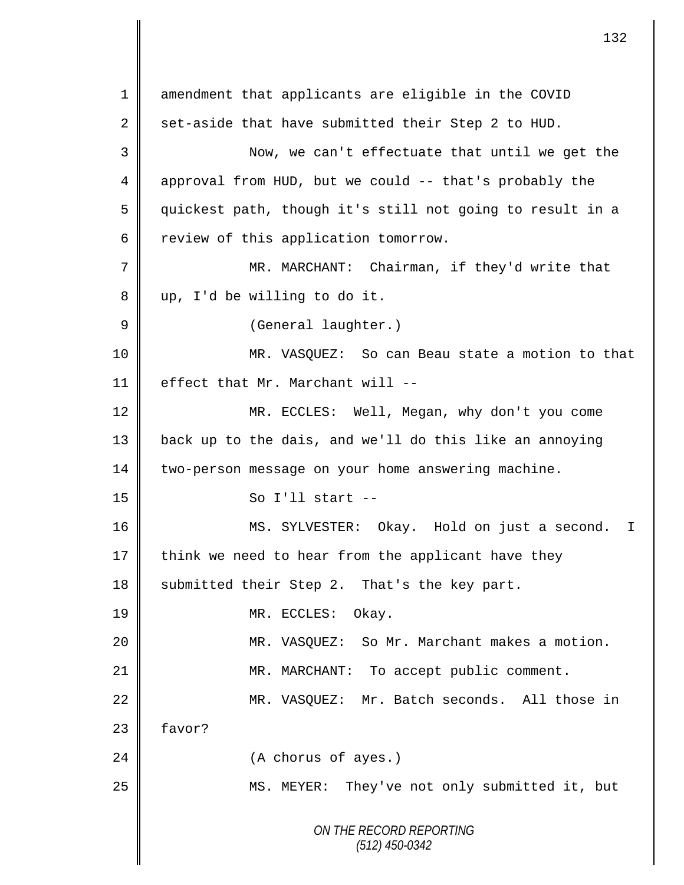*ON THE RECORD REPORTING (512) 450-0342* 1 amendment that applicants are eligible in the COVID 2 set-aside that have submitted their Step 2 to HUD. 3 Now, we can't effectuate that until we get the 4 approval from HUD, but we could -- that's probably the 5 quickest path, though it's still not going to result in a 6 | review of this application tomorrow. 7 MR. MARCHANT: Chairman, if they'd write that 8 || up, I'd be willing to do it. 9 | (General laughter.) 10 MR. VASQUEZ: So can Beau state a motion to that 11 | effect that Mr. Marchant will --12 MR. ECCLES: Well, Megan, why don't you come 13 back up to the dais, and we'll do this like an annoying 14 two-person message on your home answering machine.  $15$   $\parallel$  So I'll start --16 MS. SYLVESTER: Okay. Hold on just a second. I 17  $\parallel$  think we need to hear from the applicant have they 18 submitted their Step 2. That's the key part. 19 || MR. ECCLES: Okay. 20 MR. VASQUEZ: So Mr. Marchant makes a motion. 21 MR. MARCHANT: To accept public comment. 22 || MR. VASQUEZ: Mr. Batch seconds. All those in  $23$   $\parallel$  favor? 24 | (A chorus of ayes.) 25 | MS. MEYER: They've not only submitted it, but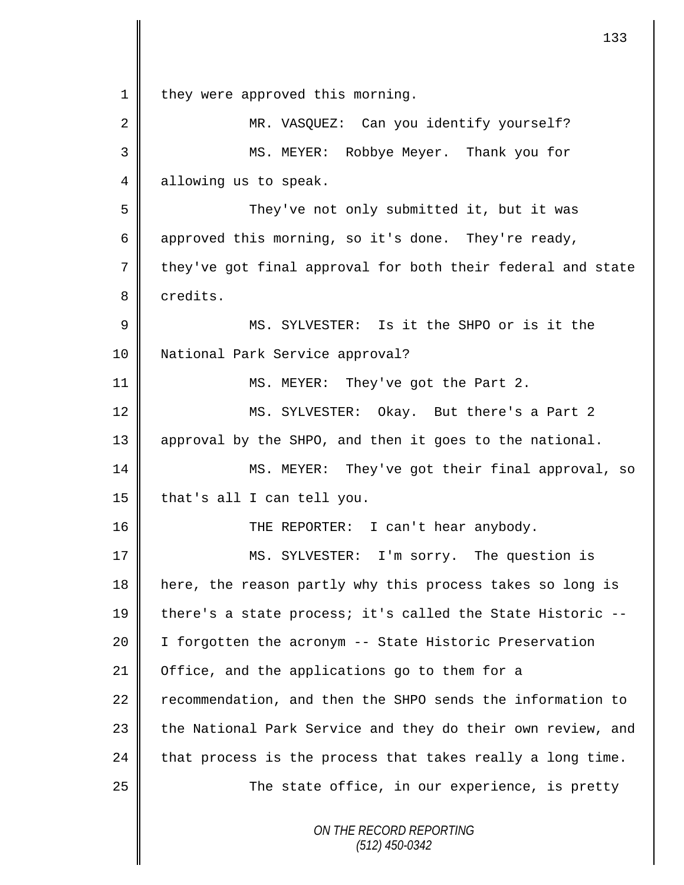*ON THE RECORD REPORTING (512) 450-0342* 1 | they were approved this morning. 2 || MR. VASQUEZ: Can you identify yourself? 3 MS. MEYER: Robbye Meyer. Thank you for 4 allowing us to speak. 5 They've not only submitted it, but it was 6 approved this morning, so it's done. They're ready, 7 they've got final approval for both their federal and state 8 credits. 9 MS. SYLVESTER: Is it the SHPO or is it the 10 | National Park Service approval? 11 || MS. MEYER: They've got the Part 2. 12 MS. SYLVESTER: Okay. But there's a Part 2 13 || approval by the SHPO, and then it goes to the national. 14 || MS. MEYER: They've got their final approval, so 15  $\parallel$  that's all I can tell you. 16 THE REPORTER: I can't hear anybody. 17 || MS. SYLVESTER: I'm sorry. The question is 18 | here, the reason partly why this process takes so long is 19  $\parallel$  there's a state process; it's called the State Historic --20 I forgotten the acronym -- State Historic Preservation 21 | Office, and the applications go to them for a 22 recommendation, and then the SHPO sends the information to 23 || the National Park Service and they do their own review, and  $24$  | that process is the process that takes really a long time.  $25$   $\parallel$  The state office, in our experience, is pretty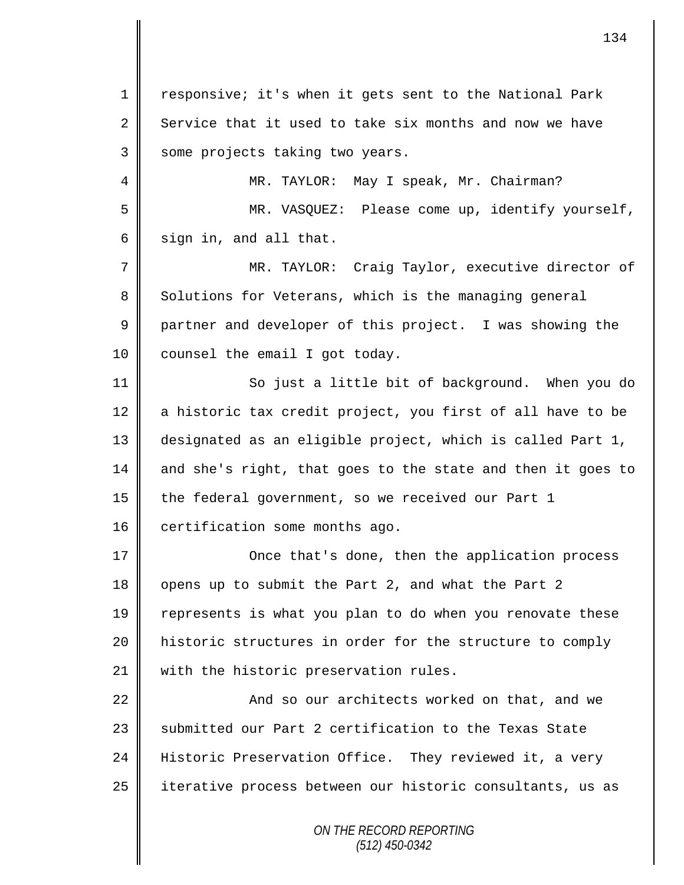1 | responsive; it's when it gets sent to the National Park 2 Service that it used to take six months and now we have 3 Some projects taking two years.

4 MR. TAYLOR: May I speak, Mr. Chairman? 5 MR. VASQUEZ: Please come up, identify yourself,  $6 \parallel$  sign in, and all that.

7 MR. TAYLOR: Craig Taylor, executive director of 8 Solutions for Veterans, which is the managing general 9 partner and developer of this project. I was showing the 10 counsel the email I got today.

11 || So just a little bit of background. When you do 12  $\parallel$  a historic tax credit project, you first of all have to be 13 designated as an eligible project, which is called Part 1, 14  $\parallel$  and she's right, that goes to the state and then it goes to 15 the federal government, so we received our Part 1 16 certification some months ago.

17 | Chat's done, then the application process 18 opens up to submit the Part 2, and what the Part 2 19 | represents is what you plan to do when you renovate these 20 historic structures in order for the structure to comply 21 | with the historic preservation rules.

22 | And so our architects worked on that, and we 23 Submitted our Part 2 certification to the Texas State 24 Historic Preservation Office. They reviewed it, a very 25 | iterative process between our historic consultants, us as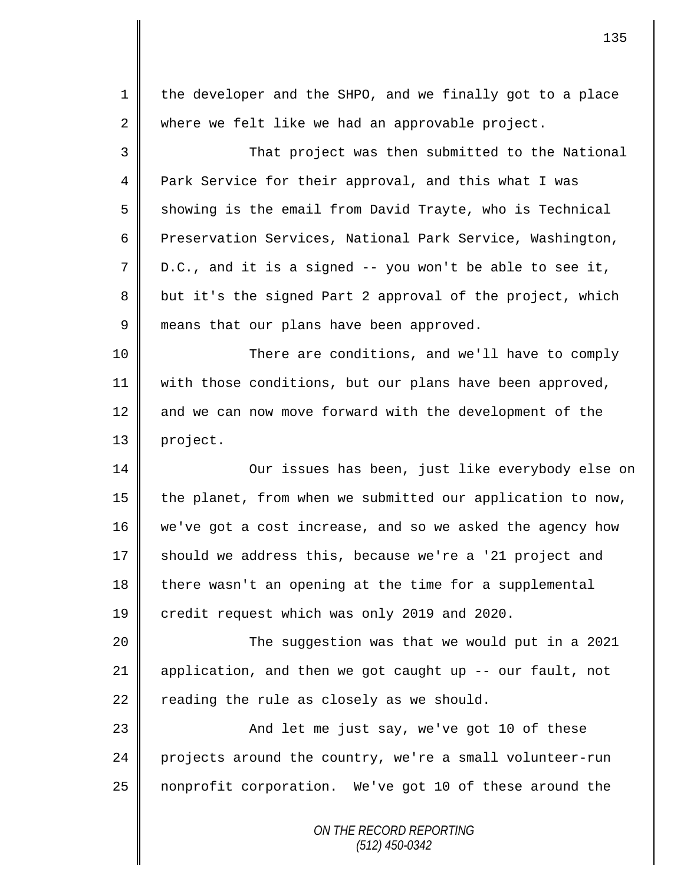| 1  | the developer and the SHPO, and we finally got to a place  |
|----|------------------------------------------------------------|
| 2  | where we felt like we had an approvable project.           |
| 3  | That project was then submitted to the National            |
| 4  | Park Service for their approval, and this what I was       |
| 5  | showing is the email from David Trayte, who is Technical   |
| 6  | Preservation Services, National Park Service, Washington,  |
| 7  | D.C., and it is a signed -- you won't be able to see it,   |
| 8  | but it's the signed Part 2 approval of the project, which  |
| 9  | means that our plans have been approved.                   |
| 10 | There are conditions, and we'll have to comply             |
| 11 | with those conditions, but our plans have been approved,   |
| 12 | and we can now move forward with the development of the    |
| 13 | project.                                                   |
| 14 | Our issues has been, just like everybody else on           |
| 15 | the planet, from when we submitted our application to now, |
| 16 | we've got a cost increase, and so we asked the agency how  |
| 17 | should we address this, because we're a '21 project and    |
| 18 | there wasn't an opening at the time for a supplemental     |
| 19 | credit request which was only 2019 and 2020.               |
| 20 | The suggestion was that we would put in a 2021             |
| 21 | application, and then we got caught up -- our fault, not   |
| 22 | reading the rule as closely as we should.                  |
| 23 | And let me just say, we've got 10 of these                 |
| 24 | projects around the country, we're a small volunteer-run   |
| 25 | nonprofit corporation. We've got 10 of these around the    |
|    | ON THE RECORD REPORTING                                    |

*(512) 450-0342*

Ш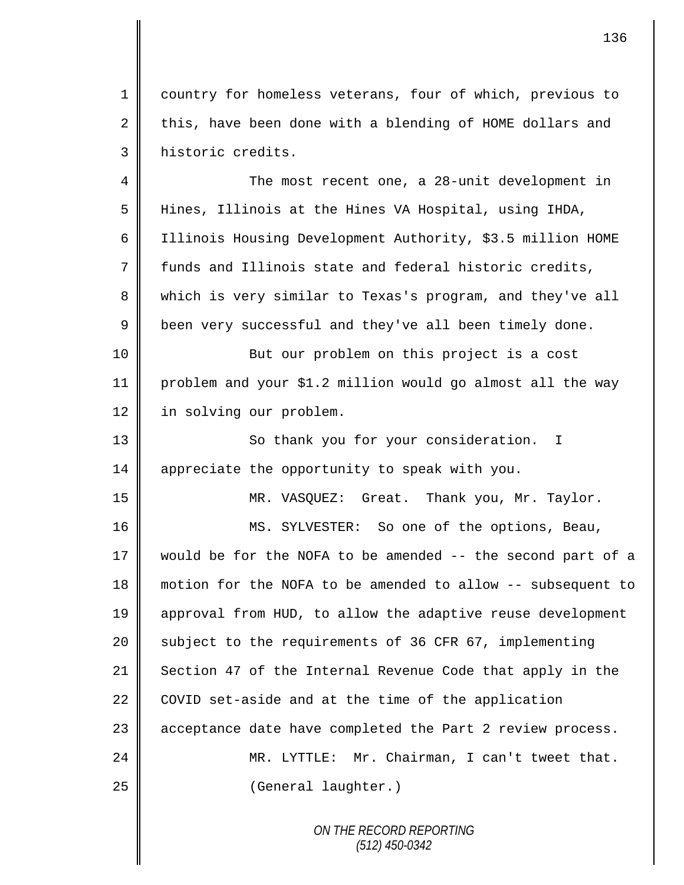1 country for homeless veterans, four of which, previous to 2 this, have been done with a blending of HOME dollars and 3 historic credits.

4 The most recent one, a 28-unit development in 5 Hines, Illinois at the Hines VA Hospital, using IHDA, 6 Illinois Housing Development Authority, \$3.5 million HOME  $7 \parallel$  funds and Illinois state and federal historic credits, 8 which is very similar to Texas's program, and they've all 9 | been very successful and they've all been timely done. 10 || But our problem on this project is a cost 11 problem and your \$1.2 million would go almost all the way 12 | in solving our problem.

13 || So thank you for your consideration. I 14 | appreciate the opportunity to speak with you.

15 MR. VASQUEZ: Great. Thank you, Mr. Taylor.

16 MS. SYLVESTER: So one of the options, Beau, 17 would be for the NOFA to be amended -- the second part of a 18 motion for the NOFA to be amended to allow -- subsequent to 19 | approval from HUD, to allow the adaptive reuse development 20 Subject to the requirements of 36 CFR 67, implementing 21 Section 47 of the Internal Revenue Code that apply in the 22 COVID set-aside and at the time of the application 23 | acceptance date have completed the Part 2 review process. 24 MR. LYTTLE: Mr. Chairman, I can't tweet that. 25 | (General laughter.)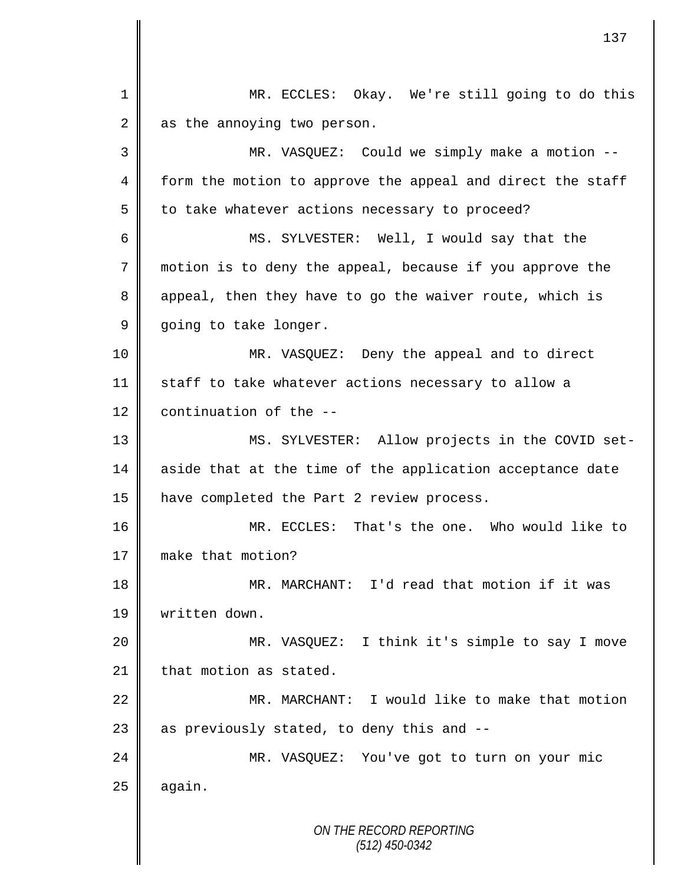*ON THE RECORD REPORTING (512) 450-0342* 1 MR. ECCLES: Okay. We're still going to do this  $2 \parallel$  as the annoying two person. 3 MR. VASQUEZ: Could we simply make a motion -- 4 form the motion to approve the appeal and direct the staff  $5 \parallel$  to take whatever actions necessary to proceed? 6 MS. SYLVESTER: Well, I would say that the 7 motion is to deny the appeal, because if you approve the 8 appeal, then they have to go the waiver route, which is 9 going to take longer. 10 MR. VASQUEZ: Deny the appeal and to direct 11 staff to take whatever actions necessary to allow a 12  $\parallel$  continuation of the --13 MS. SYLVESTER: Allow projects in the COVID set-14 aside that at the time of the application acceptance date 15 | have completed the Part 2 review process. 16 || MR. ECCLES: That's the one. Who would like to 17 make that motion? 18 || MR. MARCHANT: I'd read that motion if it was 19 written down. 20 MR. VASQUEZ: I think it's simple to say I move  $21$   $\parallel$  that motion as stated. 22 MR. MARCHANT: I would like to make that motion 23  $\parallel$  as previously stated, to deny this and  $-$ -24 MR. VASQUEZ: You've got to turn on your mic  $25$  | again.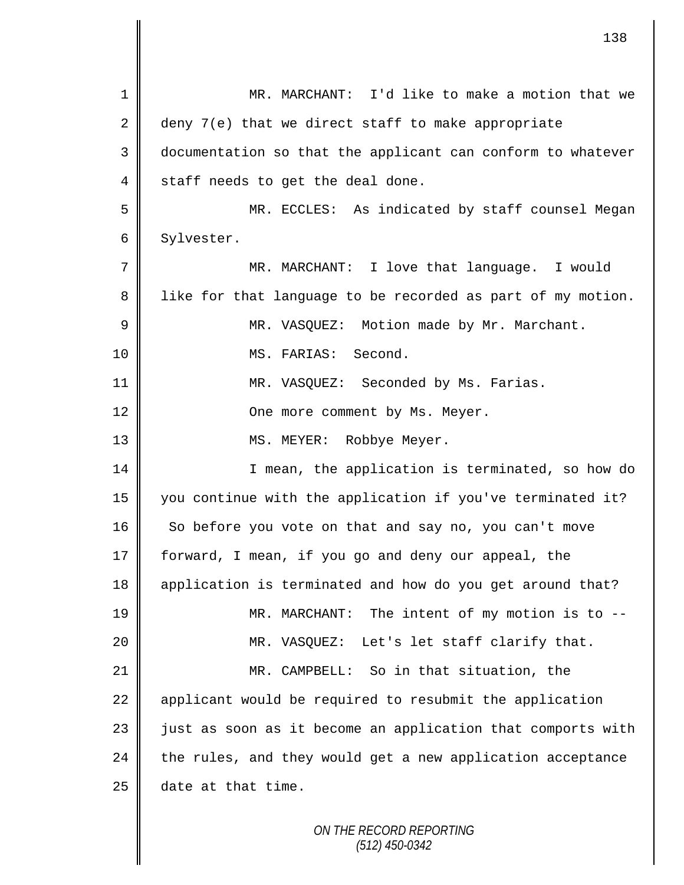| 1              | MR. MARCHANT: I'd like to make a motion that we             |
|----------------|-------------------------------------------------------------|
| $\overline{2}$ | deny 7(e) that we direct staff to make appropriate          |
| 3              | documentation so that the applicant can conform to whatever |
| $\overline{4}$ | staff needs to get the deal done.                           |
| 5              | MR. ECCLES: As indicated by staff counsel Megan             |
| 6              | Sylvester.                                                  |
| 7              | MR. MARCHANT: I love that language. I would                 |
| 8              | like for that language to be recorded as part of my motion. |
| 9              | MR. VASQUEZ: Motion made by Mr. Marchant.                   |
| 10             | Second.<br>MS. FARIAS:                                      |
| 11             | MR. VASQUEZ: Seconded by Ms. Farias.                        |
| 12             | One more comment by Ms. Meyer.                              |
| 13             | MS. MEYER: Robbye Meyer.                                    |
| 14             | I mean, the application is terminated, so how do            |
| 15             | you continue with the application if you've terminated it?  |
| 16             | So before you vote on that and say no, you can't move       |
| 17             | forward, I mean, if you go and deny our appeal, the         |
| 18             | application is terminated and how do you get around that?   |
| 19             | The intent of my motion is to --<br>MR. MARCHANT:           |
| 20             | MR. VASQUEZ: Let's let staff clarify that.                  |
| 21             | MR. CAMPBELL: So in that situation, the                     |
| 22             | applicant would be required to resubmit the application     |
| 23             | just as soon as it become an application that comports with |
| 24             | the rules, and they would get a new application acceptance  |
| 25             | date at that time.                                          |
|                | <b>TUE DECODD DEDODTING</b>                                 |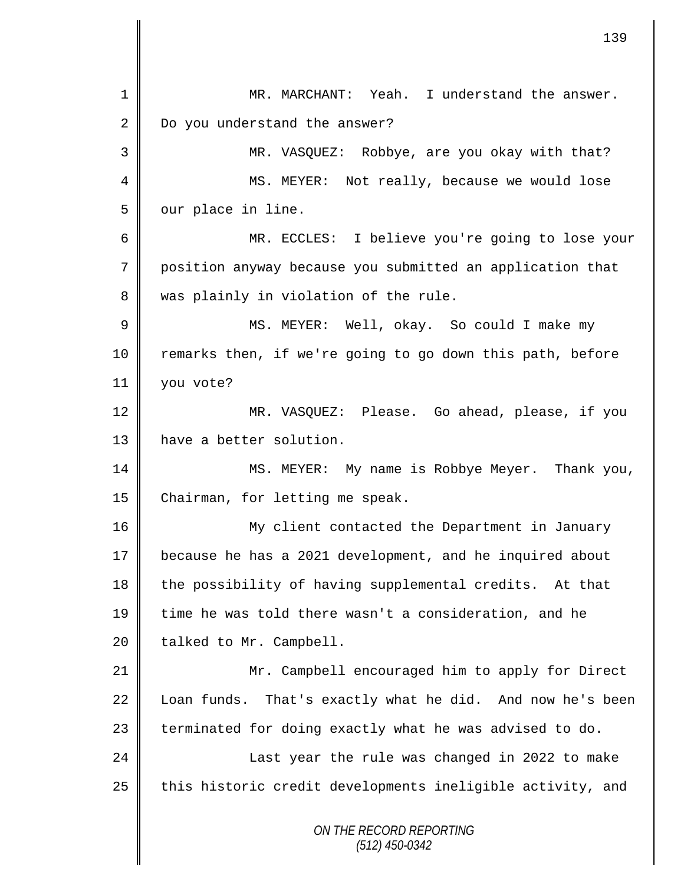*ON THE RECORD REPORTING (512) 450-0342* 1 MR. MARCHANT: Yeah. I understand the answer. 2 Do you understand the answer? 3 MR. VASQUEZ: Robbye, are you okay with that? 4 || MS. MEYER: Not really, because we would lose 5 | our place in line. 6 MR. ECCLES: I believe you're going to lose your 7 position anyway because you submitted an application that 8 was plainly in violation of the rule. 9 MS. MEYER: Well, okay. So could I make my 10 T remarks then, if we're going to go down this path, before 11 you vote? 12 MR. VASQUEZ: Please. Go ahead, please, if you 13 | have a better solution. 14 MS. MEYER: My name is Robbye Meyer. Thank you, 15 Chairman, for letting me speak. 16 || My client contacted the Department in January 17 because he has a 2021 development, and he inquired about  $18$  the possibility of having supplemental credits. At that 19 time he was told there wasn't a consideration, and he  $20$  | talked to Mr. Campbell. 21 Mr. Campbell encouraged him to apply for Direct  $22$  Loan funds. That's exactly what he did. And now he's been  $23$  | terminated for doing exactly what he was advised to do. 24 | Cast year the rule was changed in 2022 to make  $25$  | this historic credit developments ineligible activity, and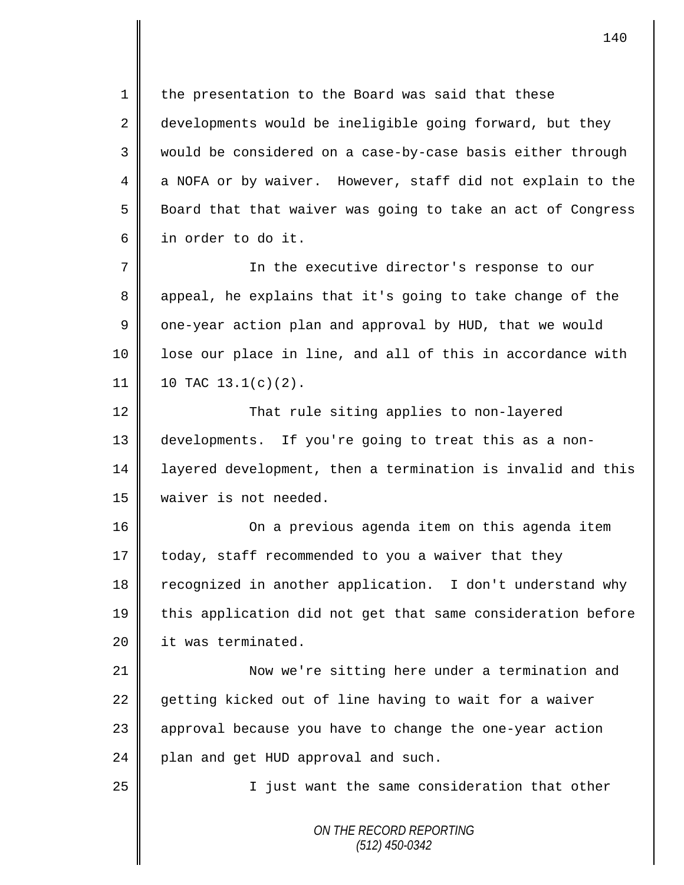1 the presentation to the Board was said that these 2 developments would be ineligible going forward, but they 3 would be considered on a case-by-case basis either through 4 a NOFA or by waiver. However, staff did not explain to the 5 Board that that waiver was going to take an act of Congress 6 in order to do it.

7 In the executive director's response to our 8 appeal, he explains that it's going to take change of the 9 | one-year action plan and approval by HUD, that we would 10 | lose our place in line, and all of this in accordance with  $11 \parallel 10$  TAC  $13.1(c)(2)$ .

12 || That rule siting applies to non-layered 13 developments. If you're going to treat this as a non-14 layered development, then a termination is invalid and this 15 | waiver is not needed.

16 On a previous agenda item on this agenda item 17  $\parallel$  today, staff recommended to you a waiver that they 18 recognized in another application. I don't understand why 19 this application did not get that same consideration before 20 **it** was terminated.

21 | Now we're sitting here under a termination and 22 getting kicked out of line having to wait for a waiver 23 | approval because you have to change the one-year action  $24$  | plan and get HUD approval and such.

25 || I just want the same consideration that other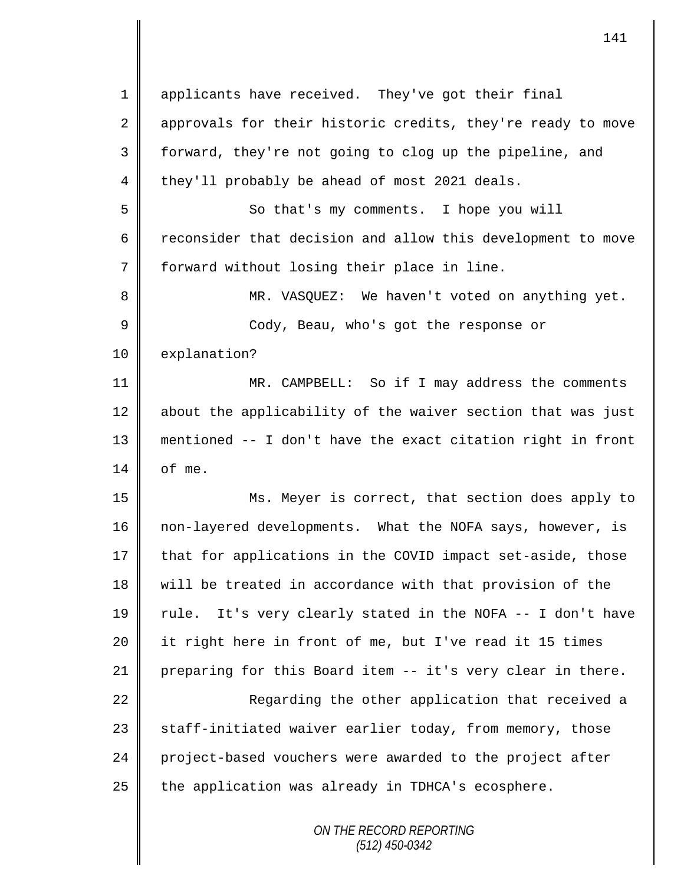*ON THE RECORD REPORTING (512) 450-0342* 1 || applicants have received. They've got their final 2 | approvals for their historic credits, they're ready to move 3 || forward, they're not going to clog up the pipeline, and 4 they'll probably be ahead of most 2021 deals. 5 || So that's my comments. I hope you will 6 T reconsider that decision and allow this development to move 7 | forward without losing their place in line. 8 MR. VASQUEZ: We haven't voted on anything yet. 9 || Cody, Beau, who's got the response or 10 explanation? 11 MR. CAMPBELL: So if I may address the comments 12 about the applicability of the waiver section that was just 13 mentioned -- I don't have the exact citation right in front  $14 \parallel$  of me. 15 Ms. Meyer is correct, that section does apply to 16 | non-layered developments. What the NOFA says, however, is 17 that for applications in the COVID impact set-aside, those 18 will be treated in accordance with that provision of the 19  $\parallel$  rule. It's very clearly stated in the NOFA -- I don't have 20 it right here in front of me, but I've read it 15 times 21  $\parallel$  preparing for this Board item -- it's very clear in there. 22 | Regarding the other application that received a  $23$  staff-initiated waiver earlier today, from memory, those 24 project-based vouchers were awarded to the project after  $25$  | the application was already in TDHCA's ecosphere.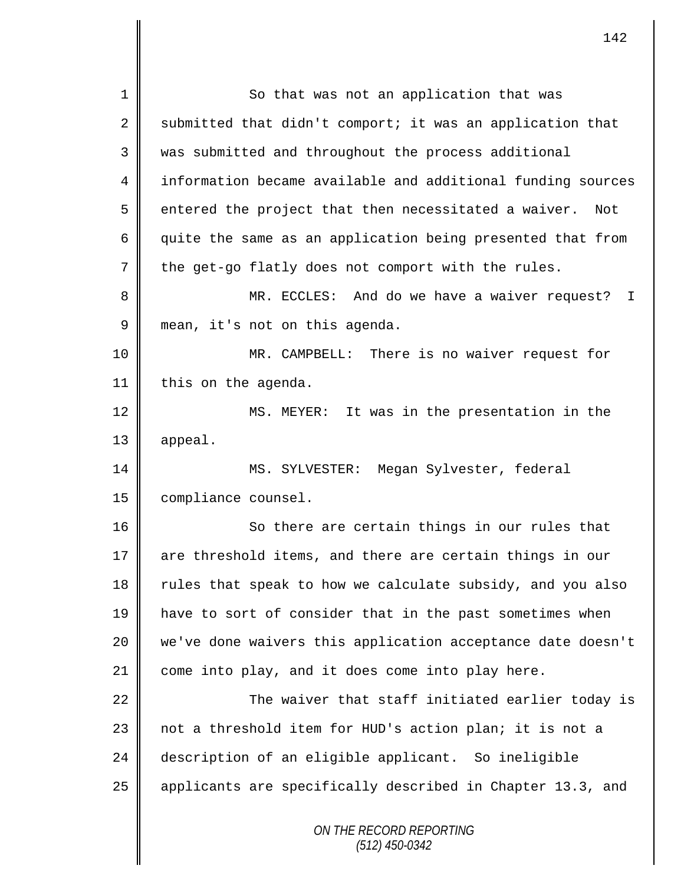*ON THE RECORD REPORTING (512) 450-0342* 1 So that was not an application that was 2 submitted that didn't comport; it was an application that 3 || was submitted and throughout the process additional 4 information became available and additional funding sources  $5 \parallel$  entered the project that then necessitated a waiver. Not 6 guite the same as an application being presented that from  $7 \parallel$  the get-go flatly does not comport with the rules. 8 MR. ECCLES: And do we have a waiver request? I 9 mean, it's not on this agenda. 10 MR. CAMPBELL: There is no waiver request for 11 | this on the agenda. 12 || MS. MEYER: It was in the presentation in the 13 || appeal. 14 MS. SYLVESTER: Megan Sylvester, federal 15 | compliance counsel. 16 || So there are certain things in our rules that 17  $\parallel$  are threshold items, and there are certain things in our 18 Tules that speak to how we calculate subsidy, and you also 19 have to sort of consider that in the past sometimes when 20 || we've done waivers this application acceptance date doesn't 21 come into play, and it does come into play here.  $22$   $\parallel$  The waiver that staff initiated earlier today is 23 || not a threshold item for HUD's action plan; it is not a 24 description of an eligible applicant. So ineligible 25 | applicants are specifically described in Chapter 13.3, and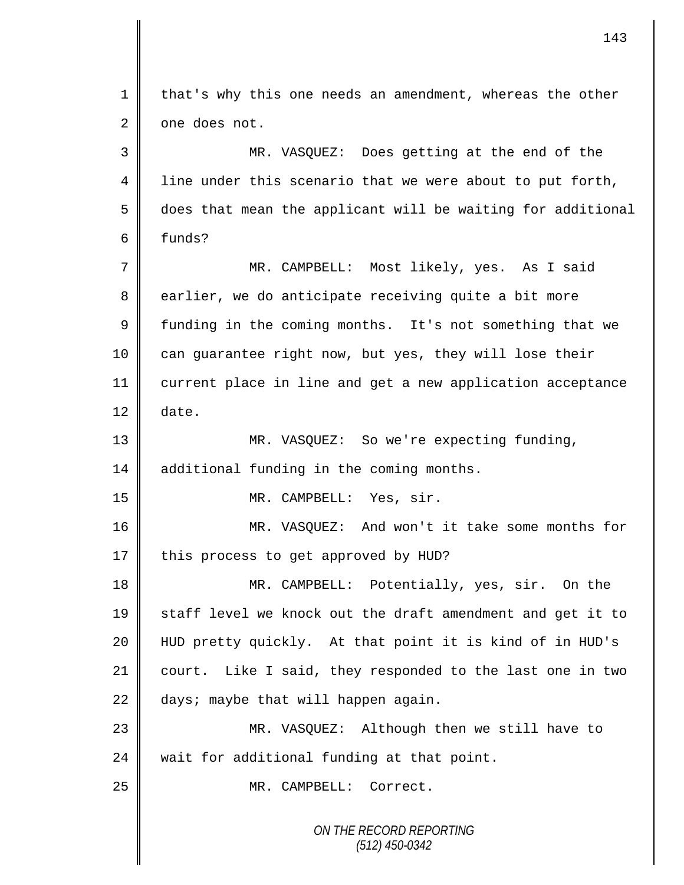| 1  | that's why this one needs an amendment, whereas the other   |
|----|-------------------------------------------------------------|
| 2  | one does not.                                               |
| 3  | MR. VASQUEZ: Does getting at the end of the                 |
| 4  | line under this scenario that we were about to put forth,   |
| 5  | does that mean the applicant will be waiting for additional |
| 6  | funds?                                                      |
| 7  | MR. CAMPBELL: Most likely, yes. As I said                   |
| 8  | earlier, we do anticipate receiving quite a bit more        |
| 9  | funding in the coming months. It's not something that we    |
| 10 | can guarantee right now, but yes, they will lose their      |
| 11 | current place in line and get a new application acceptance  |
| 12 | date.                                                       |
| 13 | MR. VASQUEZ: So we're expecting funding,                    |
| 14 | additional funding in the coming months.                    |
| 15 | MR. CAMPBELL: Yes, sir.                                     |
| 16 | MR. VASQUEZ: And won't it take some months for              |
| 17 | this process to get approved by HUD?                        |
| 18 | MR. CAMPBELL: Potentially, yes, sir. On the                 |
| 19 | staff level we knock out the draft amendment and get it to  |
| 20 | HUD pretty quickly. At that point it is kind of in HUD's    |
| 21 | court. Like I said, they responded to the last one in two   |
| 22 | days; maybe that will happen again.                         |
| 23 | MR. VASQUEZ: Although then we still have to                 |
| 24 | wait for additional funding at that point.                  |
| 25 | MR. CAMPBELL: Correct.                                      |
|    | ON THE RECORD REPORTING<br>$(512)$ 450-0342                 |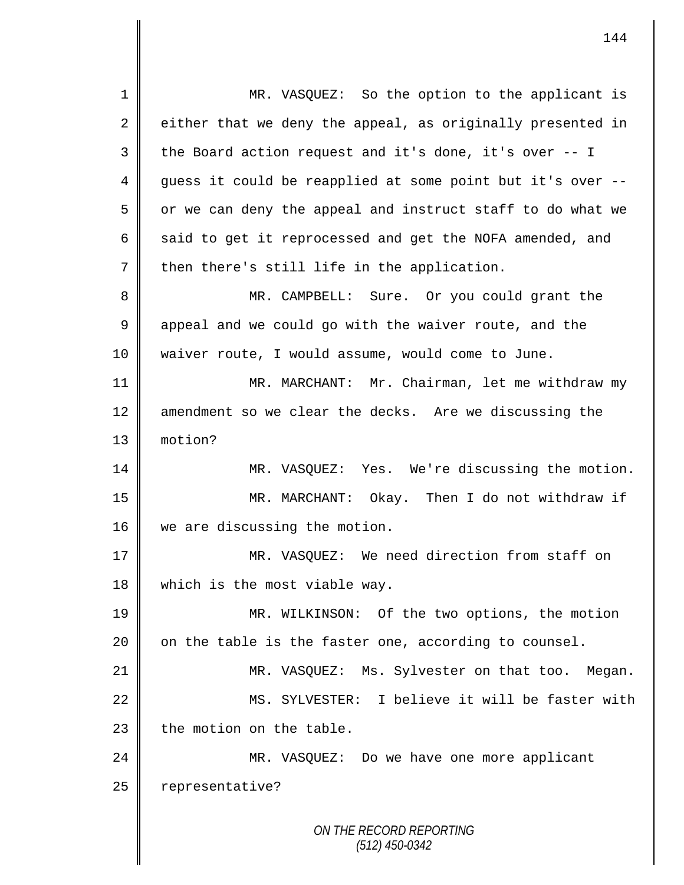*ON THE RECORD REPORTING (512) 450-0342* 1 MR. VASQUEZ: So the option to the applicant is 2 either that we deny the appeal, as originally presented in  $3 \parallel$  the Board action request and it's done, it's over -- I 4 guess it could be reapplied at some point but it's over --5  $\parallel$  or we can deny the appeal and instruct staff to do what we 6 said to get it reprocessed and get the NOFA amended, and  $7$  then there's still life in the application. 8 MR. CAMPBELL: Sure. Or you could grant the  $9 \parallel$  appeal and we could go with the waiver route, and the 10 || waiver route, I would assume, would come to June. 11 | MR. MARCHANT: Mr. Chairman, let me withdraw my 12 **a** amendment so we clear the decks. Are we discussing the 13 motion? 14 MR. VASQUEZ: Yes. We're discussing the motion. 15 MR. MARCHANT: Okay. Then I do not withdraw if 16 we are discussing the motion. 17 || MR. VASOUEZ: We need direction from staff on 18 which is the most viable way. 19 MR. WILKINSON: Of the two options, the motion 20  $\parallel$  on the table is the faster one, according to counsel. 21 MR. VASQUEZ: Ms. Sylvester on that too. Megan. 22 MS. SYLVESTER: I believe it will be faster with  $23$  | the motion on the table. 24 MR. VASQUEZ: Do we have one more applicant 25 | representative?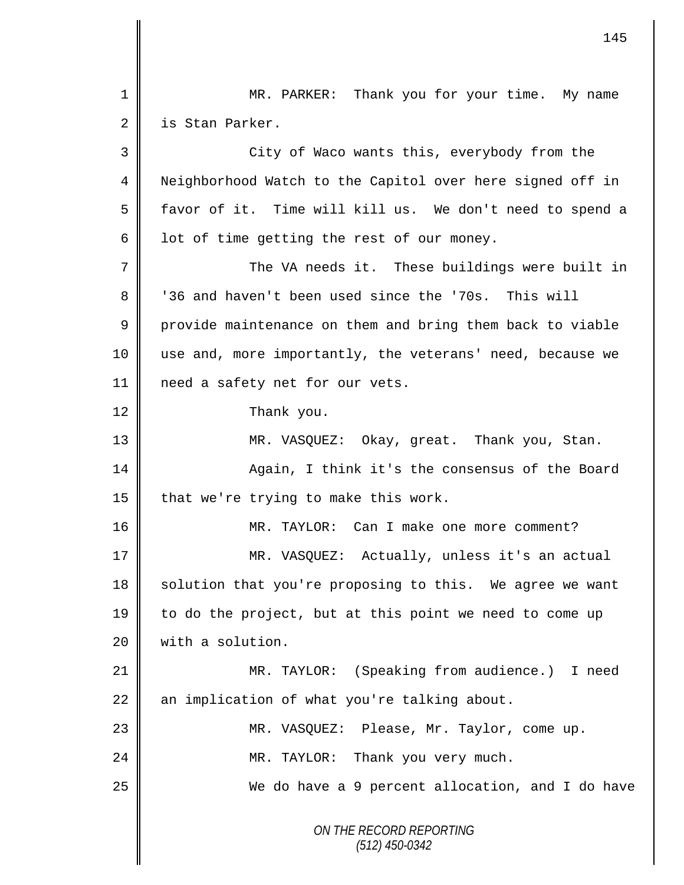*ON THE RECORD REPORTING (512) 450-0342* 1 || MR. PARKER: Thank you for your time. My name 2 | is Stan Parker. 3 City of Waco wants this, everybody from the 4 Neighborhood Watch to the Capitol over here signed off in 5 || favor of it. Time will kill us. We don't need to spend a  $6 \parallel$  lot of time getting the rest of our money. 7 The VA needs it. These buildings were built in 8 || '36 and haven't been used since the '70s. This will 9 provide maintenance on them and bring them back to viable 10 use and, more importantly, the veterans' need, because we 11 | need a safety net for our vets. 12 Thank you. 13 MR. VASQUEZ: Okay, great. Thank you, Stan. 14 || Again, I think it's the consensus of the Board 15  $\parallel$  that we're trying to make this work. 16 MR. TAYLOR: Can I make one more comment? 17 || MR. VASQUEZ: Actually, unless it's an actual 18 | solution that you're proposing to this. We agree we want 19 to do the project, but at this point we need to come up 20 **with a solution.** 21 MR. TAYLOR: (Speaking from audience.) I need 22  $\parallel$  an implication of what you're talking about. 23 MR. VASQUEZ: Please, Mr. Taylor, come up. 24 **MR.** TAYLOR: Thank you very much. 25 We do have a 9 percent allocation, and I do have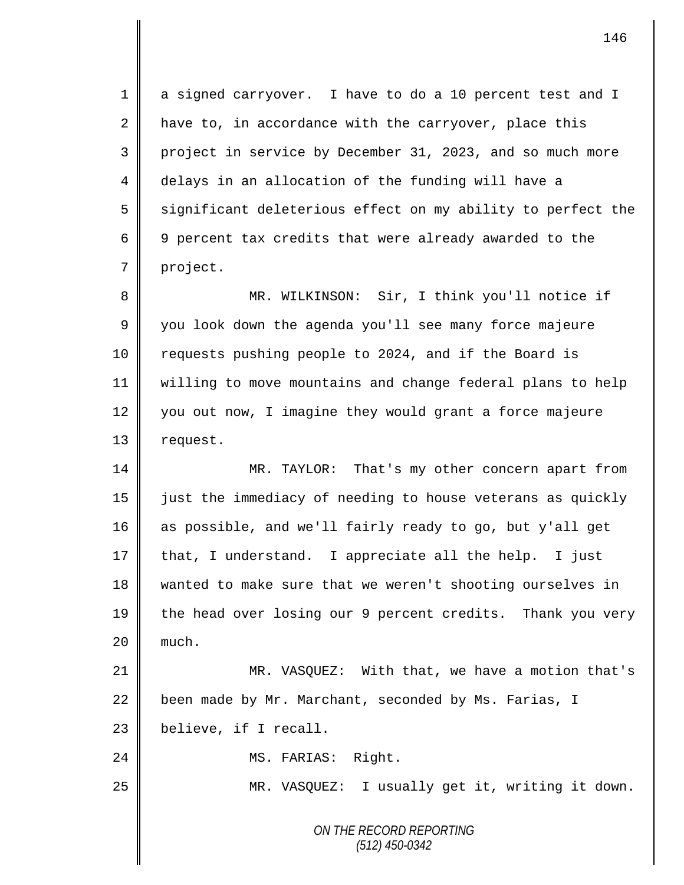1 a signed carryover. I have to do a 10 percent test and I 2  $\parallel$  have to, in accordance with the carryover, place this 3 project in service by December 31, 2023, and so much more 4 delays in an allocation of the funding will have a 5 significant deleterious effect on my ability to perfect the 6 9 percent tax credits that were already awarded to the 7 project. 8 MR. WILKINSON: Sir, I think you'll notice if 9 you look down the agenda you'll see many force majeure

10 | requests pushing people to 2024, and if the Board is 11 willing to move mountains and change federal plans to help 12 you out now, I imagine they would grant a force majeure 13 | request.

14 MR. TAYLOR: That's my other concern apart from 15 just the immediacy of needing to house veterans as quickly 16 as possible, and we'll fairly ready to go, but y'all get 17 that, I understand. I appreciate all the help. I just 18 wanted to make sure that we weren't shooting ourselves in 19 the head over losing our 9 percent credits. Thank you very  $20$  || much.

21 | MR. VASQUEZ: With that, we have a motion that's  $22$  been made by Mr. Marchant, seconded by Ms. Farias, I 23 believe, if I recall.

24 | MS. FARIAS: Right.

25 MR. VASQUEZ: I usually get it, writing it down.

*ON THE RECORD REPORTING (512) 450-0342*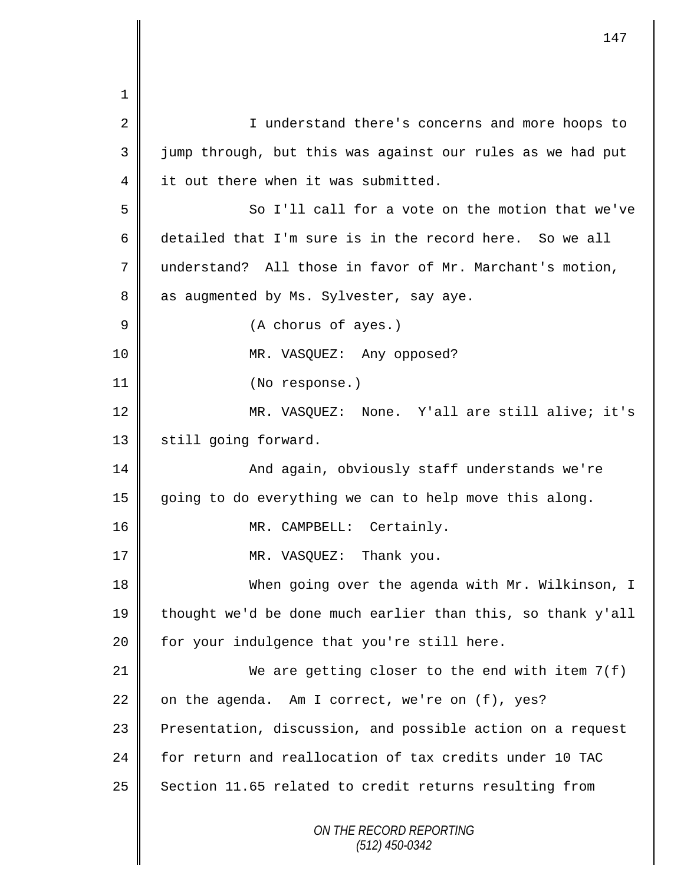*ON THE RECORD REPORTING (512) 450-0342* 1 2 || I understand there's concerns and more hoops to 3 || jump through, but this was against our rules as we had put 4 it out there when it was submitted. 5 So I'll call for a vote on the motion that we've 6 detailed that I'm sure is in the record here. So we all 7 understand? All those in favor of Mr. Marchant's motion, 8 as augmented by Ms. Sylvester, say aye. 9 (A chorus of ayes.) 10 || MR. VASQUEZ: Any opposed? 11 || (No response.) 12 MR. VASQUEZ: None. Y'all are still alive; it's 13 | still going forward. 14 | And again, obviously staff understands we're 15 going to do everything we can to help move this along. 16 || MR. CAMPBELL: Certainly. 17 || MR. VASQUEZ: Thank you. 18 When going over the agenda with Mr. Wilkinson, I 19  $\parallel$  thought we'd be done much earlier than this, so thank y'all 20  $\parallel$  for your indulgence that you're still here. 21  $\parallel$  We are getting closer to the end with item 7(f) 22  $\parallel$  on the agenda. Am I correct, we're on (f), yes? 23 Presentation, discussion, and possible action on a request 24 for return and reallocation of tax credits under 10 TAC 25 Section 11.65 related to credit returns resulting from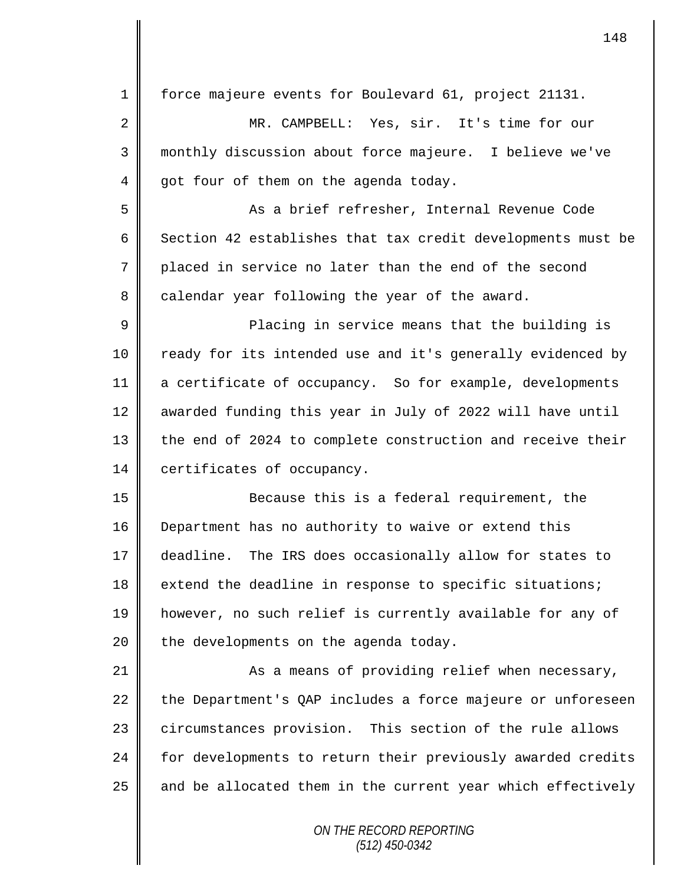1 || force majeure events for Boulevard 61, project 21131. 2 MR. CAMPBELL: Yes, sir. It's time for our 3 monthly discussion about force majeure. I believe we've 4 got four of them on the agenda today. 5 As a brief refresher, Internal Revenue Code 6  $\parallel$  Section 42 establishes that tax credit developments must be 7 placed in service no later than the end of the second 8 calendar year following the year of the award. 9 || Placing in service means that the building is 10 | ready for its intended use and it's generally evidenced by 11 a certificate of occupancy. So for example, developments 12 awarded funding this year in July of 2022 will have until 13 | the end of 2024 to complete construction and receive their 14 certificates of occupancy. 15 Because this is a federal requirement, the 16 Department has no authority to waive or extend this 17 deadline. The IRS does occasionally allow for states to  $18$  extend the deadline in response to specific situations; 19 however, no such relief is currently available for any of  $20$  || the developments on the agenda today. 21 | As a means of providing relief when necessary,  $22$  the Department's QAP includes a force majeure or unforeseen 23 circumstances provision. This section of the rule allows 24 for developments to return their previously awarded credits  $25$  and be allocated them in the current year which effectively

*ON THE RECORD REPORTING (512) 450-0342*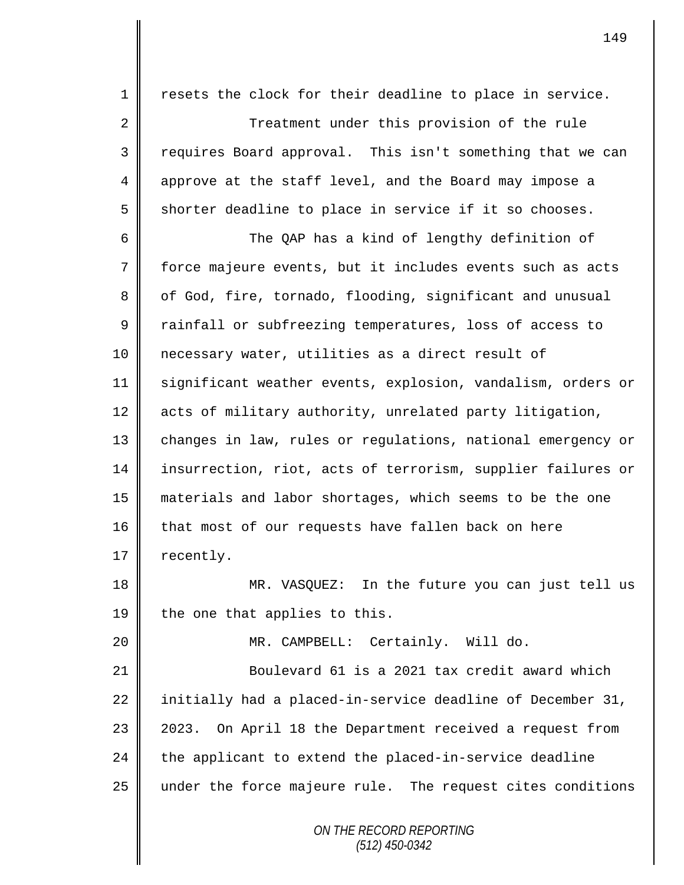*ON THE RECORD REPORTING (512) 450-0342*  $1 \parallel$  resets the clock for their deadline to place in service. 2 Treatment under this provision of the rule 3 || requires Board approval. This isn't something that we can 4 approve at the staff level, and the Board may impose a  $5 \parallel$  shorter deadline to place in service if it so chooses. 6 The QAP has a kind of lengthy definition of 7 force majeure events, but it includes events such as acts 8 | of God, fire, tornado, flooding, significant and unusual 9 Trainfall or subfreezing temperatures, loss of access to 10 necessary water, utilities as a direct result of 11 significant weather events, explosion, vandalism, orders or 12 || acts of military authority, unrelated party litigation, 13 | changes in law, rules or regulations, national emergency or 14 insurrection, riot, acts of terrorism, supplier failures or 15 materials and labor shortages, which seems to be the one 16 that most of our requests have fallen back on here  $17 \parallel$  recently. 18 MR. VASQUEZ: In the future you can just tell us 19  $\parallel$  the one that applies to this. 20 MR. CAMPBELL: Certainly. Will do. 21 Boulevard 61 is a 2021 tax credit award which 22  $\parallel$  initially had a placed-in-service deadline of December 31, 23 | 2023. On April 18 the Department received a request from  $24$  the applicant to extend the placed-in-service deadline  $25$  under the force majeure rule. The request cites conditions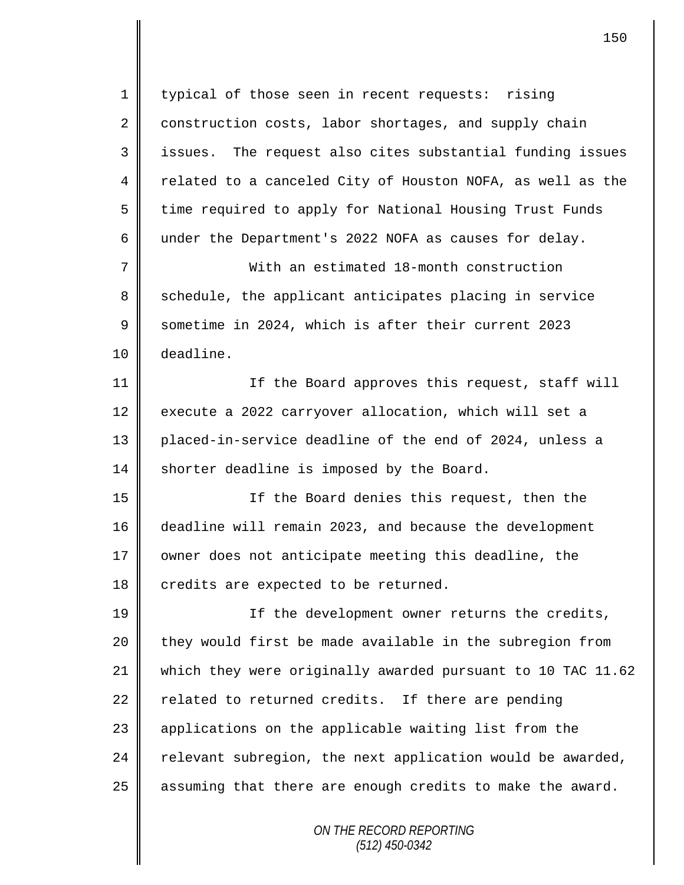*ON THE RECORD REPORTING* 1 | typical of those seen in recent requests: rising 2 construction costs, labor shortages, and supply chain 3 || issues. The request also cites substantial funding issues 4 | related to a canceled City of Houston NOFA, as well as the 5 time required to apply for National Housing Trust Funds 6 under the Department's 2022 NOFA as causes for delay. 7 With an estimated 18-month construction 8 schedule, the applicant anticipates placing in service  $9 \parallel$  sometime in 2024, which is after their current 2023 10 deadline. 11 || If the Board approves this request, staff will 12 execute a 2022 carryover allocation, which will set a 13 placed-in-service deadline of the end of 2024, unless a  $14$  shorter deadline is imposed by the Board. 15 If the Board denies this request, then the 16 deadline will remain 2023, and because the development 17 | owner does not anticipate meeting this deadline, the 18 credits are expected to be returned. 19 || If the development owner returns the credits,  $20$  | they would first be made available in the subregion from 21 which they were originally awarded pursuant to 10 TAC 11.62 22  $\parallel$  related to returned credits. If there are pending 23 || applications on the applicable waiting list from the 24  $\parallel$  relevant subregion, the next application would be awarded, 25  $\parallel$  assuming that there are enough credits to make the award.

*(512) 450-0342*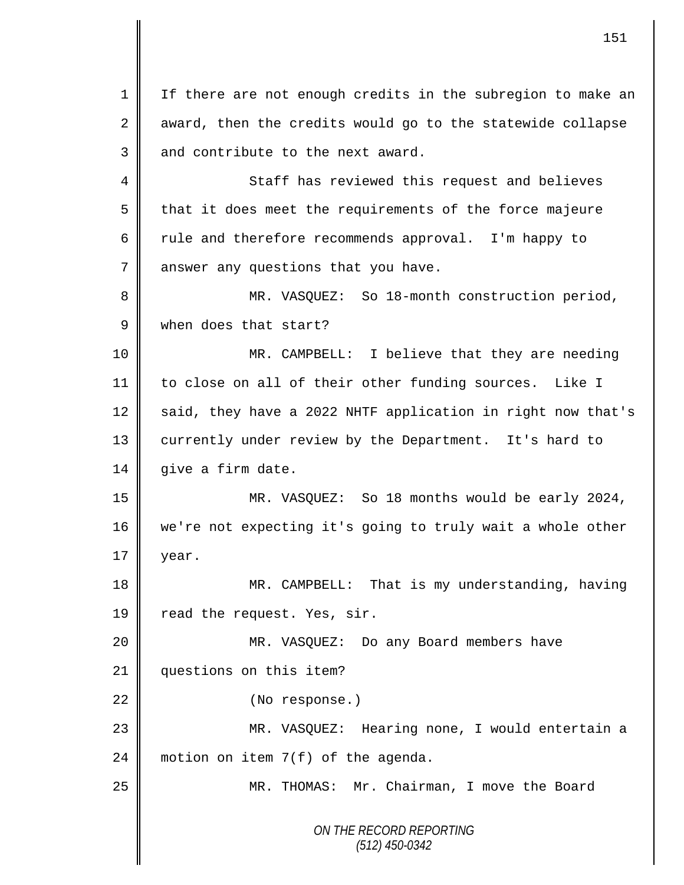*ON THE RECORD REPORTING (512) 450-0342* 1 || If there are not enough credits in the subregion to make an 2 award, then the credits would go to the statewide collapse  $3$  || and contribute to the next award. 4 Staff has reviewed this request and believes 5 || that it does meet the requirements of the force majeure 6 Tule and therefore recommends approval. I'm happy to 7 answer any questions that you have. 8 || MR. VASQUEZ: So 18-month construction period, 9 when does that start? 10 MR. CAMPBELL: I believe that they are needing 11 to close on all of their other funding sources. Like I 12  $\parallel$  said, they have a 2022 NHTF application in right now that's 13 | currently under review by the Department. It's hard to 14 | give a firm date. 15 MR. VASQUEZ: So 18 months would be early 2024, 16 we're not expecting it's going to truly wait a whole other  $17 \parallel$  year. 18 MR. CAMPBELL: That is my understanding, having 19 | read the request. Yes, sir. 20 MR. VASQUEZ: Do any Board members have 21 questions on this item? 22 || (No response.) 23 MR. VASQUEZ: Hearing none, I would entertain a 24  $\parallel$  motion on item 7(f) of the agenda. 25 MR. THOMAS: Mr. Chairman, I move the Board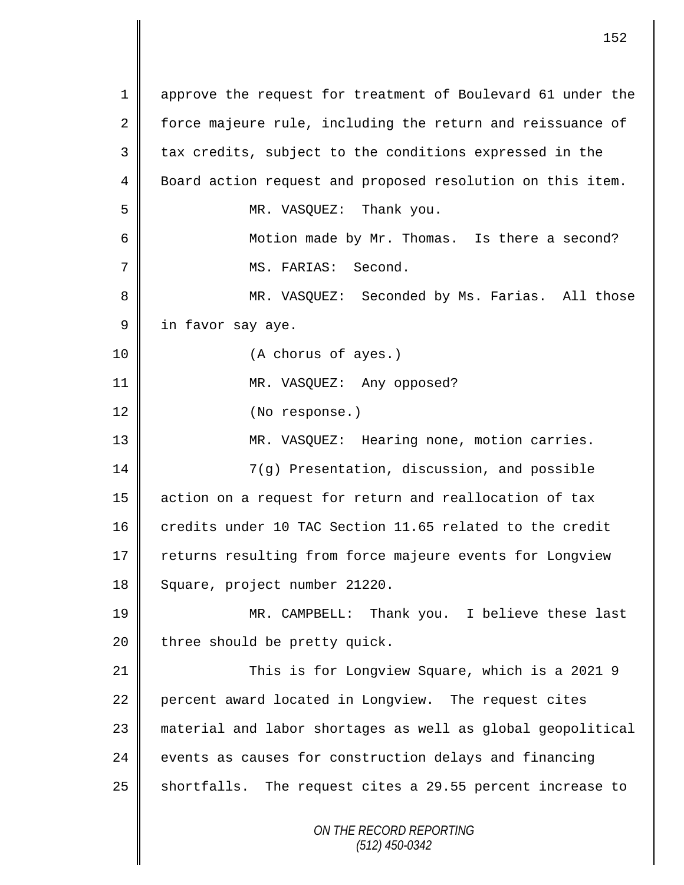*ON THE RECORD REPORTING (512) 450-0342* 1 approve the request for treatment of Boulevard 61 under the 2 | force majeure rule, including the return and reissuance of  $3 \parallel$  tax credits, subject to the conditions expressed in the 4 Board action request and proposed resolution on this item. 5 MR. VASQUEZ: Thank you. 6 || Motion made by Mr. Thomas. Is there a second? 7 || MS. FARIAS: Second. 8 MR. VASQUEZ: Seconded by Ms. Farias. All those 9 in favor say aye. 10 || (A chorus of ayes.) 11 || MR. VASQUEZ: Any opposed? 12 || (No response.) 13 MR. VASQUEZ: Hearing none, motion carries. 14 | T(g) Presentation, discussion, and possible 15 action on a request for return and reallocation of tax 16 credits under 10 TAC Section 11.65 related to the credit 17 | returns resulting from force majeure events for Longview 18 || Square, project number 21220. 19 MR. CAMPBELL: Thank you. I believe these last  $20$  | three should be pretty quick. 21 This is for Longview Square, which is a 2021 9 22 percent award located in Longview. The request cites 23 material and labor shortages as well as global geopolitical 24 events as causes for construction delays and financing 25 Shortfalls. The request cites a 29.55 percent increase to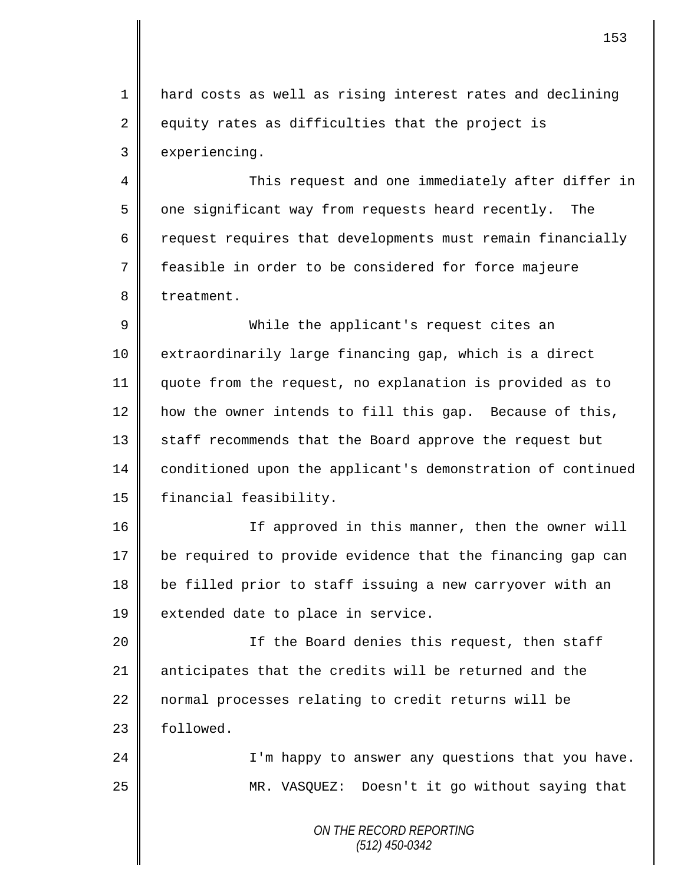1 hard costs as well as rising interest rates and declining  $2 \parallel$  equity rates as difficulties that the project is 3 experiencing.

4 || This request and one immediately after differ in 5 | one significant way from requests heard recently. The 6  $\parallel$  request requires that developments must remain financially 7 feasible in order to be considered for force majeure 8 | treatment.

9 While the applicant's request cites an 10 extraordinarily large financing gap, which is a direct 11 quote from the request, no explanation is provided as to 12 how the owner intends to fill this gap. Because of this, 13 || staff recommends that the Board approve the request but 14 conditioned upon the applicant's demonstration of continued 15 | financial feasibility.

16 | The Interproved in this manner, then the owner will 17 be required to provide evidence that the financing gap can 18 be filled prior to staff issuing a new carryover with an 19 extended date to place in service.

20 || If the Board denies this request, then staff 21 anticipates that the credits will be returned and the 22 normal processes relating to credit returns will be 23 | followed.

24 || I'm happy to answer any questions that you have. 25 MR. VASQUEZ: Doesn't it go without saying that

> *ON THE RECORD REPORTING (512) 450-0342*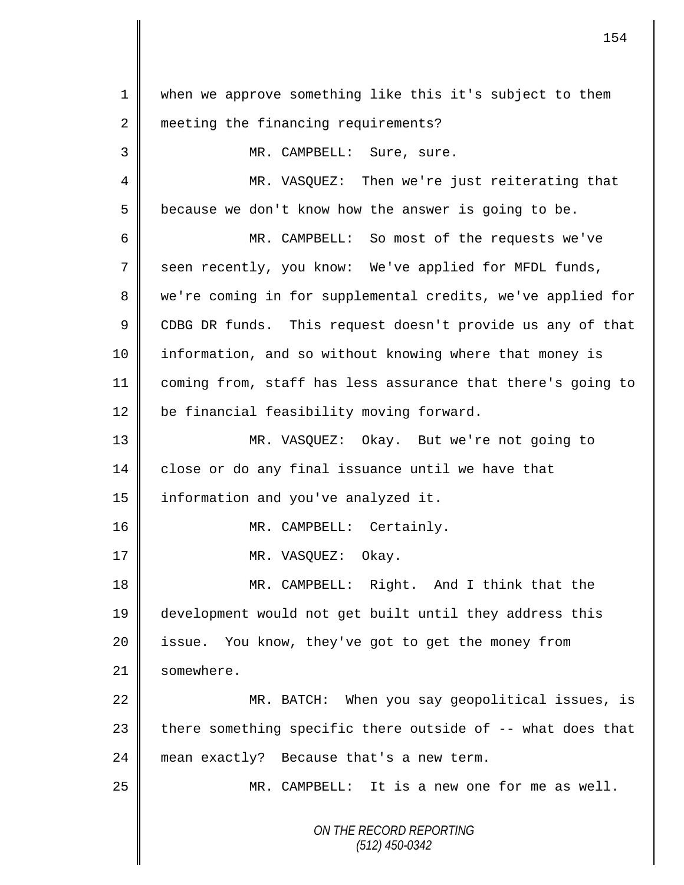*ON THE RECORD REPORTING (512) 450-0342* 1 when we approve something like this it's subject to them 2 meeting the financing requirements? 3 || MR. CAMPBELL: Sure, sure. 4 MR. VASQUEZ: Then we're just reiterating that  $5 \parallel$  because we don't know how the answer is going to be. 6 MR. CAMPBELL: So most of the requests we've 7 seen recently, you know: We've applied for MFDL funds, 8 we're coming in for supplemental credits, we've applied for 9 CDBG DR funds. This request doesn't provide us any of that 10 | information, and so without knowing where that money is 11 coming from, staff has less assurance that there's going to 12 be financial feasibility moving forward. 13 MR. VASQUEZ: Okay. But we're not going to 14 close or do any final issuance until we have that 15 | information and you've analyzed it. 16 || MR. CAMPBELL: Certainly. 17 || MR. VASQUEZ: Okay. 18 MR. CAMPBELL: Right. And I think that the 19 development would not get built until they address this 20 | issue. You know, they've got to get the money from 21 | somewhere. 22 MR. BATCH: When you say geopolitical issues, is 23  $\parallel$  there something specific there outside of -- what does that 24 mean exactly? Because that's a new term. 25 MR. CAMPBELL: It is a new one for me as well.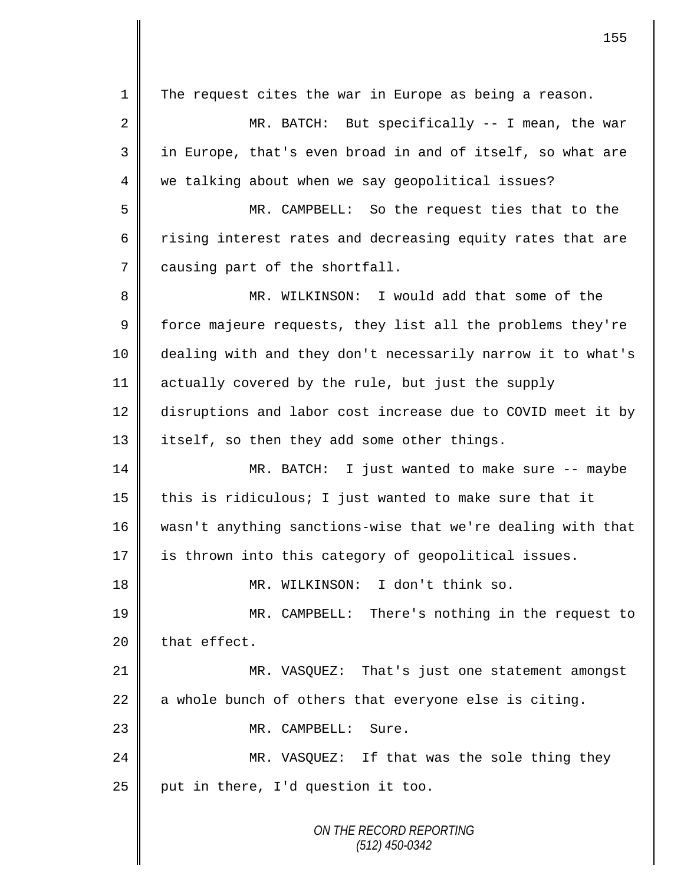*ON THE RECORD REPORTING (512) 450-0342* 1 || The request cites the war in Europe as being a reason. 2 MR. BATCH: But specifically -- I mean, the war 3 || in Europe, that's even broad in and of itself, so what are 4 we talking about when we say geopolitical issues? 5 MR. CAMPBELL: So the request ties that to the 6 T rising interest rates and decreasing equity rates that are 7 causing part of the shortfall. 8 || MR. WILKINSON: I would add that some of the  $9 \parallel$  force majeure requests, they list all the problems they're 10 dealing with and they don't necessarily narrow it to what's 11 actually covered by the rule, but just the supply 12 disruptions and labor cost increase due to COVID meet it by 13 | itself, so then they add some other things. 14 MR. BATCH: I just wanted to make sure -- maybe 15  $\parallel$  this is ridiculous; I just wanted to make sure that it 16 wasn't anything sanctions-wise that we're dealing with that 17 || is thrown into this category of geopolitical issues. 18 MR. WILKINSON: I don't think so. 19 MR. CAMPBELL: There's nothing in the request to  $20$  that effect. 21 MR. VASQUEZ: That's just one statement amongst 22  $\parallel$  a whole bunch of others that everyone else is citing. 23 || MR. CAMPBELL: Sure. 24 MR. VASQUEZ: If that was the sole thing they  $25$  | put in there, I'd question it too.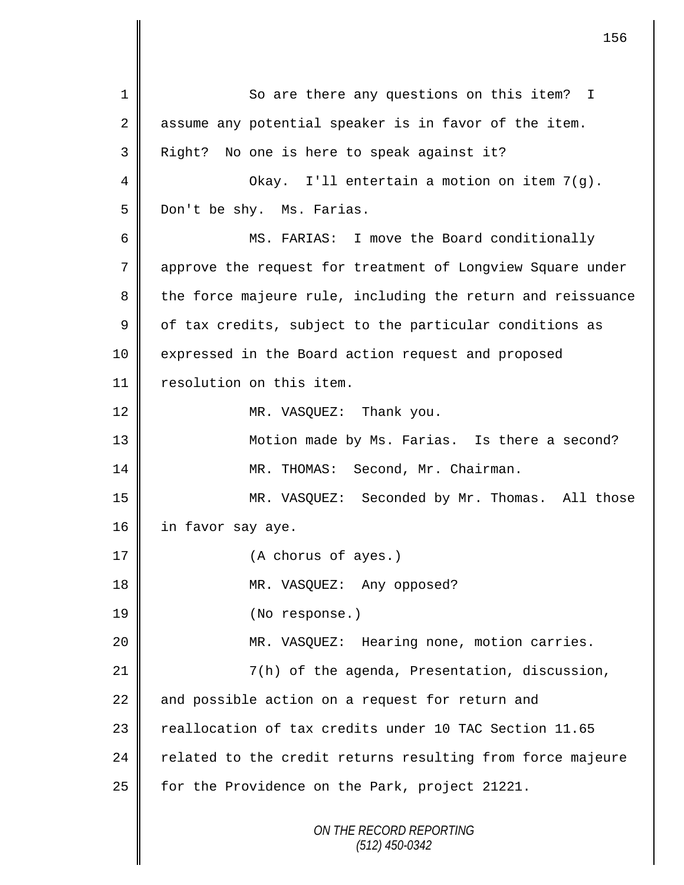*ON THE RECORD REPORTING (512) 450-0342* 1 So are there any questions on this item? I  $2 \parallel$  assume any potential speaker is in favor of the item. 3 Right? No one is here to speak against it? 4 || Okay. I'll entertain a motion on item 7(g). 5 Don't be shy. Ms. Farias. 6 MS. FARIAS: I move the Board conditionally 7 approve the request for treatment of Longview Square under 8 the force majeure rule, including the return and reissuance  $9 \parallel$  of tax credits, subject to the particular conditions as 10 || expressed in the Board action request and proposed 11 | resolution on this item. 12 MR. VASQUEZ: Thank you. 13 || Motion made by Ms. Farias. Is there a second? 14 | MR. THOMAS: Second, Mr. Chairman. 15 MR. VASQUEZ: Seconded by Mr. Thomas. All those 16 | in favor say aye. 17 || (A chorus of ayes.) 18 || MR. VASQUEZ: Any opposed? 19 (No response.) 20 MR. VASQUEZ: Hearing none, motion carries. 21 | T(h) of the agenda, Presentation, discussion,  $22$  and possible action on a request for return and 23 Feallocation of tax credits under 10 TAC Section 11.65 24 related to the credit returns resulting from force majeure 25  $\parallel$  for the Providence on the Park, project 21221.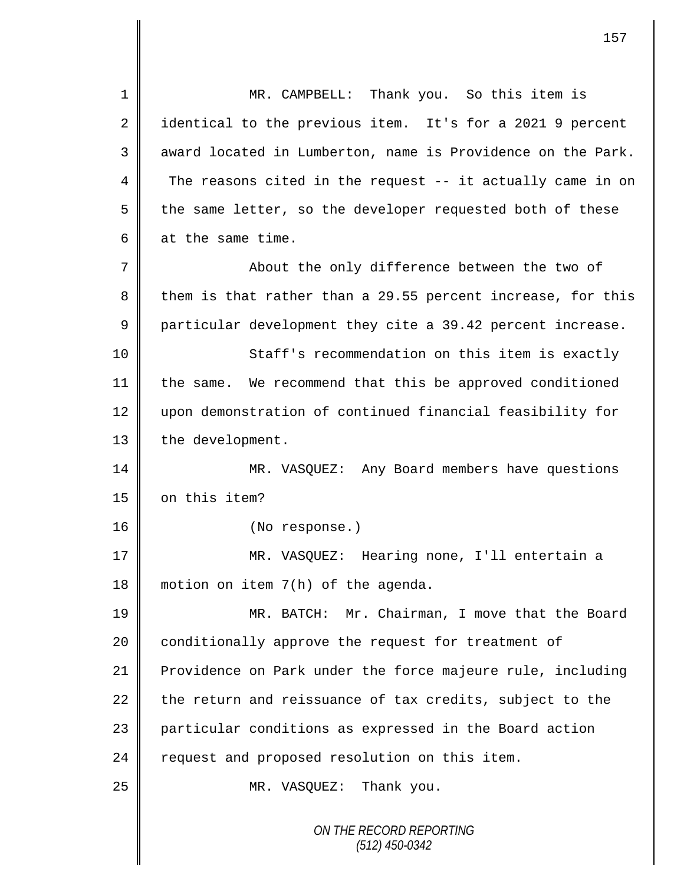*ON THE RECORD REPORTING (512) 450-0342* 1 MR. CAMPBELL: Thank you. So this item is  $2 \parallel$  identical to the previous item. It's for a 2021 9 percent 3 award located in Lumberton, name is Providence on the Park. 4 The reasons cited in the request -- it actually came in on  $5 \parallel$  the same letter, so the developer requested both of these 6  $\parallel$  at the same time. 7 About the only difference between the two of 8 them is that rather than a 29.55 percent increase, for this 9 particular development they cite a 39.42 percent increase. 10 || Staff's recommendation on this item is exactly 11 the same. We recommend that this be approved conditioned 12 | upon demonstration of continued financial feasibility for 13 | the development. 14 MR. VASQUEZ: Any Board members have questions 15 | on this item? 16 || (No response.) 17 MR. VASQUEZ: Hearing none, I'll entertain a 18 motion on item 7(h) of the agenda. 19 MR. BATCH: Mr. Chairman, I move that the Board 20 conditionally approve the request for treatment of 21 Providence on Park under the force majeure rule, including  $22$  the return and reissuance of tax credits, subject to the 23 particular conditions as expressed in the Board action  $24$  request and proposed resolution on this item. 25 || MR. VASQUEZ: Thank you.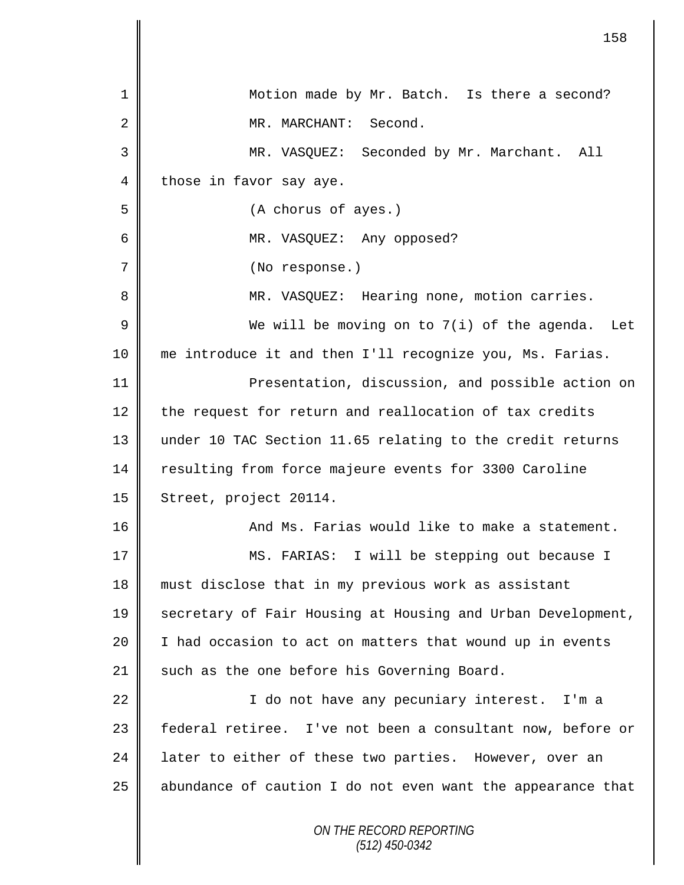|             | 158                                                         |
|-------------|-------------------------------------------------------------|
| 1           | Motion made by Mr. Batch. Is there a second?                |
| 2           | MR. MARCHANT: Second.                                       |
| 3           | MR. VASQUEZ: Seconded by Mr. Marchant.<br>All               |
| 4           | those in favor say aye.                                     |
| 5           | (A chorus of ayes.)                                         |
| 6           | MR. VASQUEZ: Any opposed?                                   |
| 7           | (No response.)                                              |
| 8           | MR. VASQUEZ: Hearing none, motion carries.                  |
| $\mathsf 9$ | We will be moving on to $7(i)$ of the agenda.<br>Let        |
| 10          | me introduce it and then I'll recognize you, Ms. Farias.    |
| 11          | Presentation, discussion, and possible action on            |
| 12          | the request for return and reallocation of tax credits      |
| 13          | under 10 TAC Section 11.65 relating to the credit returns   |
| 14          | resulting from force majeure events for 3300 Caroline       |
| 15          | Street, project 20114.                                      |
| 16          | And Ms. Farias would like to make a statement.              |
| 17          | MS. FARIAS: I will be stepping out because I                |
| 18          | must disclose that in my previous work as assistant         |
| 19          | secretary of Fair Housing at Housing and Urban Development, |
| 20          | I had occasion to act on matters that wound up in events    |
| 21          | such as the one before his Governing Board.                 |
| 22          | I do not have any pecuniary interest. I'm a                 |
| 23          | federal retiree. I've not been a consultant now, before or  |
| 24          | later to either of these two parties. However, over an      |
| 25          | abundance of caution I do not even want the appearance that |
|             | ON THE RECORD REPORTING<br>$(512)$ 450-0342                 |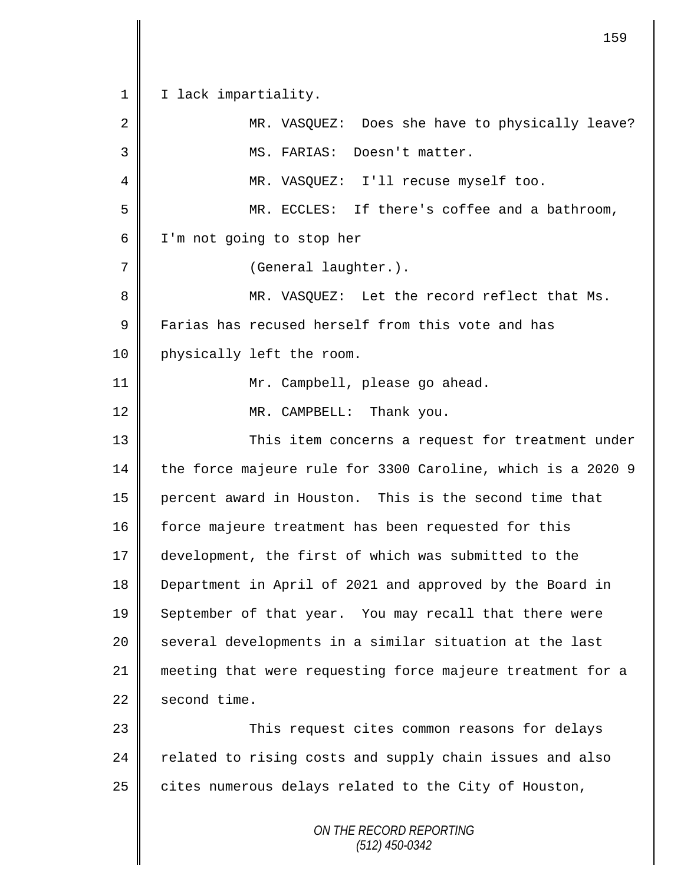*ON THE RECORD REPORTING (512) 450-0342* 1 | I lack impartiality. 2 MR. VASQUEZ: Does she have to physically leave? 3 MS. FARIAS: Doesn't matter. 4 || MR. VASQUEZ: I'll recuse myself too. 5 MR. ECCLES: If there's coffee and a bathroom, 6 I'm not going to stop her 7 (General laughter.). 8 MR. VASQUEZ: Let the record reflect that Ms. 9 Farias has recused herself from this vote and has 10 physically left the room. 11 || Mr. Campbell, please go ahead. 12 || MR. CAMPBELL: Thank you. 13 This item concerns a request for treatment under 14 the force majeure rule for 3300 Caroline, which is a 2020 9 15 percent award in Houston. This is the second time that 16 force majeure treatment has been requested for this 17 development, the first of which was submitted to the 18 Department in April of 2021 and approved by the Board in 19 September of that year. You may recall that there were 20 | several developments in a similar situation at the last 21 meeting that were requesting force majeure treatment for a  $22 \parallel$  second time. 23 This request cites common reasons for delays  $24$  related to rising costs and supply chain issues and also  $25$  cites numerous delays related to the City of Houston,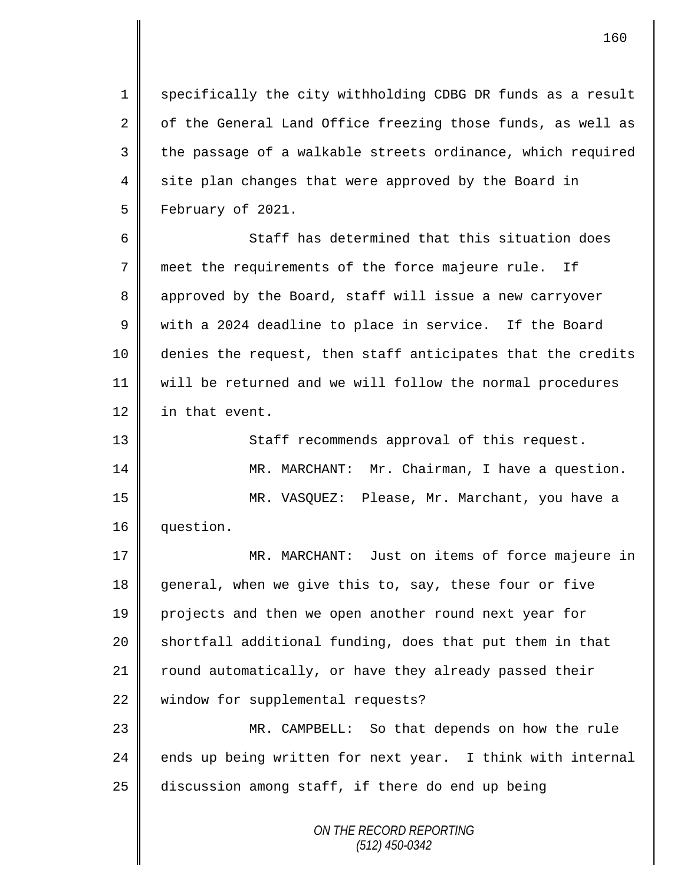1 specifically the city withholding CDBG DR funds as a result 2  $\parallel$  of the General Land Office freezing those funds, as well as  $3$  | the passage of a walkable streets ordinance, which required 4 site plan changes that were approved by the Board in 5 February of 2021.

6 Staff has determined that this situation does 7 meet the requirements of the force majeure rule. If 8 approved by the Board, staff will issue a new carryover 9 We with a 2024 deadline to place in service. If the Board 10 denies the request, then staff anticipates that the credits 11 will be returned and we will follow the normal procedures 12 in that event.

13 || Staff recommends approval of this request. 14 | MR. MARCHANT: Mr. Chairman, I have a question. 15 MR. VASQUEZ: Please, Mr. Marchant, you have a 16 question.

17 MR. MARCHANT: Just on items of force majeure in 18 general, when we give this to, say, these four or five 19 projects and then we open another round next year for 20  $\parallel$  shortfall additional funding, does that put them in that 21 | round automatically, or have they already passed their 22 | window for supplemental requests?

23 MR. CAMPBELL: So that depends on how the rule  $24$  ends up being written for next year. I think with internal 25 discussion among staff, if there do end up being

> *ON THE RECORD REPORTING (512) 450-0342*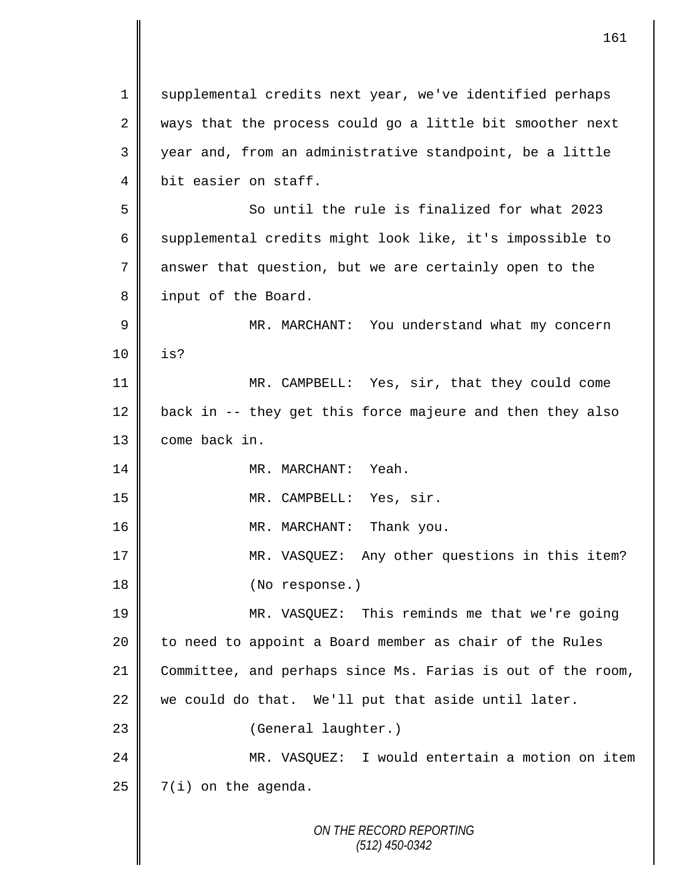*ON THE RECORD REPORTING (512) 450-0342* 1 || supplemental credits next year, we've identified perhaps  $2 \parallel$  ways that the process could go a little bit smoother next 3 year and, from an administrative standpoint, be a little 4 bit easier on staff. 5 So until the rule is finalized for what 2023 6 supplemental credits might look like, it's impossible to 7 answer that question, but we are certainly open to the 8 | input of the Board. 9 || MR. MARCHANT: You understand what my concern 10 is? 11 MR. CAMPBELL: Yes, sir, that they could come  $12$  back in -- they get this force majeure and then they also 13 | come back in. 14 MR. MARCHANT: Yeah. 15 || MR. CAMPBELL: Yes, sir. 16 || MR. MARCHANT: Thank you. 17 || MR. VASQUEZ: Any other questions in this item? 18 || (No response.) 19 MR. VASQUEZ: This reminds me that we're going  $20$  | to need to appoint a Board member as chair of the Rules 21 Committee, and perhaps since Ms. Farias is out of the room, 22 we could do that. We'll put that aside until later. 23 || (General laughter.) 24 MR. VASQUEZ: I would entertain a motion on item  $25$  |  $7(i)$  on the agenda.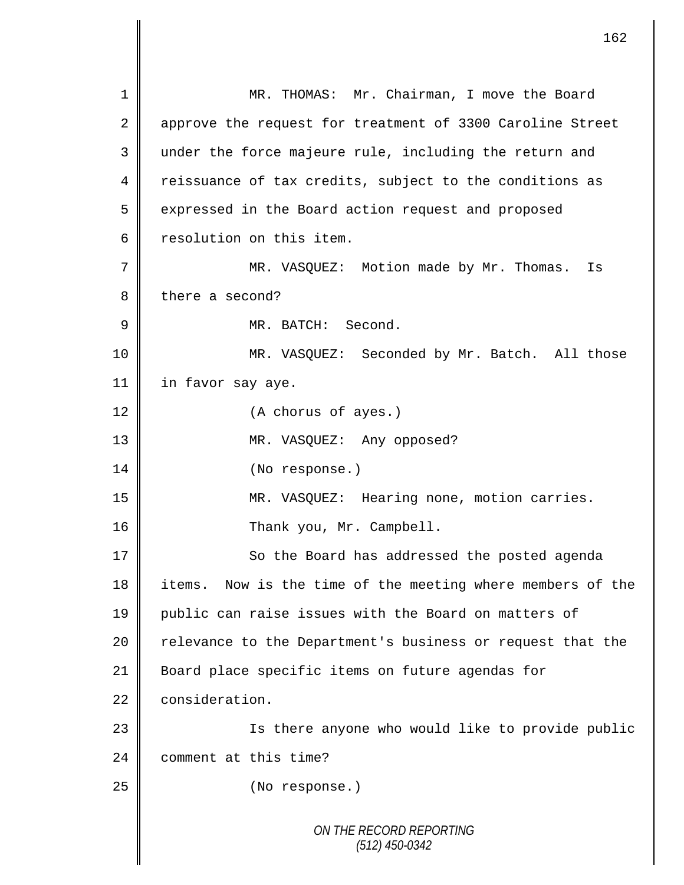*ON THE RECORD REPORTING (512) 450-0342* 1 MR. THOMAS: Mr. Chairman, I move the Board 2 approve the request for treatment of 3300 Caroline Street 3 under the force majeure rule, including the return and 4 reissuance of tax credits, subject to the conditions as 5 expressed in the Board action request and proposed 6 **c** resolution on this item. 7 MR. VASQUEZ: Motion made by Mr. Thomas. Is 8 there a second? 9 MR. BATCH: Second. 10 MR. VASQUEZ: Seconded by Mr. Batch. All those 11 || in favor say aye. 12 (A chorus of ayes.) 13 MR. VASQUEZ: Any opposed? 14 || (No response.) 15 MR. VASQUEZ: Hearing none, motion carries. 16 || Thank you, Mr. Campbell. 17  $\parallel$  So the Board has addressed the posted agenda 18 items. Now is the time of the meeting where members of the 19 public can raise issues with the Board on matters of 20 || relevance to the Department's business or request that the 21 Board place specific items on future agendas for 22 consideration. 23 || Is there anyone who would like to provide public 24 **comment** at this time? 25 No response.)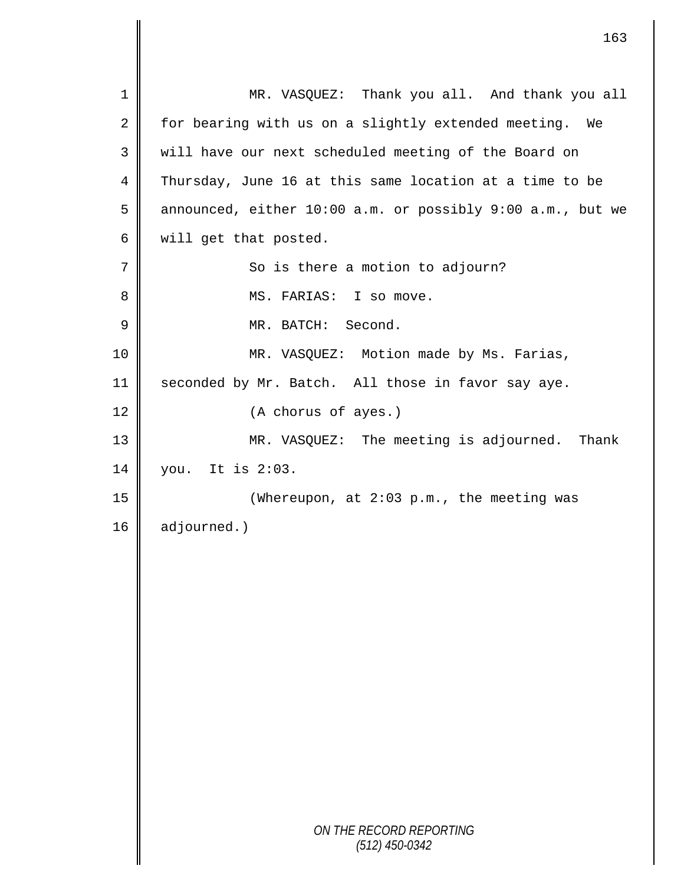*ON THE RECORD REPORTING (512) 450-0342* 1 MR. VASQUEZ: Thank you all. And thank you all 2 for bearing with us on a slightly extended meeting. We 3 will have our next scheduled meeting of the Board on 4 Thursday, June 16 at this same location at a time to be 5 | announced, either 10:00 a.m. or possibly 9:00 a.m., but we 6 | will get that posted. 7 || So is there a motion to adjourn? 8 || MS. FARIAS: I so move. 9  $\parallel$  MR. BATCH: Second. 10 MR. VASQUEZ: Motion made by Ms. Farias, 11 seconded by Mr. Batch. All those in favor say aye. 12 (A chorus of ayes.) 13 || MR. VASQUEZ: The meeting is adjourned. Thank 14 you. It is 2:03. 15 || (Whereupon, at 2:03 p.m., the meeting was 16 adjourned.)